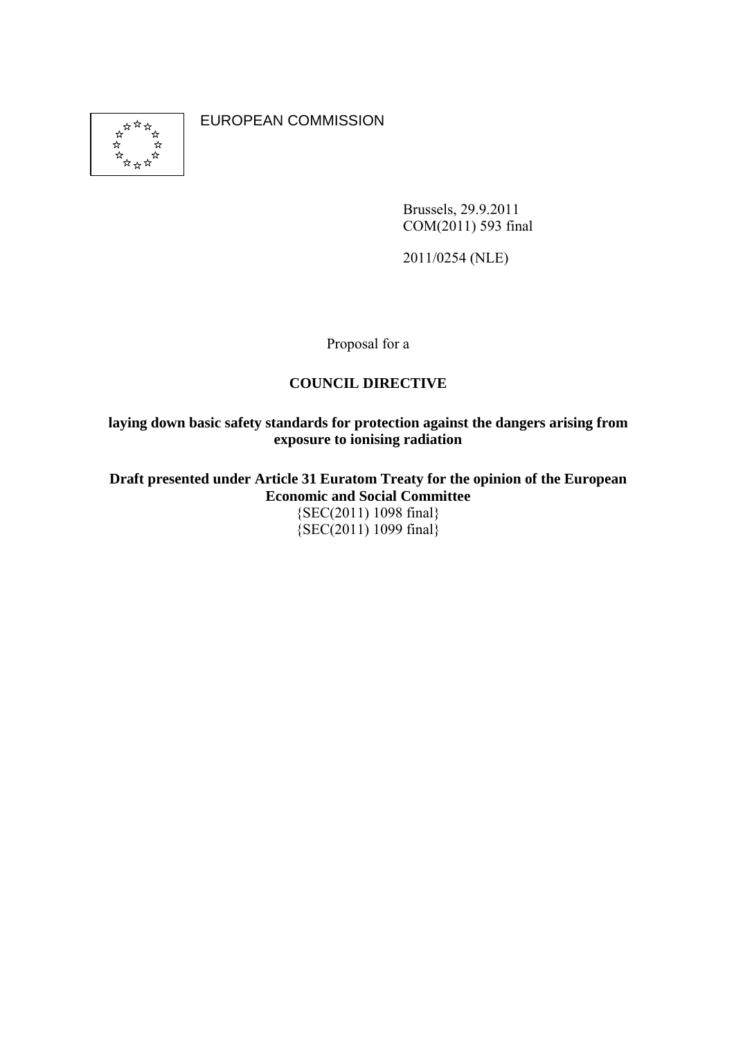

EUROPEAN COMMISSION

Brussels, 29.9.2011 COM(2011) 593 final

2011/0254 (NLE)

Proposal for a

#### **COUNCIL DIRECTIVE**

**laying down basic safety standards for protection against the dangers arising from exposure to ionising radiation** 

**Draft presented under Article 31 Euratom Treaty for the opinion of the European Economic and Social Committee**  {SEC(2011) 1098 final}  ${SEC(2011) 1099 final}$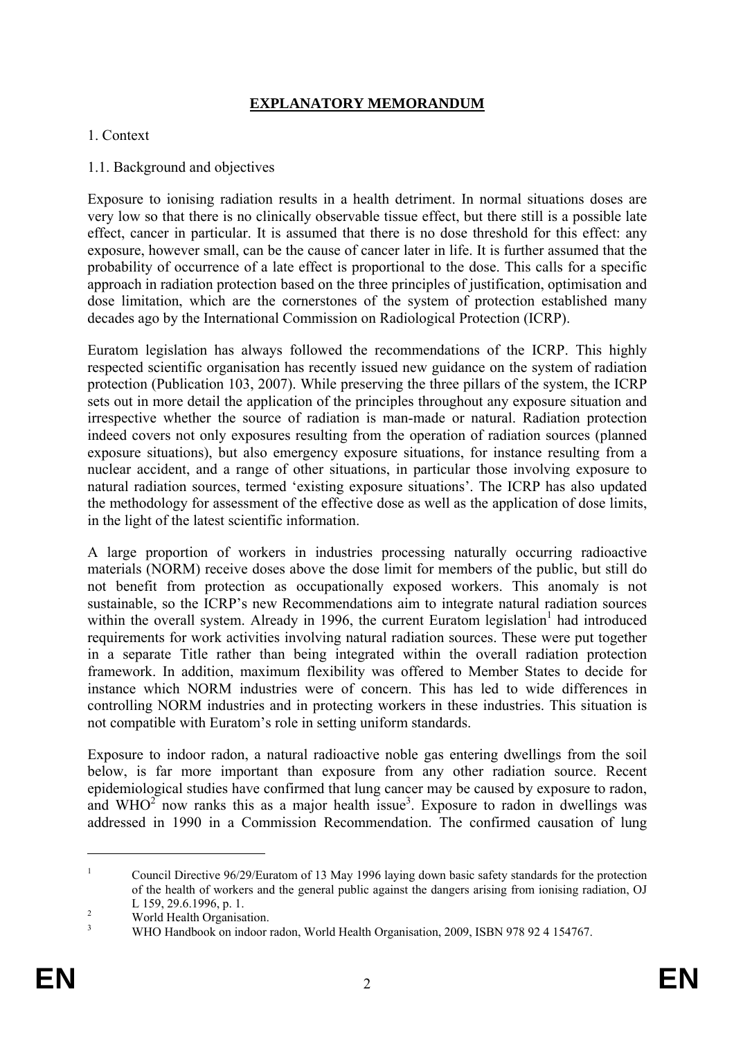# **EXPLANATORY MEMORANDUM**

#### 1. Context

1.1. Background and objectives

Exposure to ionising radiation results in a health detriment. In normal situations doses are very low so that there is no clinically observable tissue effect, but there still is a possible late effect, cancer in particular. It is assumed that there is no dose threshold for this effect: any exposure, however small, can be the cause of cancer later in life. It is further assumed that the probability of occurrence of a late effect is proportional to the dose. This calls for a specific approach in radiation protection based on the three principles of justification, optimisation and dose limitation, which are the cornerstones of the system of protection established many decades ago by the International Commission on Radiological Protection (ICRP).

Euratom legislation has always followed the recommendations of the ICRP. This highly respected scientific organisation has recently issued new guidance on the system of radiation protection (Publication 103, 2007). While preserving the three pillars of the system, the ICRP sets out in more detail the application of the principles throughout any exposure situation and irrespective whether the source of radiation is man-made or natural. Radiation protection indeed covers not only exposures resulting from the operation of radiation sources (planned exposure situations), but also emergency exposure situations, for instance resulting from a nuclear accident, and a range of other situations, in particular those involving exposure to natural radiation sources, termed 'existing exposure situations'. The ICRP has also updated the methodology for assessment of the effective dose as well as the application of dose limits, in the light of the latest scientific information.

A large proportion of workers in industries processing naturally occurring radioactive materials (NORM) receive doses above the dose limit for members of the public, but still do not benefit from protection as occupationally exposed workers. This anomaly is not sustainable, so the ICRP's new Recommendations aim to integrate natural radiation sources within the overall system. Already in 1996, the current Euratom legislation<sup>1</sup> had introduced requirements for work activities involving natural radiation sources. These were put together in a separate Title rather than being integrated within the overall radiation protection framework. In addition, maximum flexibility was offered to Member States to decide for instance which NORM industries were of concern. This has led to wide differences in controlling NORM industries and in protecting workers in these industries. This situation is not compatible with Euratom's role in setting uniform standards.

Exposure to indoor radon, a natural radioactive noble gas entering dwellings from the soil below, is far more important than exposure from any other radiation source. Recent epidemiological studies have confirmed that lung cancer may be caused by exposure to radon, and  $WHO<sup>2</sup>$  now ranks this as a major health issue<sup>3</sup>. Exposure to radon in dwellings was addressed in 1990 in a Commission Recommendation. The confirmed causation of lung

<sup>1</sup> Council Directive 96/29/Euratom of 13 May 1996 laying down basic safety standards for the protection of the health of workers and the general public against the dangers arising from ionising radiation, OJ  $L$  159, 29.6.1996, p. 1.

World Health Organisation.

<sup>3</sup> WHO Handbook on indoor radon, World Health Organisation, 2009, ISBN 978 92 4 154767.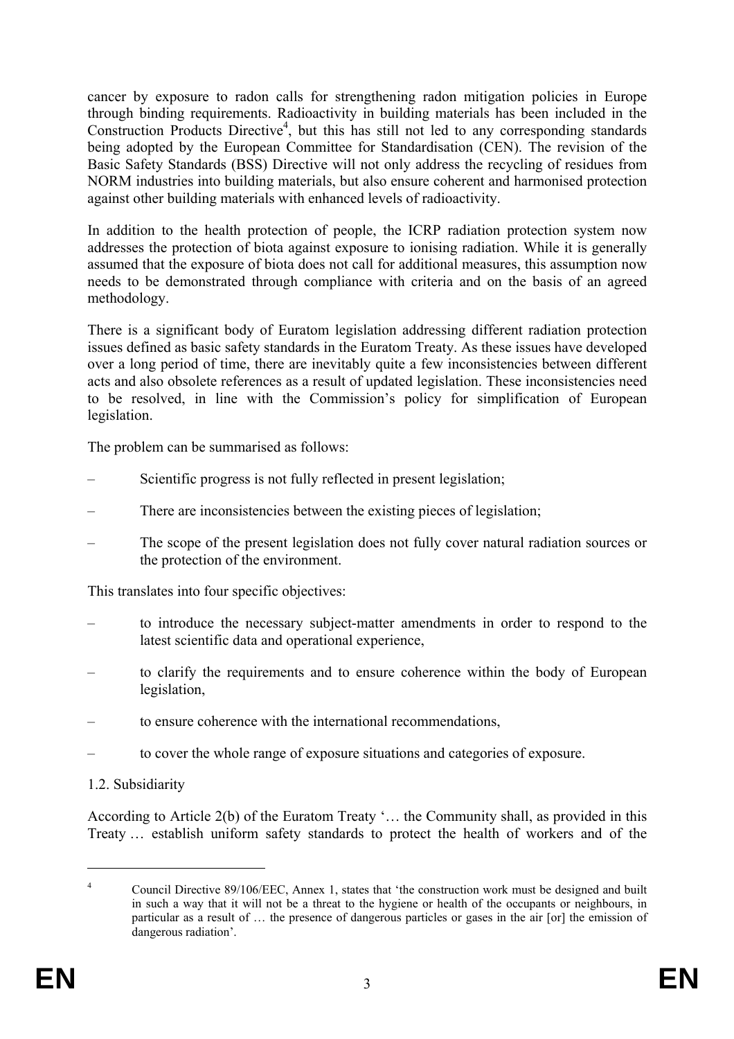cancer by exposure to radon calls for strengthening radon mitigation policies in Europe through binding requirements. Radioactivity in building materials has been included in the Construction Products Directive<sup>4</sup>, but this has still not led to any corresponding standards being adopted by the European Committee for Standardisation (CEN). The revision of the Basic Safety Standards (BSS) Directive will not only address the recycling of residues from NORM industries into building materials, but also ensure coherent and harmonised protection against other building materials with enhanced levels of radioactivity.

In addition to the health protection of people, the ICRP radiation protection system now addresses the protection of biota against exposure to ionising radiation. While it is generally assumed that the exposure of biota does not call for additional measures, this assumption now needs to be demonstrated through compliance with criteria and on the basis of an agreed methodology.

There is a significant body of Euratom legislation addressing different radiation protection issues defined as basic safety standards in the Euratom Treaty. As these issues have developed over a long period of time, there are inevitably quite a few inconsistencies between different acts and also obsolete references as a result of updated legislation. These inconsistencies need to be resolved, in line with the Commission's policy for simplification of European legislation.

The problem can be summarised as follows:

- Scientific progress is not fully reflected in present legislation;
- There are inconsistencies between the existing pieces of legislation;
- The scope of the present legislation does not fully cover natural radiation sources or the protection of the environment.

This translates into four specific objectives:

- to introduce the necessary subject-matter amendments in order to respond to the latest scientific data and operational experience,
- to clarify the requirements and to ensure coherence within the body of European legislation,
- to ensure coherence with the international recommendations,
- to cover the whole range of exposure situations and categories of exposure.
- 1.2. Subsidiarity

According to Article 2(b) of the Euratom Treaty '… the Community shall, as provided in this Treaty … establish uniform safety standards to protect the health of workers and of the

<sup>4</sup> Council Directive 89/106/EEC, Annex 1, states that 'the construction work must be designed and built in such a way that it will not be a threat to the hygiene or health of the occupants or neighbours, in particular as a result of … the presence of dangerous particles or gases in the air [or] the emission of dangerous radiation'.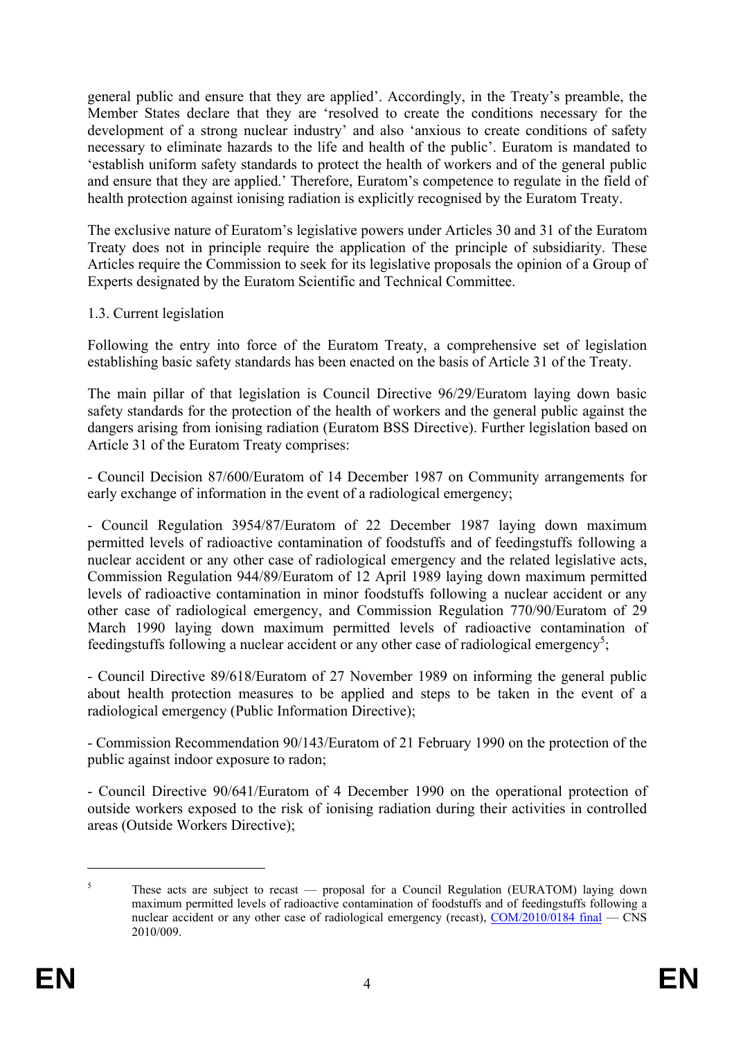general public and ensure that they are applied'. Accordingly, in the Treaty's preamble, the Member States declare that they are 'resolved to create the conditions necessary for the development of a strong nuclear industry' and also 'anxious to create conditions of safety necessary to eliminate hazards to the life and health of the public'. Euratom is mandated to 'establish uniform safety standards to protect the health of workers and of the general public and ensure that they are applied.' Therefore, Euratom's competence to regulate in the field of health protection against ionising radiation is explicitly recognised by the Euratom Treaty.

The exclusive nature of Euratom's legislative powers under Articles 30 and 31 of the Euratom Treaty does not in principle require the application of the principle of subsidiarity. These Articles require the Commission to seek for its legislative proposals the opinion of a Group of Experts designated by the Euratom Scientific and Technical Committee.

#### 1.3. Current legislation

Following the entry into force of the Euratom Treaty, a comprehensive set of legislation establishing basic safety standards has been enacted on the basis of Article 31 of the Treaty.

The main pillar of that legislation is Council Directive 96/29/Euratom laying down basic safety standards for the protection of the health of workers and the general public against the dangers arising from ionising radiation (Euratom BSS Directive). Further legislation based on Article 31 of the Euratom Treaty comprises:

- [Council Decision 87/600/Euratom](http://eur-lex.europa.eu/Result.do?arg0=early+exchange+of+information+in+the+event+of+a+radiological+emergency&arg1=&arg2=&titre=titre&chlang=en&RechType=RECH_mot&Submit=Search) of 14 December 1987 on Community arrangements for early exchange of information in the event of a radiological emergency;

- [Council Regulation 3954/87/Euratom](http://eur-lex.europa.eu/LexUriServ/LexUriServ.do?uri=CELEX:31987R3954:EN:HTML) of 22 December 1987 laying down maximum permitted levels of radioactive contamination of foodstuffs and of feedingstuffs following a nuclear accident or any other case of radiological emergency and the related legislative acts, [Commission Regulation 944/89/Euratom](http://eur-lex.europa.eu/LexUriServ/LexUriServ.do?uri=CELEX:31989R0944:EN:HTML) of 12 April 1989 laying down maximum permitted levels of radioactive contamination in minor foodstuffs following a nuclear accident or any other case of radiological emergency, and [Commission Regulation 770/90/Euratom](http://eur-lex.europa.eu/LexUriServ/LexUriServ.do?uri=CELEX:31990R0770:EN:HTML) of 29 March 1990 laying down maximum permitted levels of radioactive contamination of feedingstuffs following a nuclear accident or any other case of radiological emergency<sup>5</sup>;

- [Council Directive 89/618/Euratom](http://eur-lex.europa.eu/Result.do?T1=V1&T2=1989&T3=618&RechType=RECH_naturel&Submit=Search) of 27 November 1989 on informing the general public about health protection measures to be applied and steps to be taken in the event of a radiological emergency (Public Information Directive);

- [Commission Recommendation 90/143/](http://eur-lex.europa.eu/Result.do?T1=V1&T2=1990&T3=143&RechType=RECH_naturel&Submit=Search)Euratom of 21 February 1990 on the protection of the public against indoor exposure to radon;

- [Council Directive 90/641/Euratom](http://eur-lex.europa.eu/Result.do?T1=V3&T2=1990&T3=0641&RechType=RECH_naturel&Submit=Search) of 4 December 1990 on the operational protection of outside workers exposed to the risk of ionising radiation during their activities in controlled areas (Outside Workers Directive);

<sup>5</sup> These acts are subject to recast — proposal for a Council Regulation (EURATOM) laying down maximum permitted levels of radioactive contamination of foodstuffs and of feedingstuffs following a nuclear accident or any other case of radiological emergency (recast), [COM/2010/0184 final](http://eur-lex.europa.eu/Result.do?idReq=3&page=1) — CNS 2010/009.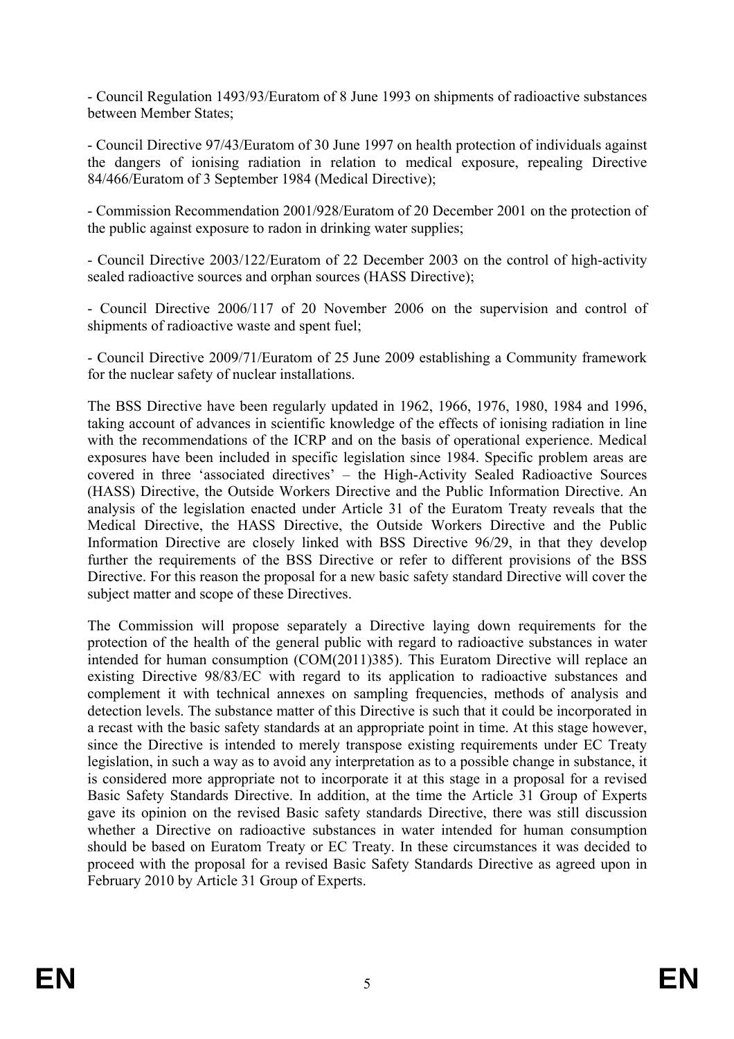- [Council Regulation 1493/](http://eur-lex.europa.eu/LexUriServ/LexUriServ.do?uri=CELEX:31993R1493:EN:HTML)93/Euratom of 8 June 1993 on shipments of radioactive substances between Member States;

- [Council Directive 97/43/Euratom](http://eur-lex.europa.eu/Result.do?T1=V3&T2=1997&T3=0043&RechType=RECH_naturel&Submit=Search) of 30 June 1997 on health protection of individuals against the dangers of ionising radiation in relation to medical exposure, repealing Directive 84/466/Euratom of 3 September 1984 (Medical Directive);

- [Commission Recommendation 2001/928/Euratom o](http://eur-lex.europa.eu/LexUriServ/LexUriServ.do?uri=OJ:L:2001:344:0085:0088:EN:PDF)f 20 December 2001 on the protection of the public against exposure to radon in drinking water supplies;

- [Council Directive 2003/122/Euratom](http://eur-lex.europa.eu/Result.do?T1=V3&T2=2003&T3=122&RechType=RECH_naturel&Submit=Search) of 22 December 2003 on the control of high-activity sealed radioactive sources and orphan sources (HASS Directive);

- [Council Directive 2006/117](http://eur-lex.europa.eu/LexUriServ/LexUriServ.do?uri=OJ:L:2006:337:0021:0032:EN:PDF) of 20 November 2006 on the supervision and control of shipments of radioactive waste and spent fuel;

- [Council Directive 2009/71/Euratom](http://eur-lex.europa.eu/LexUriServ/LexUriServ.do?uri=OJ:L:2009:172:0018:0022:EN:PDF) of 25 June 2009 establishing a Community framework for the nuclear safety of nuclear installations.

The BSS Directive have been regularly updated in 1962, 1966, 1976, 1980, 1984 and 1996, taking account of advances in scientific knowledge of the effects of ionising radiation in line with the recommendations of the ICRP and on the basis of operational experience. Medical exposures have been included in specific legislation since 1984. Specific problem areas are covered in three 'associated directives' – the High-Activity Sealed Radioactive Sources (HASS) Directive, the Outside Workers Directive and the Public Information Directive. An analysis of the legislation enacted under Article 31 of the Euratom Treaty reveals that the Medical Directive, the HASS Directive, the Outside Workers Directive and the Public Information Directive are closely linked with BSS Directive 96/29, in that they develop further the requirements of the BSS Directive or refer to different provisions of the BSS Directive. For this reason the proposal for a new basic safety standard Directive will cover the subject matter and scope of these Directives.

The Commission will propose separately a Directive laying down requirements for the protection of the health of the general public with regard to radioactive substances in water intended for human consumption (COM(2011)385). This Euratom Directive will replace an existing Directive 98/83/EC with regard to its application to radioactive substances and complement it with technical annexes on sampling frequencies, methods of analysis and detection levels. The substance matter of this Directive is such that it could be incorporated in a recast with the basic safety standards at an appropriate point in time. At this stage however, since the Directive is intended to merely transpose existing requirements under EC Treaty legislation, in such a way as to avoid any interpretation as to a possible change in substance, it is considered more appropriate not to incorporate it at this stage in a proposal for a revised Basic Safety Standards Directive. In addition, at the time the Article 31 Group of Experts gave its opinion on the revised Basic safety standards Directive, there was still discussion whether a Directive on radioactive substances in water intended for human consumption should be based on Euratom Treaty or EC Treaty. In these circumstances it was decided to proceed with the proposal for a revised Basic Safety Standards Directive as agreed upon in February 2010 by Article 31 Group of Experts.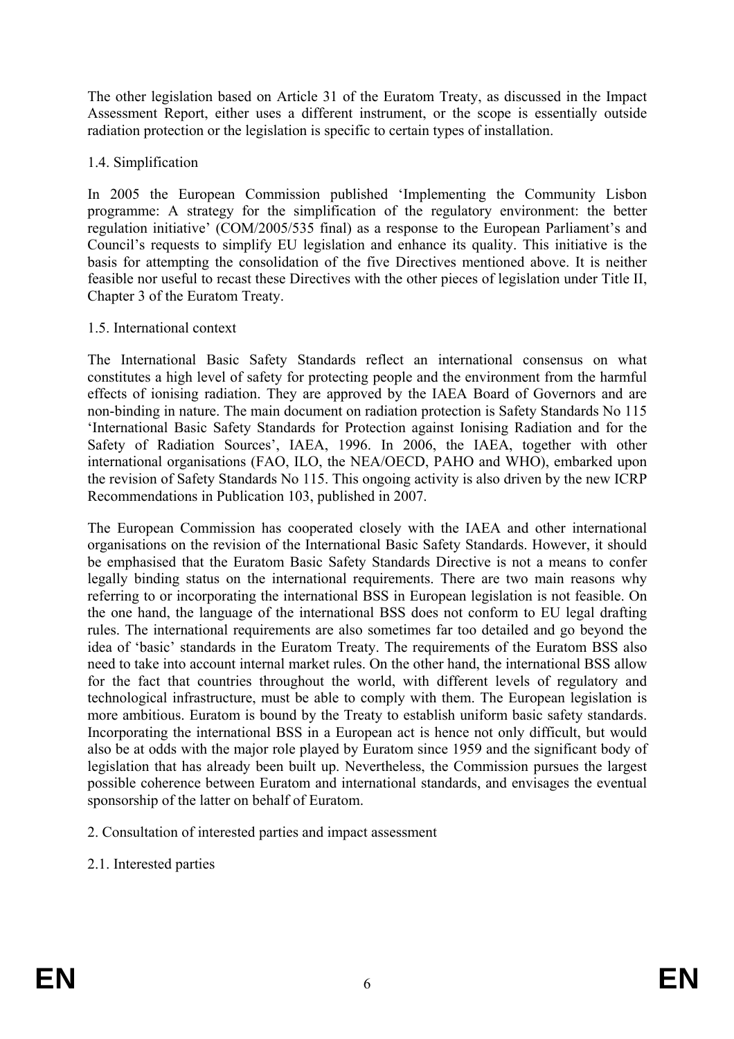The other legislation based on Article 31 of the Euratom Treaty, as discussed in the Impact Assessment Report, either uses a different instrument, or the scope is essentially outside radiation protection or the legislation is specific to certain types of installation.

#### 1.4. Simplification

In 2005 the European Commission published 'Implementing the Community Lisbon programme: A strategy for the simplification of the regulatory environment: the better regulation initiative' (COM/2005/535 final) as a response to the European Parliament's and Council's requests to simplify EU legislation and enhance its quality. This initiative is the basis for attempting the consolidation of the five Directives mentioned above. It is neither feasible nor useful to recast these Directives with the other pieces of legislation under Title II, Chapter 3 of the Euratom Treaty.

#### 1.5. International context

The International Basic Safety Standards reflect an international consensus on what constitutes a high level of safety for protecting people and the environment from the harmful effects of ionising radiation. They are approved by the IAEA Board of Governors and are non-binding in nature. The main document on radiation protection is Safety Standards No 115 'International Basic Safety Standards for Protection against Ionising Radiation and for the Safety of Radiation Sources', IAEA, 1996. In 2006, the IAEA, together with other international organisations (FAO, ILO, the NEA/OECD, PAHO and WHO), embarked upon the revision of Safety Standards No 115. This ongoing activity is also driven by the new ICRP Recommendations in Publication 103, published in 2007.

The European Commission has cooperated closely with the IAEA and other international organisations on the revision of the International Basic Safety Standards. However, it should be emphasised that the Euratom Basic Safety Standards Directive is not a means to confer legally binding status on the international requirements. There are two main reasons why referring to or incorporating the international BSS in European legislation is not feasible. On the one hand, the language of the international BSS does not conform to EU legal drafting rules. The international requirements are also sometimes far too detailed and go beyond the idea of 'basic' standards in the Euratom Treaty. The requirements of the Euratom BSS also need to take into account internal market rules. On the other hand, the international BSS allow for the fact that countries throughout the world, with different levels of regulatory and technological infrastructure, must be able to comply with them. The European legislation is more ambitious. Euratom is bound by the Treaty to establish uniform basic safety standards. Incorporating the international BSS in a European act is hence not only difficult, but would also be at odds with the major role played by Euratom since 1959 and the significant body of legislation that has already been built up. Nevertheless, the Commission pursues the largest possible coherence between Euratom and international standards, and envisages the eventual sponsorship of the latter on behalf of Euratom.

- 2. Consultation of interested parties and impact assessment
- 2.1. Interested parties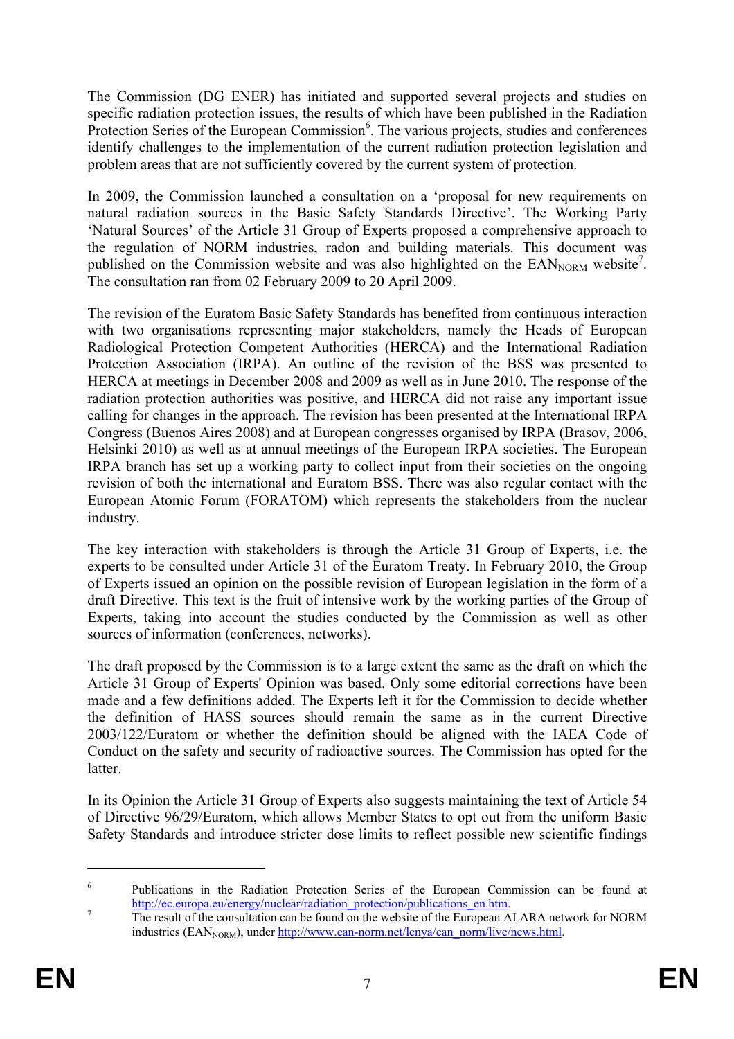The Commission (DG ENER) has initiated and supported several projects and studies on specific radiation protection issues, the results of which have been published in the Radiation Protection Series of the European Commission<sup>6</sup>. The various projects, studies and conferences identify challenges to the implementation of the current radiation protection legislation and problem areas that are not sufficiently covered by the current system of protection.

In 2009, the Commission launched a consultation on a 'proposal for new requirements on natural radiation sources in the Basic Safety Standards Directive'. The Working Party 'Natural Sources' of the Article 31 Group of Experts proposed a comprehensive approach to the regulation of NORM industries, radon and building materials. This document was published on the Commission website and was also highlighted on the  $EAN<sub>NORM</sub>$  website<sup>7</sup>. The consultation ran from 02 February 2009 to 20 April 2009.

The revision of the Euratom Basic Safety Standards has benefited from continuous interaction with two organisations representing major stakeholders, namely the Heads of European Radiological Protection Competent Authorities (HERCA) and the International Radiation Protection Association (IRPA). An outline of the revision of the BSS was presented to HERCA at meetings in December 2008 and 2009 as well as in June 2010. The response of the radiation protection authorities was positive, and HERCA did not raise any important issue calling for changes in the approach. The revision has been presented at the International IRPA Congress (Buenos Aires 2008) and at European congresses organised by IRPA (Brasov, 2006, Helsinki 2010) as well as at annual meetings of the European IRPA societies. The European IRPA branch has set up a working party to collect input from their societies on the ongoing revision of both the international and Euratom BSS. There was also regular contact with the European Atomic Forum (FORATOM) which represents the stakeholders from the nuclear industry.

The key interaction with stakeholders is through the Article 31 Group of Experts, i.e. the experts to be consulted under Article 31 of the Euratom Treaty. In February 2010, the Group of Experts issued an opinion on the possible revision of European legislation in the form of a draft Directive. This text is the fruit of intensive work by the working parties of the Group of Experts, taking into account the studies conducted by the Commission as well as other sources of information (conferences, networks).

The draft proposed by the Commission is to a large extent the same as the draft on which the Article 31 Group of Experts' Opinion was based. Only some editorial corrections have been made and a few definitions added. The Experts left it for the Commission to decide whether the definition of HASS sources should remain the same as in the current Directive 2003/122/Euratom or whether the definition should be aligned with the IAEA Code of Conduct on the safety and security of radioactive sources. The Commission has opted for the **latter** 

In its Opinion the Article 31 Group of Experts also suggests maintaining the text of Article 54 of Directive 96/29/Euratom, which allows Member States to opt out from the uniform Basic Safety Standards and introduce stricter dose limits to reflect possible new scientific findings

<sup>6</sup> Publications in the Radiation Protection Series of the European Commission can be found at [http://ec.europa.eu/energy/nuclear/radiation\\_protection/publications\\_en.htm.](http://ec.europa.eu/energy/nuclear/radiation_protection/publications_en.htm) 7

The result of the consultation can be found on the website of the European ALARA network for NORM industries (EAN<sub>NORM</sub>), under http://www.ean-norm.net/lenya/ean\_norm/live/news.html.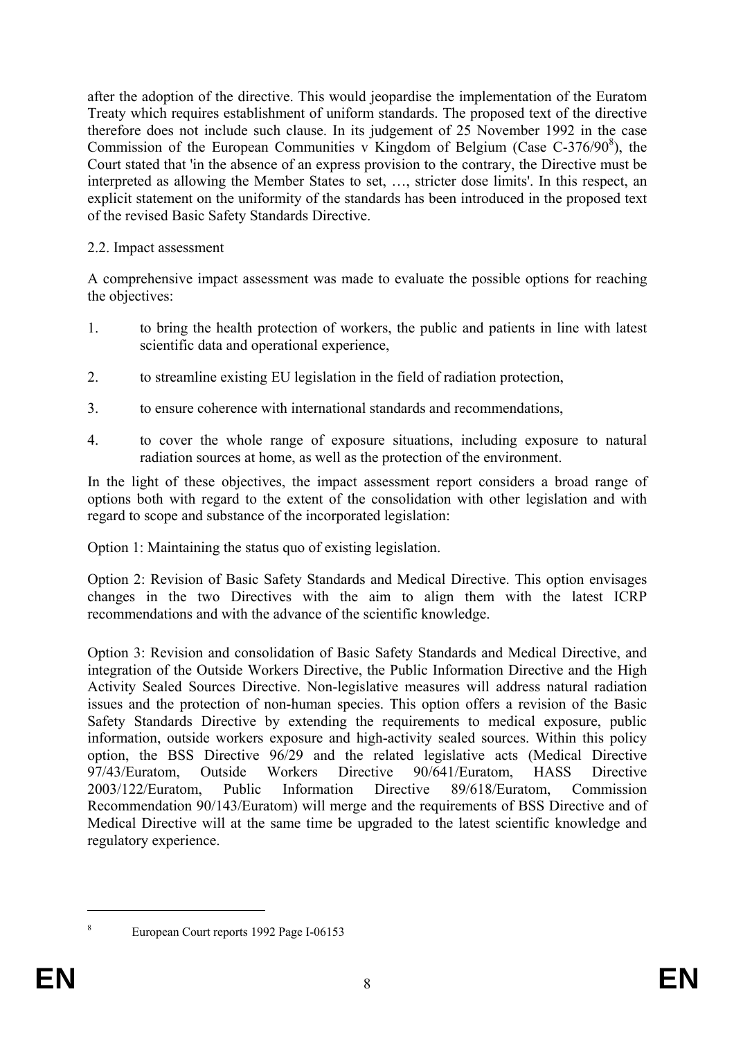after the adoption of the directive. This would jeopardise the implementation of the Euratom Treaty which requires establishment of uniform standards. The proposed text of the directive therefore does not include such clause. In its judgement of 25 November 1992 in the case Commission of the European Communities v Kingdom of Belgium (Case  $C-376/90^8$ ), the Court stated that 'in the absence of an express provision to the contrary, the Directive must be interpreted as allowing the Member States to set, …, stricter dose limits'. In this respect, an explicit statement on the uniformity of the standards has been introduced in the proposed text of the revised Basic Safety Standards Directive.

#### 2.2. Impact assessment

A comprehensive impact assessment was made to evaluate the possible options for reaching the objectives:

- 1. to bring the health protection of workers, the public and patients in line with latest scientific data and operational experience,
- 2. to streamline existing EU legislation in the field of radiation protection,
- 3. to ensure coherence with international standards and recommendations,
- 4. to cover the whole range of exposure situations, including exposure to natural radiation sources at home, as well as the protection of the environment.

In the light of these objectives, the impact assessment report considers a broad range of options both with regard to the extent of the consolidation with other legislation and with regard to scope and substance of the incorporated legislation:

Option 1: Maintaining the status quo of existing legislation.

Option 2: Revision of Basic Safety Standards and Medical Directive. This option envisages changes in the two Directives with the aim to align them with the latest ICRP recommendations and with the advance of the scientific knowledge.

Option 3: Revision and consolidation of Basic Safety Standards and Medical Directive, and integration of the Outside Workers Directive, the Public Information Directive and the High Activity Sealed Sources Directive. Non-legislative measures will address natural radiation issues and the protection of non-human species. This option offers a revision of the Basic Safety Standards Directive by extending the requirements to medical exposure, public information, outside workers exposure and high-activity sealed sources. Within this policy option, the BSS Directive 96/29 and the related legislative acts (Medical Directive 97/43/Euratom, Outside Workers Directive 90/641/Euratom, HASS Directive 2003/122/Euratom, Public Information Directive 89/618/Euratom, Commission Recommendation 90/143/Euratom) will merge and the requirements of BSS Directive and of Medical Directive will at the same time be upgraded to the latest scientific knowledge and regulatory experience.

European Court reports 1992 Page I-06153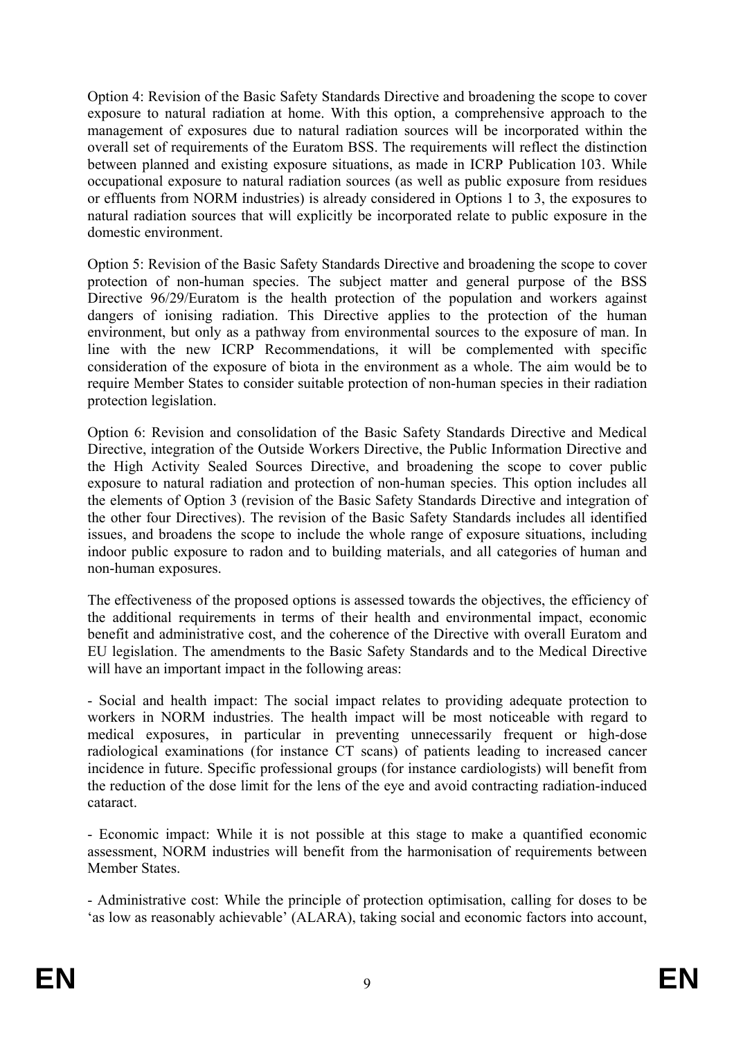Option 4: Revision of the Basic Safety Standards Directive and broadening the scope to cover exposure to natural radiation at home. With this option, a comprehensive approach to the management of exposures due to natural radiation sources will be incorporated within the overall set of requirements of the Euratom BSS. The requirements will reflect the distinction between planned and existing exposure situations, as made in ICRP Publication 103. While occupational exposure to natural radiation sources (as well as public exposure from residues or effluents from NORM industries) is already considered in Options 1 to 3, the exposures to natural radiation sources that will explicitly be incorporated relate to public exposure in the domestic environment.

Option 5: Revision of the Basic Safety Standards Directive and broadening the scope to cover protection of non-human species. The subject matter and general purpose of the BSS Directive 96/29/Euratom is the health protection of the population and workers against dangers of ionising radiation. This Directive applies to the protection of the human environment, but only as a pathway from environmental sources to the exposure of man. In line with the new ICRP Recommendations, it will be complemented with specific consideration of the exposure of biota in the environment as a whole. The aim would be to require Member States to consider suitable protection of non-human species in their radiation protection legislation.

Option 6: Revision and consolidation of the Basic Safety Standards Directive and Medical Directive, integration of the Outside Workers Directive, the Public Information Directive and the High Activity Sealed Sources Directive, and broadening the scope to cover public exposure to natural radiation and protection of non-human species. This option includes all the elements of Option 3 (revision of the Basic Safety Standards Directive and integration of the other four Directives). The revision of the Basic Safety Standards includes all identified issues, and broadens the scope to include the whole range of exposure situations, including indoor public exposure to radon and to building materials, and all categories of human and non-human exposures.

The effectiveness of the proposed options is assessed towards the objectives, the efficiency of the additional requirements in terms of their health and environmental impact, economic benefit and administrative cost, and the coherence of the Directive with overall Euratom and EU legislation. The amendments to the Basic Safety Standards and to the Medical Directive will have an important impact in the following areas:

- Social and health impact: The social impact relates to providing adequate protection to workers in NORM industries. The health impact will be most noticeable with regard to medical exposures, in particular in preventing unnecessarily frequent or high-dose radiological examinations (for instance CT scans) of patients leading to increased cancer incidence in future. Specific professional groups (for instance cardiologists) will benefit from the reduction of the dose limit for the lens of the eye and avoid contracting radiation-induced cataract.

- Economic impact: While it is not possible at this stage to make a quantified economic assessment, NORM industries will benefit from the harmonisation of requirements between Member States.

- Administrative cost: While the principle of protection optimisation, calling for doses to be 'as low as reasonably achievable' (ALARA), taking social and economic factors into account,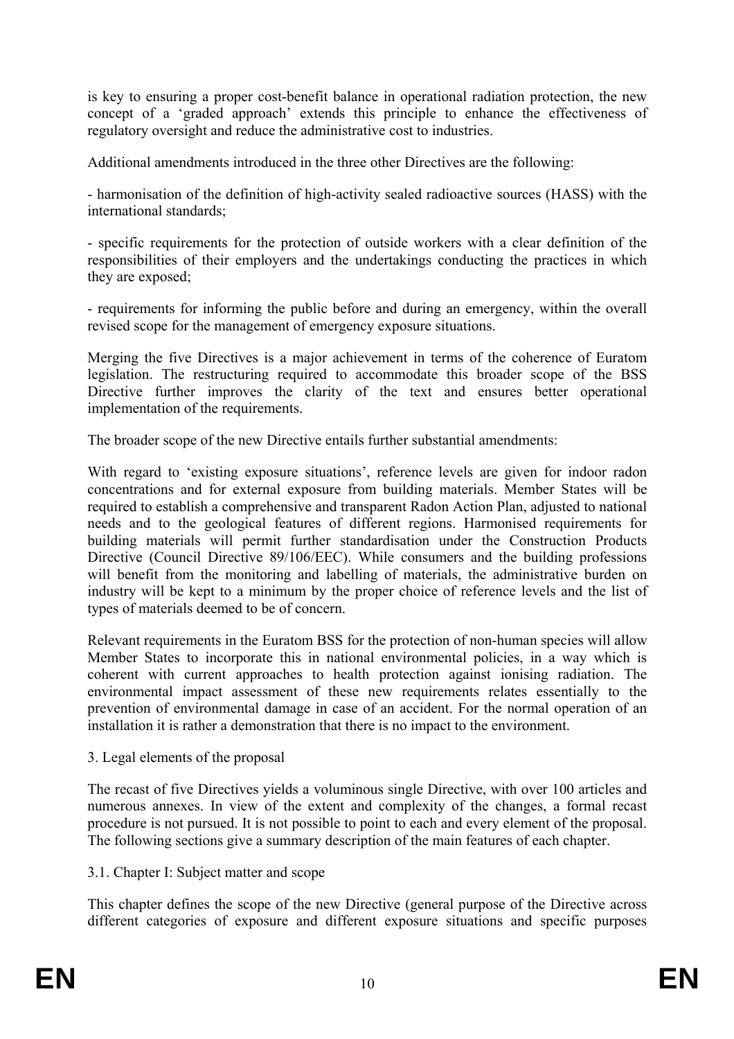is key to ensuring a proper cost-benefit balance in operational radiation protection, the new concept of a 'graded approach' extends this principle to enhance the effectiveness of regulatory oversight and reduce the administrative cost to industries.

Additional amendments introduced in the three other Directives are the following:

- harmonisation of the definition of high-activity sealed radioactive sources (HASS) with the international standards;

- specific requirements for the protection of outside workers with a clear definition of the responsibilities of their employers and the undertakings conducting the practices in which they are exposed;

- requirements for informing the public before and during an emergency, within the overall revised scope for the management of emergency exposure situations.

Merging the five Directives is a major achievement in terms of the coherence of Euratom legislation. The restructuring required to accommodate this broader scope of the BSS Directive further improves the clarity of the text and ensures better operational implementation of the requirements.

The broader scope of the new Directive entails further substantial amendments:

With regard to 'existing exposure situations', reference levels are given for indoor radon concentrations and for external exposure from building materials. Member States will be required to establish a comprehensive and transparent Radon Action Plan, adjusted to national needs and to the geological features of different regions. Harmonised requirements for building materials will permit further standardisation under the Construction Products Directive (Council Directive 89/106/EEC). While consumers and the building professions will benefit from the monitoring and labelling of materials, the administrative burden on industry will be kept to a minimum by the proper choice of reference levels and the list of types of materials deemed to be of concern.

Relevant requirements in the Euratom BSS for the protection of non-human species will allow Member States to incorporate this in national environmental policies, in a way which is coherent with current approaches to health protection against ionising radiation. The environmental impact assessment of these new requirements relates essentially to the prevention of environmental damage in case of an accident. For the normal operation of an installation it is rather a demonstration that there is no impact to the environment.

### 3. Legal elements of the proposal

The recast of five Directives yields a voluminous single Directive, with over 100 articles and numerous annexes. In view of the extent and complexity of the changes, a formal recast procedure is not pursued. It is not possible to point to each and every element of the proposal. The following sections give a summary description of the main features of each chapter.

# 3.1. Chapter I: Subject matter and scope

This chapter defines the scope of the new Directive (general purpose of the Directive across different categories of exposure and different exposure situations and specific purposes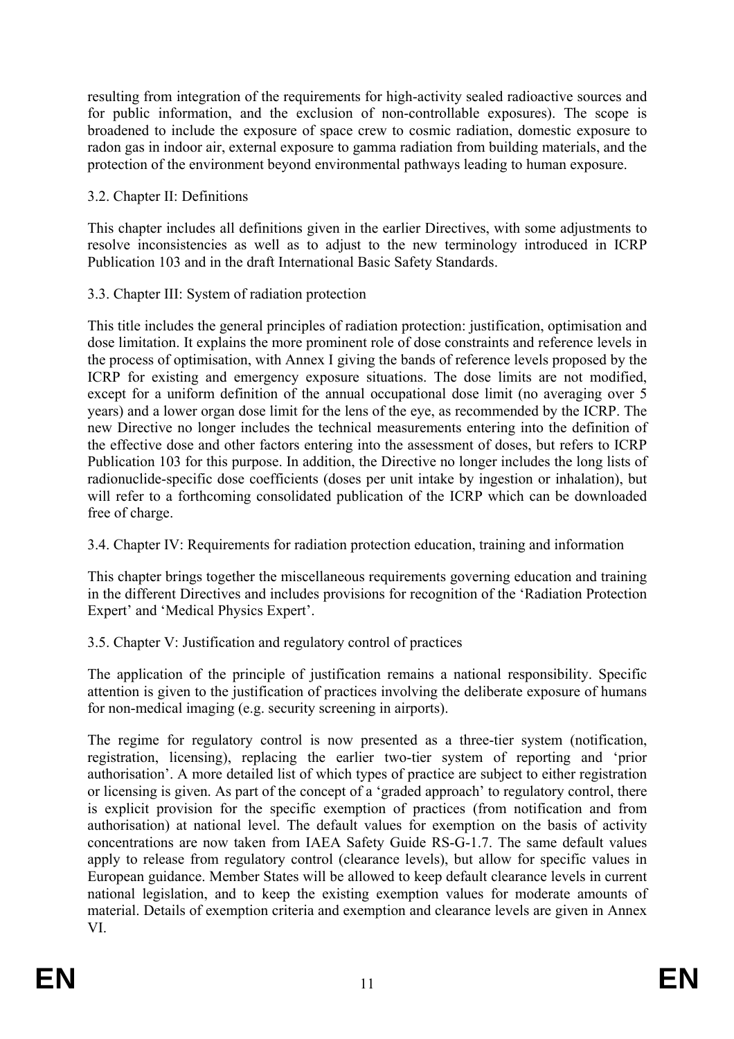resulting from integration of the requirements for high-activity sealed radioactive sources and for public information, and the exclusion of non-controllable exposures). The scope is broadened to include the exposure of space crew to cosmic radiation, domestic exposure to radon gas in indoor air, external exposure to gamma radiation from building materials, and the protection of the environment beyond environmental pathways leading to human exposure.

# 3.2. Chapter II: Definitions

This chapter includes all definitions given in the earlier Directives, with some adjustments to resolve inconsistencies as well as to adjust to the new terminology introduced in ICRP Publication 103 and in the draft International Basic Safety Standards.

# 3.3. Chapter III: System of radiation protection

This title includes the general principles of radiation protection: justification, optimisation and dose limitation. It explains the more prominent role of dose constraints and reference levels in the process of optimisation, with Annex I giving the bands of reference levels proposed by the ICRP for existing and emergency exposure situations. The dose limits are not modified, except for a uniform definition of the annual occupational dose limit (no averaging over 5 years) and a lower organ dose limit for the lens of the eye, as recommended by the ICRP. The new Directive no longer includes the technical measurements entering into the definition of the effective dose and other factors entering into the assessment of doses, but refers to ICRP Publication 103 for this purpose. In addition, the Directive no longer includes the long lists of radionuclide-specific dose coefficients (doses per unit intake by ingestion or inhalation), but will refer to a forthcoming consolidated publication of the ICRP which can be downloaded free of charge.

3.4. Chapter IV: Requirements for radiation protection education, training and information

This chapter brings together the miscellaneous requirements governing education and training in the different Directives and includes provisions for recognition of the 'Radiation Protection Expert' and 'Medical Physics Expert'.

# 3.5. Chapter V: Justification and regulatory control of practices

The application of the principle of justification remains a national responsibility. Specific attention is given to the justification of practices involving the deliberate exposure of humans for non-medical imaging (e.g. security screening in airports).

The regime for regulatory control is now presented as a three-tier system (notification, registration, licensing), replacing the earlier two-tier system of reporting and 'prior authorisation'. A more detailed list of which types of practice are subject to either registration or licensing is given. As part of the concept of a 'graded approach' to regulatory control, there is explicit provision for the specific exemption of practices (from notification and from authorisation) at national level. The default values for exemption on the basis of activity concentrations are now taken from IAEA Safety Guide RS-G-1.7. The same default values apply to release from regulatory control (clearance levels), but allow for specific values in European guidance. Member States will be allowed to keep default clearance levels in current national legislation, and to keep the existing exemption values for moderate amounts of material. Details of exemption criteria and exemption and clearance levels are given in Annex VI.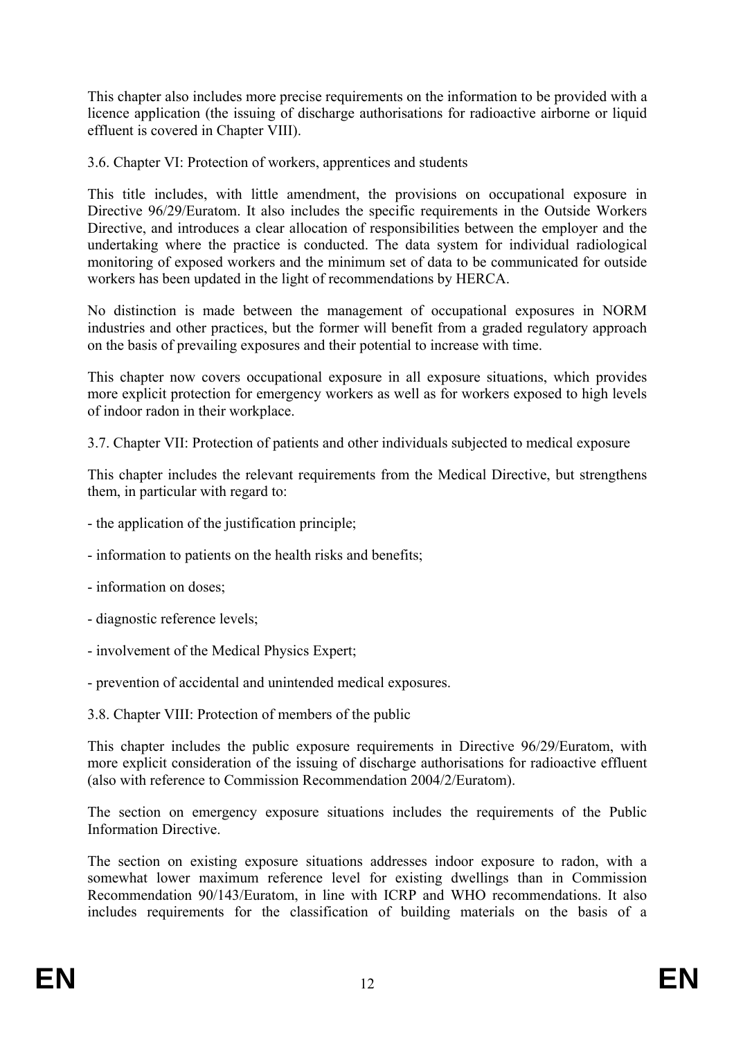This chapter also includes more precise requirements on the information to be provided with a licence application (the issuing of discharge authorisations for radioactive airborne or liquid effluent is covered in Chapter VIII).

3.6. Chapter VI: Protection of workers, apprentices and students

This title includes, with little amendment, the provisions on occupational exposure in Directive 96/29/Euratom. It also includes the specific requirements in the Outside Workers Directive, and introduces a clear allocation of responsibilities between the employer and the undertaking where the practice is conducted. The data system for individual radiological monitoring of exposed workers and the minimum set of data to be communicated for outside workers has been updated in the light of recommendations by HERCA.

No distinction is made between the management of occupational exposures in NORM industries and other practices, but the former will benefit from a graded regulatory approach on the basis of prevailing exposures and their potential to increase with time.

This chapter now covers occupational exposure in all exposure situations, which provides more explicit protection for emergency workers as well as for workers exposed to high levels of indoor radon in their workplace.

3.7. Chapter VII: Protection of patients and other individuals subjected to medical exposure

This chapter includes the relevant requirements from the Medical Directive, but strengthens them, in particular with regard to:

- the application of the justification principle;
- information to patients on the health risks and benefits;
- information on doses;
- diagnostic reference levels;
- involvement of the Medical Physics Expert;
- prevention of accidental and unintended medical exposures.
- 3.8. Chapter VIII: Protection of members of the public

This chapter includes the public exposure requirements in Directive 96/29/Euratom, with more explicit consideration of the issuing of discharge authorisations for radioactive effluent (also with reference to Commission Recommendation 2004/2/Euratom).

The section on emergency exposure situations includes the requirements of the Public Information Directive.

The section on existing exposure situations addresses indoor exposure to radon, with a somewhat lower maximum reference level for existing dwellings than in Commission Recommendation 90/143/Euratom, in line with ICRP and WHO recommendations. It also includes requirements for the classification of building materials on the basis of a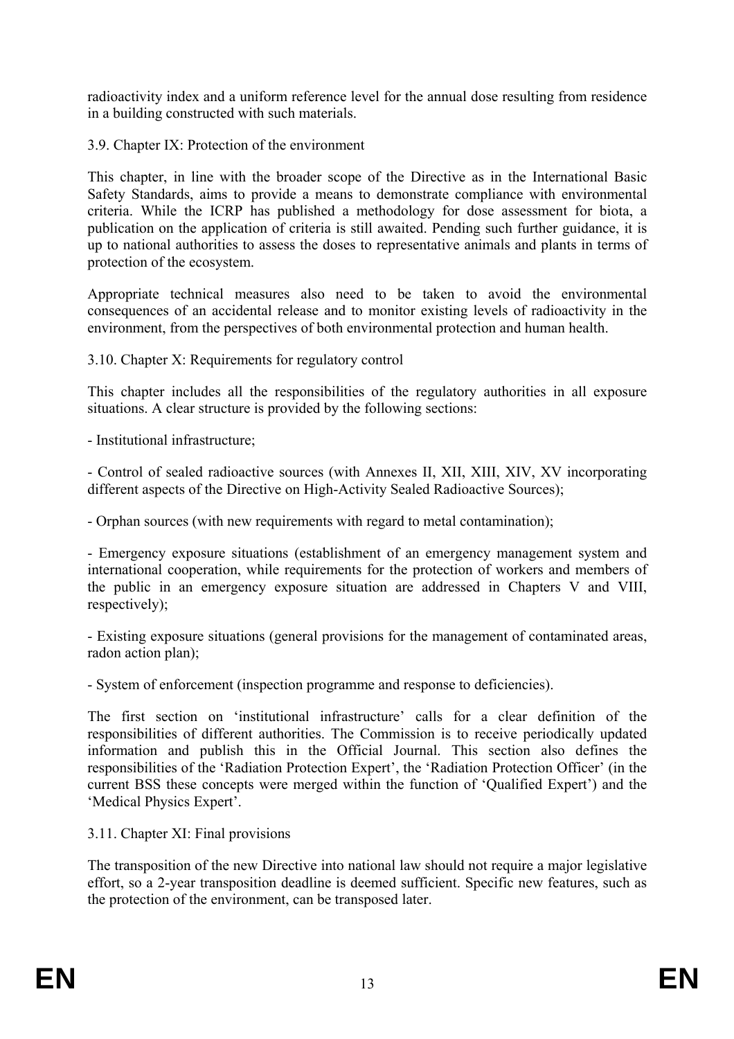radioactivity index and a uniform reference level for the annual dose resulting from residence in a building constructed with such materials.

3.9. Chapter IX: Protection of the environment

This chapter, in line with the broader scope of the Directive as in the International Basic Safety Standards, aims to provide a means to demonstrate compliance with environmental criteria. While the ICRP has published a methodology for dose assessment for biota, a publication on the application of criteria is still awaited. Pending such further guidance, it is up to national authorities to assess the doses to representative animals and plants in terms of protection of the ecosystem.

Appropriate technical measures also need to be taken to avoid the environmental consequences of an accidental release and to monitor existing levels of radioactivity in the environment, from the perspectives of both environmental protection and human health.

3.10. Chapter X: Requirements for regulatory control

This chapter includes all the responsibilities of the regulatory authorities in all exposure situations. A clear structure is provided by the following sections:

- Institutional infrastructure;

- Control of sealed radioactive sources (with Annexes II, XII, XIII, XIV, XV incorporating different aspects of the Directive on High-Activity Sealed Radioactive Sources);

- Orphan sources (with new requirements with regard to metal contamination);

- Emergency exposure situations (establishment of an emergency management system and international cooperation, while requirements for the protection of workers and members of the public in an emergency exposure situation are addressed in Chapters V and VIII, respectively);

- Existing exposure situations (general provisions for the management of contaminated areas, radon action plan);

- System of enforcement (inspection programme and response to deficiencies).

The first section on 'institutional infrastructure' calls for a clear definition of the responsibilities of different authorities. The Commission is to receive periodically updated information and publish this in the Official Journal. This section also defines the responsibilities of the 'Radiation Protection Expert', the 'Radiation Protection Officer' (in the current BSS these concepts were merged within the function of 'Qualified Expert') and the 'Medical Physics Expert'.

3.11. Chapter XI: Final provisions

The transposition of the new Directive into national law should not require a major legislative effort, so a 2-year transposition deadline is deemed sufficient. Specific new features, such as the protection of the environment, can be transposed later.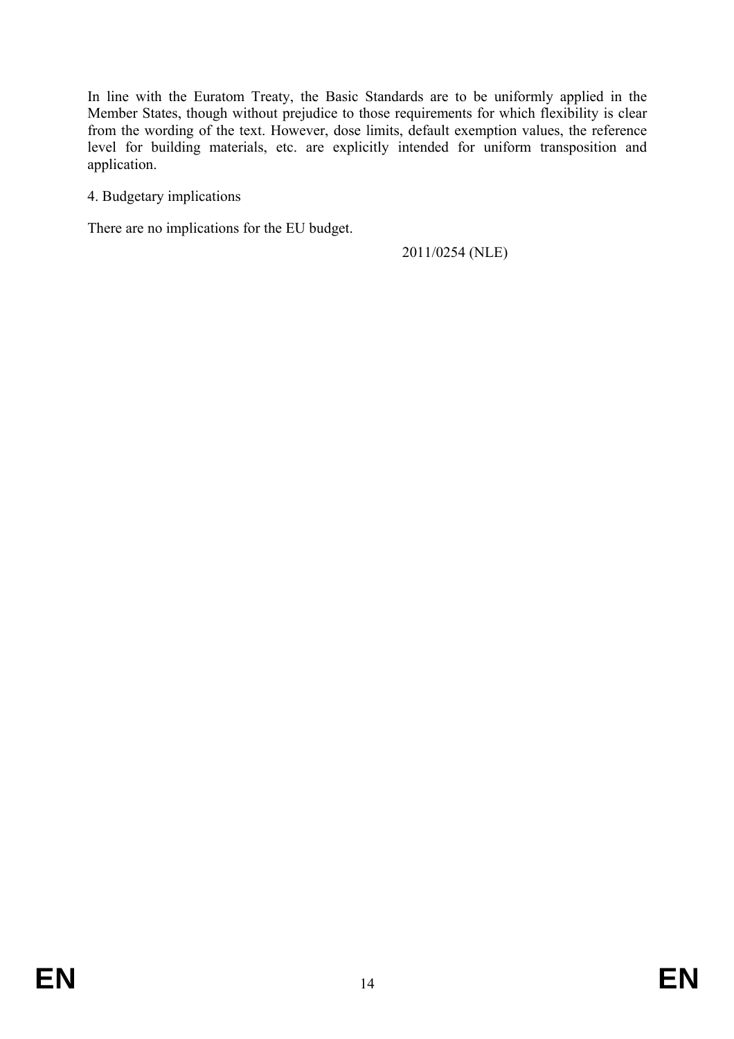In line with the Euratom Treaty, the Basic Standards are to be uniformly applied in the Member States, though without prejudice to those requirements for which flexibility is clear from the wording of the text. However, dose limits, default exemption values, the reference level for building materials, etc. are explicitly intended for uniform transposition and application.

#### 4. Budgetary implications

There are no implications for the EU budget.

2011/0254 (NLE)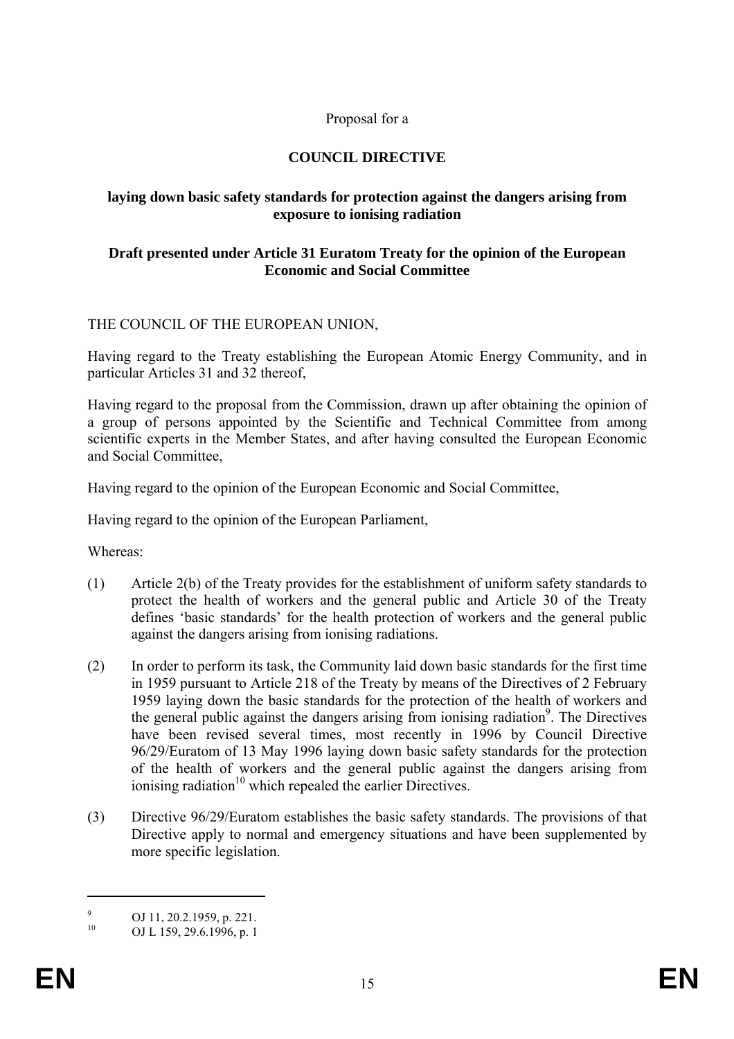# Proposal for a

# **COUNCIL DIRECTIVE**

#### **laying down basic safety standards for protection against the dangers arising from exposure to ionising radiation**

#### **Draft presented under Article 31 Euratom Treaty for the opinion of the European Economic and Social Committee**

### THE COUNCIL OF THE EUROPEAN UNION,

Having regard to the Treaty establishing the European Atomic Energy Community, and in particular Articles 31 and 32 thereof,

Having regard to the proposal from the Commission, drawn up after obtaining the opinion of a group of persons appointed by the Scientific and Technical Committee from among scientific experts in the Member States, and after having consulted the European Economic and Social Committee,

Having regard to the opinion of the European Economic and Social Committee,

Having regard to the opinion of the European Parliament,

Whereas:

- (1) Article 2(b) of the Treaty provides for the establishment of uniform safety standards to protect the health of workers and the general public and Article 30 of the Treaty defines 'basic standards' for the health protection of workers and the general public against the dangers arising from ionising radiations.
- (2) In order to perform its task, the Community laid down basic standards for the first time in 1959 pursuant to Article 218 of the Treaty by means of the Directives of 2 February 1959 laying down the basic standards for the protection of the health of workers and the general public against the dangers arising from ionising radiation<sup>9</sup>. The Directives have been revised several times, most recently in 1996 by Council Directive 96/29/Euratom of 13 May 1996 laying down basic safety standards for the protection of the health of workers and the general public against the dangers arising from ionising radiation<sup>10</sup> which repealed the earlier Directives.
- (3) Directive 96/29/Euratom establishes the basic safety standards. The provisions of that Directive apply to normal and emergency situations and have been supplemented by more specific legislation.

 $\alpha$  $^{9}$  OJ 11, 20.2.1959, p. 221.

<sup>10</sup> OJ L 159, 29.6.1996, p. 1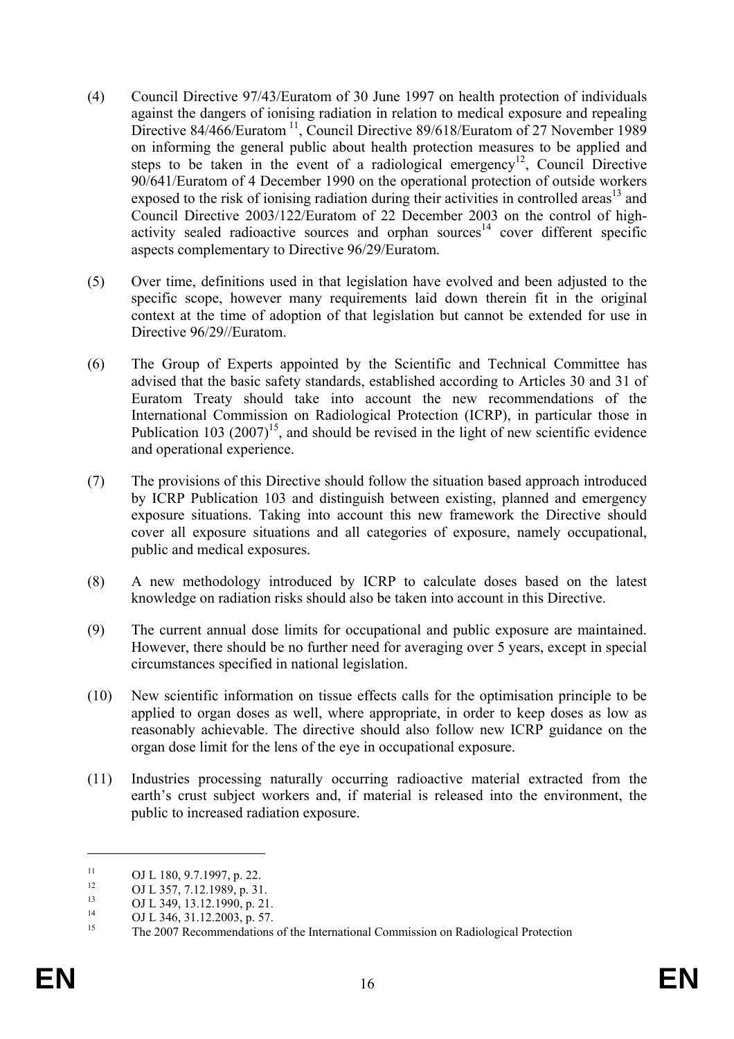- (4) Council Directive 97/43/Euratom of 30 June 1997 on health protection of individuals against the dangers of ionising radiation in relation to medical exposure and repealing Directive 84/466/Euratom 11, Council Directive 89/618/Euratom of 27 November 1989 on informing the general public about health protection measures to be applied and steps to be taken in the event of a radiological emergency<sup>12</sup>, Council Directive 90/641/Euratom of 4 December 1990 on the operational protection of outside workers exposed to the risk of ionising radiation during their activities in controlled areas<sup>13</sup> and Council Directive 2003/122/Euratom of 22 December 2003 on the control of highactivity sealed radioactive sources and orphan sources<sup>14</sup> cover different specific aspects complementary to Directive 96/29/Euratom.
- (5) Over time, definitions used in that legislation have evolved and been adjusted to the specific scope, however many requirements laid down therein fit in the original context at the time of adoption of that legislation but cannot be extended for use in Directive 96/29//Euratom.
- (6) The Group of Experts appointed by the Scientific and Technical Committee has advised that the basic safety standards, established according to Articles 30 and 31 of Euratom Treaty should take into account the new recommendations of the International Commission on Radiological Protection (ICRP), in particular those in Publication 103  $(2007)^{15}$ , and should be revised in the light of new scientific evidence and operational experience.
- (7) The provisions of this Directive should follow the situation based approach introduced by ICRP Publication 103 and distinguish between existing, planned and emergency exposure situations. Taking into account this new framework the Directive should cover all exposure situations and all categories of exposure, namely occupational, public and medical exposures.
- (8) A new methodology introduced by ICRP to calculate doses based on the latest knowledge on radiation risks should also be taken into account in this Directive.
- (9) The current annual dose limits for occupational and public exposure are maintained. However, there should be no further need for averaging over 5 years, except in special circumstances specified in national legislation.
- (10) New scientific information on tissue effects calls for the optimisation principle to be applied to organ doses as well, where appropriate, in order to keep doses as low as reasonably achievable. The directive should also follow new ICRP guidance on the organ dose limit for the lens of the eye in occupational exposure.
- (11) Industries processing naturally occurring radioactive material extracted from the earth's crust subject workers and, if material is released into the environment, the public to increased radiation exposure.

 $11$  OJ L 180, 9.7.1997, p. 22.

<sup>&</sup>lt;sup>12</sup> OJ L 357, 7.12.1989, p. 31.<br><sup>13</sup> OJ L 240, 12, 12, 1000, p. 21.

 $13$  OJ L 349, 13.12.1990, p. 21.

<sup>&</sup>lt;sup>14</sup> OJ L 346, 31.12.2003, p. 57.

<sup>15</sup> The 2007 Recommendations of the International Commission on Radiological Protection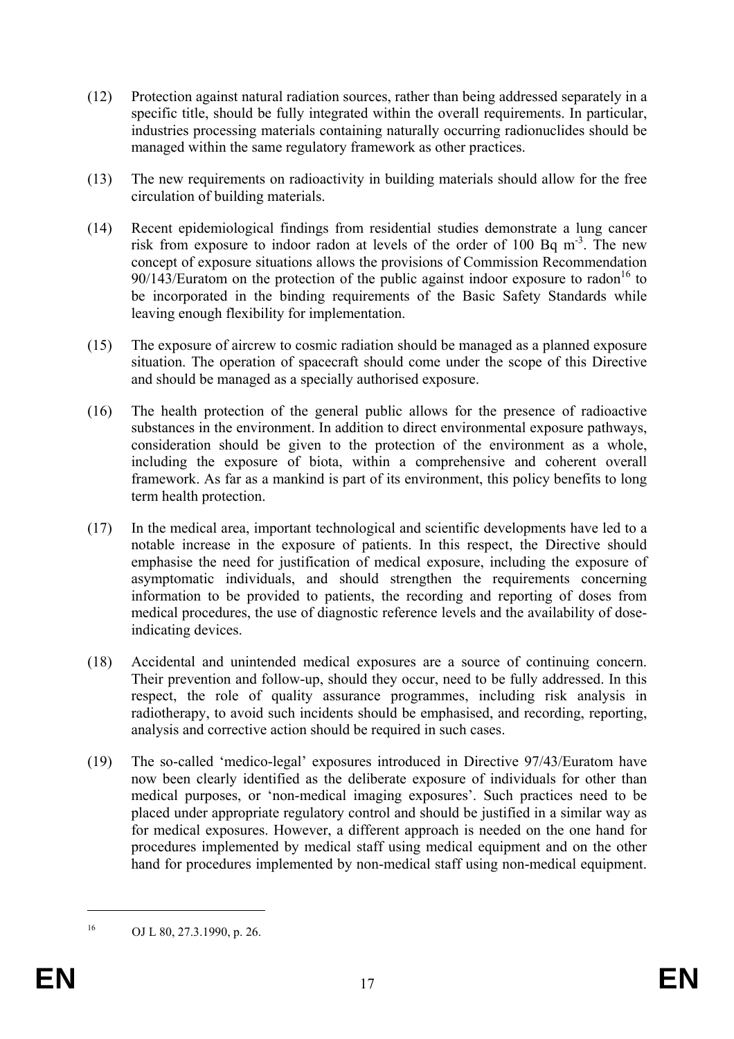- (12) Protection against natural radiation sources, rather than being addressed separately in a specific title, should be fully integrated within the overall requirements. In particular, industries processing materials containing naturally occurring radionuclides should be managed within the same regulatory framework as other practices.
- (13) The new requirements on radioactivity in building materials should allow for the free circulation of building materials.
- (14) Recent epidemiological findings from residential studies demonstrate a lung cancer risk from exposure to indoor radon at levels of the order of 100 Bq m-3. The new concept of exposure situations allows the provisions of Commission Recommendation  $90/143$ /Euratom on the protection of the public against indoor exposure to radon<sup>16</sup> to be incorporated in the binding requirements of the Basic Safety Standards while leaving enough flexibility for implementation.
- (15) The exposure of aircrew to cosmic radiation should be managed as a planned exposure situation. The operation of spacecraft should come under the scope of this Directive and should be managed as a specially authorised exposure.
- (16) The health protection of the general public allows for the presence of radioactive substances in the environment. In addition to direct environmental exposure pathways, consideration should be given to the protection of the environment as a whole, including the exposure of biota, within a comprehensive and coherent overall framework. As far as a mankind is part of its environment, this policy benefits to long term health protection.
- (17) In the medical area, important technological and scientific developments have led to a notable increase in the exposure of patients. In this respect, the Directive should emphasise the need for justification of medical exposure, including the exposure of asymptomatic individuals, and should strengthen the requirements concerning information to be provided to patients, the recording and reporting of doses from medical procedures, the use of diagnostic reference levels and the availability of doseindicating devices.
- (18) Accidental and unintended medical exposures are a source of continuing concern. Their prevention and follow-up, should they occur, need to be fully addressed. In this respect, the role of quality assurance programmes, including risk analysis in radiotherapy, to avoid such incidents should be emphasised, and recording, reporting, analysis and corrective action should be required in such cases.
- (19) The so-called 'medico-legal' exposures introduced in Directive 97/43/Euratom have now been clearly identified as the deliberate exposure of individuals for other than medical purposes, or 'non-medical imaging exposures'. Such practices need to be placed under appropriate regulatory control and should be justified in a similar way as for medical exposures. However, a different approach is needed on the one hand for procedures implemented by medical staff using medical equipment and on the other hand for procedures implemented by non-medical staff using non-medical equipment.

<sup>16</sup> OJ L 80, 27.3.1990, p. 26.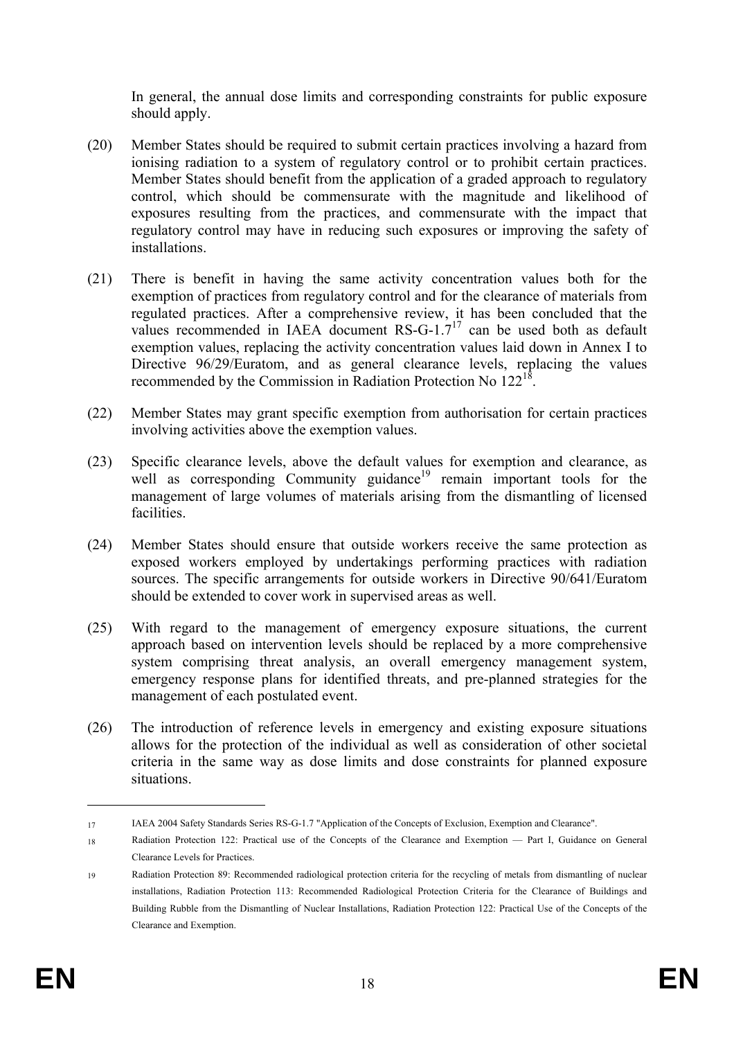In general, the annual dose limits and corresponding constraints for public exposure should apply.

- (20) Member States should be required to submit certain practices involving a hazard from ionising radiation to a system of regulatory control or to prohibit certain practices. Member States should benefit from the application of a graded approach to regulatory control, which should be commensurate with the magnitude and likelihood of exposures resulting from the practices, and commensurate with the impact that regulatory control may have in reducing such exposures or improving the safety of installations.
- (21) There is benefit in having the same activity concentration values both for the exemption of practices from regulatory control and for the clearance of materials from regulated practices. After a comprehensive review, it has been concluded that the values recommended in IAEA document RS-G-1.7 $17$  can be used both as default exemption values, replacing the activity concentration values laid down in Annex I to Directive 96/29/Euratom, and as general clearance levels, replacing the values recommended by the Commission in Radiation Protection No 12218.
- (22) Member States may grant specific exemption from authorisation for certain practices involving activities above the exemption values.
- (23) Specific clearance levels, above the default values for exemption and clearance, as well as corresponding Community guidance<sup>19</sup> remain important tools for the management of large volumes of materials arising from the dismantling of licensed facilities.
- (24) Member States should ensure that outside workers receive the same protection as exposed workers employed by undertakings performing practices with radiation sources. The specific arrangements for outside workers in Directive 90/641/Euratom should be extended to cover work in supervised areas as well.
- (25) With regard to the management of emergency exposure situations, the current approach based on intervention levels should be replaced by a more comprehensive system comprising threat analysis, an overall emergency management system, emergency response plans for identified threats, and pre-planned strategies for the management of each postulated event.
- (26) The introduction of reference levels in emergency and existing exposure situations allows for the protection of the individual as well as consideration of other societal criteria in the same way as dose limits and dose constraints for planned exposure situations.

<sup>17</sup> IAEA 2004 Safety Standards Series RS-G-1.7 "Application of the Concepts of Exclusion, Exemption and Clearance".

<sup>18</sup> Radiation Protection 122: Practical use of the Concepts of the Clearance and Exemption — Part I, Guidance on General Clearance Levels for Practices.

<sup>19</sup> Radiation Protection 89: Recommended radiological protection criteria for the recycling of metals from dismantling of nuclear installations, Radiation Protection 113: Recommended Radiological Protection Criteria for the Clearance of Buildings and Building Rubble from the Dismantling of Nuclear Installations, Radiation Protection 122: Practical Use of the Concepts of the Clearance and Exemption.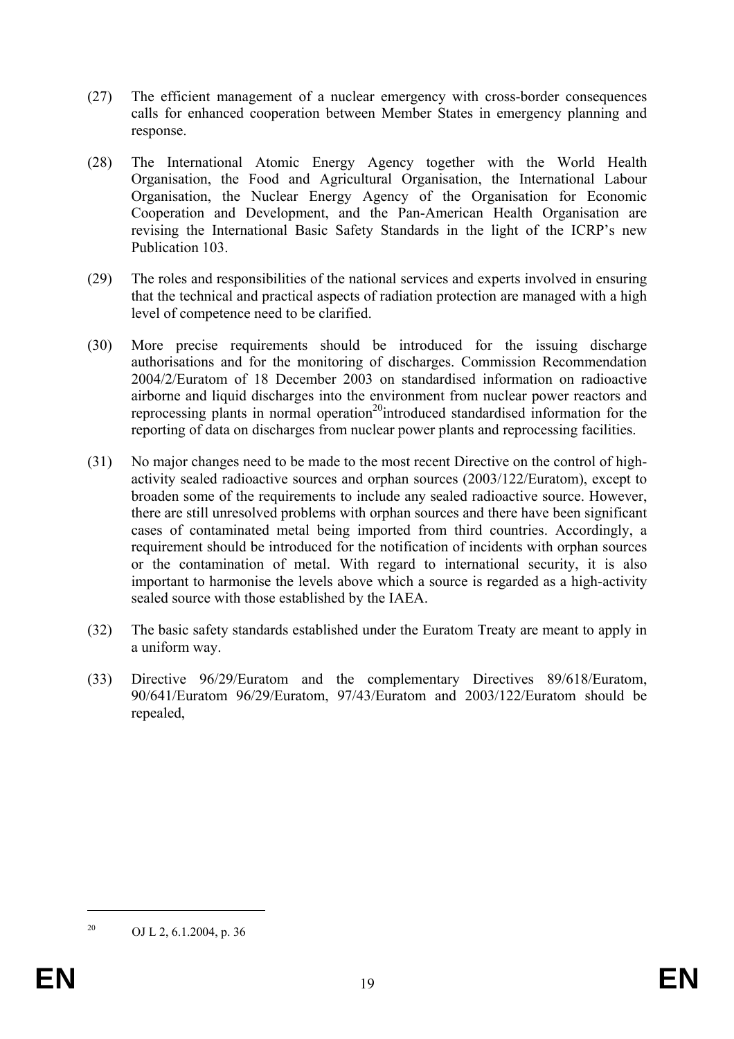- (27) The efficient management of a nuclear emergency with cross-border consequences calls for enhanced cooperation between Member States in emergency planning and response.
- (28) The International Atomic Energy Agency together with the World Health Organisation, the Food and Agricultural Organisation, the International Labour Organisation, the Nuclear Energy Agency of the Organisation for Economic Cooperation and Development, and the Pan-American Health Organisation are revising the International Basic Safety Standards in the light of the ICRP's new Publication 103.
- (29) The roles and responsibilities of the national services and experts involved in ensuring that the technical and practical aspects of radiation protection are managed with a high level of competence need to be clarified.
- (30) More precise requirements should be introduced for the issuing discharge authorisations and for the monitoring of discharges. Commission Recommendation 2004/2/Euratom of 18 December 2003 on standardised information on radioactive airborne and liquid discharges into the environment from nuclear power reactors and reprocessing plants in normal operation<sup>20</sup>introduced standardised information for the reporting of data on discharges from nuclear power plants and reprocessing facilities.
- (31) No major changes need to be made to the most recent Directive on the control of highactivity sealed radioactive sources and orphan sources (2003/122/Euratom), except to broaden some of the requirements to include any sealed radioactive source. However, there are still unresolved problems with orphan sources and there have been significant cases of contaminated metal being imported from third countries. Accordingly, a requirement should be introduced for the notification of incidents with orphan sources or the contamination of metal. With regard to international security, it is also important to harmonise the levels above which a source is regarded as a high-activity sealed source with those established by the IAEA.
- (32) The basic safety standards established under the Euratom Treaty are meant to apply in a uniform way.
- (33) Directive 96/29/Euratom and the complementary Directives 89/618/Euratom, 90/641/Euratom 96/29/Euratom, 97/43/Euratom and 2003/122/Euratom should be repealed,

<sup>&</sup>lt;sup>20</sup> OJ L 2, 6.1.2004, p. 36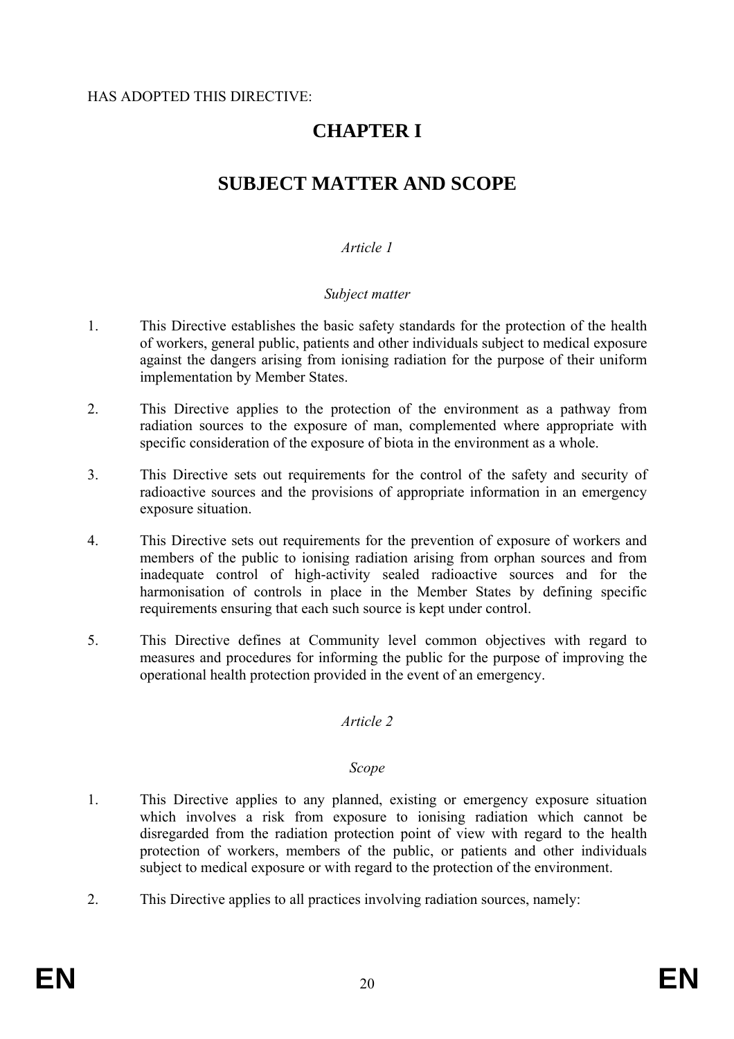#### HAS ADOPTED THIS DIRECTIVE:

# **CHAPTER I**

# **SUBJECT MATTER AND SCOPE**

#### *Article 1*

#### *Subject matter*

- 1. This Directive establishes the basic safety standards for the protection of the health of workers, general public, patients and other individuals subject to medical exposure against the dangers arising from ionising radiation for the purpose of their uniform implementation by Member States.
- 2. This Directive applies to the protection of the environment as a pathway from radiation sources to the exposure of man, complemented where appropriate with specific consideration of the exposure of biota in the environment as a whole.
- 3. This Directive sets out requirements for the control of the safety and security of radioactive sources and the provisions of appropriate information in an emergency exposure situation.
- 4. This Directive sets out requirements for the prevention of exposure of workers and members of the public to ionising radiation arising from orphan sources and from inadequate control of high-activity sealed radioactive sources and for the harmonisation of controls in place in the Member States by defining specific requirements ensuring that each such source is kept under control.
- 5. This Directive defines at Community level common objectives with regard to measures and procedures for informing the public for the purpose of improving the operational health protection provided in the event of an emergency.

#### *Article 2*

#### *Scope*

- 1. This Directive applies to any planned, existing or emergency exposure situation which involves a risk from exposure to ionising radiation which cannot be disregarded from the radiation protection point of view with regard to the health protection of workers, members of the public, or patients and other individuals subject to medical exposure or with regard to the protection of the environment.
- 2. This Directive applies to all practices involving radiation sources, namely: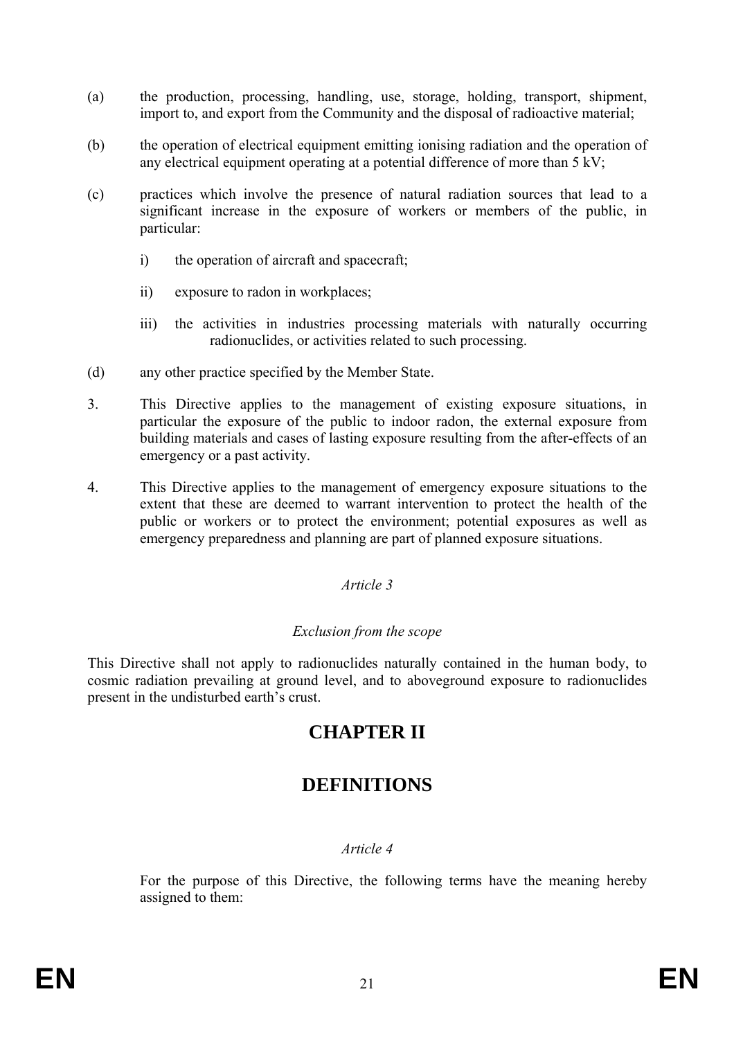- (a) the production, processing, handling, use, storage, holding, transport, shipment, import to, and export from the Community and the disposal of radioactive material;
- (b) the operation of electrical equipment emitting ionising radiation and the operation of any electrical equipment operating at a potential difference of more than 5 kV;
- (c) practices which involve the presence of natural radiation sources that lead to a significant increase in the exposure of workers or members of the public, in particular:
	- i) the operation of aircraft and spacecraft;
	- ii) exposure to radon in workplaces;
	- iii) the activities in industries processing materials with naturally occurring radionuclides, or activities related to such processing.
- (d) any other practice specified by the Member State.
- 3. This Directive applies to the management of existing exposure situations, in particular the exposure of the public to indoor radon, the external exposure from building materials and cases of lasting exposure resulting from the after-effects of an emergency or a past activity.
- 4. This Directive applies to the management of emergency exposure situations to the extent that these are deemed to warrant intervention to protect the health of the public or workers or to protect the environment; potential exposures as well as emergency preparedness and planning are part of planned exposure situations.

#### *Exclusion from the scope*

This Directive shall not apply to radionuclides naturally contained in the human body, to cosmic radiation prevailing at ground level, and to aboveground exposure to radionuclides present in the undisturbed earth's crust.

# **CHAPTER II**

# **DEFINITIONS**

#### *Article 4*

For the purpose of this Directive, the following terms have the meaning hereby assigned to them: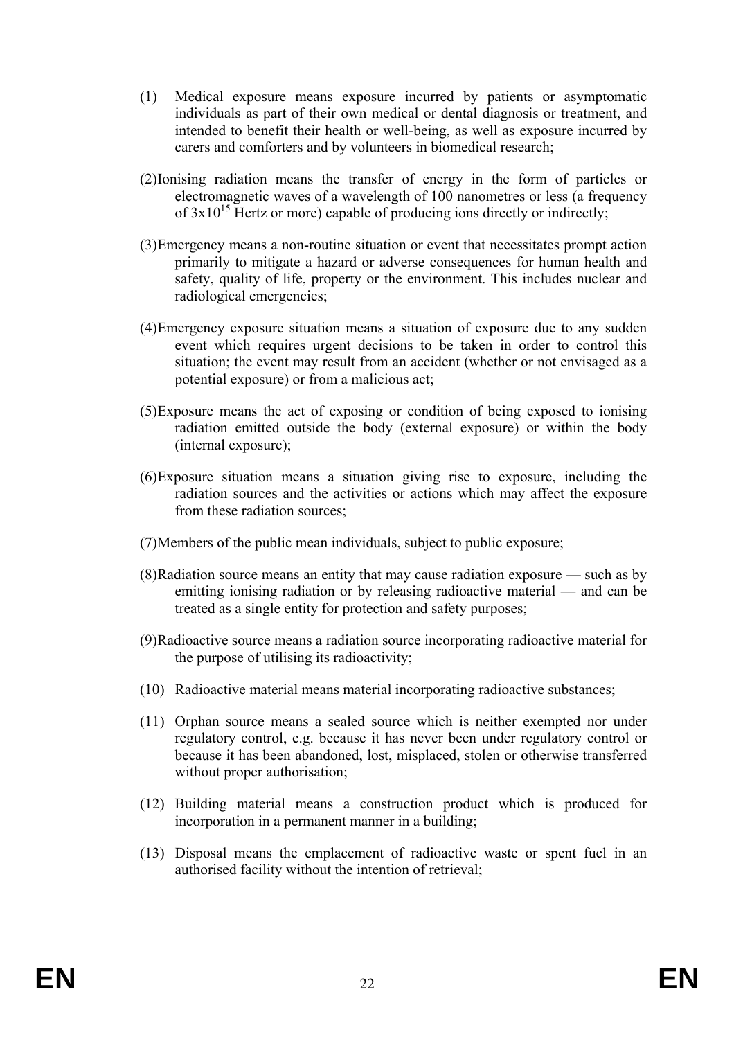- (1) Medical exposure means exposure incurred by patients or asymptomatic individuals as part of their own medical or dental diagnosis or treatment, and intended to benefit their health or well-being, as well as exposure incurred by carers and comforters and by volunteers in biomedical research;
- (2)Ionising radiation means the transfer of energy in the form of particles or electromagnetic waves of a wavelength of 100 nanometres or less (a frequency of  $3x10^{15}$  Hertz or more) capable of producing ions directly or indirectly;
- (3)Emergency means a non-routine situation or event that necessitates prompt action primarily to mitigate a hazard or adverse consequences for human health and safety, quality of life, property or the environment. This includes nuclear and radiological emergencies;
- (4)Emergency exposure situation means a situation of exposure due to any sudden event which requires urgent decisions to be taken in order to control this situation; the event may result from an accident (whether or not envisaged as a potential exposure) or from a malicious act;
- (5)Exposure means the act of exposing or condition of being exposed to ionising radiation emitted outside the body (external exposure) or within the body (internal exposure);
- (6)Exposure situation means a situation giving rise to exposure, including the radiation sources and the activities or actions which may affect the exposure from these radiation sources;
- (7)Members of the public mean individuals, subject to public exposure;
- (8)Radiation source means an entity that may cause radiation exposure such as by emitting ionising radiation or by releasing radioactive material — and can be treated as a single entity for protection and safety purposes;
- (9)Radioactive source means a radiation source incorporating radioactive material for the purpose of utilising its radioactivity;
- (10) Radioactive material means material incorporating radioactive substances;
- (11) Orphan source means a sealed source which is neither exempted nor under regulatory control, e.g. because it has never been under regulatory control or because it has been abandoned, lost, misplaced, stolen or otherwise transferred without proper authorisation;
- (12) Building material means a construction product which is produced for incorporation in a permanent manner in a building;
- (13) Disposal means the emplacement of radioactive waste or spent fuel in an authorised facility without the intention of retrieval;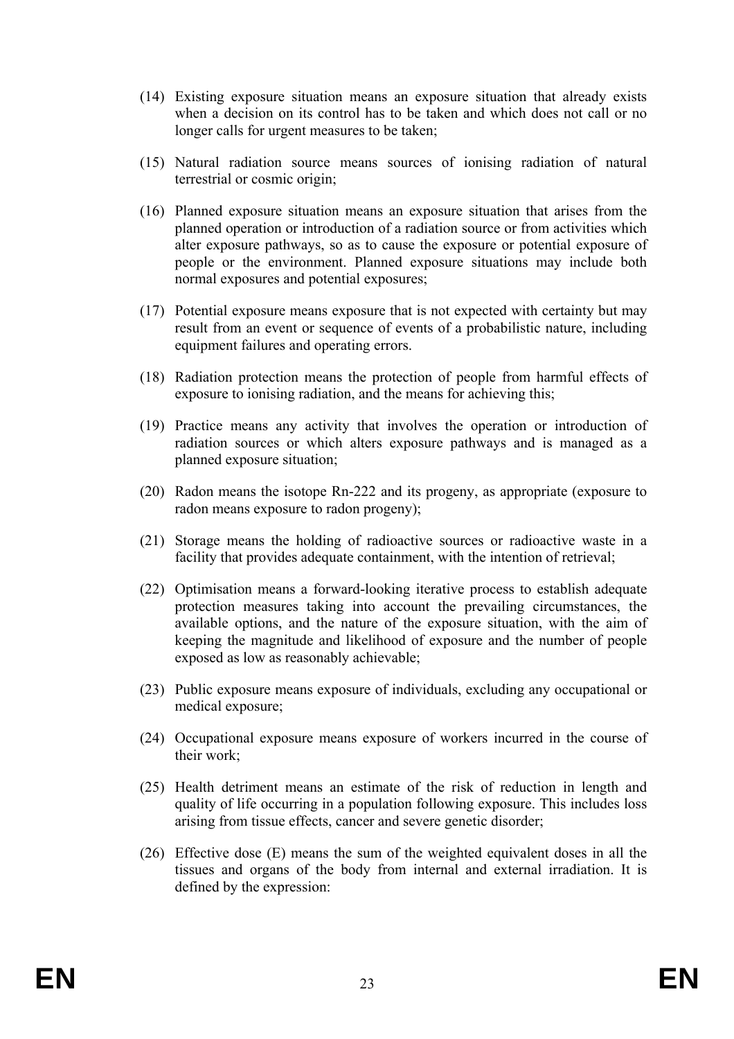- (14) Existing exposure situation means an exposure situation that already exists when a decision on its control has to be taken and which does not call or no longer calls for urgent measures to be taken;
- (15) Natural radiation source means sources of ionising radiation of natural terrestrial or cosmic origin;
- (16) Planned exposure situation means an exposure situation that arises from the planned operation or introduction of a radiation source or from activities which alter exposure pathways, so as to cause the exposure or potential exposure of people or the environment. Planned exposure situations may include both normal exposures and potential exposures;
- (17) Potential exposure means exposure that is not expected with certainty but may result from an event or sequence of events of a probabilistic nature, including equipment failures and operating errors.
- (18) Radiation protection means the protection of people from harmful effects of exposure to ionising radiation, and the means for achieving this;
- (19) Practice means any activity that involves the operation or introduction of radiation sources or which alters exposure pathways and is managed as a planned exposure situation;
- (20) Radon means the isotope Rn-222 and its progeny, as appropriate (exposure to radon means exposure to radon progeny);
- (21) Storage means the holding of radioactive sources or radioactive waste in a facility that provides adequate containment, with the intention of retrieval;
- (22) Optimisation means a forward-looking iterative process to establish adequate protection measures taking into account the prevailing circumstances, the available options, and the nature of the exposure situation, with the aim of keeping the magnitude and likelihood of exposure and the number of people exposed as low as reasonably achievable;
- (23) Public exposure means exposure of individuals, excluding any occupational or medical exposure;
- (24) Occupational exposure means exposure of workers incurred in the course of their work;
- (25) Health detriment means an estimate of the risk of reduction in length and quality of life occurring in a population following exposure. This includes loss arising from tissue effects, cancer and severe genetic disorder;
- (26) Effective dose (E) means the sum of the weighted equivalent doses in all the tissues and organs of the body from internal and external irradiation. It is defined by the expression: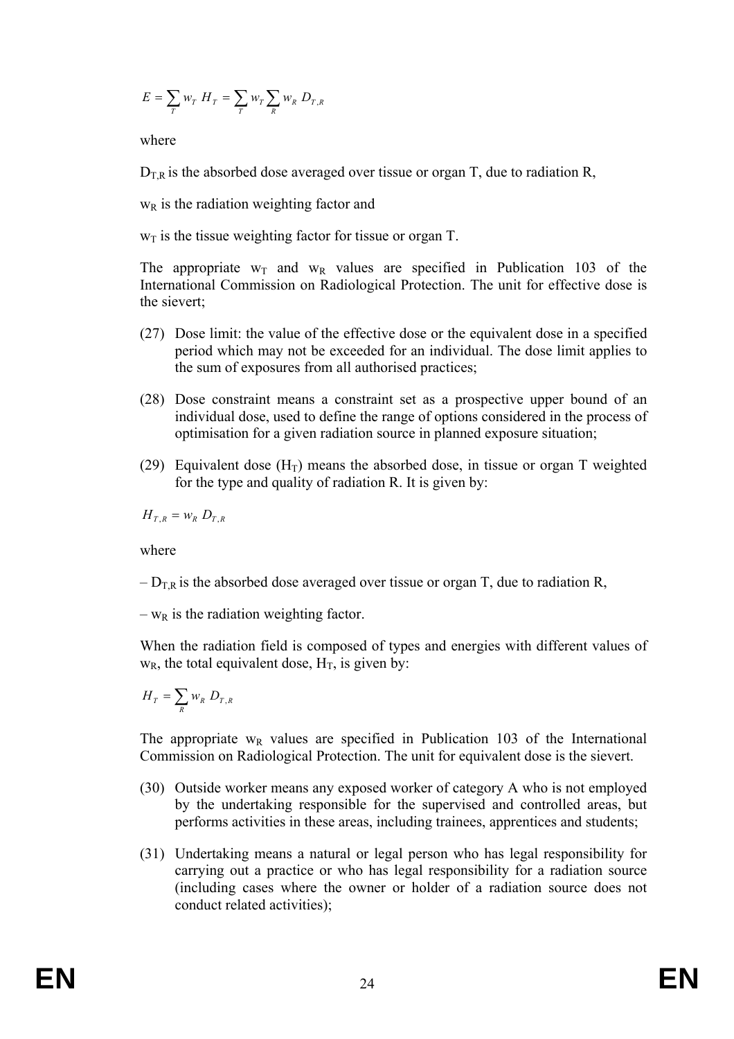$$
E = \sum_{T} w_{T} H_{T} = \sum_{T} w_{T} \sum_{R} w_{R} D_{T,R}
$$

where

 $D_{T,R}$  is the absorbed dose averaged over tissue or organ T, due to radiation R.

 $w_R$  is the radiation weighting factor and

 $w_T$  is the tissue weighting factor for tissue or organ T.

The appropriate  $w_T$  and  $w_R$  values are specified in Publication 103 of the International Commission on Radiological Protection. The unit for effective dose is the sievert;

- (27) Dose limit: the value of the effective dose or the equivalent dose in a specified period which may not be exceeded for an individual. The dose limit applies to the sum of exposures from all authorised practices;
- (28) Dose constraint means a constraint set as a prospective upper bound of an individual dose, used to define the range of options considered in the process of optimisation for a given radiation source in planned exposure situation;
- (29) Equivalent dose  $(H_T)$  means the absorbed dose, in tissue or organ T weighted for the type and quality of radiation R. It is given by:

$$
H_{T,R} = w_R D_{T,R}
$$

where

 $-D_{T,R}$  is the absorbed dose averaged over tissue or organ T, due to radiation R,

 $-$  w<sub>R</sub> is the radiation weighting factor.

When the radiation field is composed of types and energies with different values of  $w_R$ , the total equivalent dose,  $H_T$ , is given by:

$$
\boldsymbol{H}_T = \sum_{\boldsymbol{R}} \boldsymbol{w}_{\boldsymbol{R}} \; \boldsymbol{D}_{T,\boldsymbol{R}}
$$

The appropriate  $w_R$  values are specified in Publication 103 of the International Commission on Radiological Protection. The unit for equivalent dose is the sievert.

- (30) Outside worker means any exposed worker of category A who is not employed by the undertaking responsible for the supervised and controlled areas, but performs activities in these areas, including trainees, apprentices and students;
- (31) Undertaking means a natural or legal person who has legal responsibility for carrying out a practice or who has legal responsibility for a radiation source (including cases where the owner or holder of a radiation source does not conduct related activities);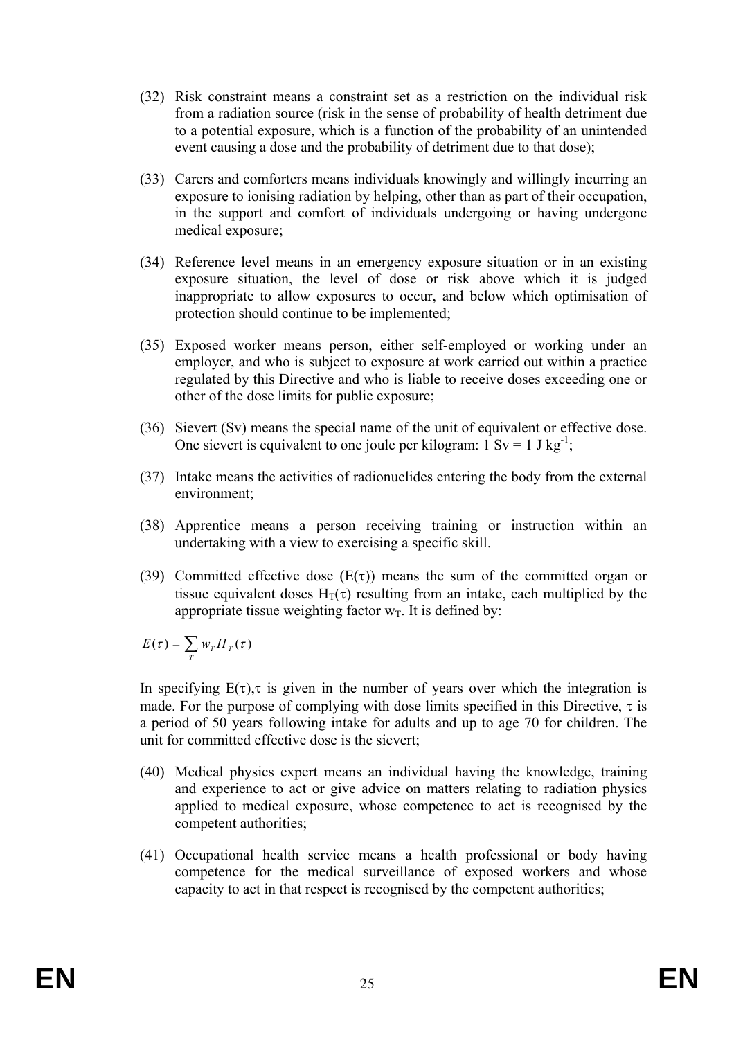- (32) Risk constraint means a constraint set as a restriction on the individual risk from a radiation source (risk in the sense of probability of health detriment due to a potential exposure, which is a function of the probability of an unintended event causing a dose and the probability of detriment due to that dose);
- (33) Carers and comforters means individuals knowingly and willingly incurring an exposure to ionising radiation by helping, other than as part of their occupation, in the support and comfort of individuals undergoing or having undergone medical exposure;
- (34) Reference level means in an emergency exposure situation or in an existing exposure situation, the level of dose or risk above which it is judged inappropriate to allow exposures to occur, and below which optimisation of protection should continue to be implemented;
- (35) Exposed worker means person, either self-employed or working under an employer, and who is subject to exposure at work carried out within a practice regulated by this Directive and who is liable to receive doses exceeding one or other of the dose limits for public exposure;
- (36) Sievert (Sv) means the special name of the unit of equivalent or effective dose. One sievert is equivalent to one joule per kilogram:  $1 \text{ Sv} = 1 \text{ J kg}^{-1}$ ;
- (37) Intake means the activities of radionuclides entering the body from the external environment;
- (38) Apprentice means a person receiving training or instruction within an undertaking with a view to exercising a specific skill.
- (39) Committed effective dose  $(E(\tau))$  means the sum of the committed organ or tissue equivalent doses  $H_T(\tau)$  resulting from an intake, each multiplied by the appropriate tissue weighting factor  $w_T$ . It is defined by:

$$
E(\tau)=\sum_{T}w_{T}H_{T}(\tau)
$$

In specifying  $E(\tau)$ ,  $\tau$  is given in the number of years over which the integration is made. For the purpose of complying with dose limits specified in this Directive,  $\tau$  is a period of 50 years following intake for adults and up to age 70 for children. The unit for committed effective dose is the sievert;

- (40) Medical physics expert means an individual having the knowledge, training and experience to act or give advice on matters relating to radiation physics applied to medical exposure, whose competence to act is recognised by the competent authorities;
- (41) Occupational health service means a health professional or body having competence for the medical surveillance of exposed workers and whose capacity to act in that respect is recognised by the competent authorities;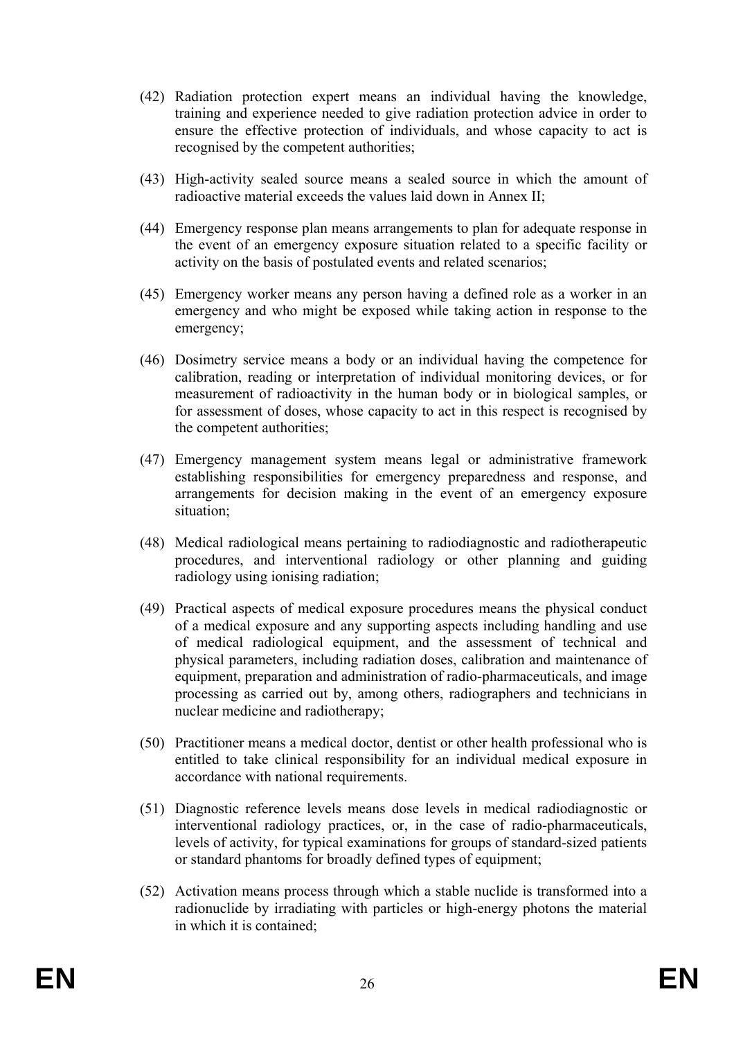- (42) Radiation protection expert means an individual having the knowledge, training and experience needed to give radiation protection advice in order to ensure the effective protection of individuals, and whose capacity to act is recognised by the competent authorities;
- (43) High-activity sealed source means a sealed source in which the amount of radioactive material exceeds the values laid down in Annex II;
- (44) Emergency response plan means arrangements to plan for adequate response in the event of an emergency exposure situation related to a specific facility or activity on the basis of postulated events and related scenarios;
- (45) Emergency worker means any person having a defined role as a worker in an emergency and who might be exposed while taking action in response to the emergency;
- (46) Dosimetry service means a body or an individual having the competence for calibration, reading or interpretation of individual monitoring devices, or for measurement of radioactivity in the human body or in biological samples, or for assessment of doses, whose capacity to act in this respect is recognised by the competent authorities;
- (47) Emergency management system means legal or administrative framework establishing responsibilities for emergency preparedness and response, and arrangements for decision making in the event of an emergency exposure situation;
- (48) Medical radiological means pertaining to radiodiagnostic and radiotherapeutic procedures, and interventional radiology or other planning and guiding radiology using ionising radiation;
- (49) Practical aspects of medical exposure procedures means the physical conduct of a medical exposure and any supporting aspects including handling and use of medical radiological equipment, and the assessment of technical and physical parameters, including radiation doses, calibration and maintenance of equipment, preparation and administration of radio-pharmaceuticals, and image processing as carried out by, among others, radiographers and technicians in nuclear medicine and radiotherapy;
- (50) Practitioner means a medical doctor, dentist or other health professional who is entitled to take clinical responsibility for an individual medical exposure in accordance with national requirements.
- (51) Diagnostic reference levels means dose levels in medical radiodiagnostic or interventional radiology practices, or, in the case of radio-pharmaceuticals, levels of activity, for typical examinations for groups of standard-sized patients or standard phantoms for broadly defined types of equipment;
- (52) Activation means process through which a stable nuclide is transformed into a radionuclide by irradiating with particles or high-energy photons the material in which it is contained;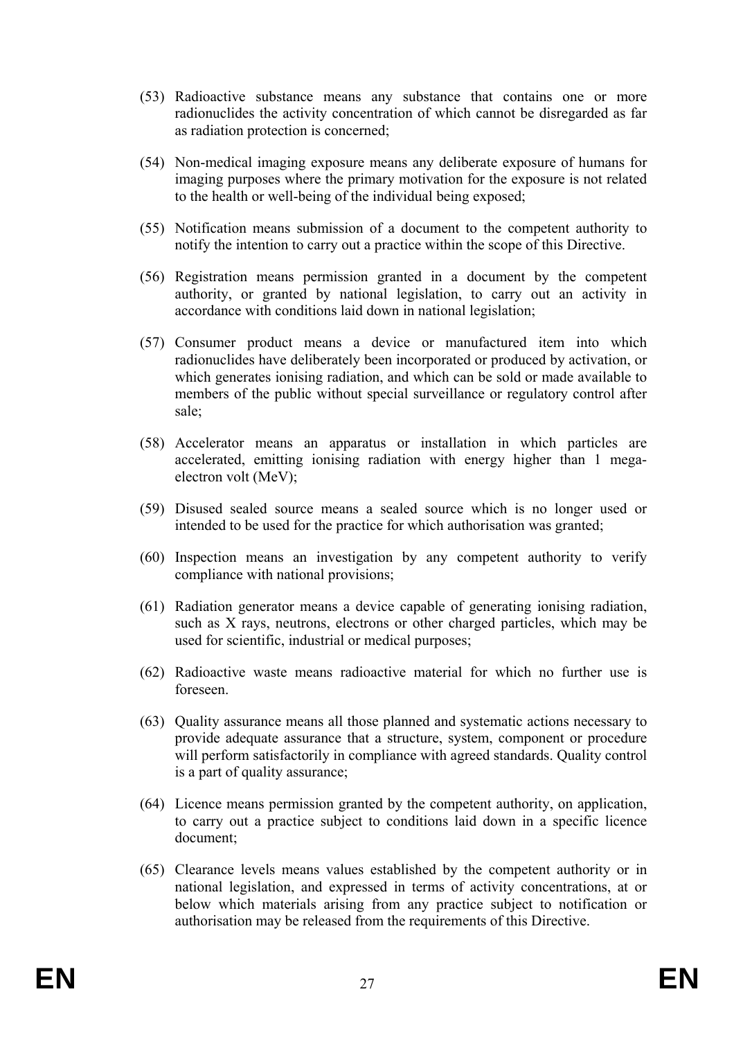- (53) Radioactive substance means any substance that contains one or more radionuclides the activity concentration of which cannot be disregarded as far as radiation protection is concerned;
- (54) Non-medical imaging exposure means any deliberate exposure of humans for imaging purposes where the primary motivation for the exposure is not related to the health or well-being of the individual being exposed;
- (55) Notification means submission of a document to the competent authority to notify the intention to carry out a practice within the scope of this Directive.
- (56) Registration means permission granted in a document by the competent authority, or granted by national legislation, to carry out an activity in accordance with conditions laid down in national legislation;
- (57) Consumer product means a device or manufactured item into which radionuclides have deliberately been incorporated or produced by activation, or which generates ionising radiation, and which can be sold or made available to members of the public without special surveillance or regulatory control after sale;
- (58) Accelerator means an apparatus or installation in which particles are accelerated, emitting ionising radiation with energy higher than 1 megaelectron volt (MeV);
- (59) Disused sealed source means a sealed source which is no longer used or intended to be used for the practice for which authorisation was granted;
- (60) Inspection means an investigation by any competent authority to verify compliance with national provisions;
- (61) Radiation generator means a device capable of generating ionising radiation, such as X rays, neutrons, electrons or other charged particles, which may be used for scientific, industrial or medical purposes;
- (62) Radioactive waste means radioactive material for which no further use is foreseen.
- (63) Quality assurance means all those planned and systematic actions necessary to provide adequate assurance that a structure, system, component or procedure will perform satisfactorily in compliance with agreed standards. Quality control is a part of quality assurance;
- (64) Licence means permission granted by the competent authority, on application, to carry out a practice subject to conditions laid down in a specific licence document;
- (65) Clearance levels means values established by the competent authority or in national legislation, and expressed in terms of activity concentrations, at or below which materials arising from any practice subject to notification or authorisation may be released from the requirements of this Directive.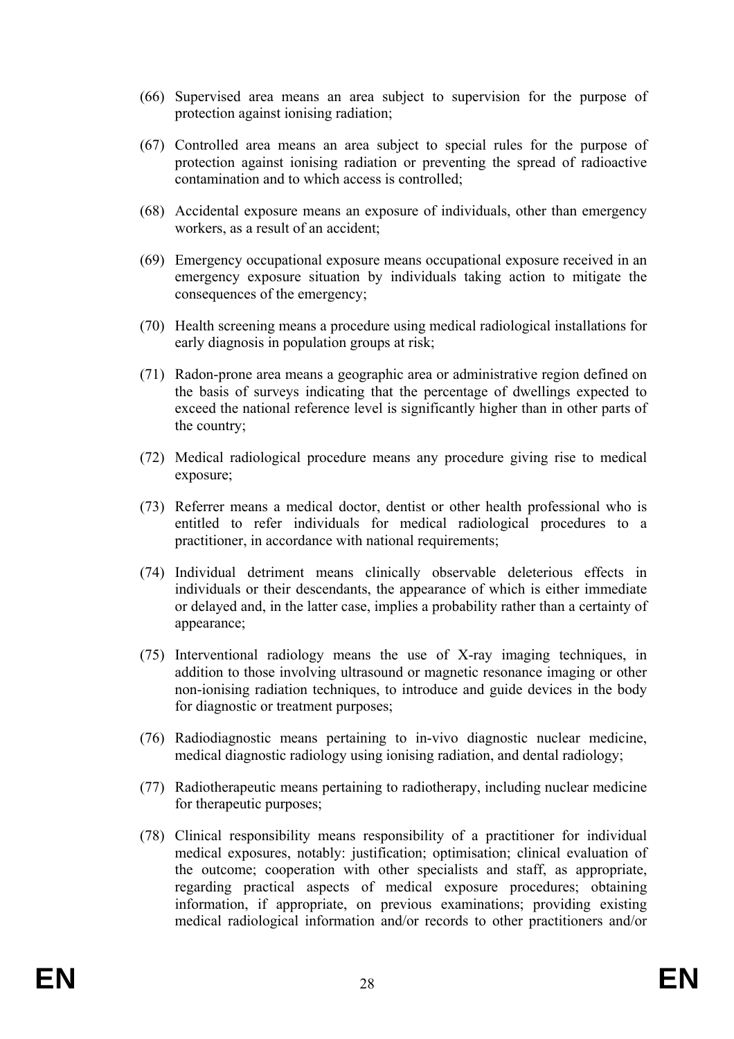- (66) Supervised area means an area subject to supervision for the purpose of protection against ionising radiation;
- (67) Controlled area means an area subject to special rules for the purpose of protection against ionising radiation or preventing the spread of radioactive contamination and to which access is controlled;
- (68) Accidental exposure means an exposure of individuals, other than emergency workers, as a result of an accident;
- (69) Emergency occupational exposure means occupational exposure received in an emergency exposure situation by individuals taking action to mitigate the consequences of the emergency;
- (70) Health screening means a procedure using medical radiological installations for early diagnosis in population groups at risk;
- (71) Radon-prone area means a geographic area or administrative region defined on the basis of surveys indicating that the percentage of dwellings expected to exceed the national reference level is significantly higher than in other parts of the country;
- (72) Medical radiological procedure means any procedure giving rise to medical exposure;
- (73) Referrer means a medical doctor, dentist or other health professional who is entitled to refer individuals for medical radiological procedures to a practitioner, in accordance with national requirements;
- (74) Individual detriment means clinically observable deleterious effects in individuals or their descendants, the appearance of which is either immediate or delayed and, in the latter case, implies a probability rather than a certainty of appearance;
- (75) Interventional radiology means the use of X-ray imaging techniques, in addition to those involving ultrasound or magnetic resonance imaging or other non-ionising radiation techniques, to introduce and guide devices in the body for diagnostic or treatment purposes;
- (76) Radiodiagnostic means pertaining to in-vivo diagnostic nuclear medicine, medical diagnostic radiology using ionising radiation, and dental radiology;
- (77) Radiotherapeutic means pertaining to radiotherapy, including nuclear medicine for therapeutic purposes;
- (78) Clinical responsibility means responsibility of a practitioner for individual medical exposures, notably: justification; optimisation; clinical evaluation of the outcome; cooperation with other specialists and staff, as appropriate, regarding practical aspects of medical exposure procedures; obtaining information, if appropriate, on previous examinations; providing existing medical radiological information and/or records to other practitioners and/or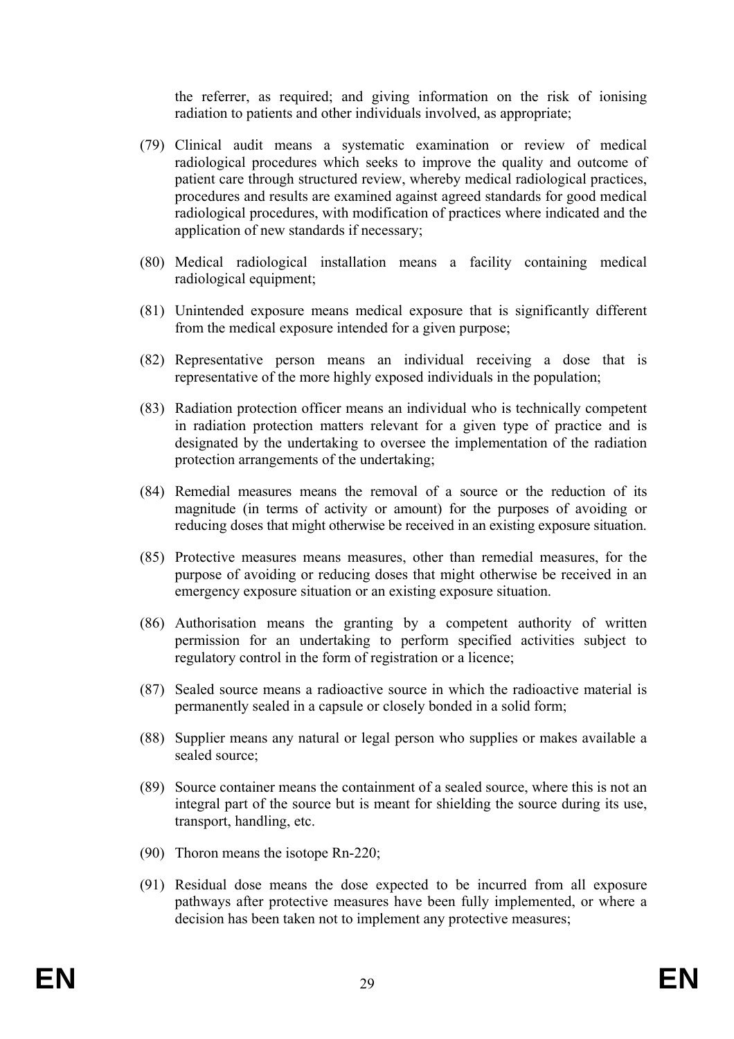the referrer, as required; and giving information on the risk of ionising radiation to patients and other individuals involved, as appropriate;

- (79) Clinical audit means a systematic examination or review of medical radiological procedures which seeks to improve the quality and outcome of patient care through structured review, whereby medical radiological practices, procedures and results are examined against agreed standards for good medical radiological procedures, with modification of practices where indicated and the application of new standards if necessary;
- (80) Medical radiological installation means a facility containing medical radiological equipment;
- (81) Unintended exposure means medical exposure that is significantly different from the medical exposure intended for a given purpose;
- (82) Representative person means an individual receiving a dose that is representative of the more highly exposed individuals in the population;
- (83) Radiation protection officer means an individual who is technically competent in radiation protection matters relevant for a given type of practice and is designated by the undertaking to oversee the implementation of the radiation protection arrangements of the undertaking;
- (84) Remedial measures means the removal of a source or the reduction of its magnitude (in terms of activity or amount) for the purposes of avoiding or reducing doses that might otherwise be received in an existing exposure situation.
- (85) Protective measures means measures, other than remedial measures, for the purpose of avoiding or reducing doses that might otherwise be received in an emergency exposure situation or an existing exposure situation.
- (86) Authorisation means the granting by a competent authority of written permission for an undertaking to perform specified activities subject to regulatory control in the form of registration or a licence;
- (87) Sealed source means a radioactive source in which the radioactive material is permanently sealed in a capsule or closely bonded in a solid form;
- (88) Supplier means any natural or legal person who supplies or makes available a sealed source;
- (89) Source container means the containment of a sealed source, where this is not an integral part of the source but is meant for shielding the source during its use, transport, handling, etc.
- (90) Thoron means the isotope Rn-220;
- (91) Residual dose means the dose expected to be incurred from all exposure pathways after protective measures have been fully implemented, or where a decision has been taken not to implement any protective measures;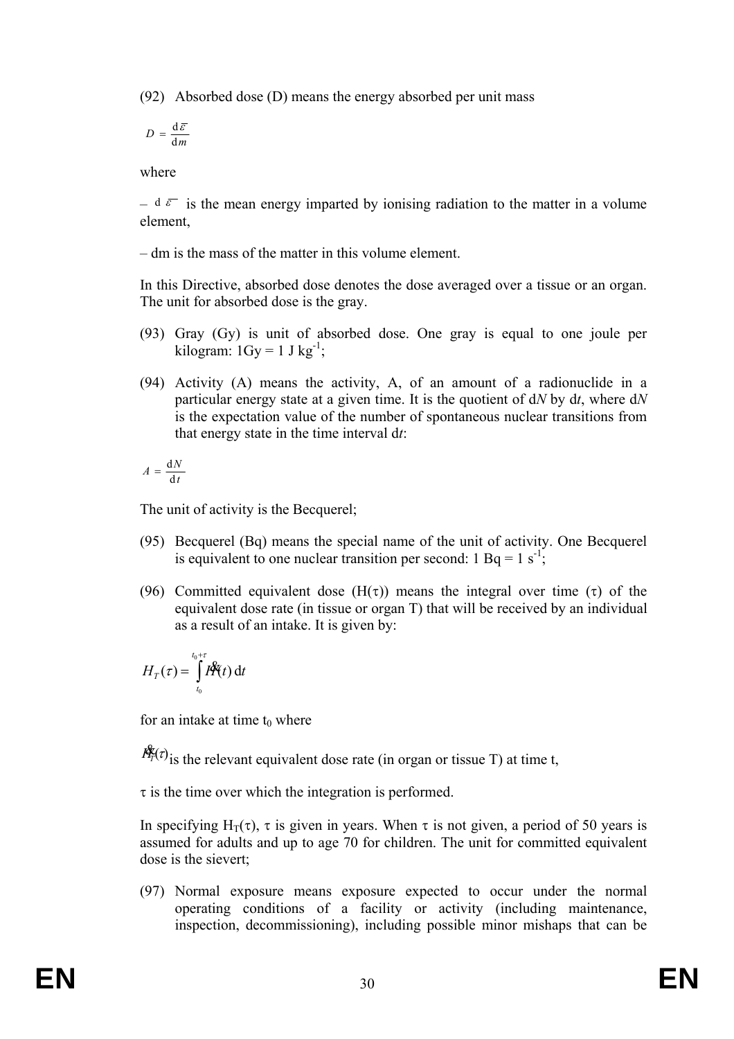(92) Absorbed dose (D) means the energy absorbed per unit mass

$$
D=\frac{\mathrm{d}\,\bar{\varepsilon}}{\mathrm{d}\,m}
$$

where

 $-$  d  $\bar{\epsilon}$  is the mean energy imparted by ionising radiation to the matter in a volume element,

– dm is the mass of the matter in this volume element.

In this Directive, absorbed dose denotes the dose averaged over a tissue or an organ. The unit for absorbed dose is the gray.

- (93) Gray (Gy) is unit of absorbed dose. One gray is equal to one joule per kilogram:  $1Gy = 1$  J kg<sup>-1</sup>;
- (94) Activity (A) means the activity, A, of an amount of a radionuclide in a particular energy state at a given time. It is the quotient of d*N* by d*t*, where d*N* is the expectation value of the number of spontaneous nuclear transitions from that energy state in the time interval d*t*:

$$
A = \frac{\mathrm{d}N}{\mathrm{d}t}
$$

The unit of activity is the Becquerel;

- (95) Becquerel (Bq) means the special name of the unit of activity. One Becquerel is equivalent to one nuclear transition per second:  $1 \text{ Bq} = 1 \text{ s}^{-1}$ ;
- (96) Committed equivalent dose  $(H(\tau))$  means the integral over time (τ) of the equivalent dose rate (in tissue or organ T) that will be received by an individual as a result of an intake. It is given by:

$$
H_T(\tau) = \int_{t_0}^{t_0+\tau} H^2(t) dt
$$

for an intake at time  $t_0$  where

 $R^{\!\mathcal{K}}_{\!\!T}(\tau)$  is the relevant equivalent dose rate (in organ or tissue T) at time t,

 $\tau$  is the time over which the integration is performed.

In specifying H<sub>T</sub>(τ), τ is given in years. When τ is not given, a period of 50 years is assumed for adults and up to age 70 for children. The unit for committed equivalent dose is the sievert;

(97) Normal exposure means exposure expected to occur under the normal operating conditions of a facility or activity (including maintenance, inspection, decommissioning), including possible minor mishaps that can be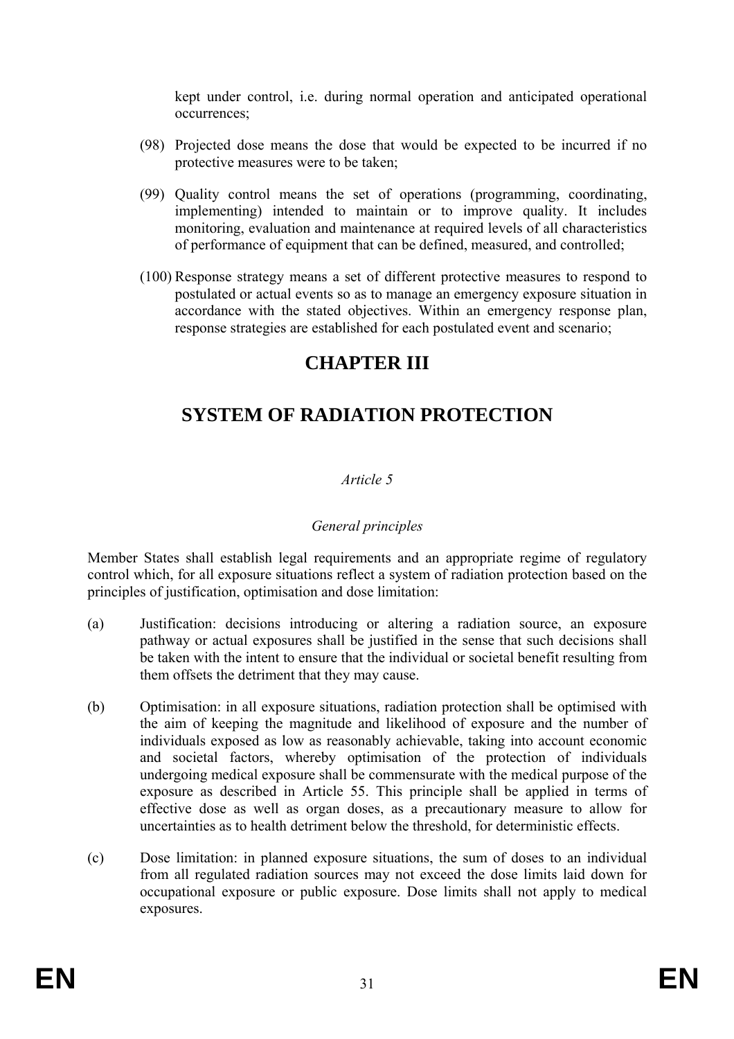kept under control, i.e. during normal operation and anticipated operational occurrences;

- (98) Projected dose means the dose that would be expected to be incurred if no protective measures were to be taken;
- (99) Quality control means the set of operations (programming, coordinating, implementing) intended to maintain or to improve quality. It includes monitoring, evaluation and maintenance at required levels of all characteristics of performance of equipment that can be defined, measured, and controlled;
- (100) Response strategy means a set of different protective measures to respond to postulated or actual events so as to manage an emergency exposure situation in accordance with the stated objectives. Within an emergency response plan, response strategies are established for each postulated event and scenario;

# **CHAPTER III**

# **SYSTEM OF RADIATION PROTECTION**

# *Article 5*

### *General principles*

Member States shall establish legal requirements and an appropriate regime of regulatory control which, for all exposure situations reflect a system of radiation protection based on the principles of justification, optimisation and dose limitation:

- (a) Justification: decisions introducing or altering a radiation source, an exposure pathway or actual exposures shall be justified in the sense that such decisions shall be taken with the intent to ensure that the individual or societal benefit resulting from them offsets the detriment that they may cause.
- (b) Optimisation: in all exposure situations, radiation protection shall be optimised with the aim of keeping the magnitude and likelihood of exposure and the number of individuals exposed as low as reasonably achievable, taking into account economic and societal factors, whereby optimisation of the protection of individuals undergoing medical exposure shall be commensurate with the medical purpose of the exposure as described in Article 55. This principle shall be applied in terms of effective dose as well as organ doses, as a precautionary measure to allow for uncertainties as to health detriment below the threshold, for deterministic effects.
- (c) Dose limitation: in planned exposure situations, the sum of doses to an individual from all regulated radiation sources may not exceed the dose limits laid down for occupational exposure or public exposure. Dose limits shall not apply to medical exposures.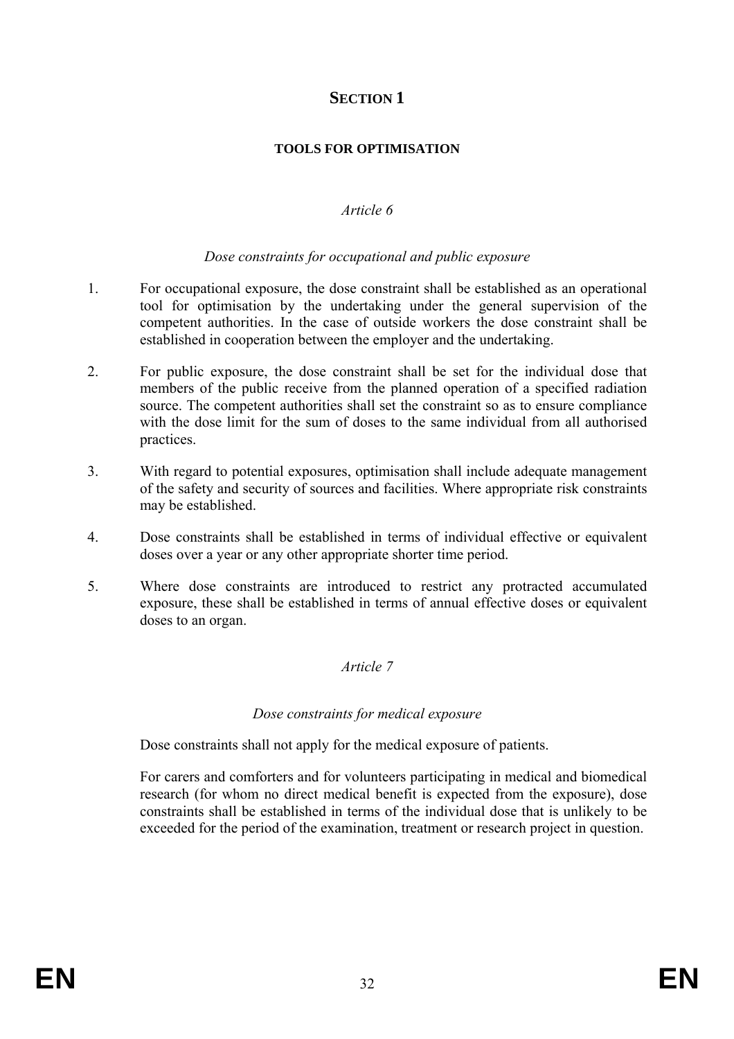# **SECTION 1**

#### **TOOLS FOR OPTIMISATION**

#### *Article 6*

#### *Dose constraints for occupational and public exposure*

- 1. For occupational exposure, the dose constraint shall be established as an operational tool for optimisation by the undertaking under the general supervision of the competent authorities. In the case of outside workers the dose constraint shall be established in cooperation between the employer and the undertaking.
- 2. For public exposure, the dose constraint shall be set for the individual dose that members of the public receive from the planned operation of a specified radiation source. The competent authorities shall set the constraint so as to ensure compliance with the dose limit for the sum of doses to the same individual from all authorised practices.
- 3. With regard to potential exposures, optimisation shall include adequate management of the safety and security of sources and facilities. Where appropriate risk constraints may be established.
- 4. Dose constraints shall be established in terms of individual effective or equivalent doses over a year or any other appropriate shorter time period.
- 5. Where dose constraints are introduced to restrict any protracted accumulated exposure, these shall be established in terms of annual effective doses or equivalent doses to an organ.

#### *Article 7*

#### *Dose constraints for medical exposure*

Dose constraints shall not apply for the medical exposure of patients.

For carers and comforters and for volunteers participating in medical and biomedical research (for whom no direct medical benefit is expected from the exposure), dose constraints shall be established in terms of the individual dose that is unlikely to be exceeded for the period of the examination, treatment or research project in question.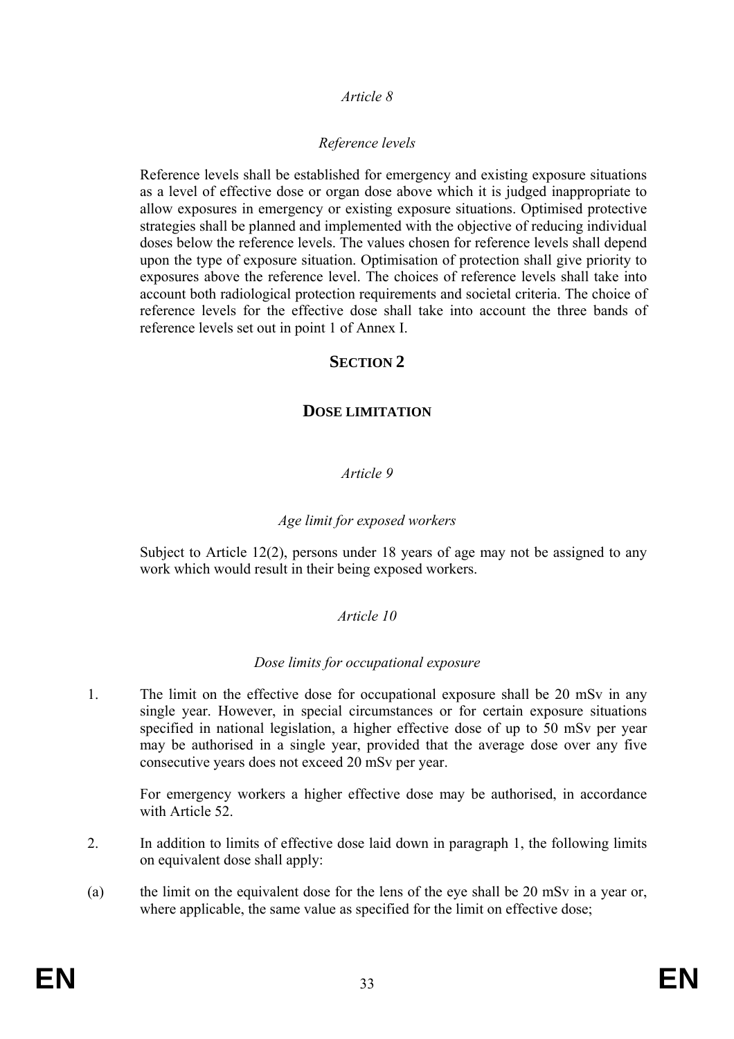### *Reference levels*

Reference levels shall be established for emergency and existing exposure situations as a level of effective dose or organ dose above which it is judged inappropriate to allow exposures in emergency or existing exposure situations. Optimised protective strategies shall be planned and implemented with the objective of reducing individual doses below the reference levels. The values chosen for reference levels shall depend upon the type of exposure situation. Optimisation of protection shall give priority to exposures above the reference level. The choices of reference levels shall take into account both radiological protection requirements and societal criteria. The choice of reference levels for the effective dose shall take into account the three bands of reference levels set out in point 1 of Annex I.

# **SECTION 2**

# **DOSE LIMITATION**

### *Article 9*

#### *Age limit for exposed workers*

Subject to Article 12(2), persons under 18 years of age may not be assigned to any work which would result in their being exposed workers.

### *Article 10*

#### *Dose limits for occupational exposure*

1. The limit on the effective dose for occupational exposure shall be 20 mSv in any single year. However, in special circumstances or for certain exposure situations specified in national legislation, a higher effective dose of up to 50 mSv per year may be authorised in a single year, provided that the average dose over any five consecutive years does not exceed 20 mSv per year.

For emergency workers a higher effective dose may be authorised, in accordance with Article 52.

- 2. In addition to limits of effective dose laid down in paragraph 1, the following limits on equivalent dose shall apply:
- (a) the limit on the equivalent dose for the lens of the eye shall be 20 mSv in a year or, where applicable, the same value as specified for the limit on effective dose;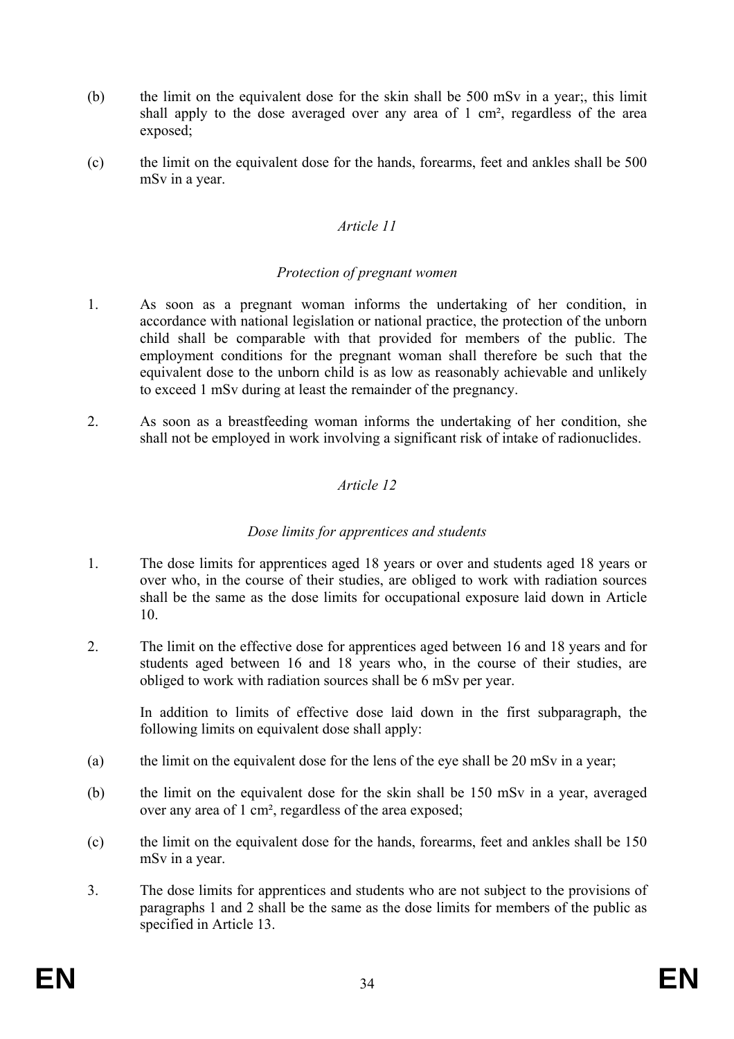- (b) the limit on the equivalent dose for the skin shall be 500 mSv in a year;, this limit shall apply to the dose averaged over any area of 1 cm², regardless of the area exposed;
- (c) the limit on the equivalent dose for the hands, forearms, feet and ankles shall be 500 mSv in a year.

#### *Protection of pregnant women*

- 1. As soon as a pregnant woman informs the undertaking of her condition, in accordance with national legislation or national practice, the protection of the unborn child shall be comparable with that provided for members of the public. The employment conditions for the pregnant woman shall therefore be such that the equivalent dose to the unborn child is as low as reasonably achievable and unlikely to exceed 1 mSv during at least the remainder of the pregnancy.
- 2. As soon as a breastfeeding woman informs the undertaking of her condition, she shall not be employed in work involving a significant risk of intake of radionuclides.

### *Article 12*

#### *Dose limits for apprentices and students*

- 1. The dose limits for apprentices aged 18 years or over and students aged 18 years or over who, in the course of their studies, are obliged to work with radiation sources shall be the same as the dose limits for occupational exposure laid down in Article 10.
- 2. The limit on the effective dose for apprentices aged between 16 and 18 years and for students aged between 16 and 18 years who, in the course of their studies, are obliged to work with radiation sources shall be 6 mSv per year.

In addition to limits of effective dose laid down in the first subparagraph, the following limits on equivalent dose shall apply:

- (a) the limit on the equivalent dose for the lens of the eye shall be 20 mSv in a year;
- (b) the limit on the equivalent dose for the skin shall be 150 mSv in a year, averaged over any area of 1 cm², regardless of the area exposed;
- (c) the limit on the equivalent dose for the hands, forearms, feet and ankles shall be 150 mSv in a year.
- 3. The dose limits for apprentices and students who are not subject to the provisions of paragraphs 1 and 2 shall be the same as the dose limits for members of the public as specified in Article 13.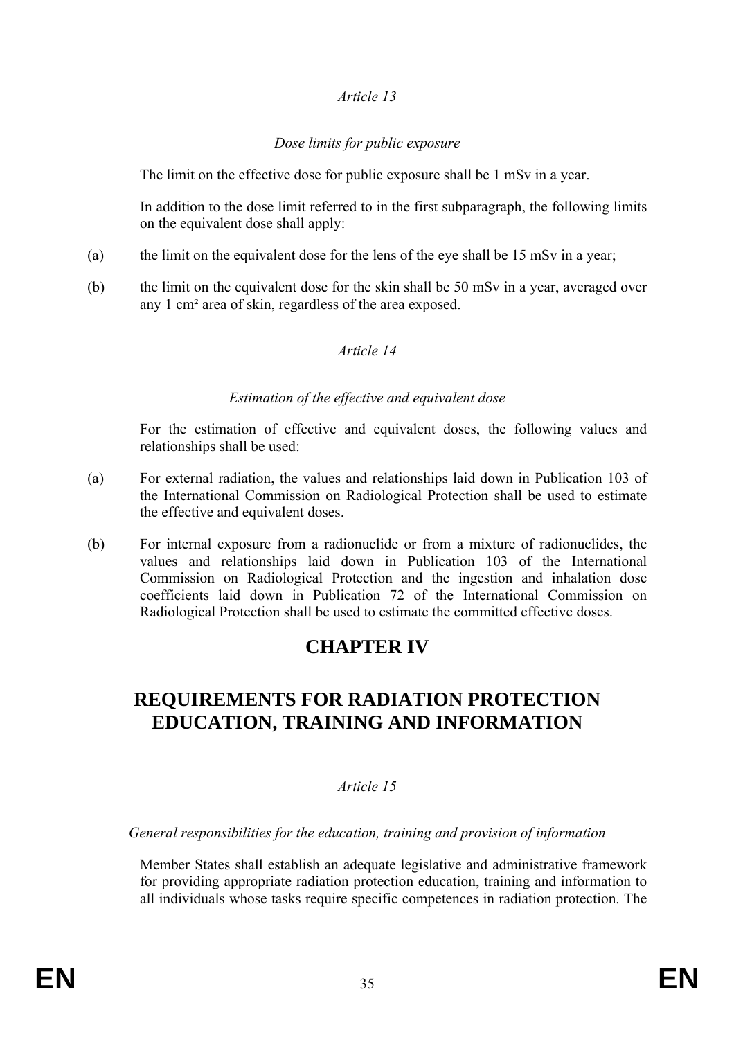### *Dose limits for public exposure*

The limit on the effective dose for public exposure shall be 1 mSv in a year.

In addition to the dose limit referred to in the first subparagraph, the following limits on the equivalent dose shall apply:

- (a) the limit on the equivalent dose for the lens of the eye shall be 15 mSv in a year;
- (b) the limit on the equivalent dose for the skin shall be 50 mSv in a year, averaged over any 1 cm² area of skin, regardless of the area exposed.

# *Article 14*

# *Estimation of the effective and equivalent dose*

For the estimation of effective and equivalent doses, the following values and relationships shall be used:

- (a) For external radiation, the values and relationships laid down in Publication 103 of the International Commission on Radiological Protection shall be used to estimate the effective and equivalent doses.
- (b) For internal exposure from a radionuclide or from a mixture of radionuclides, the values and relationships laid down in Publication 103 of the International Commission on Radiological Protection and the ingestion and inhalation dose coefficients laid down in Publication 72 of the International Commission on Radiological Protection shall be used to estimate the committed effective doses.

# **CHAPTER IV**

# **REQUIREMENTS FOR RADIATION PROTECTION EDUCATION, TRAINING AND INFORMATION**

# *Article 15*

# *General responsibilities for the education, training and provision of information*

Member States shall establish an adequate legislative and administrative framework for providing appropriate radiation protection education, training and information to all individuals whose tasks require specific competences in radiation protection. The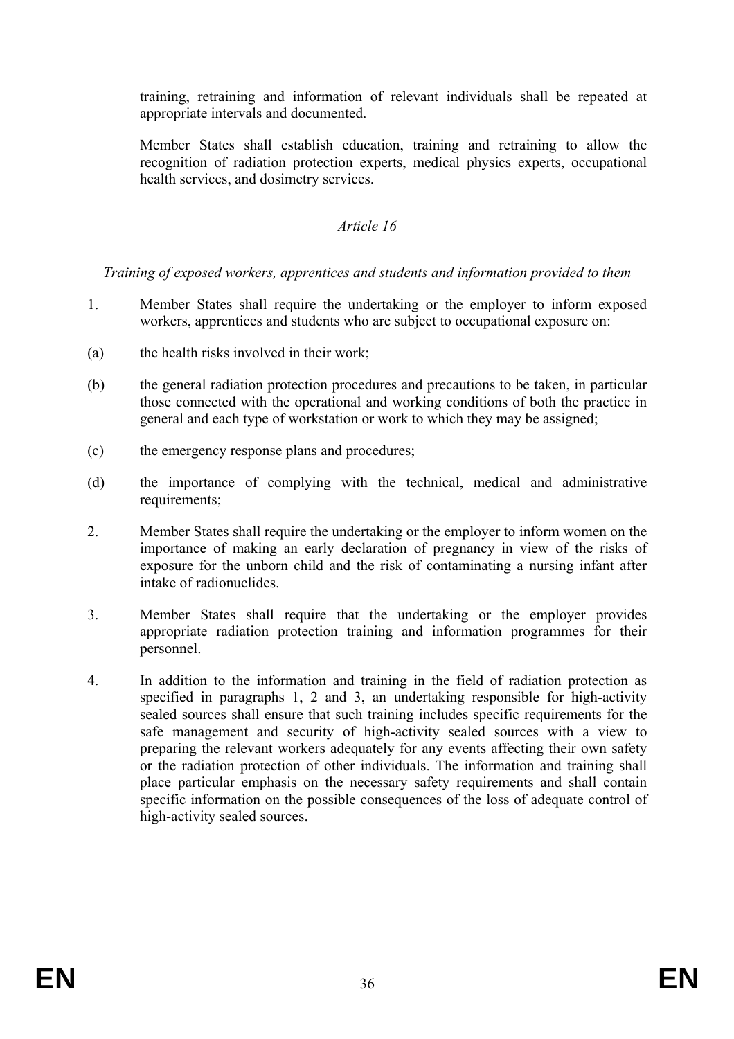training, retraining and information of relevant individuals shall be repeated at appropriate intervals and documented.

Member States shall establish education, training and retraining to allow the recognition of radiation protection experts, medical physics experts, occupational health services, and dosimetry services.

#### *Article 16*

*Training of exposed workers, apprentices and students and information provided to them* 

- 1. Member States shall require the undertaking or the employer to inform exposed workers, apprentices and students who are subject to occupational exposure on:
- (a) the health risks involved in their work;
- (b) the general radiation protection procedures and precautions to be taken, in particular those connected with the operational and working conditions of both the practice in general and each type of workstation or work to which they may be assigned;
- (c) the emergency response plans and procedures;
- (d) the importance of complying with the technical, medical and administrative requirements:
- 2. Member States shall require the undertaking or the employer to inform women on the importance of making an early declaration of pregnancy in view of the risks of exposure for the unborn child and the risk of contaminating a nursing infant after intake of radionuclides.
- 3. Member States shall require that the undertaking or the employer provides appropriate radiation protection training and information programmes for their personnel.
- 4. In addition to the information and training in the field of radiation protection as specified in paragraphs 1, 2 and 3, an undertaking responsible for high-activity sealed sources shall ensure that such training includes specific requirements for the safe management and security of high-activity sealed sources with a view to preparing the relevant workers adequately for any events affecting their own safety or the radiation protection of other individuals. The information and training shall place particular emphasis on the necessary safety requirements and shall contain specific information on the possible consequences of the loss of adequate control of high-activity sealed sources.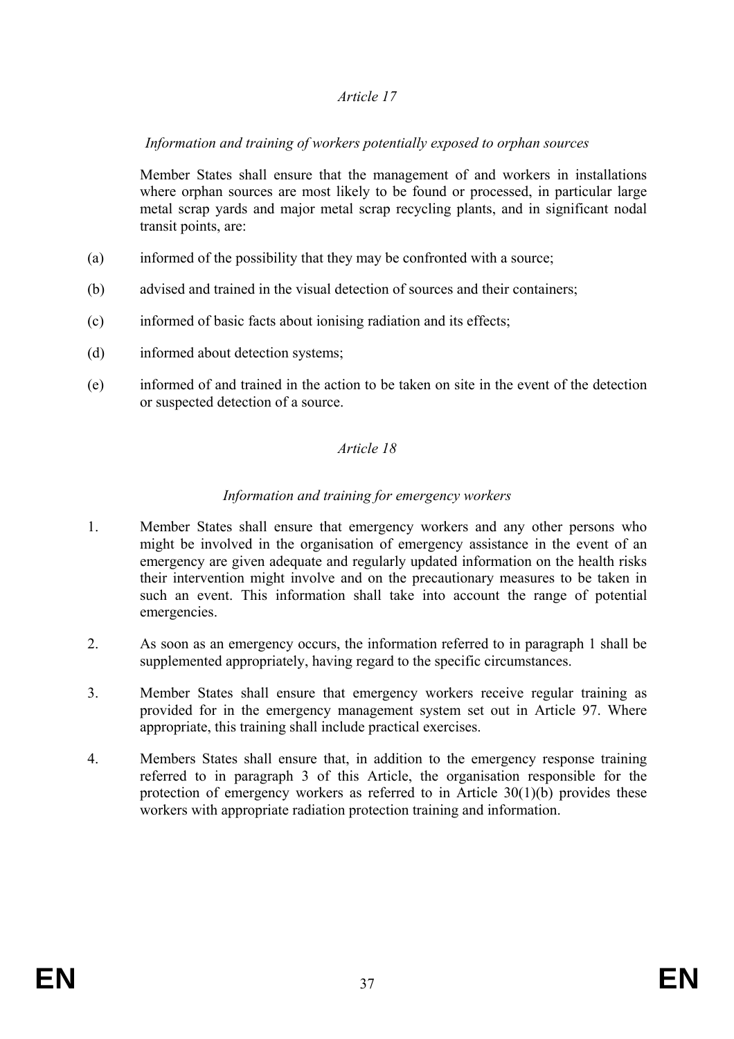## *Information and training of workers potentially exposed to orphan sources*

Member States shall ensure that the management of and workers in installations where orphan sources are most likely to be found or processed, in particular large metal scrap yards and major metal scrap recycling plants, and in significant nodal transit points, are:

- (a) informed of the possibility that they may be confronted with a source;
- (b) advised and trained in the visual detection of sources and their containers;
- (c) informed of basic facts about ionising radiation and its effects;
- (d) informed about detection systems;
- (e) informed of and trained in the action to be taken on site in the event of the detection or suspected detection of a source.

## *Article 18*

#### *Information and training for emergency workers*

- 1. Member States shall ensure that emergency workers and any other persons who might be involved in the organisation of emergency assistance in the event of an emergency are given adequate and regularly updated information on the health risks their intervention might involve and on the precautionary measures to be taken in such an event. This information shall take into account the range of potential emergencies.
- 2. As soon as an emergency occurs, the information referred to in paragraph 1 shall be supplemented appropriately, having regard to the specific circumstances.
- 3. Member States shall ensure that emergency workers receive regular training as provided for in the emergency management system set out in Article 97. Where appropriate, this training shall include practical exercises.
- 4. Members States shall ensure that, in addition to the emergency response training referred to in paragraph 3 of this Article, the organisation responsible for the protection of emergency workers as referred to in Article 30(1)(b) provides these workers with appropriate radiation protection training and information.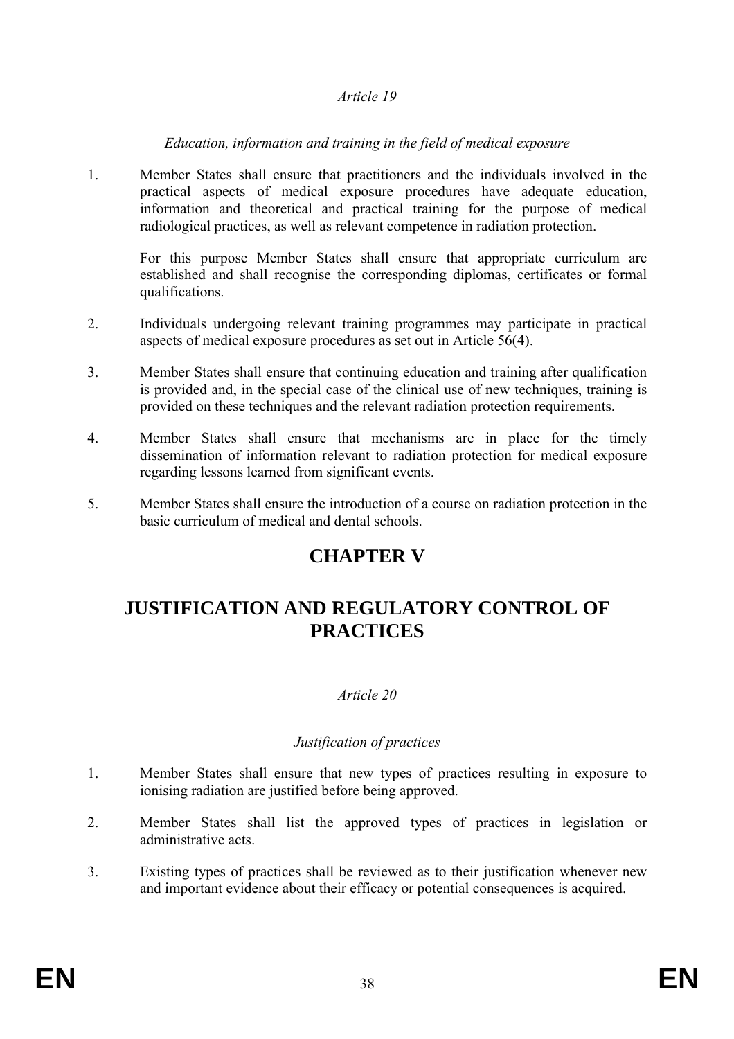## *Education, information and training in the field of medical exposure*

1. Member States shall ensure that practitioners and the individuals involved in the practical aspects of medical exposure procedures have adequate education, information and theoretical and practical training for the purpose of medical radiological practices, as well as relevant competence in radiation protection.

For this purpose Member States shall ensure that appropriate curriculum are established and shall recognise the corresponding diplomas, certificates or formal qualifications.

- 2. Individuals undergoing relevant training programmes may participate in practical aspects of medical exposure procedures as set out in Article 56(4).
- 3. Member States shall ensure that continuing education and training after qualification is provided and, in the special case of the clinical use of new techniques, training is provided on these techniques and the relevant radiation protection requirements.
- 4. Member States shall ensure that mechanisms are in place for the timely dissemination of information relevant to radiation protection for medical exposure regarding lessons learned from significant events.
- 5. Member States shall ensure the introduction of a course on radiation protection in the basic curriculum of medical and dental schools.

## **CHAPTER V**

## **JUSTIFICATION AND REGULATORY CONTROL OF PRACTICES**

## *Article 20*

## *Justification of practices*

- 1. Member States shall ensure that new types of practices resulting in exposure to ionising radiation are justified before being approved.
- 2. Member States shall list the approved types of practices in legislation or administrative acts.
- 3. Existing types of practices shall be reviewed as to their justification whenever new and important evidence about their efficacy or potential consequences is acquired.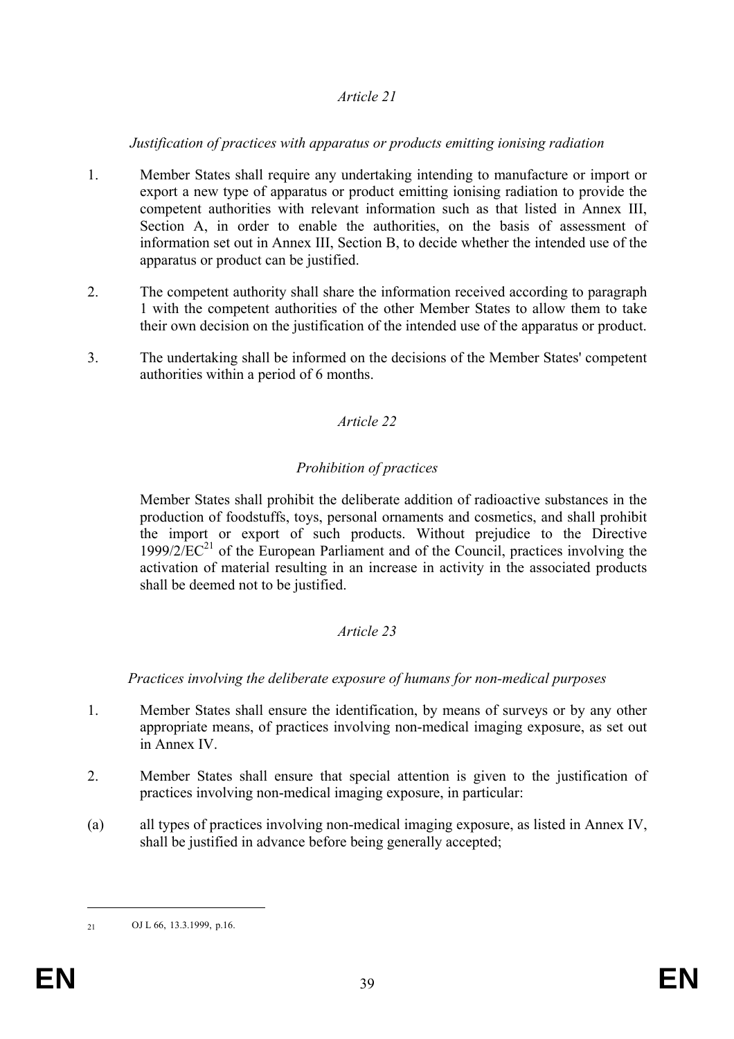#### *Justification of practices with apparatus or products emitting ionising radiation*

- 1. Member States shall require any undertaking intending to manufacture or import or export a new type of apparatus or product emitting ionising radiation to provide the competent authorities with relevant information such as that listed in Annex III, Section A, in order to enable the authorities, on the basis of assessment of information set out in Annex III, Section B, to decide whether the intended use of the apparatus or product can be justified.
- 2. The competent authority shall share the information received according to paragraph 1 with the competent authorities of the other Member States to allow them to take their own decision on the justification of the intended use of the apparatus or product.
- 3. The undertaking shall be informed on the decisions of the Member States' competent authorities within a period of 6 months.

#### *Article 22*

#### *Prohibition of practices*

Member States shall prohibit the deliberate addition of radioactive substances in the production of foodstuffs, toys, personal ornaments and cosmetics, and shall prohibit the import or export of such products. Without prejudice to the Directive  $1999/2/EC^{21}$  of the European Parliament and of the Council, practices involving the activation of material resulting in an increase in activity in the associated products shall be deemed not to be justified.

## *Article 23*

## *Practices involving the deliberate exposure of humans for non-medical purposes*

- 1. Member States shall ensure the identification, by means of surveys or by any other appropriate means, of practices involving non-medical imaging exposure, as set out in Annex IV.
- 2. Member States shall ensure that special attention is given to the justification of practices involving non-medical imaging exposure, in particular:
- (a) all types of practices involving non-medical imaging exposure, as listed in Annex IV, shall be justified in advance before being generally accepted;

 $\overline{a}$ 

<sup>21</sup> OJ L 66, 13.3.1999, p.16.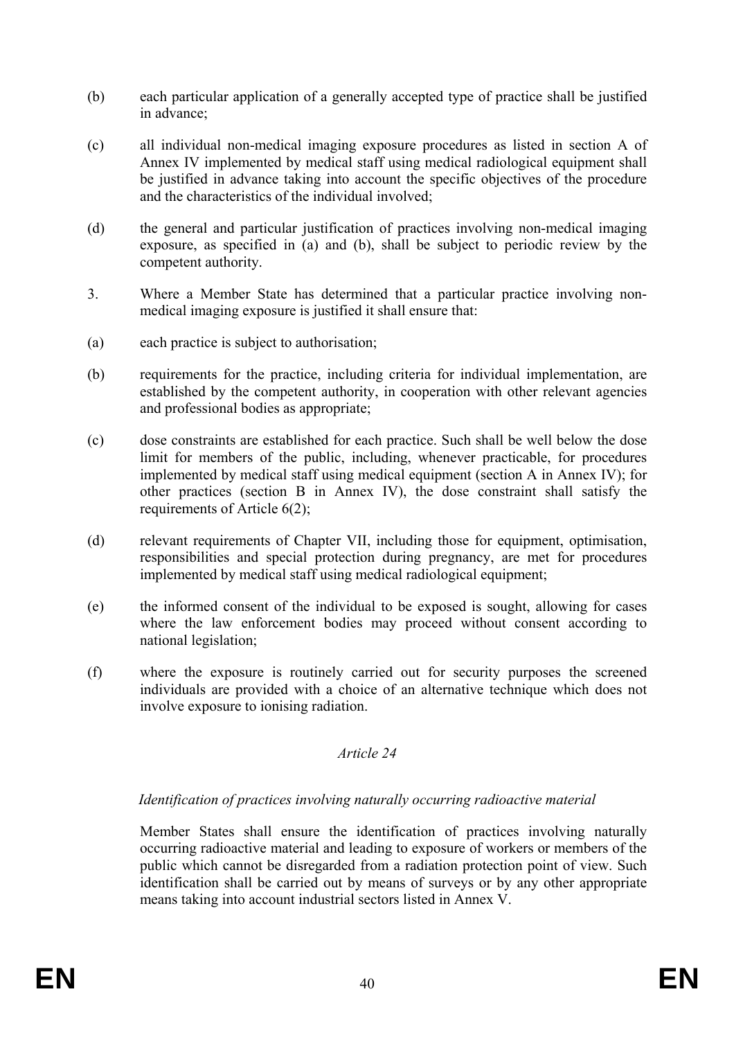- (b) each particular application of a generally accepted type of practice shall be justified in advance;
- (c) all individual non-medical imaging exposure procedures as listed in section A of Annex IV implemented by medical staff using medical radiological equipment shall be justified in advance taking into account the specific objectives of the procedure and the characteristics of the individual involved;
- (d) the general and particular justification of practices involving non-medical imaging exposure, as specified in (a) and (b), shall be subject to periodic review by the competent authority.
- 3. Where a Member State has determined that a particular practice involving nonmedical imaging exposure is justified it shall ensure that:
- (a) each practice is subject to authorisation;
- (b) requirements for the practice, including criteria for individual implementation, are established by the competent authority, in cooperation with other relevant agencies and professional bodies as appropriate;
- (c) dose constraints are established for each practice. Such shall be well below the dose limit for members of the public, including, whenever practicable, for procedures implemented by medical staff using medical equipment (section A in Annex IV); for other practices (section B in Annex IV), the dose constraint shall satisfy the requirements of Article 6(2);
- (d) relevant requirements of Chapter VII, including those for equipment, optimisation, responsibilities and special protection during pregnancy, are met for procedures implemented by medical staff using medical radiological equipment;
- (e) the informed consent of the individual to be exposed is sought, allowing for cases where the law enforcement bodies may proceed without consent according to national legislation;
- (f) where the exposure is routinely carried out for security purposes the screened individuals are provided with a choice of an alternative technique which does not involve exposure to ionising radiation.

## *Identification of practices involving naturally occurring radioactive material*

Member States shall ensure the identification of practices involving naturally occurring radioactive material and leading to exposure of workers or members of the public which cannot be disregarded from a radiation protection point of view. Such identification shall be carried out by means of surveys or by any other appropriate means taking into account industrial sectors listed in Annex V.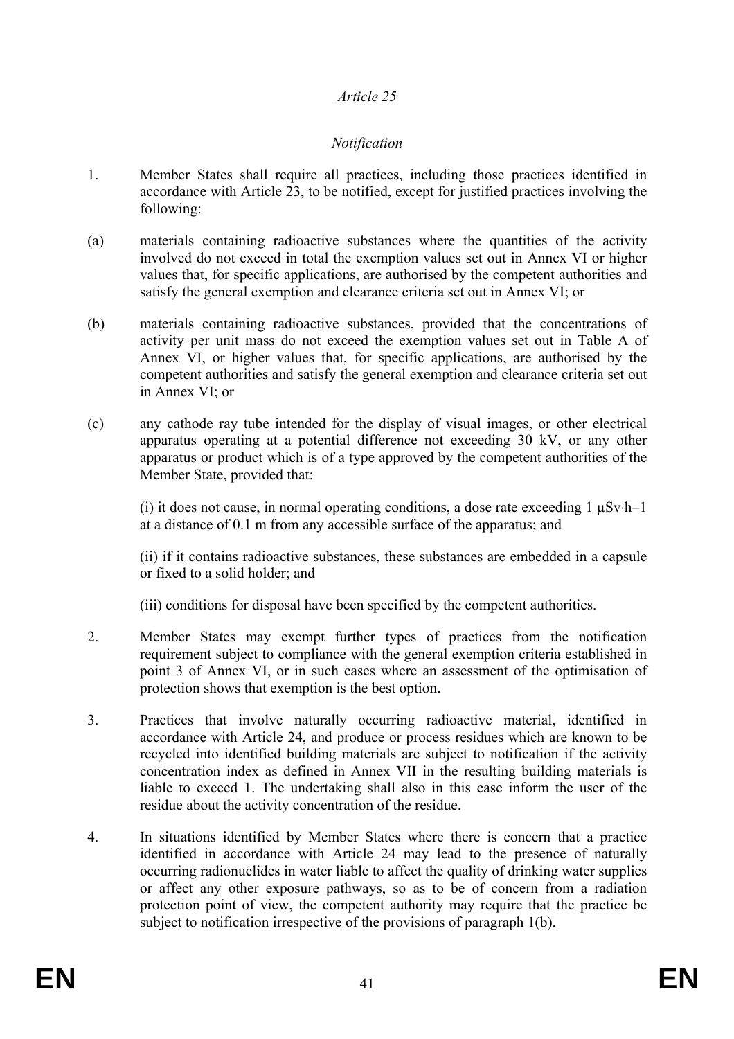## *Notification*

- 1. Member States shall require all practices, including those practices identified in accordance with Article 23, to be notified, except for justified practices involving the following:
- (a) materials containing radioactive substances where the quantities of the activity involved do not exceed in total the exemption values set out in Annex VI or higher values that, for specific applications, are authorised by the competent authorities and satisfy the general exemption and clearance criteria set out in Annex VI; or
- (b) materials containing radioactive substances, provided that the concentrations of activity per unit mass do not exceed the exemption values set out in Table A of Annex VI, or higher values that, for specific applications, are authorised by the competent authorities and satisfy the general exemption and clearance criteria set out in Annex VI; or
- (c) any cathode ray tube intended for the display of visual images, or other electrical apparatus operating at a potential difference not exceeding 30 kV, or any other apparatus or product which is of a type approved by the competent authorities of the Member State, provided that:

(i) it does not cause, in normal operating conditions, a dose rate exceeding  $1 \mu Sv·h-1$ at a distance of 0.1 m from any accessible surface of the apparatus; and

(ii) if it contains radioactive substances, these substances are embedded in a capsule or fixed to a solid holder; and

(iii) conditions for disposal have been specified by the competent authorities.

- 2. Member States may exempt further types of practices from the notification requirement subject to compliance with the general exemption criteria established in point 3 of Annex VI, or in such cases where an assessment of the optimisation of protection shows that exemption is the best option.
- 3. Practices that involve naturally occurring radioactive material, identified in accordance with Article 24, and produce or process residues which are known to be recycled into identified building materials are subject to notification if the activity concentration index as defined in Annex VII in the resulting building materials is liable to exceed 1. The undertaking shall also in this case inform the user of the residue about the activity concentration of the residue.
- 4. In situations identified by Member States where there is concern that a practice identified in accordance with Article 24 may lead to the presence of naturally occurring radionuclides in water liable to affect the quality of drinking water supplies or affect any other exposure pathways, so as to be of concern from a radiation protection point of view, the competent authority may require that the practice be subject to notification irrespective of the provisions of paragraph 1(b).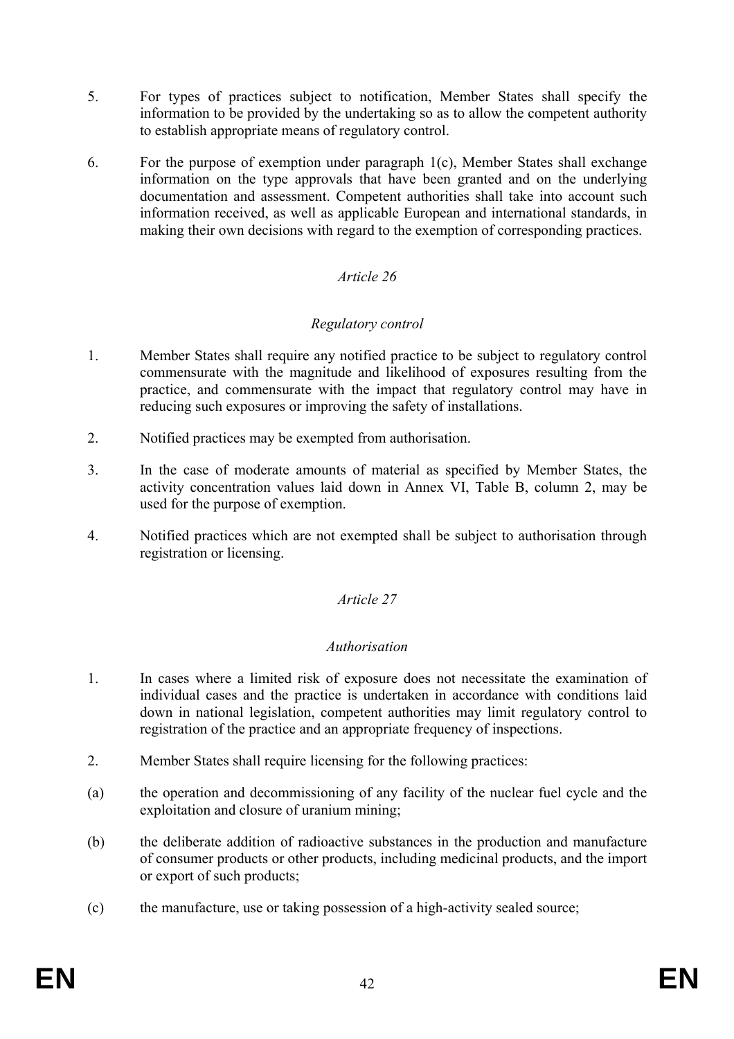- 5. For types of practices subject to notification, Member States shall specify the information to be provided by the undertaking so as to allow the competent authority to establish appropriate means of regulatory control.
- 6. For the purpose of exemption under paragraph 1(c), Member States shall exchange information on the type approvals that have been granted and on the underlying documentation and assessment. Competent authorities shall take into account such information received, as well as applicable European and international standards, in making their own decisions with regard to the exemption of corresponding practices.

## *Regulatory control*

- 1. Member States shall require any notified practice to be subject to regulatory control commensurate with the magnitude and likelihood of exposures resulting from the practice, and commensurate with the impact that regulatory control may have in reducing such exposures or improving the safety of installations.
- 2. Notified practices may be exempted from authorisation.
- 3. In the case of moderate amounts of material as specified by Member States, the activity concentration values laid down in Annex VI, Table B, column 2, may be used for the purpose of exemption.
- 4. Notified practices which are not exempted shall be subject to authorisation through registration or licensing.

## *Article 27*

#### *Authorisation*

- 1. In cases where a limited risk of exposure does not necessitate the examination of individual cases and the practice is undertaken in accordance with conditions laid down in national legislation, competent authorities may limit regulatory control to registration of the practice and an appropriate frequency of inspections.
- 2. Member States shall require licensing for the following practices:
- (a) the operation and decommissioning of any facility of the nuclear fuel cycle and the exploitation and closure of uranium mining;
- (b) the deliberate addition of radioactive substances in the production and manufacture of consumer products or other products, including medicinal products, and the import or export of such products;
- (c) the manufacture, use or taking possession of a high-activity sealed source;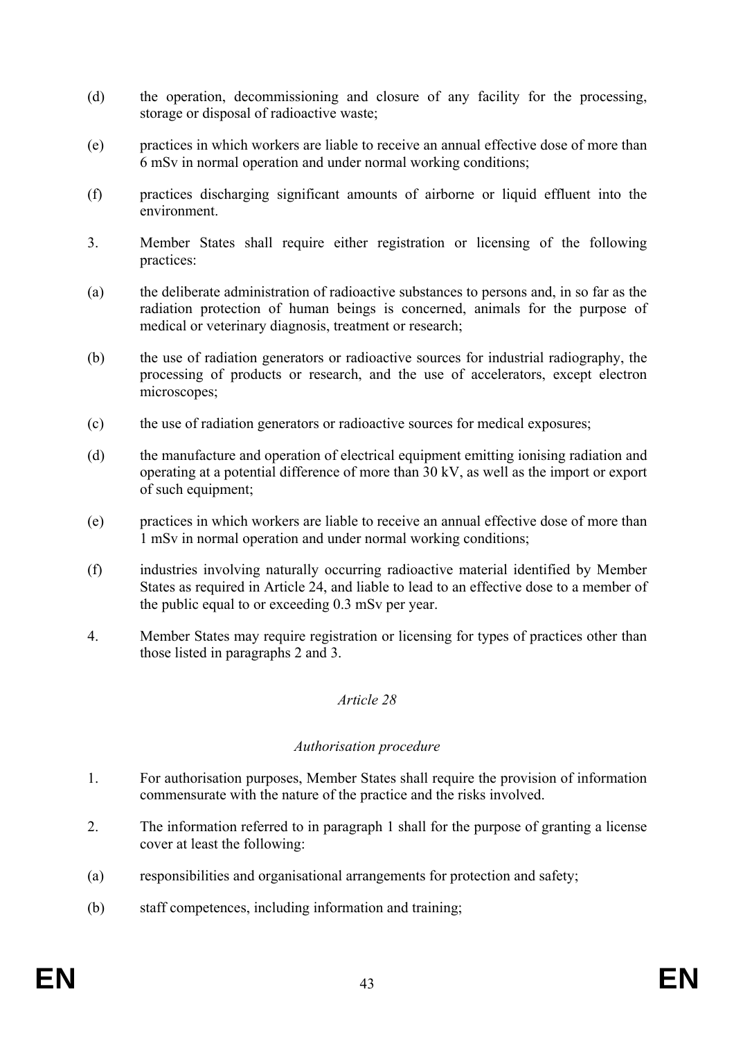- (d) the operation, decommissioning and closure of any facility for the processing, storage or disposal of radioactive waste;
- (e) practices in which workers are liable to receive an annual effective dose of more than 6 mSv in normal operation and under normal working conditions;
- (f) practices discharging significant amounts of airborne or liquid effluent into the environment.
- 3. Member States shall require either registration or licensing of the following practices:
- (a) the deliberate administration of radioactive substances to persons and, in so far as the radiation protection of human beings is concerned, animals for the purpose of medical or veterinary diagnosis, treatment or research;
- (b) the use of radiation generators or radioactive sources for industrial radiography, the processing of products or research, and the use of accelerators, except electron microscopes;
- (c) the use of radiation generators or radioactive sources for medical exposures;
- (d) the manufacture and operation of electrical equipment emitting ionising radiation and operating at a potential difference of more than 30 kV, as well as the import or export of such equipment;
- (e) practices in which workers are liable to receive an annual effective dose of more than 1 mSv in normal operation and under normal working conditions;
- (f) industries involving naturally occurring radioactive material identified by Member States as required in Article 24, and liable to lead to an effective dose to a member of the public equal to or exceeding 0.3 mSv per year.
- 4. Member States may require registration or licensing for types of practices other than those listed in paragraphs 2 and 3.

#### *Authorisation procedure*

- 1. For authorisation purposes, Member States shall require the provision of information commensurate with the nature of the practice and the risks involved.
- 2. The information referred to in paragraph 1 shall for the purpose of granting a license cover at least the following:
- (a) responsibilities and organisational arrangements for protection and safety;
- (b) staff competences, including information and training;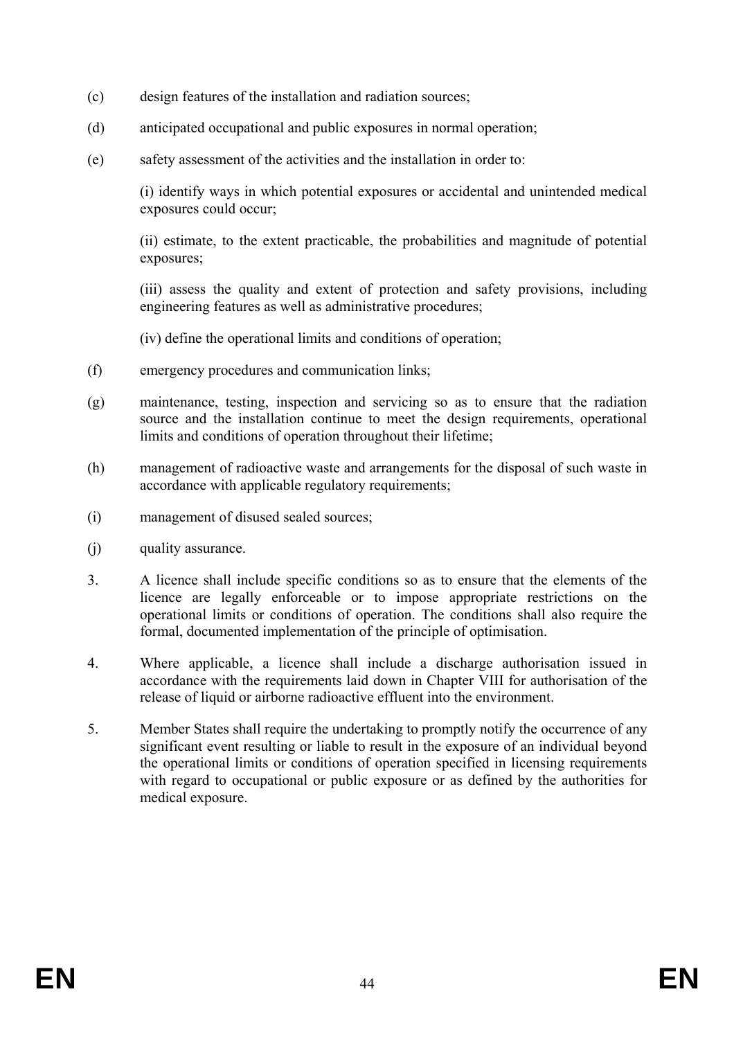- (c) design features of the installation and radiation sources;
- (d) anticipated occupational and public exposures in normal operation;
- (e) safety assessment of the activities and the installation in order to:

(i) identify ways in which potential exposures or accidental and unintended medical exposures could occur;

(ii) estimate, to the extent practicable, the probabilities and magnitude of potential exposures;

(iii) assess the quality and extent of protection and safety provisions, including engineering features as well as administrative procedures;

(iv) define the operational limits and conditions of operation;

- (f) emergency procedures and communication links;
- (g) maintenance, testing, inspection and servicing so as to ensure that the radiation source and the installation continue to meet the design requirements, operational limits and conditions of operation throughout their lifetime;
- (h) management of radioactive waste and arrangements for the disposal of such waste in accordance with applicable regulatory requirements;
- (i) management of disused sealed sources;
- (j) quality assurance.
- 3. A licence shall include specific conditions so as to ensure that the elements of the licence are legally enforceable or to impose appropriate restrictions on the operational limits or conditions of operation. The conditions shall also require the formal, documented implementation of the principle of optimisation.
- 4. Where applicable, a licence shall include a discharge authorisation issued in accordance with the requirements laid down in Chapter VIII for authorisation of the release of liquid or airborne radioactive effluent into the environment.
- 5. Member States shall require the undertaking to promptly notify the occurrence of any significant event resulting or liable to result in the exposure of an individual beyond the operational limits or conditions of operation specified in licensing requirements with regard to occupational or public exposure or as defined by the authorities for medical exposure.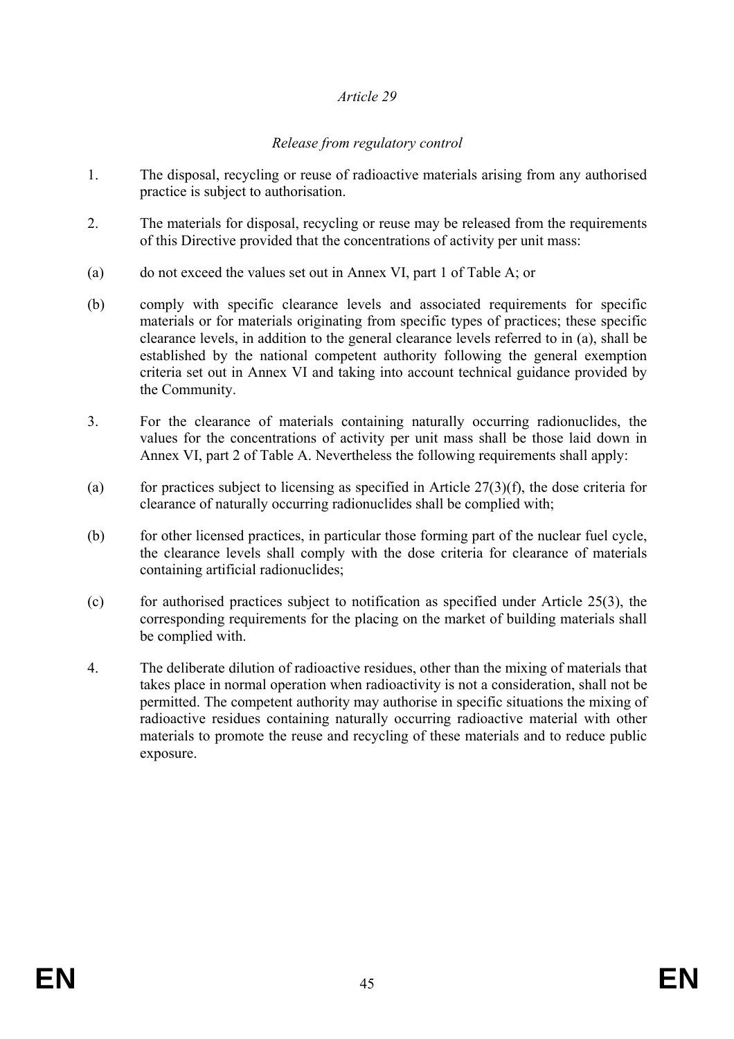## *Release from regulatory control*

- 1. The disposal, recycling or reuse of radioactive materials arising from any authorised practice is subject to authorisation.
- 2. The materials for disposal, recycling or reuse may be released from the requirements of this Directive provided that the concentrations of activity per unit mass:
- (a) do not exceed the values set out in Annex VI, part 1 of Table A; or
- (b) comply with specific clearance levels and associated requirements for specific materials or for materials originating from specific types of practices; these specific clearance levels, in addition to the general clearance levels referred to in (a), shall be established by the national competent authority following the general exemption criteria set out in Annex VI and taking into account technical guidance provided by the Community.
- 3. For the clearance of materials containing naturally occurring radionuclides, the values for the concentrations of activity per unit mass shall be those laid down in Annex VI, part 2 of Table A. Nevertheless the following requirements shall apply:
- (a) for practices subject to licensing as specified in Article  $27(3)(f)$ , the dose criteria for clearance of naturally occurring radionuclides shall be complied with;
- (b) for other licensed practices, in particular those forming part of the nuclear fuel cycle, the clearance levels shall comply with the dose criteria for clearance of materials containing artificial radionuclides;
- $\epsilon$  for authorised practices subject to notification as specified under Article 25(3), the corresponding requirements for the placing on the market of building materials shall be complied with.
- 4. The deliberate dilution of radioactive residues, other than the mixing of materials that takes place in normal operation when radioactivity is not a consideration, shall not be permitted. The competent authority may authorise in specific situations the mixing of radioactive residues containing naturally occurring radioactive material with other materials to promote the reuse and recycling of these materials and to reduce public exposure.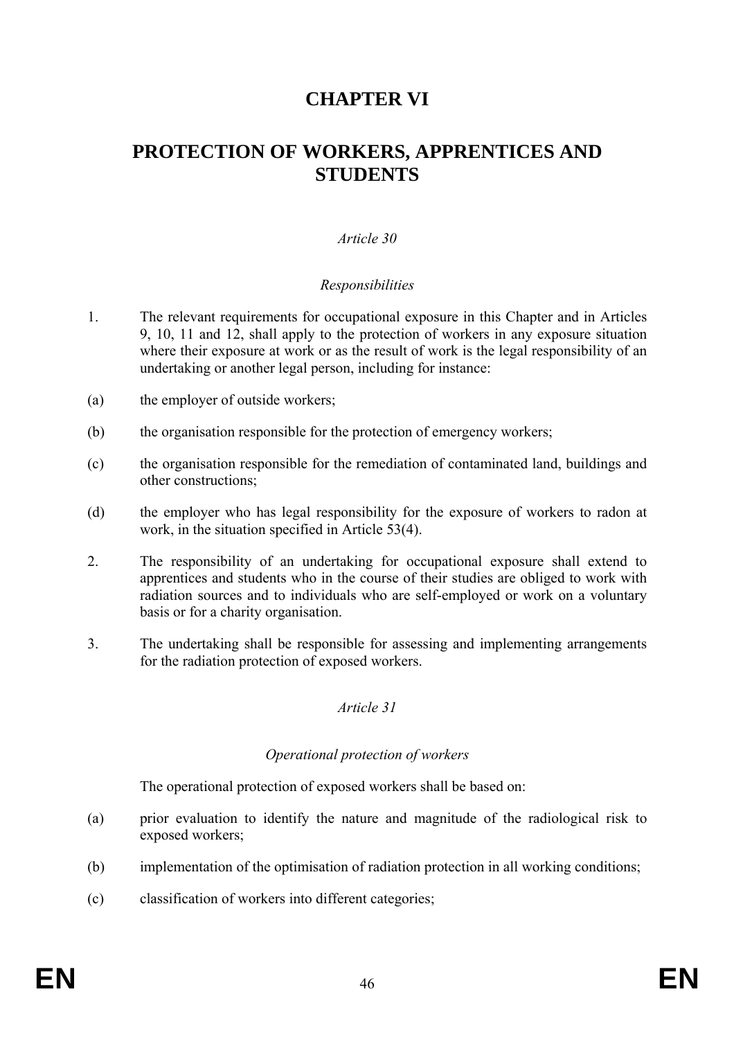## **CHAPTER VI**

## **PROTECTION OF WORKERS, APPRENTICES AND STUDENTS**

## *Article 30*

#### *Responsibilities*

- 1. The relevant requirements for occupational exposure in this Chapter and in Articles 9, 10, 11 and 12, shall apply to the protection of workers in any exposure situation where their exposure at work or as the result of work is the legal responsibility of an undertaking or another legal person, including for instance:
- (a) the employer of outside workers;
- (b) the organisation responsible for the protection of emergency workers;
- (c) the organisation responsible for the remediation of contaminated land, buildings and other constructions;
- (d) the employer who has legal responsibility for the exposure of workers to radon at work, in the situation specified in Article 53(4).
- 2. The responsibility of an undertaking for occupational exposure shall extend to apprentices and students who in the course of their studies are obliged to work with radiation sources and to individuals who are self-employed or work on a voluntary basis or for a charity organisation.
- 3. The undertaking shall be responsible for assessing and implementing arrangements for the radiation protection of exposed workers.

## *Article 31*

#### *Operational protection of workers*

The operational protection of exposed workers shall be based on:

- (a) prior evaluation to identify the nature and magnitude of the radiological risk to exposed workers;
- (b) implementation of the optimisation of radiation protection in all working conditions;
- (c) classification of workers into different categories;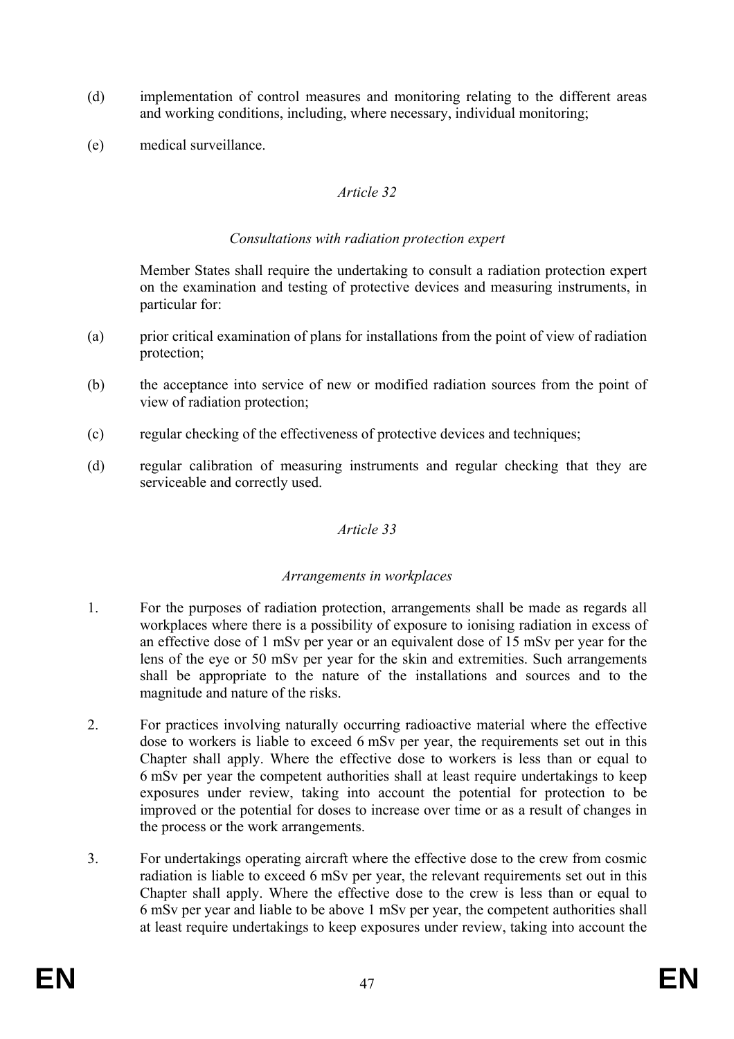- (d) implementation of control measures and monitoring relating to the different areas and working conditions, including, where necessary, individual monitoring;
- (e) medical surveillance.

#### *Consultations with radiation protection expert*

Member States shall require the undertaking to consult a radiation protection expert on the examination and testing of protective devices and measuring instruments, in particular for:

- (a) prior critical examination of plans for installations from the point of view of radiation protection;
- (b) the acceptance into service of new or modified radiation sources from the point of view of radiation protection;
- (c) regular checking of the effectiveness of protective devices and techniques;
- (d) regular calibration of measuring instruments and regular checking that they are serviceable and correctly used.

## *Article 33*

#### *Arrangements in workplaces*

- 1. For the purposes of radiation protection, arrangements shall be made as regards all workplaces where there is a possibility of exposure to ionising radiation in excess of an effective dose of 1 mSv per year or an equivalent dose of 15 mSv per year for the lens of the eye or 50 mSv per year for the skin and extremities. Such arrangements shall be appropriate to the nature of the installations and sources and to the magnitude and nature of the risks.
- 2. For practices involving naturally occurring radioactive material where the effective dose to workers is liable to exceed 6 mSv per year, the requirements set out in this Chapter shall apply. Where the effective dose to workers is less than or equal to 6 mSv per year the competent authorities shall at least require undertakings to keep exposures under review, taking into account the potential for protection to be improved or the potential for doses to increase over time or as a result of changes in the process or the work arrangements.
- 3. For undertakings operating aircraft where the effective dose to the crew from cosmic radiation is liable to exceed 6 mSv per year, the relevant requirements set out in this Chapter shall apply. Where the effective dose to the crew is less than or equal to 6 mSv per year and liable to be above 1 mSv per year, the competent authorities shall at least require undertakings to keep exposures under review, taking into account the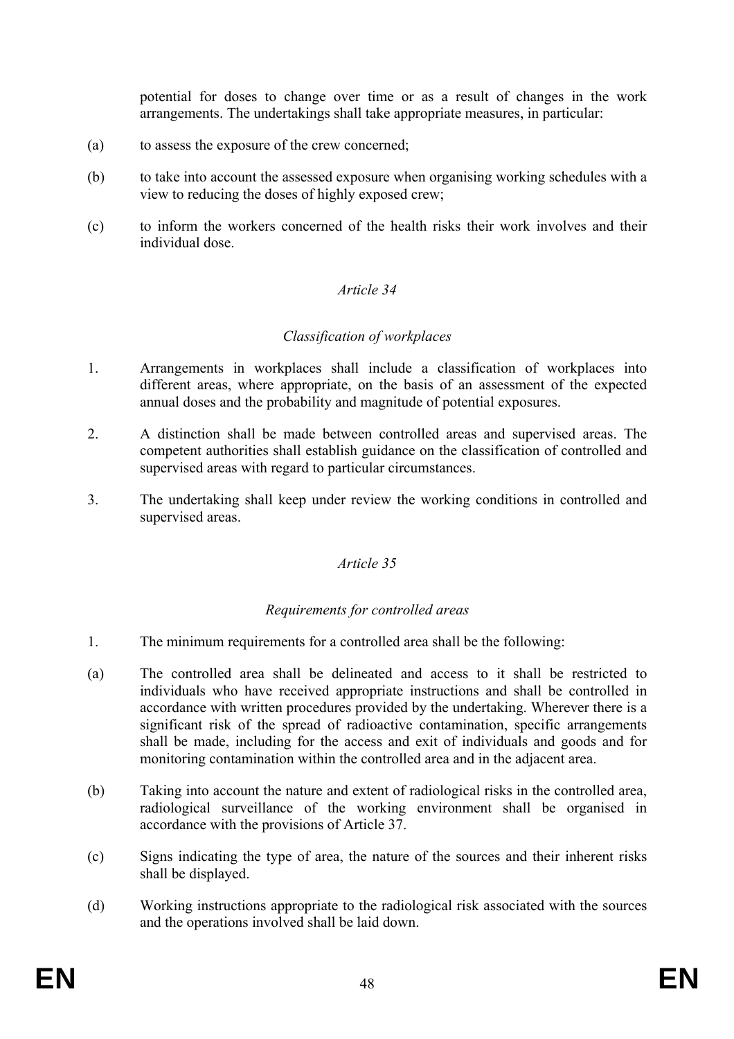potential for doses to change over time or as a result of changes in the work arrangements. The undertakings shall take appropriate measures, in particular:

- (a) to assess the exposure of the crew concerned;
- (b) to take into account the assessed exposure when organising working schedules with a view to reducing the doses of highly exposed crew;
- (c) to inform the workers concerned of the health risks their work involves and their individual dose.

## *Article 34*

#### *Classification of workplaces*

- 1. Arrangements in workplaces shall include a classification of workplaces into different areas, where appropriate, on the basis of an assessment of the expected annual doses and the probability and magnitude of potential exposures.
- 2. A distinction shall be made between controlled areas and supervised areas. The competent authorities shall establish guidance on the classification of controlled and supervised areas with regard to particular circumstances.
- 3. The undertaking shall keep under review the working conditions in controlled and supervised areas.

#### *Article 35*

#### *Requirements for controlled areas*

- 1. The minimum requirements for a controlled area shall be the following:
- (a) The controlled area shall be delineated and access to it shall be restricted to individuals who have received appropriate instructions and shall be controlled in accordance with written procedures provided by the undertaking. Wherever there is a significant risk of the spread of radioactive contamination, specific arrangements shall be made, including for the access and exit of individuals and goods and for monitoring contamination within the controlled area and in the adjacent area.
- (b) Taking into account the nature and extent of radiological risks in the controlled area, radiological surveillance of the working environment shall be organised in accordance with the provisions of Article 37.
- (c) Signs indicating the type of area, the nature of the sources and their inherent risks shall be displayed.
- (d) Working instructions appropriate to the radiological risk associated with the sources and the operations involved shall be laid down.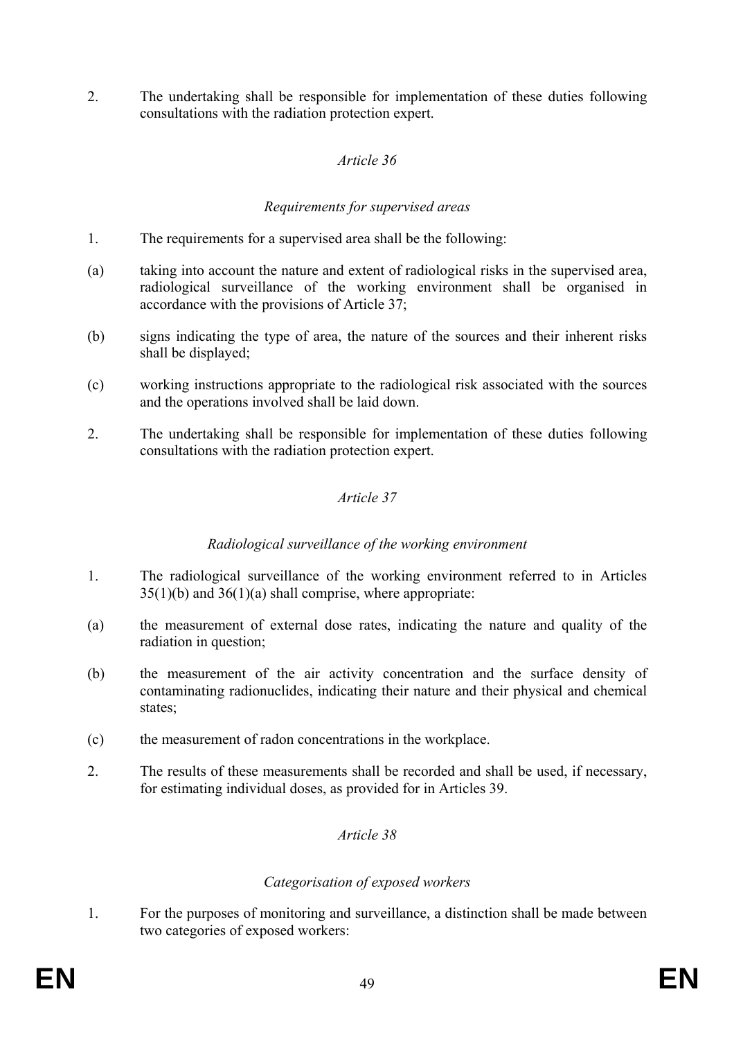2. The undertaking shall be responsible for implementation of these duties following consultations with the radiation protection expert.

## *Article 36*

## *Requirements for supervised areas*

- 1. The requirements for a supervised area shall be the following:
- (a) taking into account the nature and extent of radiological risks in the supervised area, radiological surveillance of the working environment shall be organised in accordance with the provisions of Article 37;
- (b) signs indicating the type of area, the nature of the sources and their inherent risks shall be displayed;
- (c) working instructions appropriate to the radiological risk associated with the sources and the operations involved shall be laid down.
- 2. The undertaking shall be responsible for implementation of these duties following consultations with the radiation protection expert.

## *Article 37*

## *Radiological surveillance of the working environment*

- 1. The radiological surveillance of the working environment referred to in Articles  $35(1)(b)$  and  $36(1)(a)$  shall comprise, where appropriate:
- (a) the measurement of external dose rates, indicating the nature and quality of the radiation in question;
- (b) the measurement of the air activity concentration and the surface density of contaminating radionuclides, indicating their nature and their physical and chemical states;
- (c) the measurement of radon concentrations in the workplace.
- 2. The results of these measurements shall be recorded and shall be used, if necessary, for estimating individual doses, as provided for in Articles 39.

## *Article 38*

## *Categorisation of exposed workers*

1. For the purposes of monitoring and surveillance, a distinction shall be made between two categories of exposed workers: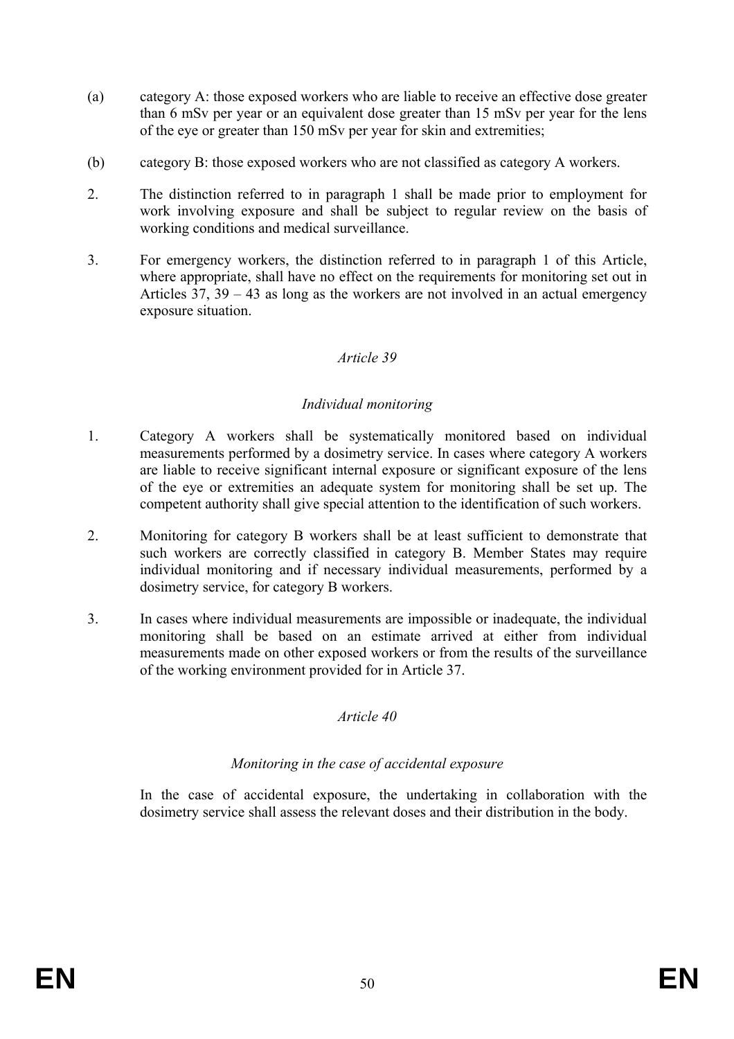- (a) category A: those exposed workers who are liable to receive an effective dose greater than 6 mSv per year or an equivalent dose greater than 15 mSv per year for the lens of the eye or greater than 150 mSv per year for skin and extremities;
- (b) category B: those exposed workers who are not classified as category A workers.
- 2. The distinction referred to in paragraph 1 shall be made prior to employment for work involving exposure and shall be subject to regular review on the basis of working conditions and medical surveillance.
- 3. For emergency workers, the distinction referred to in paragraph 1 of this Article, where appropriate, shall have no effect on the requirements for monitoring set out in Articles 37, 39 – 43 as long as the workers are not involved in an actual emergency exposure situation.

#### *Individual monitoring*

- 1. Category A workers shall be systematically monitored based on individual measurements performed by a dosimetry service. In cases where category A workers are liable to receive significant internal exposure or significant exposure of the lens of the eye or extremities an adequate system for monitoring shall be set up. The competent authority shall give special attention to the identification of such workers.
- 2. Monitoring for category B workers shall be at least sufficient to demonstrate that such workers are correctly classified in category B. Member States may require individual monitoring and if necessary individual measurements, performed by a dosimetry service, for category B workers.
- 3. In cases where individual measurements are impossible or inadequate, the individual monitoring shall be based on an estimate arrived at either from individual measurements made on other exposed workers or from the results of the surveillance of the working environment provided for in Article 37.

#### *Article 40*

## *Monitoring in the case of accidental exposure*

In the case of accidental exposure, the undertaking in collaboration with the dosimetry service shall assess the relevant doses and their distribution in the body.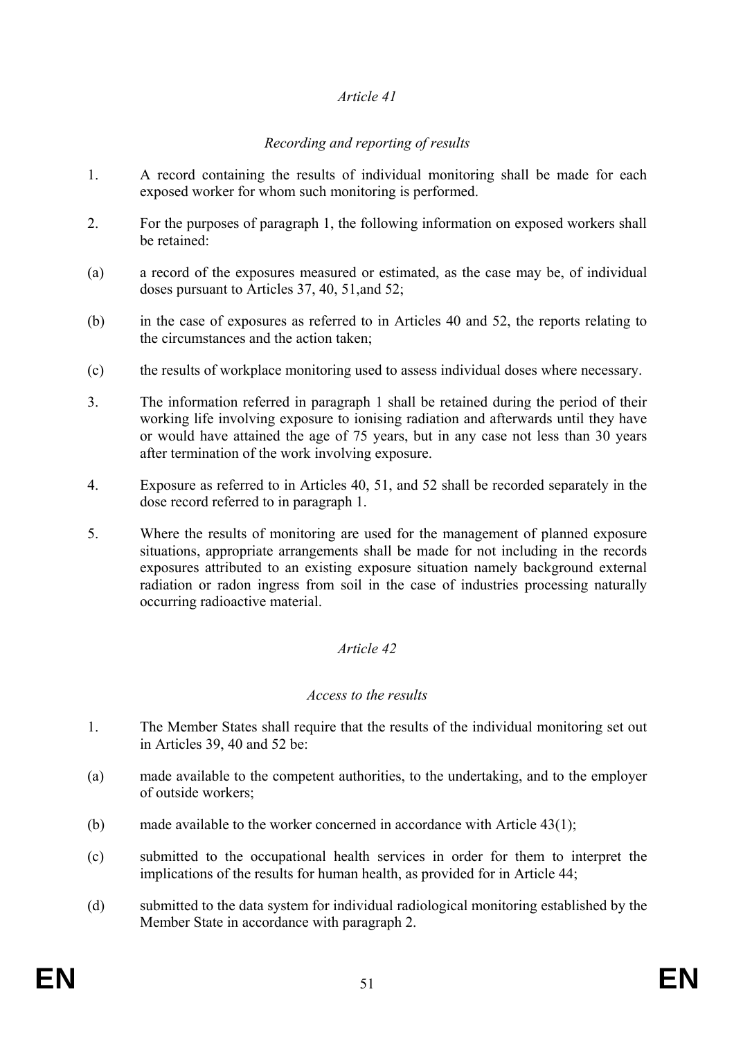## *Recording and reporting of results*

- 1. A record containing the results of individual monitoring shall be made for each exposed worker for whom such monitoring is performed.
- 2. For the purposes of paragraph 1, the following information on exposed workers shall be retained:
- (a) a record of the exposures measured or estimated, as the case may be, of individual doses pursuant to Articles 37, 40, 51,and 52;
- (b) in the case of exposures as referred to in Articles 40 and 52, the reports relating to the circumstances and the action taken;
- (c) the results of workplace monitoring used to assess individual doses where necessary.
- 3. The information referred in paragraph 1 shall be retained during the period of their working life involving exposure to ionising radiation and afterwards until they have or would have attained the age of 75 years, but in any case not less than 30 years after termination of the work involving exposure.
- 4. Exposure as referred to in Articles 40, 51, and 52 shall be recorded separately in the dose record referred to in paragraph 1.
- 5. Where the results of monitoring are used for the management of planned exposure situations, appropriate arrangements shall be made for not including in the records exposures attributed to an existing exposure situation namely background external radiation or radon ingress from soil in the case of industries processing naturally occurring radioactive material.

## *Article 42*

#### *Access to the results*

- 1. The Member States shall require that the results of the individual monitoring set out in Articles 39, 40 and 52 be:
- (a) made available to the competent authorities, to the undertaking, and to the employer of outside workers;
- (b) made available to the worker concerned in accordance with Article 43(1);
- (c) submitted to the occupational health services in order for them to interpret the implications of the results for human health, as provided for in Article 44;
- (d) submitted to the data system for individual radiological monitoring established by the Member State in accordance with paragraph 2.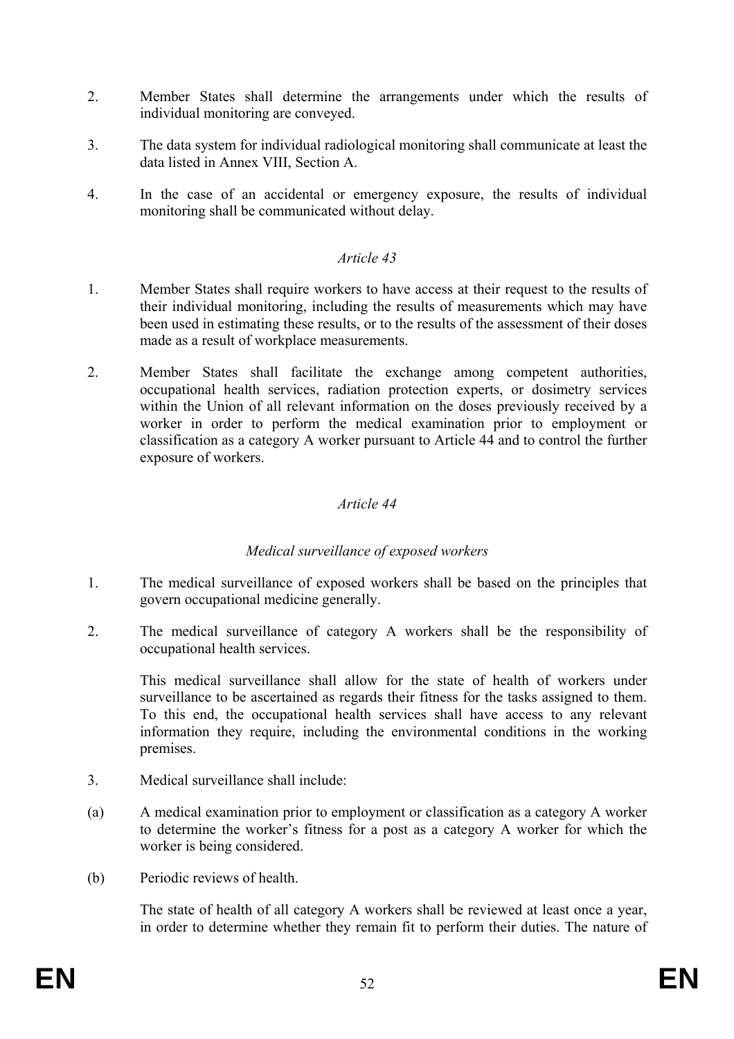- 2. Member States shall determine the arrangements under which the results of individual monitoring are conveyed.
- 3. The data system for individual radiological monitoring shall communicate at least the data listed in Annex VIII, Section A.
- 4. In the case of an accidental or emergency exposure, the results of individual monitoring shall be communicated without delay.

- 1. Member States shall require workers to have access at their request to the results of their individual monitoring, including the results of measurements which may have been used in estimating these results, or to the results of the assessment of their doses made as a result of workplace measurements.
- 2. Member States shall facilitate the exchange among competent authorities, occupational health services, radiation protection experts, or dosimetry services within the Union of all relevant information on the doses previously received by a worker in order to perform the medical examination prior to employment or classification as a category A worker pursuant to Article 44 and to control the further exposure of workers.

#### *Article 44*

## *Medical surveillance of exposed workers*

- 1. The medical surveillance of exposed workers shall be based on the principles that govern occupational medicine generally.
- 2. The medical surveillance of category A workers shall be the responsibility of occupational health services.

This medical surveillance shall allow for the state of health of workers under surveillance to be ascertained as regards their fitness for the tasks assigned to them. To this end, the occupational health services shall have access to any relevant information they require, including the environmental conditions in the working premises.

- 3. Medical surveillance shall include:
- (a) A medical examination prior to employment or classification as a category A worker to determine the worker's fitness for a post as a category A worker for which the worker is being considered.
- (b) Periodic reviews of health.

The state of health of all category A workers shall be reviewed at least once a year, in order to determine whether they remain fit to perform their duties. The nature of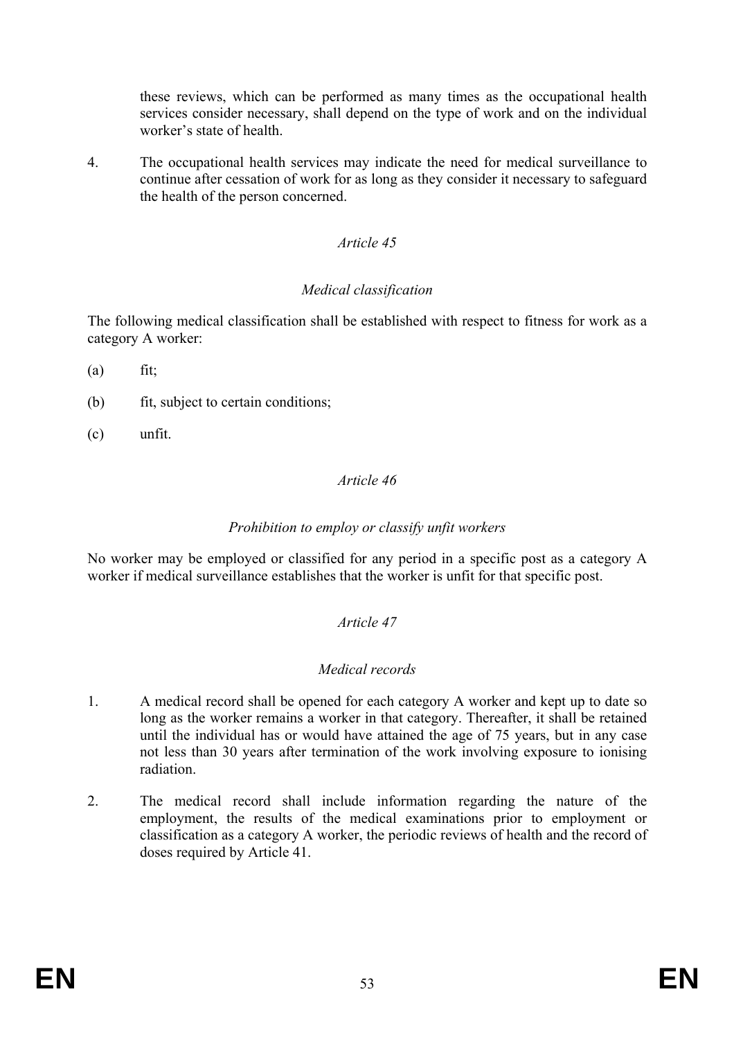these reviews, which can be performed as many times as the occupational health services consider necessary, shall depend on the type of work and on the individual worker's state of health.

4. The occupational health services may indicate the need for medical surveillance to continue after cessation of work for as long as they consider it necessary to safeguard the health of the person concerned.

#### *Article 45*

#### *Medical classification*

The following medical classification shall be established with respect to fitness for work as a category A worker:

- (a) fit;
- (b) fit, subject to certain conditions;
- (c) unfit.

#### *Article 46*

#### *Prohibition to employ or classify unfit workers*

No worker may be employed or classified for any period in a specific post as a category A worker if medical surveillance establishes that the worker is unfit for that specific post.

## *Article 47*

## *Medical records*

- 1. A medical record shall be opened for each category A worker and kept up to date so long as the worker remains a worker in that category. Thereafter, it shall be retained until the individual has or would have attained the age of 75 years, but in any case not less than 30 years after termination of the work involving exposure to ionising radiation.
- 2. The medical record shall include information regarding the nature of the employment, the results of the medical examinations prior to employment or classification as a category A worker, the periodic reviews of health and the record of doses required by Article 41.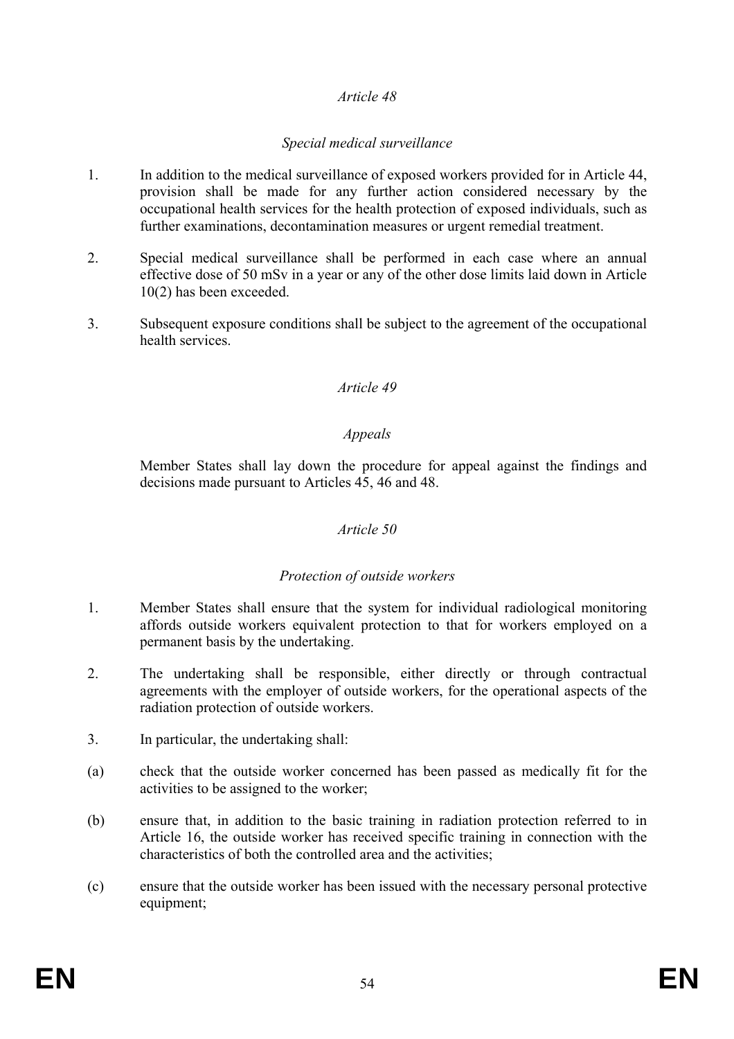#### *Special medical surveillance*

- 1. In addition to the medical surveillance of exposed workers provided for in Article 44, provision shall be made for any further action considered necessary by the occupational health services for the health protection of exposed individuals, such as further examinations, decontamination measures or urgent remedial treatment.
- 2. Special medical surveillance shall be performed in each case where an annual effective dose of 50 mSv in a year or any of the other dose limits laid down in Article 10(2) has been exceeded.
- 3. Subsequent exposure conditions shall be subject to the agreement of the occupational health services.

## *Article 49*

## *Appeals*

Member States shall lay down the procedure for appeal against the findings and decisions made pursuant to Articles 45, 46 and 48.

#### *Article 50*

## *Protection of outside workers*

- 1. Member States shall ensure that the system for individual radiological monitoring affords outside workers equivalent protection to that for workers employed on a permanent basis by the undertaking.
- 2. The undertaking shall be responsible, either directly or through contractual agreements with the employer of outside workers, for the operational aspects of the radiation protection of outside workers.
- 3. In particular, the undertaking shall:
- (a) check that the outside worker concerned has been passed as medically fit for the activities to be assigned to the worker;
- (b) ensure that, in addition to the basic training in radiation protection referred to in Article 16, the outside worker has received specific training in connection with the characteristics of both the controlled area and the activities;
- (c) ensure that the outside worker has been issued with the necessary personal protective equipment;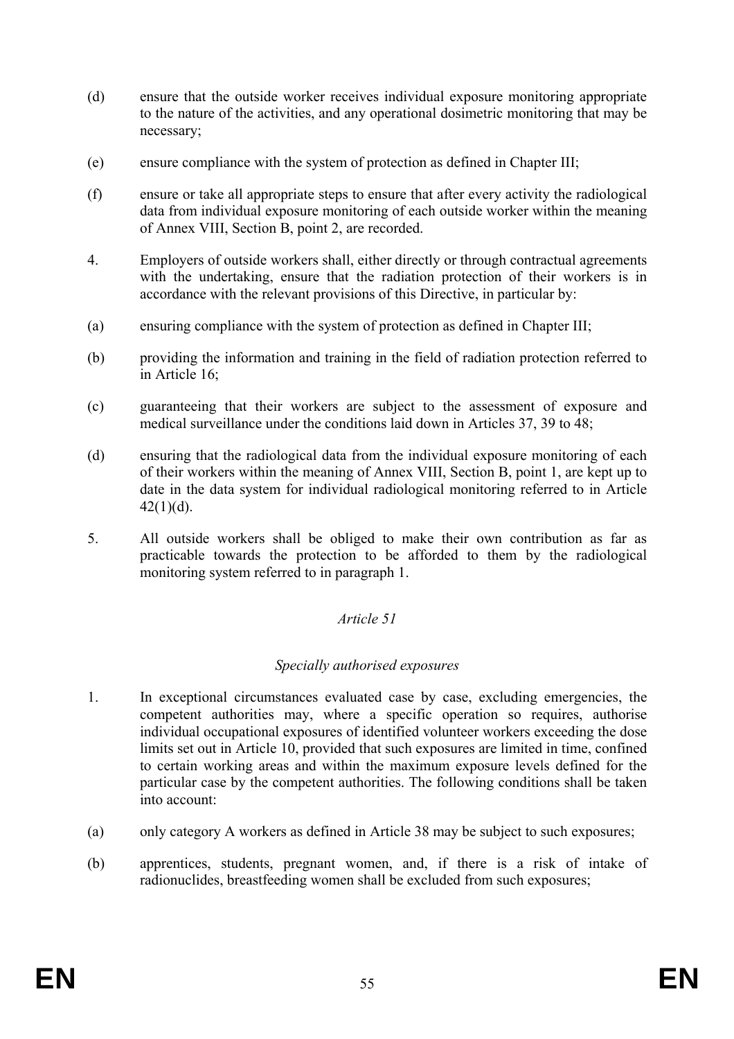- (d) ensure that the outside worker receives individual exposure monitoring appropriate to the nature of the activities, and any operational dosimetric monitoring that may be necessary;
- (e) ensure compliance with the system of protection as defined in Chapter III;
- (f) ensure or take all appropriate steps to ensure that after every activity the radiological data from individual exposure monitoring of each outside worker within the meaning of Annex VIII, Section B, point 2, are recorded.
- 4. Employers of outside workers shall, either directly or through contractual agreements with the undertaking, ensure that the radiation protection of their workers is in accordance with the relevant provisions of this Directive, in particular by:
- (a) ensuring compliance with the system of protection as defined in Chapter III;
- (b) providing the information and training in the field of radiation protection referred to in Article 16;
- (c) guaranteeing that their workers are subject to the assessment of exposure and medical surveillance under the conditions laid down in Articles 37, 39 to 48;
- (d) ensuring that the radiological data from the individual exposure monitoring of each of their workers within the meaning of Annex VIII, Section B, point 1, are kept up to date in the data system for individual radiological monitoring referred to in Article  $42(1)(d)$ .
- 5. All outside workers shall be obliged to make their own contribution as far as practicable towards the protection to be afforded to them by the radiological monitoring system referred to in paragraph 1.

## *Specially authorised exposures*

- 1. In exceptional circumstances evaluated case by case, excluding emergencies, the competent authorities may, where a specific operation so requires, authorise individual occupational exposures of identified volunteer workers exceeding the dose limits set out in Article 10, provided that such exposures are limited in time, confined to certain working areas and within the maximum exposure levels defined for the particular case by the competent authorities. The following conditions shall be taken into account:
- (a) only category A workers as defined in Article 38 may be subject to such exposures;
- (b) apprentices, students, pregnant women, and, if there is a risk of intake of radionuclides, breastfeeding women shall be excluded from such exposures;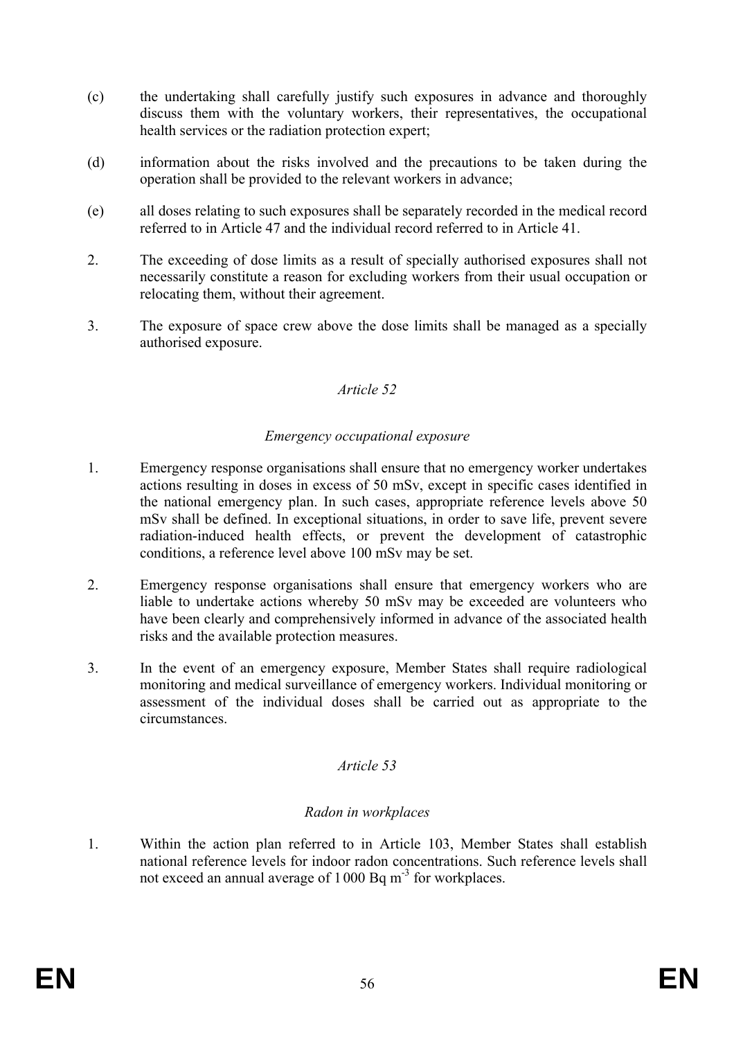- (c) the undertaking shall carefully justify such exposures in advance and thoroughly discuss them with the voluntary workers, their representatives, the occupational health services or the radiation protection expert;
- (d) information about the risks involved and the precautions to be taken during the operation shall be provided to the relevant workers in advance;
- (e) all doses relating to such exposures shall be separately recorded in the medical record referred to in Article 47 and the individual record referred to in Article 41.
- 2. The exceeding of dose limits as a result of specially authorised exposures shall not necessarily constitute a reason for excluding workers from their usual occupation or relocating them, without their agreement.
- 3. The exposure of space crew above the dose limits shall be managed as a specially authorised exposure.

#### *Emergency occupational exposure*

- 1. Emergency response organisations shall ensure that no emergency worker undertakes actions resulting in doses in excess of 50 mSv, except in specific cases identified in the national emergency plan. In such cases, appropriate reference levels above 50 mSv shall be defined. In exceptional situations, in order to save life, prevent severe radiation-induced health effects, or prevent the development of catastrophic conditions, a reference level above 100 mSv may be set.
- 2. Emergency response organisations shall ensure that emergency workers who are liable to undertake actions whereby 50 mSv may be exceeded are volunteers who have been clearly and comprehensively informed in advance of the associated health risks and the available protection measures.
- 3. In the event of an emergency exposure, Member States shall require radiological monitoring and medical surveillance of emergency workers. Individual monitoring or assessment of the individual doses shall be carried out as appropriate to the circumstances.

#### *Article 53*

#### *Radon in workplaces*

1. Within the action plan referred to in Article 103, Member States shall establish national reference levels for indoor radon concentrations. Such reference levels shall not exceed an annual average of  $1000$  Bq m<sup>-3</sup> for workplaces.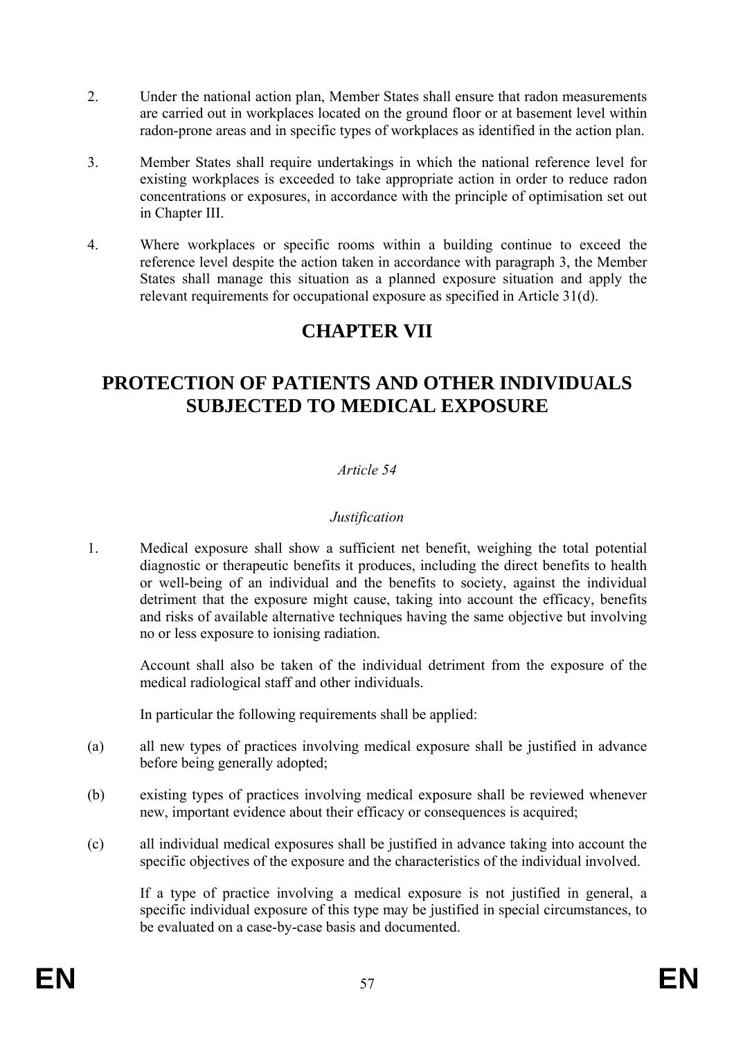- 2. Under the national action plan, Member States shall ensure that radon measurements are carried out in workplaces located on the ground floor or at basement level within radon-prone areas and in specific types of workplaces as identified in the action plan.
- 3. Member States shall require undertakings in which the national reference level for existing workplaces is exceeded to take appropriate action in order to reduce radon concentrations or exposures, in accordance with the principle of optimisation set out in Chapter III.
- 4. Where workplaces or specific rooms within a building continue to exceed the reference level despite the action taken in accordance with paragraph 3, the Member States shall manage this situation as a planned exposure situation and apply the relevant requirements for occupational exposure as specified in Article 31(d).

# **CHAPTER VII**

# **PROTECTION OF PATIENTS AND OTHER INDIVIDUALS SUBJECTED TO MEDICAL EXPOSURE**

## *Article 54*

#### *Justification*

1. Medical exposure shall show a sufficient net benefit, weighing the total potential diagnostic or therapeutic benefits it produces, including the direct benefits to health or well-being of an individual and the benefits to society, against the individual detriment that the exposure might cause, taking into account the efficacy, benefits and risks of available alternative techniques having the same objective but involving no or less exposure to ionising radiation.

Account shall also be taken of the individual detriment from the exposure of the medical radiological staff and other individuals.

In particular the following requirements shall be applied:

- (a) all new types of practices involving medical exposure shall be justified in advance before being generally adopted;
- (b) existing types of practices involving medical exposure shall be reviewed whenever new, important evidence about their efficacy or consequences is acquired;
- (c) all individual medical exposures shall be justified in advance taking into account the specific objectives of the exposure and the characteristics of the individual involved.

If a type of practice involving a medical exposure is not justified in general, a specific individual exposure of this type may be justified in special circumstances, to be evaluated on a case-by-case basis and documented.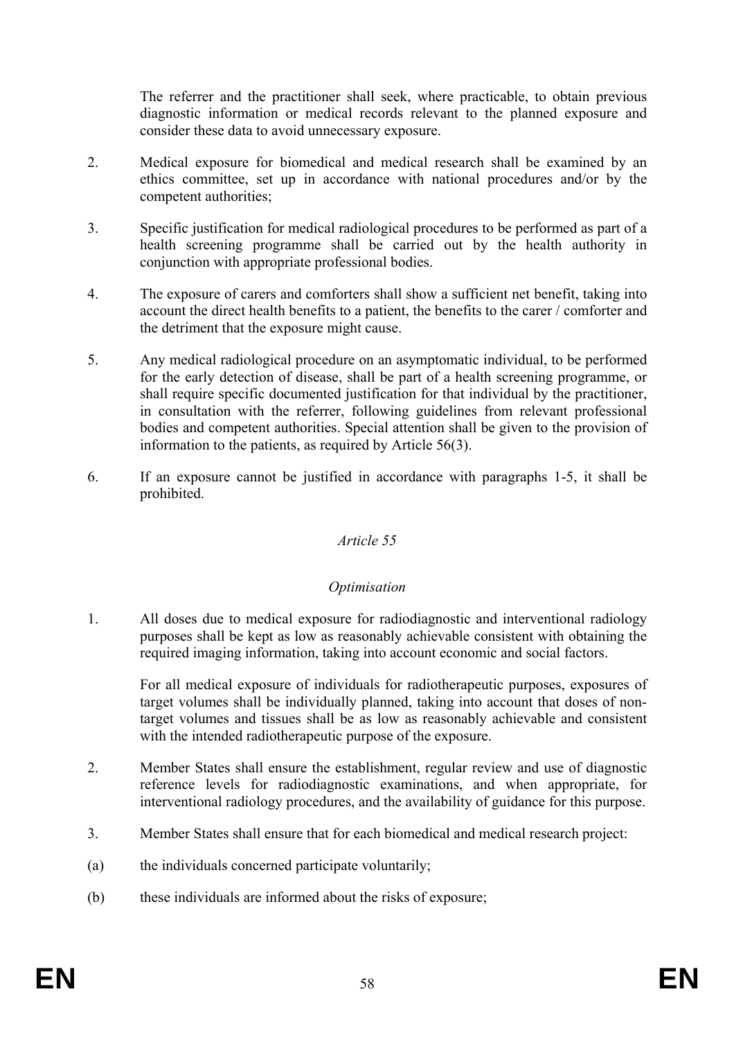The referrer and the practitioner shall seek, where practicable, to obtain previous diagnostic information or medical records relevant to the planned exposure and consider these data to avoid unnecessary exposure.

- 2. Medical exposure for biomedical and medical research shall be examined by an ethics committee, set up in accordance with national procedures and/or by the competent authorities;
- 3. Specific justification for medical radiological procedures to be performed as part of a health screening programme shall be carried out by the health authority in conjunction with appropriate professional bodies.
- 4. The exposure of carers and comforters shall show a sufficient net benefit, taking into account the direct health benefits to a patient, the benefits to the carer / comforter and the detriment that the exposure might cause.
- 5. Any medical radiological procedure on an asymptomatic individual, to be performed for the early detection of disease, shall be part of a health screening programme, or shall require specific documented justification for that individual by the practitioner, in consultation with the referrer, following guidelines from relevant professional bodies and competent authorities. Special attention shall be given to the provision of information to the patients, as required by Article 56(3).
- 6. If an exposure cannot be justified in accordance with paragraphs 1-5, it shall be prohibited.

## *Article 55*

## *Optimisation*

1. All doses due to medical exposure for radiodiagnostic and interventional radiology purposes shall be kept as low as reasonably achievable consistent with obtaining the required imaging information, taking into account economic and social factors.

For all medical exposure of individuals for radiotherapeutic purposes, exposures of target volumes shall be individually planned, taking into account that doses of nontarget volumes and tissues shall be as low as reasonably achievable and consistent with the intended radiotherapeutic purpose of the exposure.

- 2. Member States shall ensure the establishment, regular review and use of diagnostic reference levels for radiodiagnostic examinations, and when appropriate, for interventional radiology procedures, and the availability of guidance for this purpose.
- 3. Member States shall ensure that for each biomedical and medical research project:
- (a) the individuals concerned participate voluntarily;
- (b) these individuals are informed about the risks of exposure;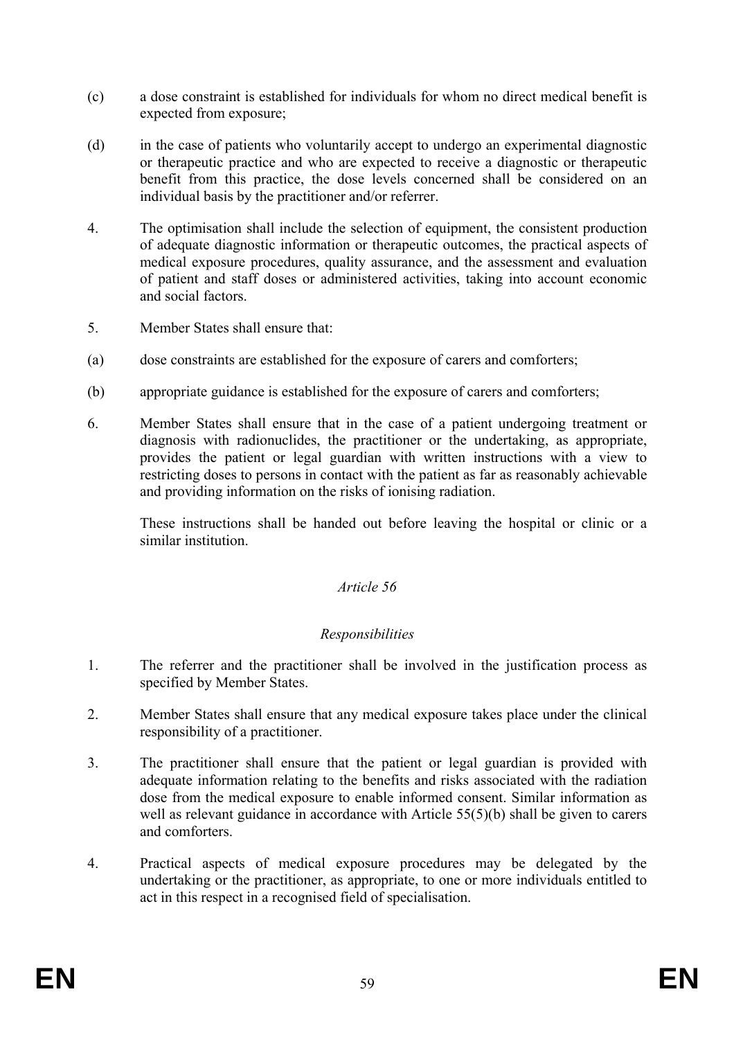- (c) a dose constraint is established for individuals for whom no direct medical benefit is expected from exposure;
- (d) in the case of patients who voluntarily accept to undergo an experimental diagnostic or therapeutic practice and who are expected to receive a diagnostic or therapeutic benefit from this practice, the dose levels concerned shall be considered on an individual basis by the practitioner and/or referrer.
- 4. The optimisation shall include the selection of equipment, the consistent production of adequate diagnostic information or therapeutic outcomes, the practical aspects of medical exposure procedures, quality assurance, and the assessment and evaluation of patient and staff doses or administered activities, taking into account economic and social factors.
- 5. Member States shall ensure that:
- (a) dose constraints are established for the exposure of carers and comforters;
- (b) appropriate guidance is established for the exposure of carers and comforters;
- 6. Member States shall ensure that in the case of a patient undergoing treatment or diagnosis with radionuclides, the practitioner or the undertaking, as appropriate, provides the patient or legal guardian with written instructions with a view to restricting doses to persons in contact with the patient as far as reasonably achievable and providing information on the risks of ionising radiation.

These instructions shall be handed out before leaving the hospital or clinic or a similar institution.

#### *Article 56*

#### *Responsibilities*

- 1. The referrer and the practitioner shall be involved in the justification process as specified by Member States.
- 2. Member States shall ensure that any medical exposure takes place under the clinical responsibility of a practitioner.
- 3. The practitioner shall ensure that the patient or legal guardian is provided with adequate information relating to the benefits and risks associated with the radiation dose from the medical exposure to enable informed consent. Similar information as well as relevant guidance in accordance with Article 55(5)(b) shall be given to carers and comforters.
- 4. Practical aspects of medical exposure procedures may be delegated by the undertaking or the practitioner, as appropriate, to one or more individuals entitled to act in this respect in a recognised field of specialisation.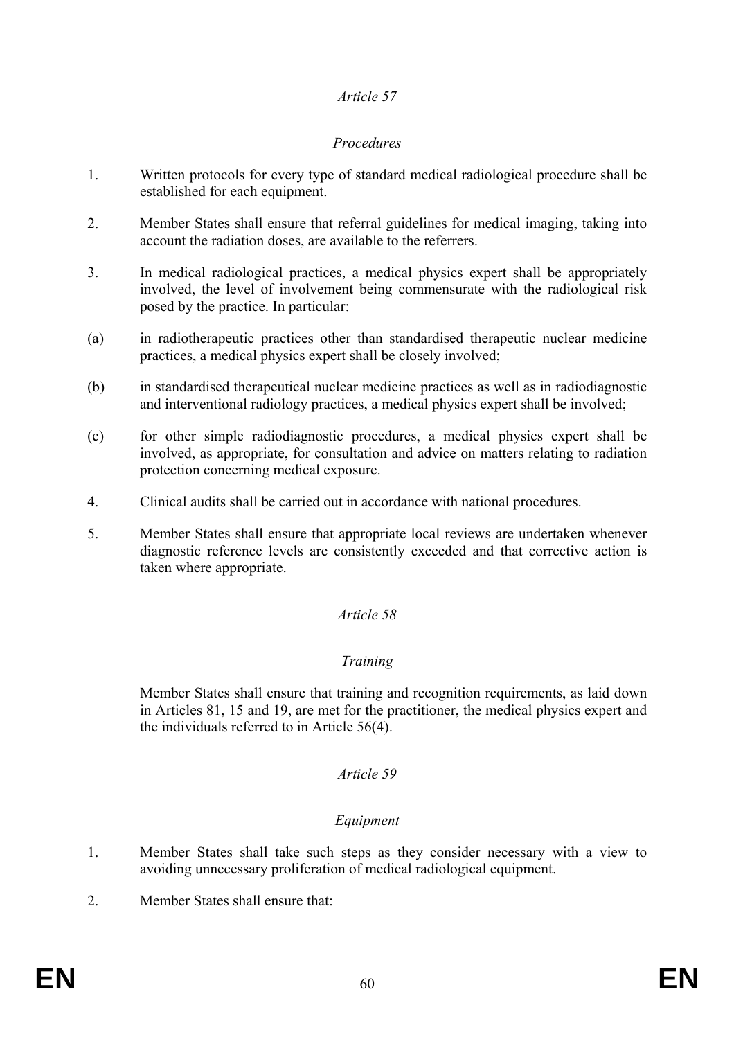## *Procedures*

- 1. Written protocols for every type of standard medical radiological procedure shall be established for each equipment.
- 2. Member States shall ensure that referral guidelines for medical imaging, taking into account the radiation doses, are available to the referrers.
- 3. In medical radiological practices, a medical physics expert shall be appropriately involved, the level of involvement being commensurate with the radiological risk posed by the practice. In particular:
- (a) in radiotherapeutic practices other than standardised therapeutic nuclear medicine practices, a medical physics expert shall be closely involved;
- (b) in standardised therapeutical nuclear medicine practices as well as in radiodiagnostic and interventional radiology practices, a medical physics expert shall be involved;
- (c) for other simple radiodiagnostic procedures, a medical physics expert shall be involved, as appropriate, for consultation and advice on matters relating to radiation protection concerning medical exposure.
- 4. Clinical audits shall be carried out in accordance with national procedures.
- 5. Member States shall ensure that appropriate local reviews are undertaken whenever diagnostic reference levels are consistently exceeded and that corrective action is taken where appropriate.

## *Article 58*

## *Training*

Member States shall ensure that training and recognition requirements, as laid down in Articles 81, 15 and 19, are met for the practitioner, the medical physics expert and the individuals referred to in Article 56(4).

## *Article 59*

## *Equipment*

- 1. Member States shall take such steps as they consider necessary with a view to avoiding unnecessary proliferation of medical radiological equipment.
- 2. Member States shall ensure that: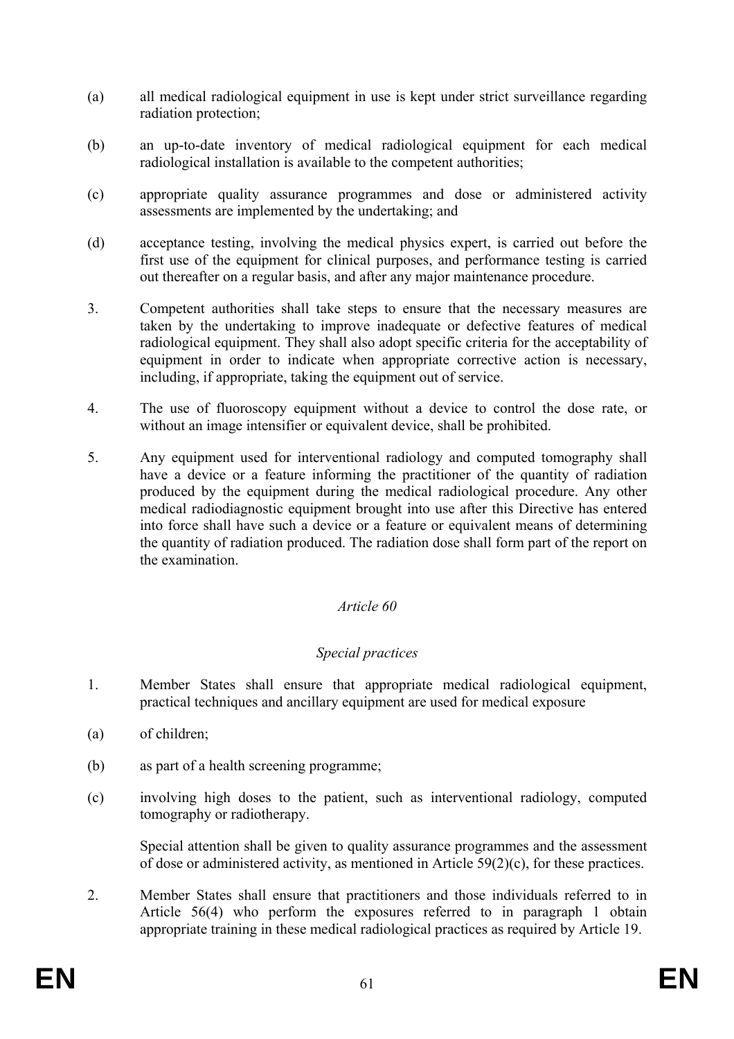- (a) all medical radiological equipment in use is kept under strict surveillance regarding radiation protection;
- (b) an up-to-date inventory of medical radiological equipment for each medical radiological installation is available to the competent authorities;
- (c) appropriate quality assurance programmes and dose or administered activity assessments are implemented by the undertaking; and
- (d) acceptance testing, involving the medical physics expert, is carried out before the first use of the equipment for clinical purposes, and performance testing is carried out thereafter on a regular basis, and after any major maintenance procedure.
- 3. Competent authorities shall take steps to ensure that the necessary measures are taken by the undertaking to improve inadequate or defective features of medical radiological equipment. They shall also adopt specific criteria for the acceptability of equipment in order to indicate when appropriate corrective action is necessary, including, if appropriate, taking the equipment out of service.
- 4. The use of fluoroscopy equipment without a device to control the dose rate, or without an image intensifier or equivalent device, shall be prohibited.
- 5. Any equipment used for interventional radiology and computed tomography shall have a device or a feature informing the practitioner of the quantity of radiation produced by the equipment during the medical radiological procedure. Any other medical radiodiagnostic equipment brought into use after this Directive has entered into force shall have such a device or a feature or equivalent means of determining the quantity of radiation produced. The radiation dose shall form part of the report on the examination.

#### *Special practices*

- 1. Member States shall ensure that appropriate medical radiological equipment, practical techniques and ancillary equipment are used for medical exposure
- (a) of children;
- (b) as part of a health screening programme;
- (c) involving high doses to the patient, such as interventional radiology, computed tomography or radiotherapy.

Special attention shall be given to quality assurance programmes and the assessment of dose or administered activity, as mentioned in Article 59(2)(c), for these practices.

2. Member States shall ensure that practitioners and those individuals referred to in Article 56(4) who perform the exposures referred to in paragraph 1 obtain appropriate training in these medical radiological practices as required by Article 19.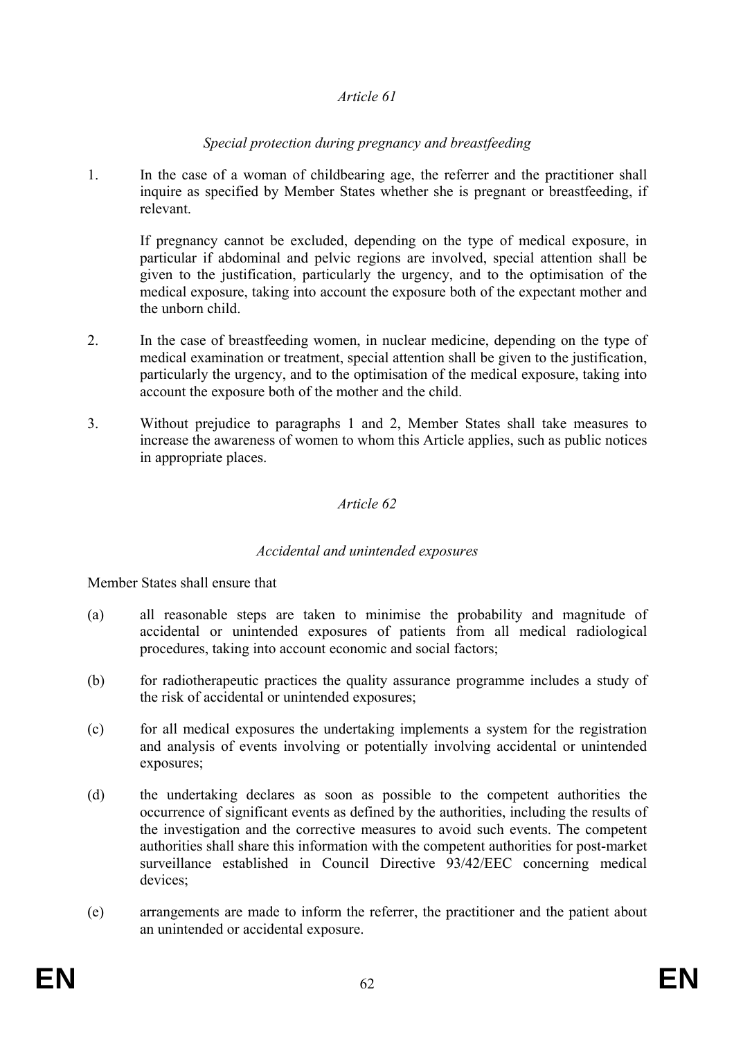## *Special protection during pregnancy and breastfeeding*

1. In the case of a woman of childbearing age, the referrer and the practitioner shall inquire as specified by Member States whether she is pregnant or breastfeeding, if relevant.

If pregnancy cannot be excluded, depending on the type of medical exposure, in particular if abdominal and pelvic regions are involved, special attention shall be given to the justification, particularly the urgency, and to the optimisation of the medical exposure, taking into account the exposure both of the expectant mother and the unborn child.

- 2. In the case of breastfeeding women, in nuclear medicine, depending on the type of medical examination or treatment, special attention shall be given to the justification, particularly the urgency, and to the optimisation of the medical exposure, taking into account the exposure both of the mother and the child.
- 3. Without prejudice to paragraphs 1 and 2, Member States shall take measures to increase the awareness of women to whom this Article applies, such as public notices in appropriate places.

#### *Article 62*

#### *Accidental and unintended exposures*

Member States shall ensure that

- (a) all reasonable steps are taken to minimise the probability and magnitude of accidental or unintended exposures of patients from all medical radiological procedures, taking into account economic and social factors;
- (b) for radiotherapeutic practices the quality assurance programme includes a study of the risk of accidental or unintended exposures;
- (c) for all medical exposures the undertaking implements a system for the registration and analysis of events involving or potentially involving accidental or unintended exposures;
- (d) the undertaking declares as soon as possible to the competent authorities the occurrence of significant events as defined by the authorities, including the results of the investigation and the corrective measures to avoid such events. The competent authorities shall share this information with the competent authorities for post-market surveillance established in Council Directive 93/42/EEC concerning medical devices;
- (e) arrangements are made to inform the referrer, the practitioner and the patient about an unintended or accidental exposure.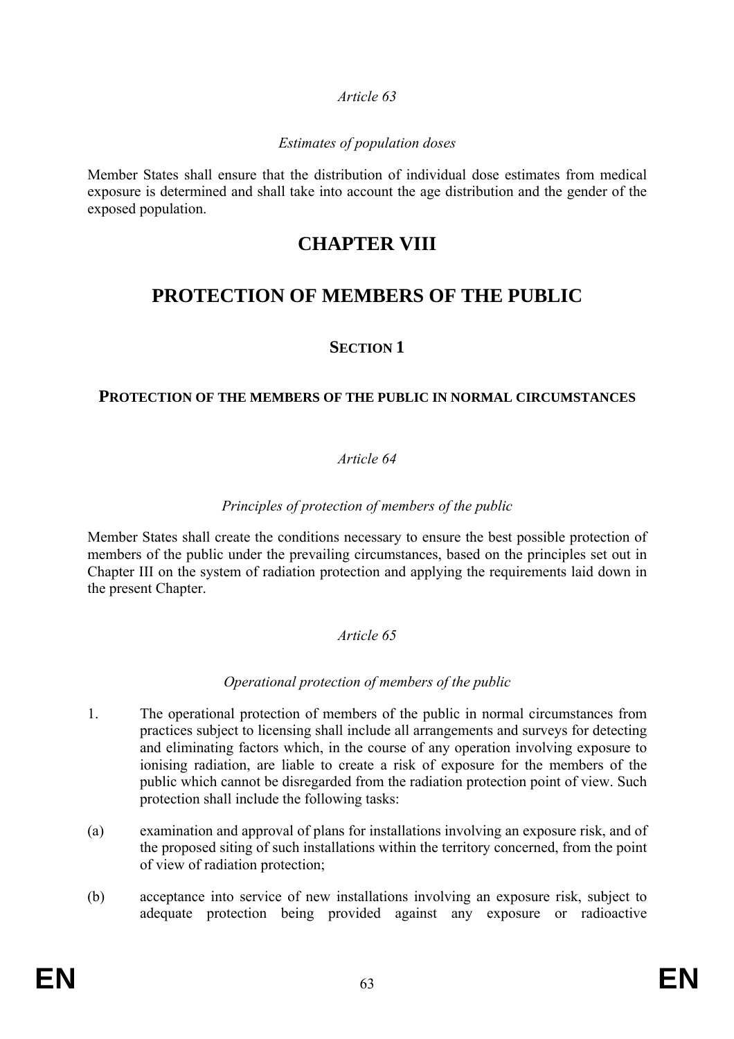## *Estimates of population doses*

Member States shall ensure that the distribution of individual dose estimates from medical exposure is determined and shall take into account the age distribution and the gender of the exposed population.

## **CHAPTER VIII**

# **PROTECTION OF MEMBERS OF THE PUBLIC**

## **SECTION 1**

## **PROTECTION OF THE MEMBERS OF THE PUBLIC IN NORMAL CIRCUMSTANCES**

## *Article 64*

## *Principles of protection of members of the public*

Member States shall create the conditions necessary to ensure the best possible protection of members of the public under the prevailing circumstances, based on the principles set out in Chapter III on the system of radiation protection and applying the requirements laid down in the present Chapter.

## *Article 65*

## *Operational protection of members of the public*

- 1. The operational protection of members of the public in normal circumstances from practices subject to licensing shall include all arrangements and surveys for detecting and eliminating factors which, in the course of any operation involving exposure to ionising radiation, are liable to create a risk of exposure for the members of the public which cannot be disregarded from the radiation protection point of view. Such protection shall include the following tasks:
- (a) examination and approval of plans for installations involving an exposure risk, and of the proposed siting of such installations within the territory concerned, from the point of view of radiation protection;
- (b) acceptance into service of new installations involving an exposure risk, subject to adequate protection being provided against any exposure or radioactive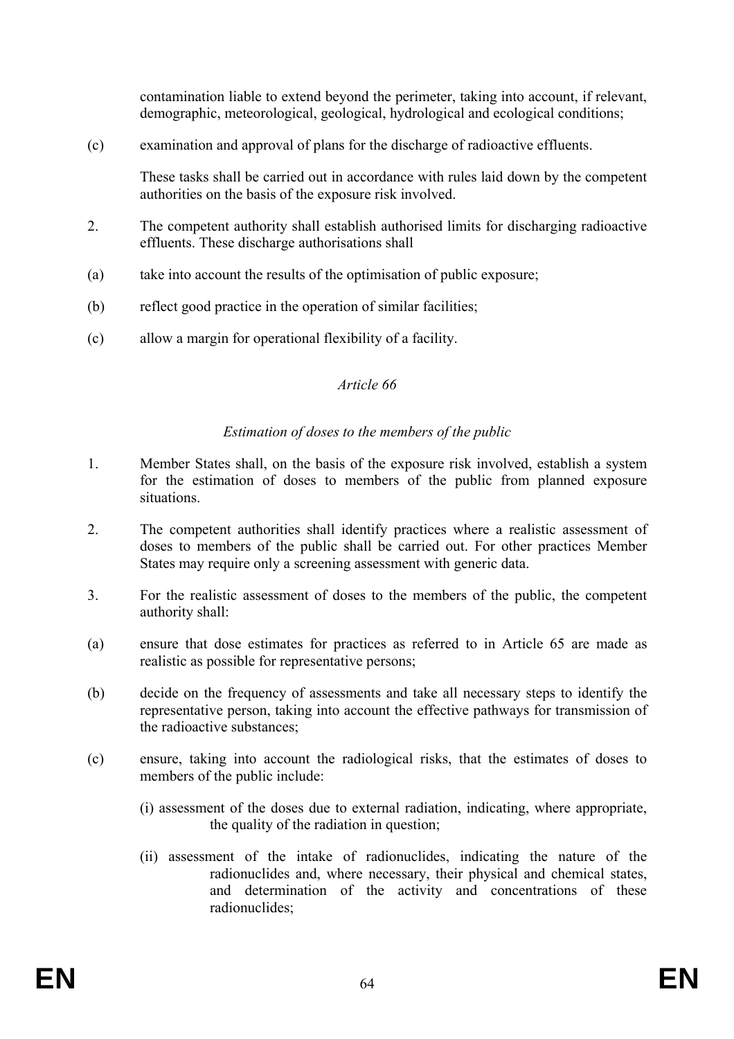contamination liable to extend beyond the perimeter, taking into account, if relevant, demographic, meteorological, geological, hydrological and ecological conditions;

(c) examination and approval of plans for the discharge of radioactive effluents.

These tasks shall be carried out in accordance with rules laid down by the competent authorities on the basis of the exposure risk involved.

- 2. The competent authority shall establish authorised limits for discharging radioactive effluents. These discharge authorisations shall
- (a) take into account the results of the optimisation of public exposure;
- (b) reflect good practice in the operation of similar facilities;
- (c) allow a margin for operational flexibility of a facility.

## *Article 66*

## *Estimation of doses to the members of the public*

- 1. Member States shall, on the basis of the exposure risk involved, establish a system for the estimation of doses to members of the public from planned exposure situations.
- 2. The competent authorities shall identify practices where a realistic assessment of doses to members of the public shall be carried out. For other practices Member States may require only a screening assessment with generic data.
- 3. For the realistic assessment of doses to the members of the public, the competent authority shall:
- (a) ensure that dose estimates for practices as referred to in Article 65 are made as realistic as possible for representative persons;
- (b) decide on the frequency of assessments and take all necessary steps to identify the representative person, taking into account the effective pathways for transmission of the radioactive substances;
- (c) ensure, taking into account the radiological risks, that the estimates of doses to members of the public include:
	- (i) assessment of the doses due to external radiation, indicating, where appropriate, the quality of the radiation in question;
	- (ii) assessment of the intake of radionuclides, indicating the nature of the radionuclides and, where necessary, their physical and chemical states, and determination of the activity and concentrations of these radionuclides;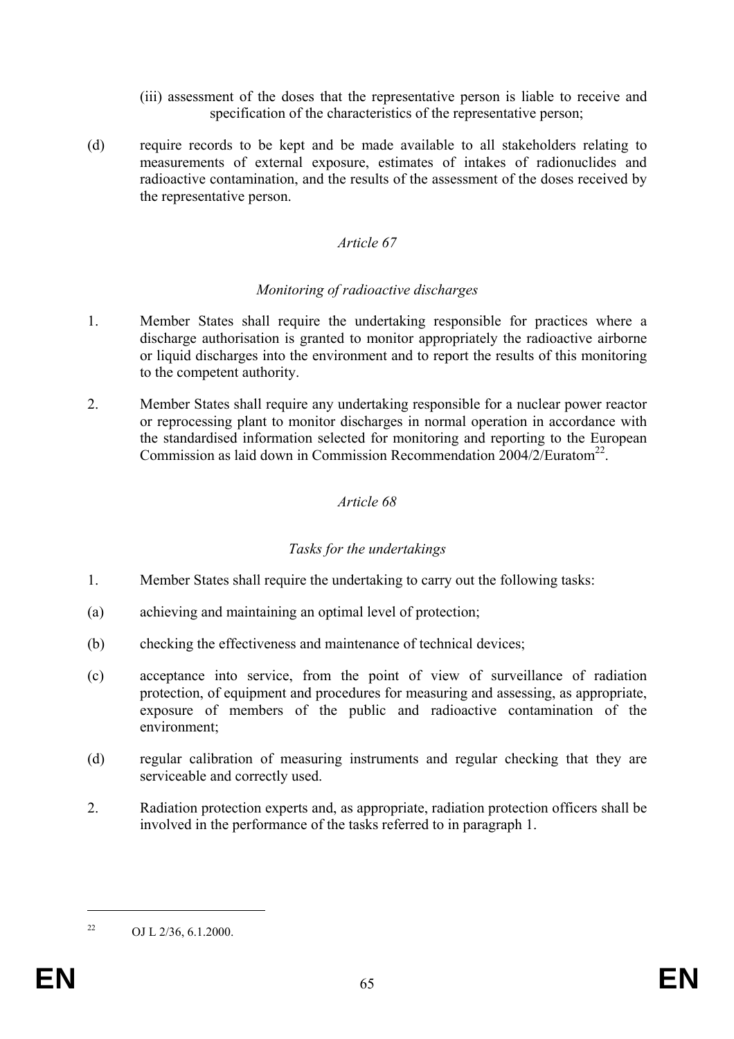- (iii) assessment of the doses that the representative person is liable to receive and specification of the characteristics of the representative person;
- (d) require records to be kept and be made available to all stakeholders relating to measurements of external exposure, estimates of intakes of radionuclides and radioactive contamination, and the results of the assessment of the doses received by the representative person.

#### *Monitoring of radioactive discharges*

- 1. Member States shall require the undertaking responsible for practices where a discharge authorisation is granted to monitor appropriately the radioactive airborne or liquid discharges into the environment and to report the results of this monitoring to the competent authority.
- 2. Member States shall require any undertaking responsible for a nuclear power reactor or reprocessing plant to monitor discharges in normal operation in accordance with the standardised information selected for monitoring and reporting to the European Commission as laid down in Commission Recommendation  $2004/2$ /Euratom<sup>22</sup>

#### *Article 68*

## *Tasks for the undertakings*

- 1. Member States shall require the undertaking to carry out the following tasks:
- (a) achieving and maintaining an optimal level of protection;
- (b) checking the effectiveness and maintenance of technical devices;
- (c) acceptance into service, from the point of view of surveillance of radiation protection, of equipment and procedures for measuring and assessing, as appropriate, exposure of members of the public and radioactive contamination of the environment;
- (d) regular calibration of measuring instruments and regular checking that they are serviceable and correctly used.
- 2. Radiation protection experts and, as appropriate, radiation protection officers shall be involved in the performance of the tasks referred to in paragraph 1.

 $\overline{a}$ 

<sup>&</sup>lt;sup>22</sup> OJ L  $2/36, 6.1.2000$ .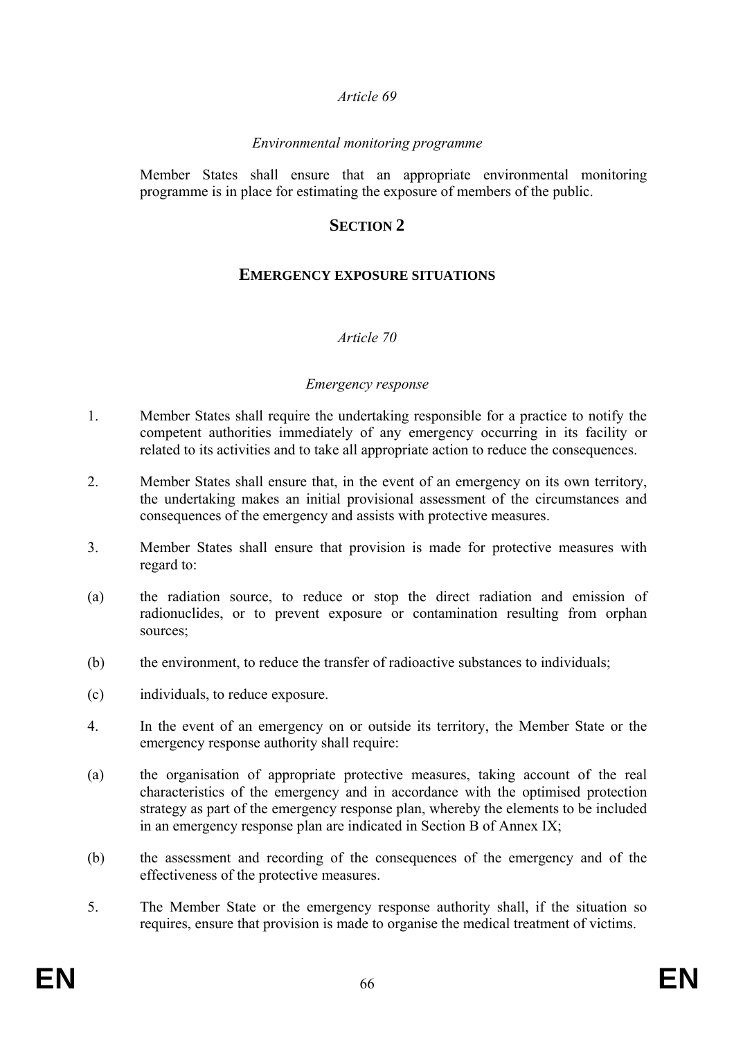#### *Environmental monitoring programme*

Member States shall ensure that an appropriate environmental monitoring programme is in place for estimating the exposure of members of the public.

## **SECTION 2**

## **EMERGENCY EXPOSURE SITUATIONS**

#### *Article 70*

#### *Emergency response*

- 1. Member States shall require the undertaking responsible for a practice to notify the competent authorities immediately of any emergency occurring in its facility or related to its activities and to take all appropriate action to reduce the consequences.
- 2. Member States shall ensure that, in the event of an emergency on its own territory, the undertaking makes an initial provisional assessment of the circumstances and consequences of the emergency and assists with protective measures.
- 3. Member States shall ensure that provision is made for protective measures with regard to:
- (a) the radiation source, to reduce or stop the direct radiation and emission of radionuclides, or to prevent exposure or contamination resulting from orphan sources<sup>;</sup>
- (b) the environment, to reduce the transfer of radioactive substances to individuals;
- (c) individuals, to reduce exposure.
- 4. In the event of an emergency on or outside its territory, the Member State or the emergency response authority shall require:
- (a) the organisation of appropriate protective measures, taking account of the real characteristics of the emergency and in accordance with the optimised protection strategy as part of the emergency response plan, whereby the elements to be included in an emergency response plan are indicated in Section B of Annex IX;
- (b) the assessment and recording of the consequences of the emergency and of the effectiveness of the protective measures.
- 5. The Member State or the emergency response authority shall, if the situation so requires, ensure that provision is made to organise the medical treatment of victims.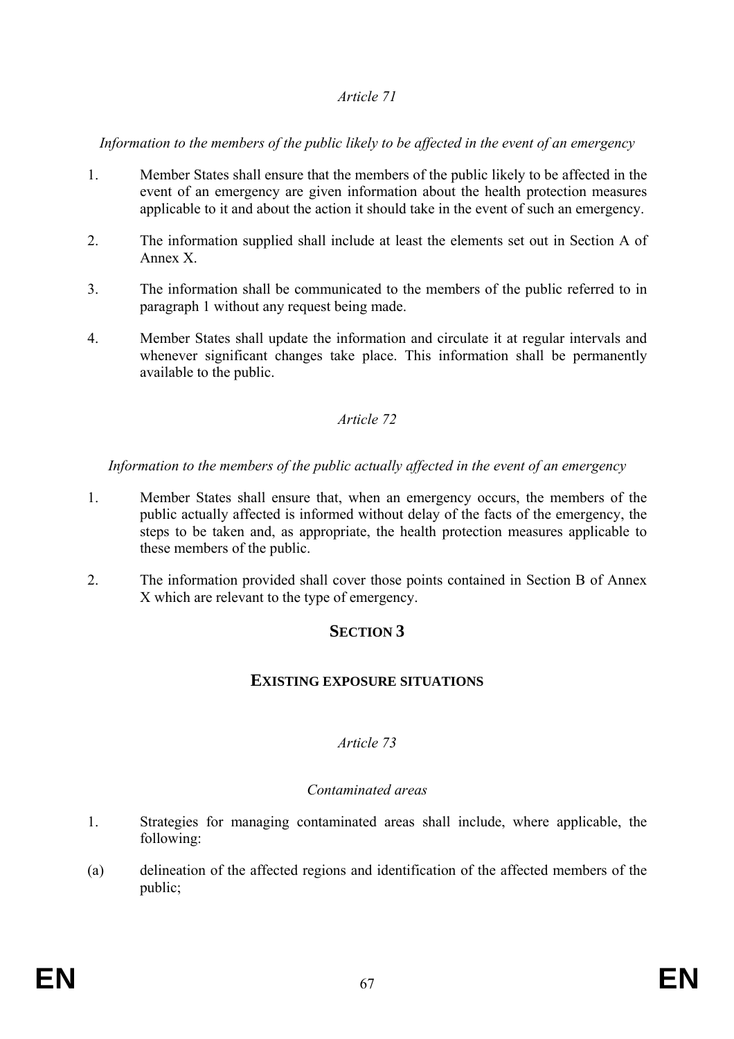*Information to the members of the public likely to be affected in the event of an emergency* 

- 1. Member States shall ensure that the members of the public likely to be affected in the event of an emergency are given information about the health protection measures applicable to it and about the action it should take in the event of such an emergency.
- 2. The information supplied shall include at least the elements set out in Section A of Annex X.
- 3. The information shall be communicated to the members of the public referred to in paragraph 1 without any request being made.
- 4. Member States shall update the information and circulate it at regular intervals and whenever significant changes take place. This information shall be permanently available to the public.

## *Article 72*

*Information to the members of the public actually affected in the event of an emergency* 

- 1. Member States shall ensure that, when an emergency occurs, the members of the public actually affected is informed without delay of the facts of the emergency, the steps to be taken and, as appropriate, the health protection measures applicable to these members of the public.
- 2. The information provided shall cover those points contained in Section B of Annex X which are relevant to the type of emergency.

## **SECTION 3**

## **EXISTING EXPOSURE SITUATIONS**

## *Article 73*

## *Contaminated areas*

- 1. Strategies for managing contaminated areas shall include, where applicable, the following:
- (a) delineation of the affected regions and identification of the affected members of the public;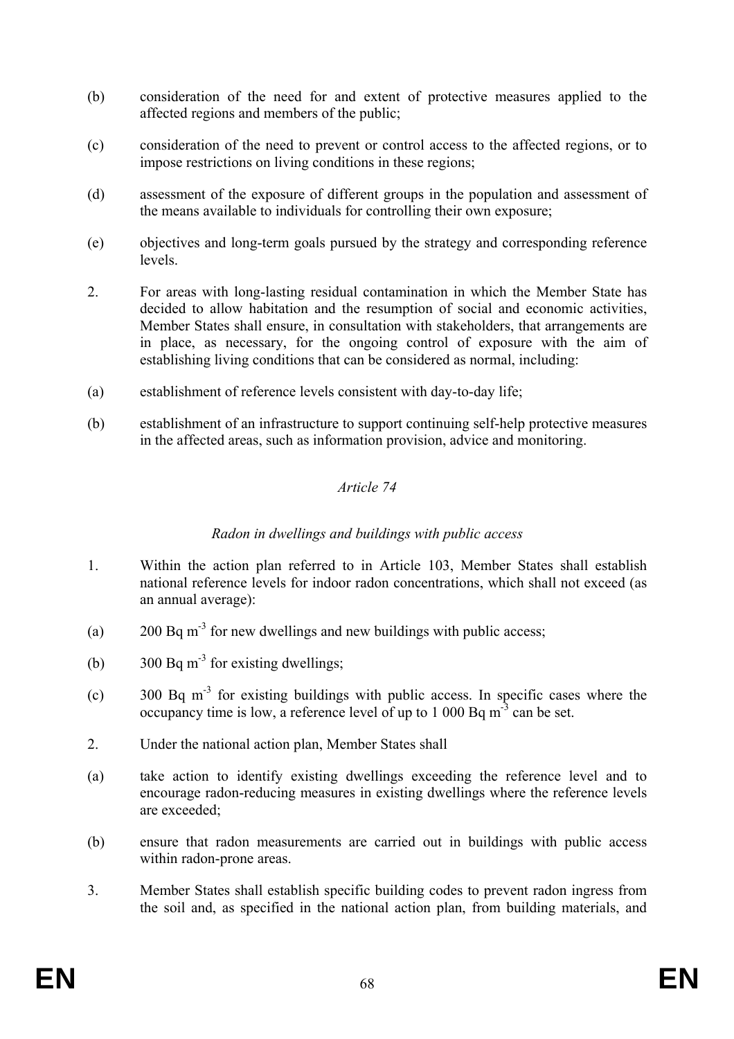- (b) consideration of the need for and extent of protective measures applied to the affected regions and members of the public;
- (c) consideration of the need to prevent or control access to the affected regions, or to impose restrictions on living conditions in these regions;
- (d) assessment of the exposure of different groups in the population and assessment of the means available to individuals for controlling their own exposure;
- (e) objectives and long-term goals pursued by the strategy and corresponding reference levels.
- 2. For areas with long-lasting residual contamination in which the Member State has decided to allow habitation and the resumption of social and economic activities, Member States shall ensure, in consultation with stakeholders, that arrangements are in place, as necessary, for the ongoing control of exposure with the aim of establishing living conditions that can be considered as normal, including:
- (a) establishment of reference levels consistent with day-to-day life;
- (b) establishment of an infrastructure to support continuing self-help protective measures in the affected areas, such as information provision, advice and monitoring.

#### *Radon in dwellings and buildings with public access*

- 1. Within the action plan referred to in Article 103, Member States shall establish national reference levels for indoor radon concentrations, which shall not exceed (as an annual average):
- (a)  $200$  Bq m<sup>-3</sup> for new dwellings and new buildings with public access;
- (b)  $300 \text{ Bq m}^3$  for existing dwellings;
- (c) 300 Bq m-3 for existing buildings with public access. In specific cases where the occupancy time is low, a reference level of up to  $1\ 000$  Bq m<sup>-3</sup> can be set.
- 2. Under the national action plan, Member States shall
- (a) take action to identify existing dwellings exceeding the reference level and to encourage radon-reducing measures in existing dwellings where the reference levels are exceeded;
- (b) ensure that radon measurements are carried out in buildings with public access within radon-prone areas.
- 3. Member States shall establish specific building codes to prevent radon ingress from the soil and, as specified in the national action plan, from building materials, and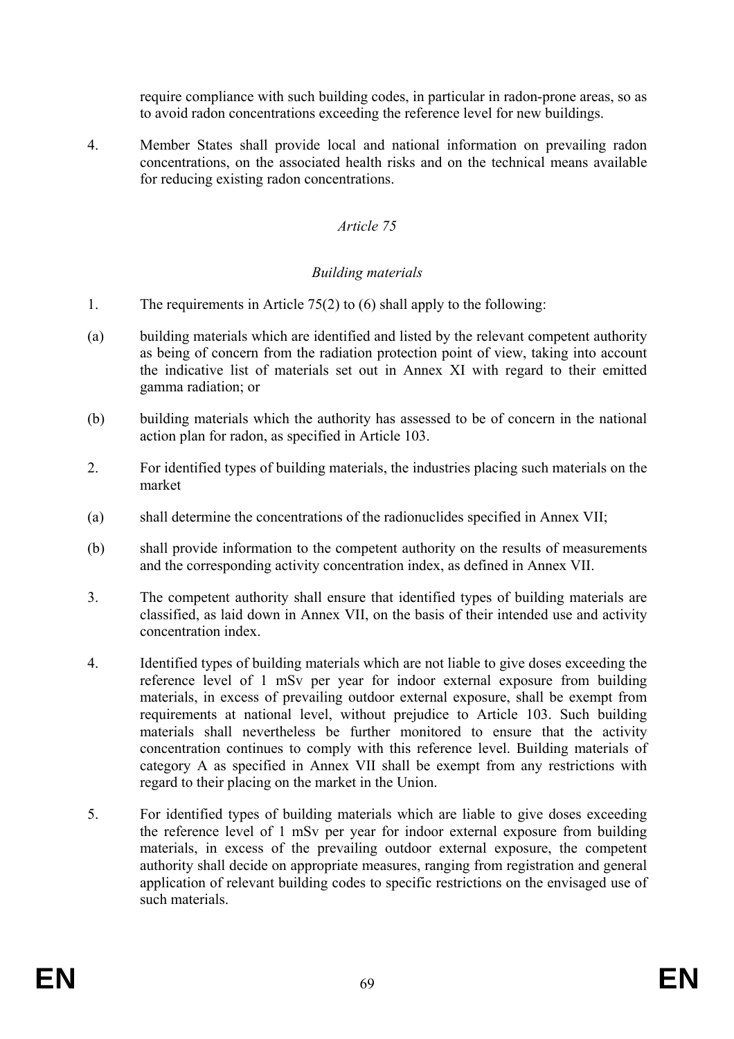require compliance with such building codes, in particular in radon-prone areas, so as to avoid radon concentrations exceeding the reference level for new buildings.

4. Member States shall provide local and national information on prevailing radon concentrations, on the associated health risks and on the technical means available for reducing existing radon concentrations.

## *Article 75*

#### *Building materials*

- 1. The requirements in Article 75(2) to (6) shall apply to the following:
- (a) building materials which are identified and listed by the relevant competent authority as being of concern from the radiation protection point of view, taking into account the indicative list of materials set out in Annex XI with regard to their emitted gamma radiation; or
- (b) building materials which the authority has assessed to be of concern in the national action plan for radon, as specified in Article 103.
- 2. For identified types of building materials, the industries placing such materials on the market
- (a) shall determine the concentrations of the radionuclides specified in Annex VII;
- (b) shall provide information to the competent authority on the results of measurements and the corresponding activity concentration index, as defined in Annex VII.
- 3. The competent authority shall ensure that identified types of building materials are classified, as laid down in Annex VII, on the basis of their intended use and activity concentration index.
- 4. Identified types of building materials which are not liable to give doses exceeding the reference level of 1 mSv per year for indoor external exposure from building materials, in excess of prevailing outdoor external exposure, shall be exempt from requirements at national level, without prejudice to Article 103. Such building materials shall nevertheless be further monitored to ensure that the activity concentration continues to comply with this reference level. Building materials of category A as specified in Annex VII shall be exempt from any restrictions with regard to their placing on the market in the Union.
- 5. For identified types of building materials which are liable to give doses exceeding the reference level of 1 mSv per year for indoor external exposure from building materials, in excess of the prevailing outdoor external exposure, the competent authority shall decide on appropriate measures, ranging from registration and general application of relevant building codes to specific restrictions on the envisaged use of such materials.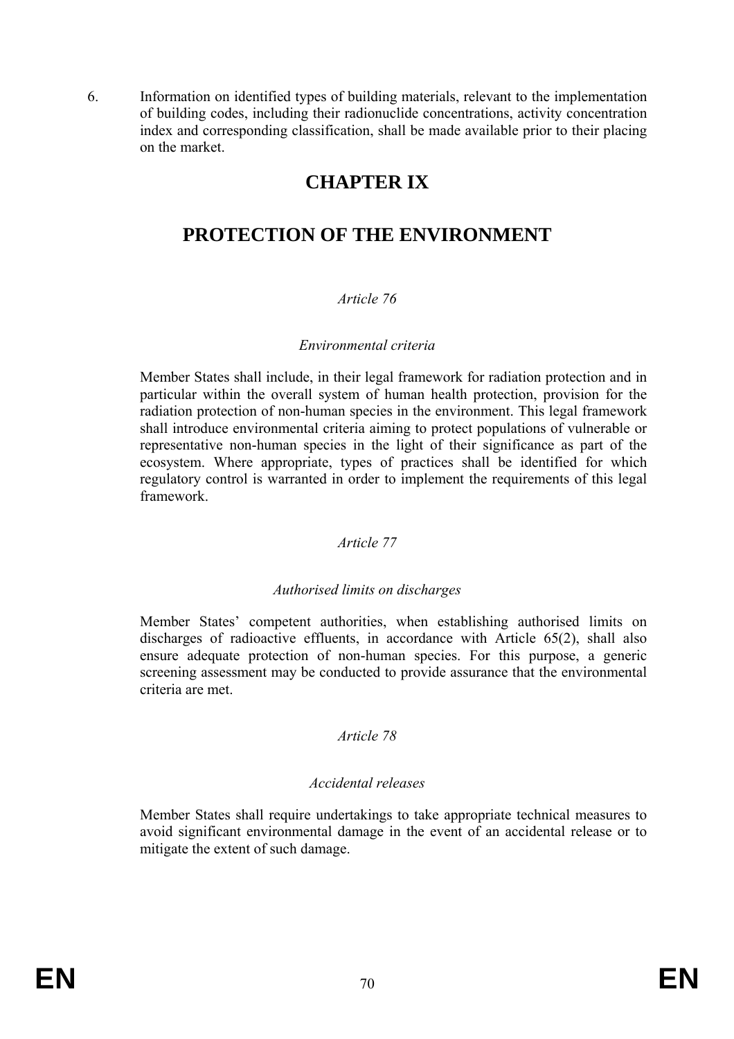6. Information on identified types of building materials, relevant to the implementation of building codes, including their radionuclide concentrations, activity concentration index and corresponding classification, shall be made available prior to their placing on the market.

# **CHAPTER IX**

# **PROTECTION OF THE ENVIRONMENT**

## *Article 76*

#### *Environmental criteria*

Member States shall include, in their legal framework for radiation protection and in particular within the overall system of human health protection, provision for the radiation protection of non-human species in the environment. This legal framework shall introduce environmental criteria aiming to protect populations of vulnerable or representative non-human species in the light of their significance as part of the ecosystem. Where appropriate, types of practices shall be identified for which regulatory control is warranted in order to implement the requirements of this legal framework.

## *Article 77*

## *Authorised limits on discharges*

Member States' competent authorities, when establishing authorised limits on discharges of radioactive effluents, in accordance with Article 65(2), shall also ensure adequate protection of non-human species. For this purpose, a generic screening assessment may be conducted to provide assurance that the environmental criteria are met.

## *Article 78*

## *Accidental releases*

Member States shall require undertakings to take appropriate technical measures to avoid significant environmental damage in the event of an accidental release or to mitigate the extent of such damage.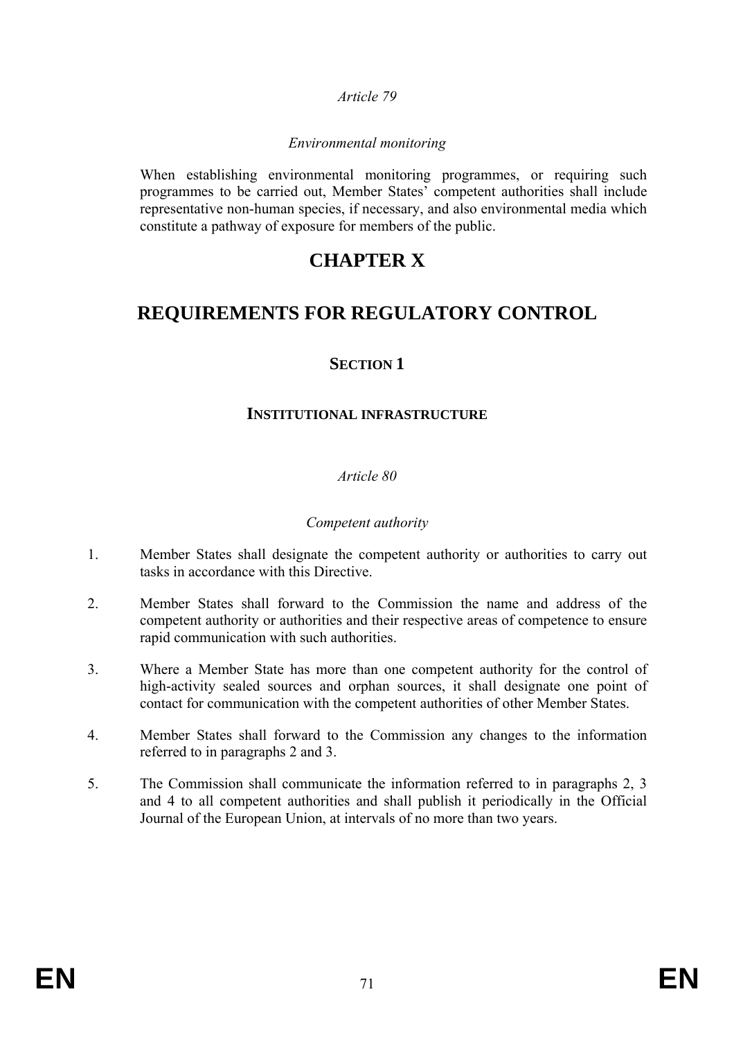## *Environmental monitoring*

When establishing environmental monitoring programmes, or requiring such programmes to be carried out, Member States' competent authorities shall include representative non-human species, if necessary, and also environmental media which constitute a pathway of exposure for members of the public.

## **CHAPTER X**

## **REQUIREMENTS FOR REGULATORY CONTROL**

## **SECTION 1**

## **INSTITUTIONAL INFRASTRUCTURE**

## *Article 80*

#### *Competent authority*

- 1. Member States shall designate the competent authority or authorities to carry out tasks in accordance with this Directive.
- 2. Member States shall forward to the Commission the name and address of the competent authority or authorities and their respective areas of competence to ensure rapid communication with such authorities.
- 3. Where a Member State has more than one competent authority for the control of high-activity sealed sources and orphan sources, it shall designate one point of contact for communication with the competent authorities of other Member States.
- 4. Member States shall forward to the Commission any changes to the information referred to in paragraphs 2 and 3.
- 5. The Commission shall communicate the information referred to in paragraphs 2, 3 and 4 to all competent authorities and shall publish it periodically in the Official Journal of the European Union, at intervals of no more than two years.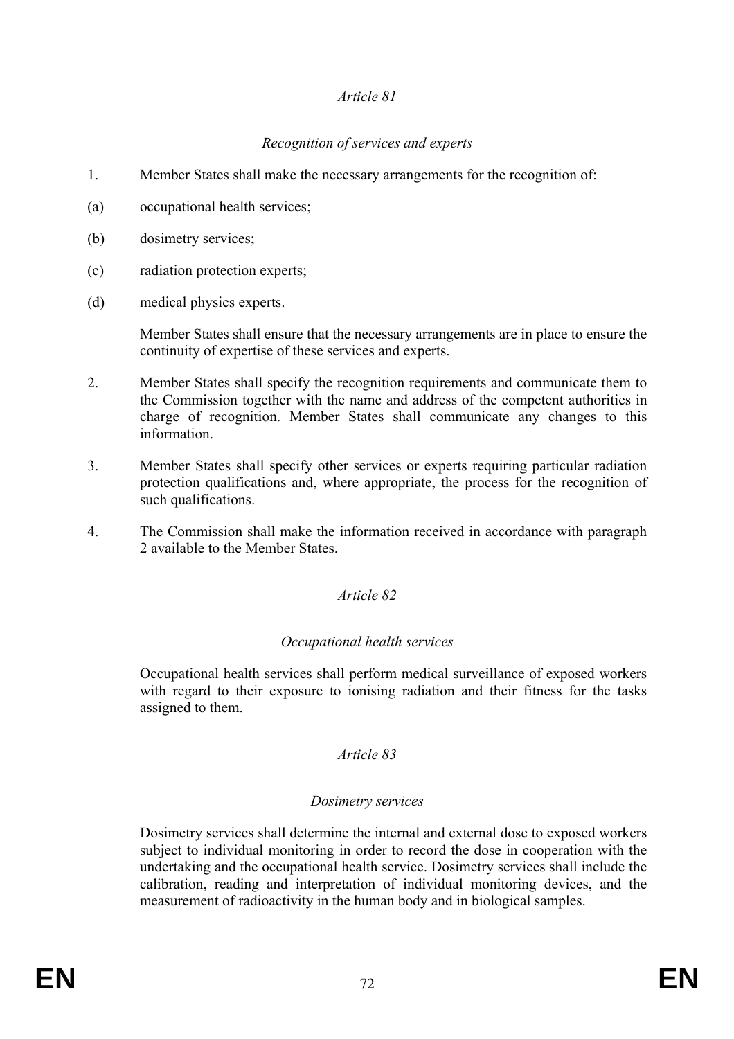## *Recognition of services and experts*

- 1. Member States shall make the necessary arrangements for the recognition of:
- (a) occupational health services;
- (b) dosimetry services;
- (c) radiation protection experts;
- (d) medical physics experts.

Member States shall ensure that the necessary arrangements are in place to ensure the continuity of expertise of these services and experts.

- 2. Member States shall specify the recognition requirements and communicate them to the Commission together with the name and address of the competent authorities in charge of recognition. Member States shall communicate any changes to this information.
- 3. Member States shall specify other services or experts requiring particular radiation protection qualifications and, where appropriate, the process for the recognition of such qualifications.
- 4. The Commission shall make the information received in accordance with paragraph 2 available to the Member States.

## *Article 82*

## *Occupational health services*

Occupational health services shall perform medical surveillance of exposed workers with regard to their exposure to ionising radiation and their fitness for the tasks assigned to them.

## *Article 83*

## *Dosimetry services*

Dosimetry services shall determine the internal and external dose to exposed workers subject to individual monitoring in order to record the dose in cooperation with the undertaking and the occupational health service. Dosimetry services shall include the calibration, reading and interpretation of individual monitoring devices, and the measurement of radioactivity in the human body and in biological samples.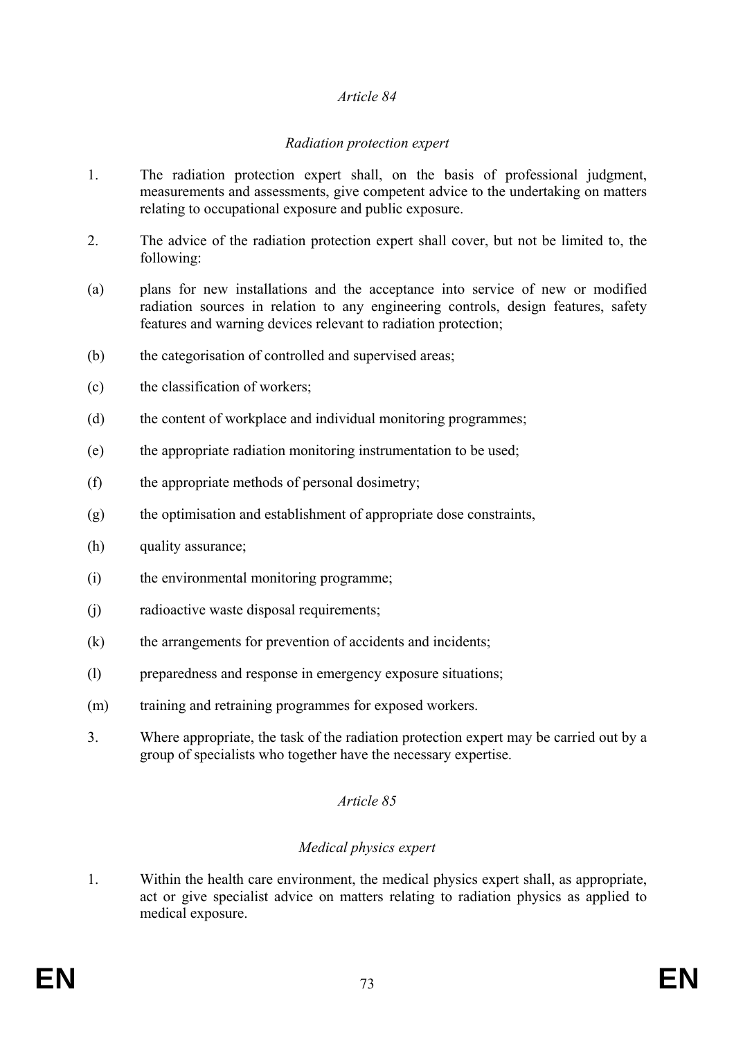# *Radiation protection expert*

- 1. The radiation protection expert shall, on the basis of professional judgment, measurements and assessments, give competent advice to the undertaking on matters relating to occupational exposure and public exposure.
- 2. The advice of the radiation protection expert shall cover, but not be limited to, the following:
- (a) plans for new installations and the acceptance into service of new or modified radiation sources in relation to any engineering controls, design features, safety features and warning devices relevant to radiation protection;
- (b) the categorisation of controlled and supervised areas;
- (c) the classification of workers;
- (d) the content of workplace and individual monitoring programmes;
- (e) the appropriate radiation monitoring instrumentation to be used;
- (f) the appropriate methods of personal dosimetry;
- (g) the optimisation and establishment of appropriate dose constraints,
- (h) quality assurance;
- (i) the environmental monitoring programme;
- (j) radioactive waste disposal requirements;
- (k) the arrangements for prevention of accidents and incidents;
- (l) preparedness and response in emergency exposure situations;
- (m) training and retraining programmes for exposed workers.
- 3. Where appropriate, the task of the radiation protection expert may be carried out by a group of specialists who together have the necessary expertise.

# *Article 85*

# *Medical physics expert*

1. Within the health care environment, the medical physics expert shall, as appropriate, act or give specialist advice on matters relating to radiation physics as applied to medical exposure.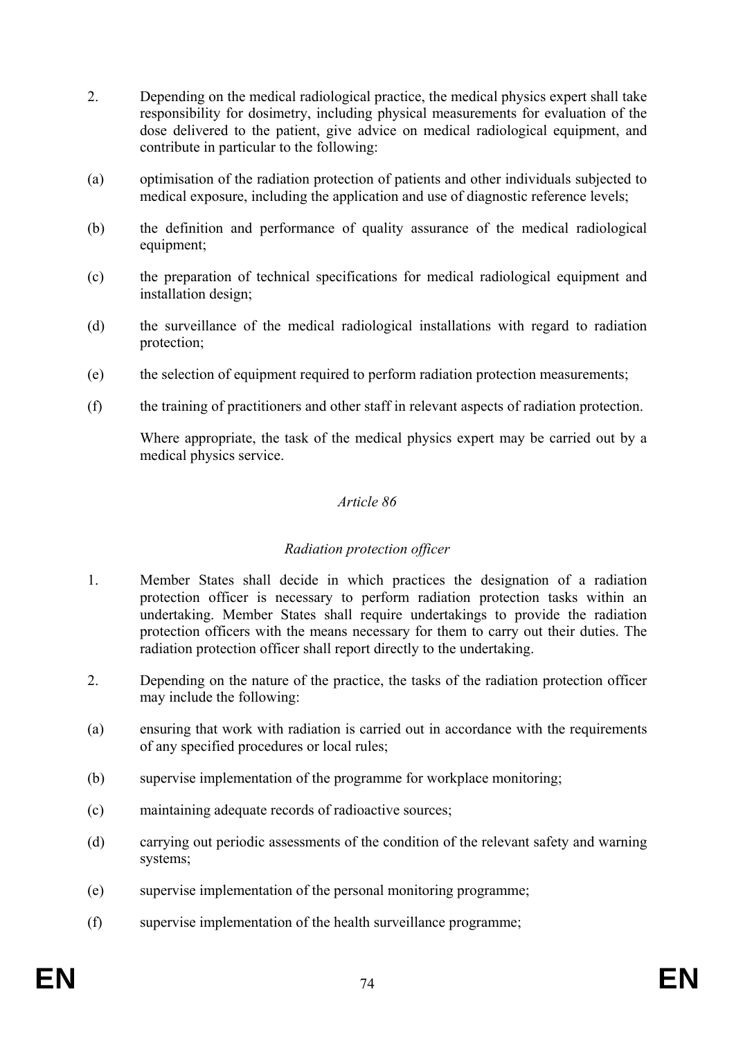- 2. Depending on the medical radiological practice, the medical physics expert shall take responsibility for dosimetry, including physical measurements for evaluation of the dose delivered to the patient, give advice on medical radiological equipment, and contribute in particular to the following:
- (a) optimisation of the radiation protection of patients and other individuals subjected to medical exposure, including the application and use of diagnostic reference levels;
- (b) the definition and performance of quality assurance of the medical radiological equipment;
- (c) the preparation of technical specifications for medical radiological equipment and installation design;
- (d) the surveillance of the medical radiological installations with regard to radiation protection;
- (e) the selection of equipment required to perform radiation protection measurements;
- (f) the training of practitioners and other staff in relevant aspects of radiation protection.

Where appropriate, the task of the medical physics expert may be carried out by a medical physics service.

#### *Article 86*

#### *Radiation protection officer*

- 1. Member States shall decide in which practices the designation of a radiation protection officer is necessary to perform radiation protection tasks within an undertaking. Member States shall require undertakings to provide the radiation protection officers with the means necessary for them to carry out their duties. The radiation protection officer shall report directly to the undertaking.
- 2. Depending on the nature of the practice, the tasks of the radiation protection officer may include the following:
- (a) ensuring that work with radiation is carried out in accordance with the requirements of any specified procedures or local rules;
- (b) supervise implementation of the programme for workplace monitoring;
- (c) maintaining adequate records of radioactive sources;
- (d) carrying out periodic assessments of the condition of the relevant safety and warning systems;
- (e) supervise implementation of the personal monitoring programme;
- (f) supervise implementation of the health surveillance programme;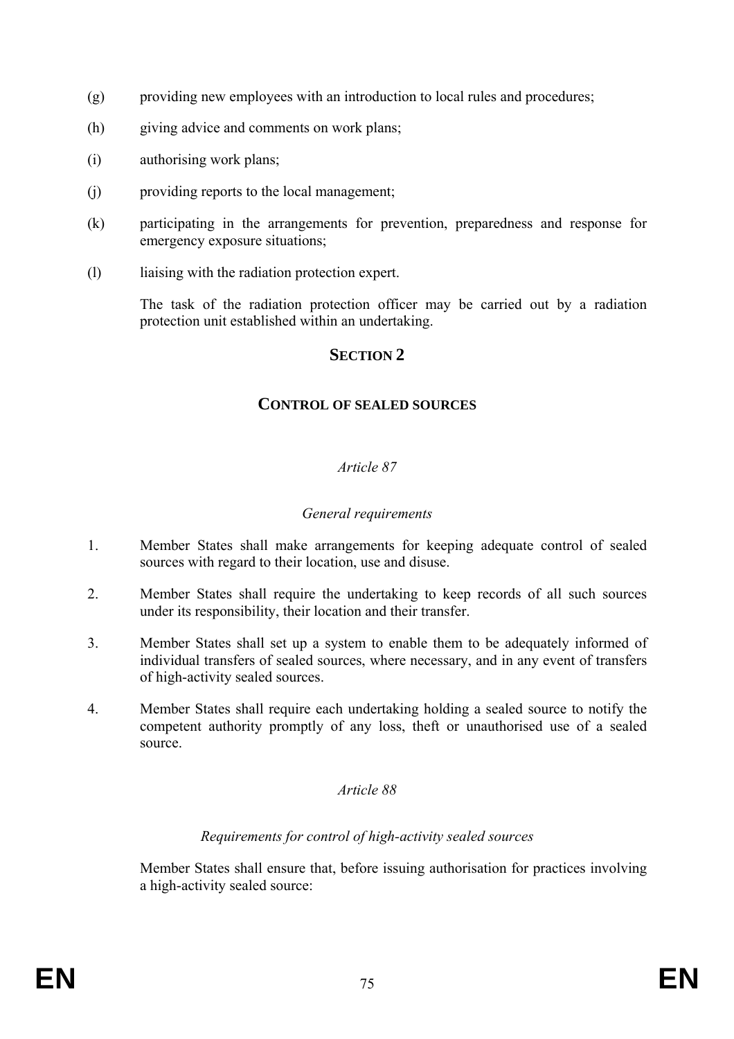- (g) providing new employees with an introduction to local rules and procedures;
- (h) giving advice and comments on work plans;
- (i) authorising work plans;
- (j) providing reports to the local management;
- (k) participating in the arrangements for prevention, preparedness and response for emergency exposure situations;
- (l) liaising with the radiation protection expert.

The task of the radiation protection officer may be carried out by a radiation protection unit established within an undertaking.

# **SECTION 2**

#### **CONTROL OF SEALED SOURCES**

# *Article 87*

#### *General requirements*

- 1. Member States shall make arrangements for keeping adequate control of sealed sources with regard to their location, use and disuse.
- 2. Member States shall require the undertaking to keep records of all such sources under its responsibility, their location and their transfer.
- 3. Member States shall set up a system to enable them to be adequately informed of individual transfers of sealed sources, where necessary, and in any event of transfers of high-activity sealed sources.
- 4. Member States shall require each undertaking holding a sealed source to notify the competent authority promptly of any loss, theft or unauthorised use of a sealed source.

#### *Article 88*

# *Requirements for control of high-activity sealed sources*

Member States shall ensure that, before issuing authorisation for practices involving a high-activity sealed source: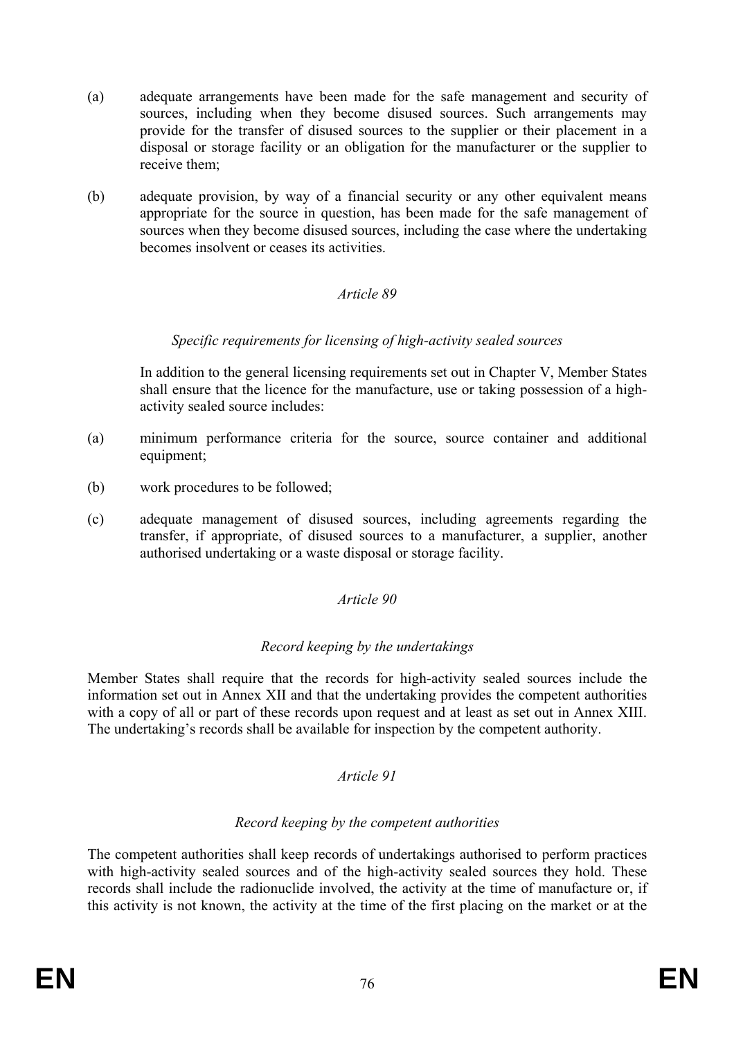- (a) adequate arrangements have been made for the safe management and security of sources, including when they become disused sources. Such arrangements may provide for the transfer of disused sources to the supplier or their placement in a disposal or storage facility or an obligation for the manufacturer or the supplier to receive them;
- (b) adequate provision, by way of a financial security or any other equivalent means appropriate for the source in question, has been made for the safe management of sources when they become disused sources, including the case where the undertaking becomes insolvent or ceases its activities.

#### *Specific requirements for licensing of high-activity sealed sources*

In addition to the general licensing requirements set out in Chapter V, Member States shall ensure that the licence for the manufacture, use or taking possession of a highactivity sealed source includes:

- (a) minimum performance criteria for the source, source container and additional equipment:
- (b) work procedures to be followed;
- (c) adequate management of disused sources, including agreements regarding the transfer, if appropriate, of disused sources to a manufacturer, a supplier, another authorised undertaking or a waste disposal or storage facility.

# *Article 90*

#### *Record keeping by the undertakings*

Member States shall require that the records for high-activity sealed sources include the information set out in Annex XII and that the undertaking provides the competent authorities with a copy of all or part of these records upon request and at least as set out in Annex XIII. The undertaking's records shall be available for inspection by the competent authority.

#### *Article 91*

#### *Record keeping by the competent authorities*

The competent authorities shall keep records of undertakings authorised to perform practices with high-activity sealed sources and of the high-activity sealed sources they hold. These records shall include the radionuclide involved, the activity at the time of manufacture or, if this activity is not known, the activity at the time of the first placing on the market or at the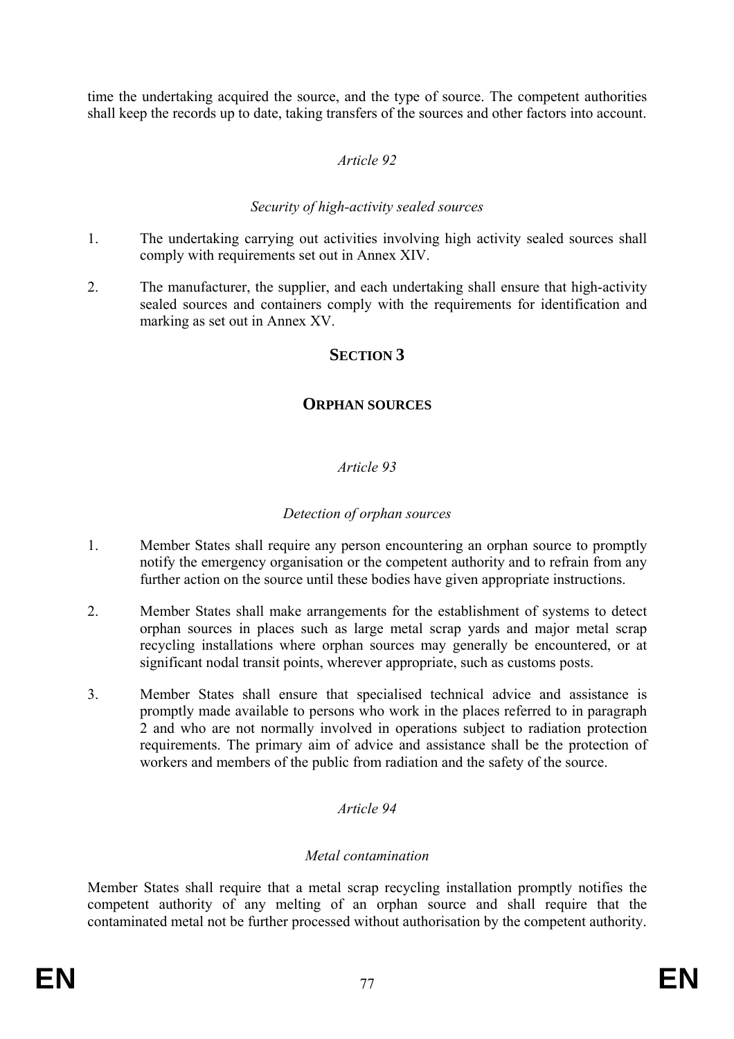time the undertaking acquired the source, and the type of source. The competent authorities shall keep the records up to date, taking transfers of the sources and other factors into account.

# *Article 92*

# *Security of high-activity sealed sources*

- 1. The undertaking carrying out activities involving high activity sealed sources shall comply with requirements set out in Annex XIV.
- 2. The manufacturer, the supplier, and each undertaking shall ensure that high-activity sealed sources and containers comply with the requirements for identification and marking as set out in Annex XV.

# **SECTION 3**

# **ORPHAN SOURCES**

# *Article 93*

# *Detection of orphan sources*

- 1. Member States shall require any person encountering an orphan source to promptly notify the emergency organisation or the competent authority and to refrain from any further action on the source until these bodies have given appropriate instructions.
- 2. Member States shall make arrangements for the establishment of systems to detect orphan sources in places such as large metal scrap yards and major metal scrap recycling installations where orphan sources may generally be encountered, or at significant nodal transit points, wherever appropriate, such as customs posts.
- 3. Member States shall ensure that specialised technical advice and assistance is promptly made available to persons who work in the places referred to in paragraph 2 and who are not normally involved in operations subject to radiation protection requirements. The primary aim of advice and assistance shall be the protection of workers and members of the public from radiation and the safety of the source.

# *Article 94*

# *Metal contamination*

Member States shall require that a metal scrap recycling installation promptly notifies the competent authority of any melting of an orphan source and shall require that the contaminated metal not be further processed without authorisation by the competent authority.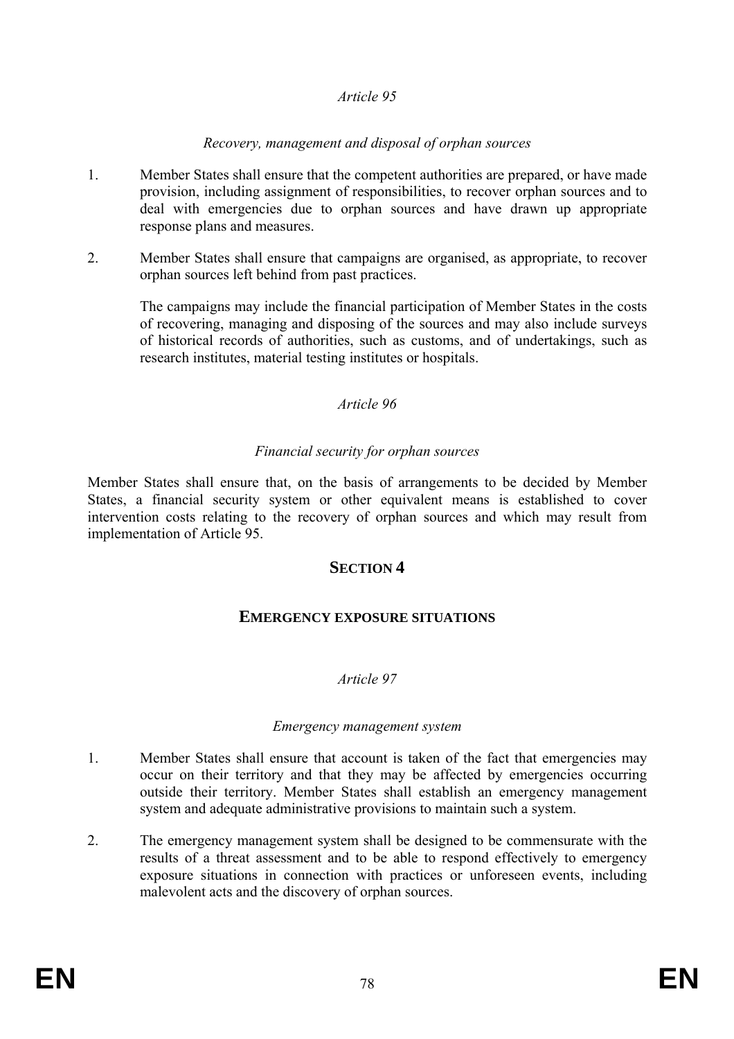#### *Recovery, management and disposal of orphan sources*

- 1. Member States shall ensure that the competent authorities are prepared, or have made provision, including assignment of responsibilities, to recover orphan sources and to deal with emergencies due to orphan sources and have drawn up appropriate response plans and measures.
- 2. Member States shall ensure that campaigns are organised, as appropriate, to recover orphan sources left behind from past practices.

The campaigns may include the financial participation of Member States in the costs of recovering, managing and disposing of the sources and may also include surveys of historical records of authorities, such as customs, and of undertakings, such as research institutes, material testing institutes or hospitals.

#### *Article 96*

#### *Financial security for orphan sources*

Member States shall ensure that, on the basis of arrangements to be decided by Member States, a financial security system or other equivalent means is established to cover intervention costs relating to the recovery of orphan sources and which may result from implementation of Article 95.

# **SECTION 4**

# **EMERGENCY EXPOSURE SITUATIONS**

#### *Article 97*

#### *Emergency management system*

- 1. Member States shall ensure that account is taken of the fact that emergencies may occur on their territory and that they may be affected by emergencies occurring outside their territory. Member States shall establish an emergency management system and adequate administrative provisions to maintain such a system.
- 2. The emergency management system shall be designed to be commensurate with the results of a threat assessment and to be able to respond effectively to emergency exposure situations in connection with practices or unforeseen events, including malevolent acts and the discovery of orphan sources.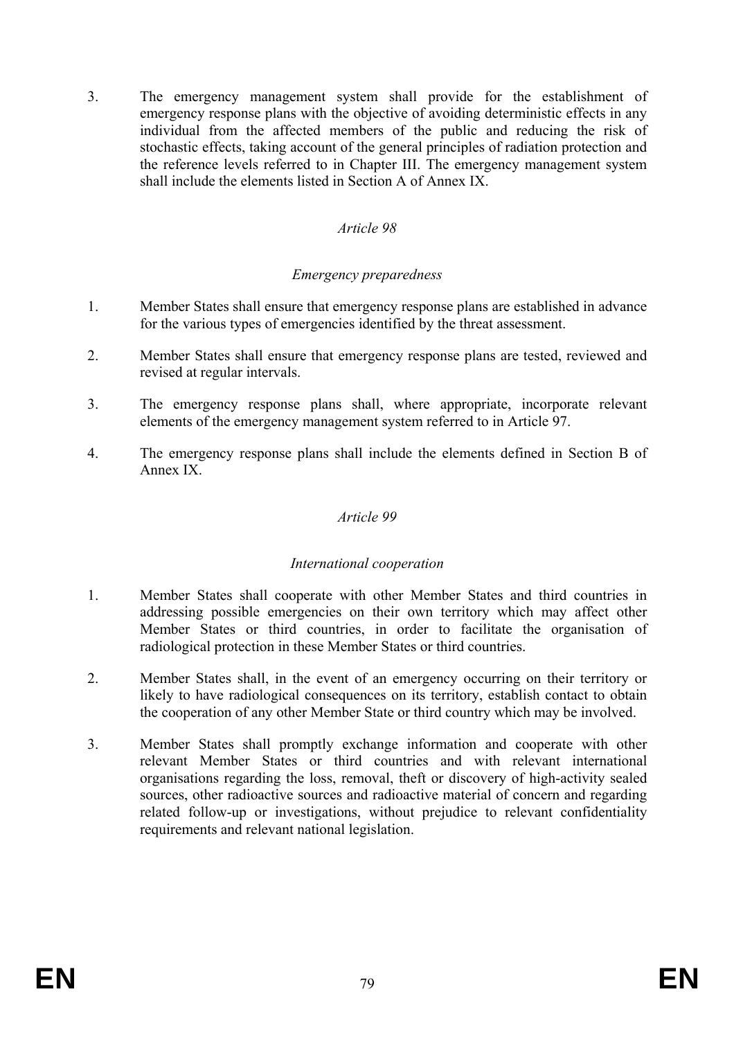3. The emergency management system shall provide for the establishment of emergency response plans with the objective of avoiding deterministic effects in any individual from the affected members of the public and reducing the risk of stochastic effects, taking account of the general principles of radiation protection and the reference levels referred to in Chapter III. The emergency management system shall include the elements listed in Section A of Annex IX.

# *Article 98*

# *Emergency preparedness*

- 1. Member States shall ensure that emergency response plans are established in advance for the various types of emergencies identified by the threat assessment.
- 2. Member States shall ensure that emergency response plans are tested, reviewed and revised at regular intervals.
- 3. The emergency response plans shall, where appropriate, incorporate relevant elements of the emergency management system referred to in Article 97.
- 4. The emergency response plans shall include the elements defined in Section B of Annex IX.

#### *Article 99*

# *International cooperation*

- 1. Member States shall cooperate with other Member States and third countries in addressing possible emergencies on their own territory which may affect other Member States or third countries, in order to facilitate the organisation of radiological protection in these Member States or third countries.
- 2. Member States shall, in the event of an emergency occurring on their territory or likely to have radiological consequences on its territory, establish contact to obtain the cooperation of any other Member State or third country which may be involved.
- 3. Member States shall promptly exchange information and cooperate with other relevant Member States or third countries and with relevant international organisations regarding the loss, removal, theft or discovery of high-activity sealed sources, other radioactive sources and radioactive material of concern and regarding related follow-up or investigations, without prejudice to relevant confidentiality requirements and relevant national legislation.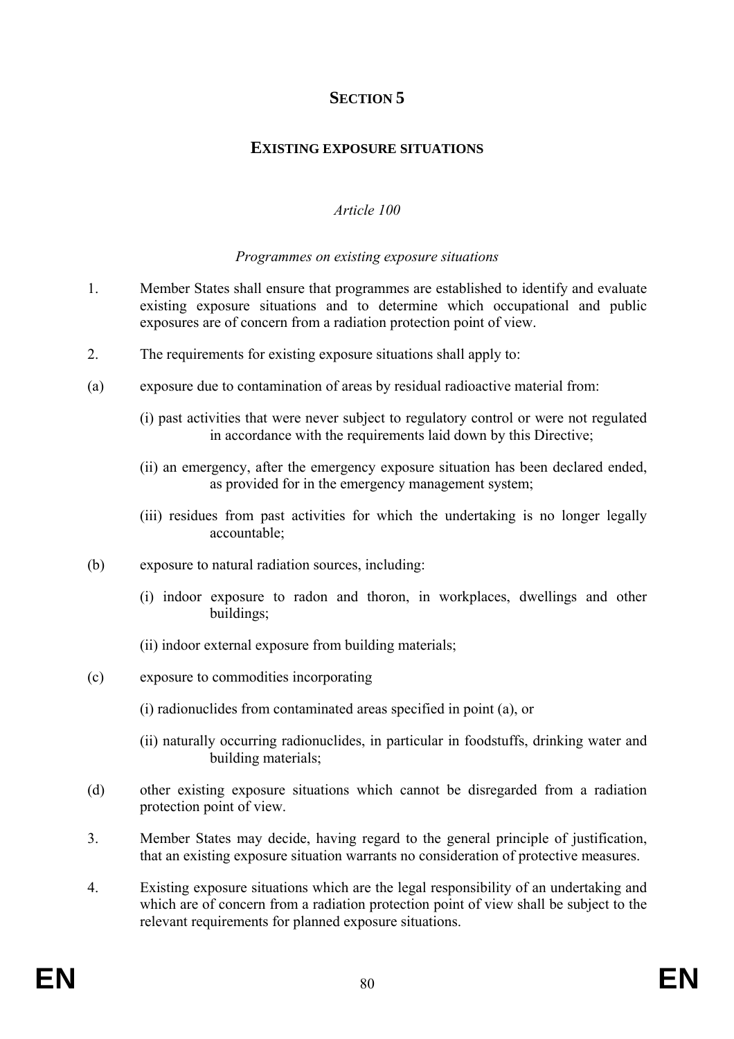# **SECTION 5**

# **EXISTING EXPOSURE SITUATIONS**

#### *Article 100*

#### *Programmes on existing exposure situations*

- 1. Member States shall ensure that programmes are established to identify and evaluate existing exposure situations and to determine which occupational and public exposures are of concern from a radiation protection point of view.
- 2. The requirements for existing exposure situations shall apply to:
- (a) exposure due to contamination of areas by residual radioactive material from:
	- (i) past activities that were never subject to regulatory control or were not regulated in accordance with the requirements laid down by this Directive;
	- (ii) an emergency, after the emergency exposure situation has been declared ended, as provided for in the emergency management system;
	- (iii) residues from past activities for which the undertaking is no longer legally accountable;
- (b) exposure to natural radiation sources, including:
	- (i) indoor exposure to radon and thoron, in workplaces, dwellings and other buildings;
	- (ii) indoor external exposure from building materials;
- (c) exposure to commodities incorporating
	- (i) radionuclides from contaminated areas specified in point (a), or
	- (ii) naturally occurring radionuclides, in particular in foodstuffs, drinking water and building materials;
- (d) other existing exposure situations which cannot be disregarded from a radiation protection point of view.
- 3. Member States may decide, having regard to the general principle of justification, that an existing exposure situation warrants no consideration of protective measures.
- 4. Existing exposure situations which are the legal responsibility of an undertaking and which are of concern from a radiation protection point of view shall be subject to the relevant requirements for planned exposure situations.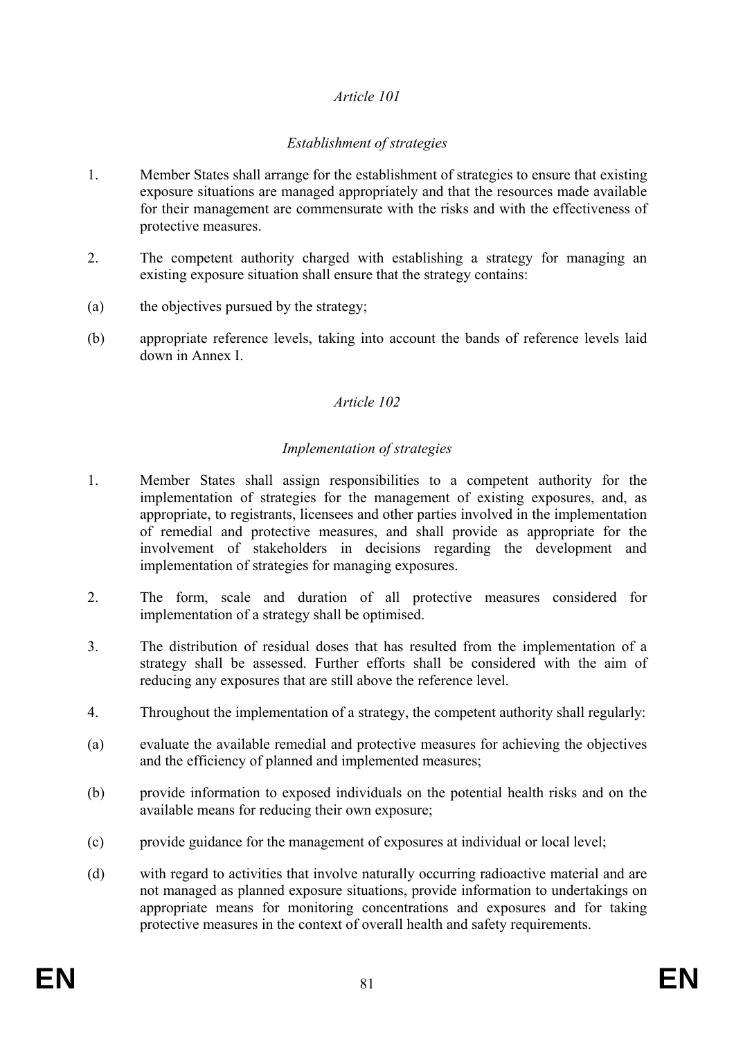# *Establishment of strategies*

- 1. Member States shall arrange for the establishment of strategies to ensure that existing exposure situations are managed appropriately and that the resources made available for their management are commensurate with the risks and with the effectiveness of protective measures.
- 2. The competent authority charged with establishing a strategy for managing an existing exposure situation shall ensure that the strategy contains:
- (a) the objectives pursued by the strategy;
- (b) appropriate reference levels, taking into account the bands of reference levels laid down in Annex I.

# *Article 102*

# *Implementation of strategies*

- 1. Member States shall assign responsibilities to a competent authority for the implementation of strategies for the management of existing exposures, and, as appropriate, to registrants, licensees and other parties involved in the implementation of remedial and protective measures, and shall provide as appropriate for the involvement of stakeholders in decisions regarding the development and implementation of strategies for managing exposures.
- 2. The form, scale and duration of all protective measures considered for implementation of a strategy shall be optimised.
- 3. The distribution of residual doses that has resulted from the implementation of a strategy shall be assessed. Further efforts shall be considered with the aim of reducing any exposures that are still above the reference level.
- 4. Throughout the implementation of a strategy, the competent authority shall regularly:
- (a) evaluate the available remedial and protective measures for achieving the objectives and the efficiency of planned and implemented measures;
- (b) provide information to exposed individuals on the potential health risks and on the available means for reducing their own exposure;
- (c) provide guidance for the management of exposures at individual or local level;
- (d) with regard to activities that involve naturally occurring radioactive material and are not managed as planned exposure situations, provide information to undertakings on appropriate means for monitoring concentrations and exposures and for taking protective measures in the context of overall health and safety requirements.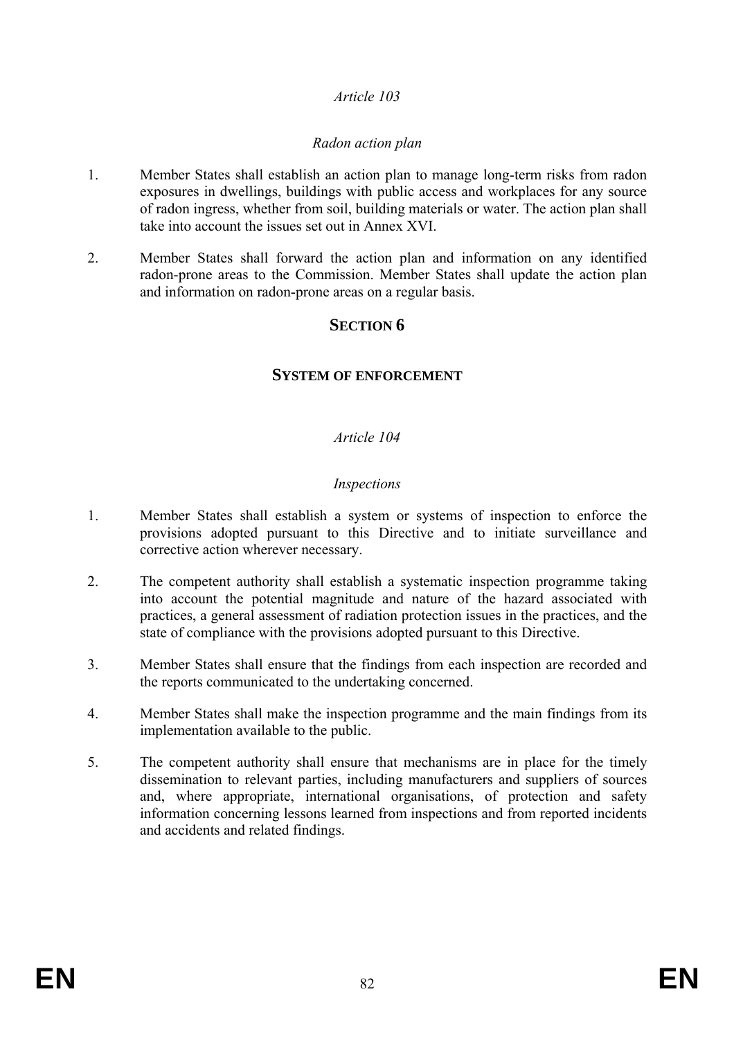#### *Radon action plan*

- 1. Member States shall establish an action plan to manage long-term risks from radon exposures in dwellings, buildings with public access and workplaces for any source of radon ingress, whether from soil, building materials or water. The action plan shall take into account the issues set out in Annex XVI.
- 2. Member States shall forward the action plan and information on any identified radon-prone areas to the Commission. Member States shall update the action plan and information on radon-prone areas on a regular basis.

# **SECTION 6**

#### **SYSTEM OF ENFORCEMENT**

# *Article 104*

#### *Inspections*

- 1. Member States shall establish a system or systems of inspection to enforce the provisions adopted pursuant to this Directive and to initiate surveillance and corrective action wherever necessary.
- 2. The competent authority shall establish a systematic inspection programme taking into account the potential magnitude and nature of the hazard associated with practices, a general assessment of radiation protection issues in the practices, and the state of compliance with the provisions adopted pursuant to this Directive.
- 3. Member States shall ensure that the findings from each inspection are recorded and the reports communicated to the undertaking concerned.
- 4. Member States shall make the inspection programme and the main findings from its implementation available to the public.
- 5. The competent authority shall ensure that mechanisms are in place for the timely dissemination to relevant parties, including manufacturers and suppliers of sources and, where appropriate, international organisations, of protection and safety information concerning lessons learned from inspections and from reported incidents and accidents and related findings.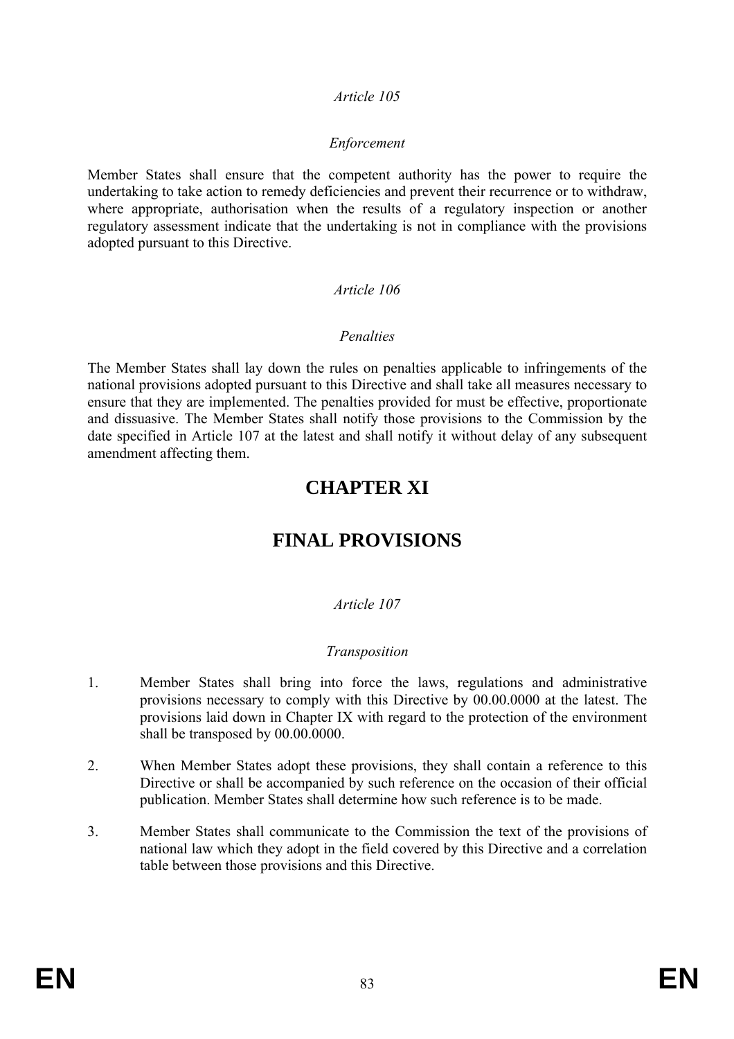# *Enforcement*

Member States shall ensure that the competent authority has the power to require the undertaking to take action to remedy deficiencies and prevent their recurrence or to withdraw, where appropriate, authorisation when the results of a regulatory inspection or another regulatory assessment indicate that the undertaking is not in compliance with the provisions adopted pursuant to this Directive.

#### *Article 106*

#### *Penalties*

The Member States shall lay down the rules on penalties applicable to infringements of the national provisions adopted pursuant to this Directive and shall take all measures necessary to ensure that they are implemented. The penalties provided for must be effective, proportionate and dissuasive. The Member States shall notify those provisions to the Commission by the date specified in Article 107 at the latest and shall notify it without delay of any subsequent amendment affecting them.

# **CHAPTER XI**

# **FINAL PROVISIONS**

# *Article 107*

#### *Transposition*

- 1. Member States shall bring into force the laws, regulations and administrative provisions necessary to comply with this Directive by 00.00.0000 at the latest. The provisions laid down in Chapter IX with regard to the protection of the environment shall be transposed by 00.00.0000.
- 2. When Member States adopt these provisions, they shall contain a reference to this Directive or shall be accompanied by such reference on the occasion of their official publication. Member States shall determine how such reference is to be made.
- 3. Member States shall communicate to the Commission the text of the provisions of national law which they adopt in the field covered by this Directive and a correlation table between those provisions and this Directive.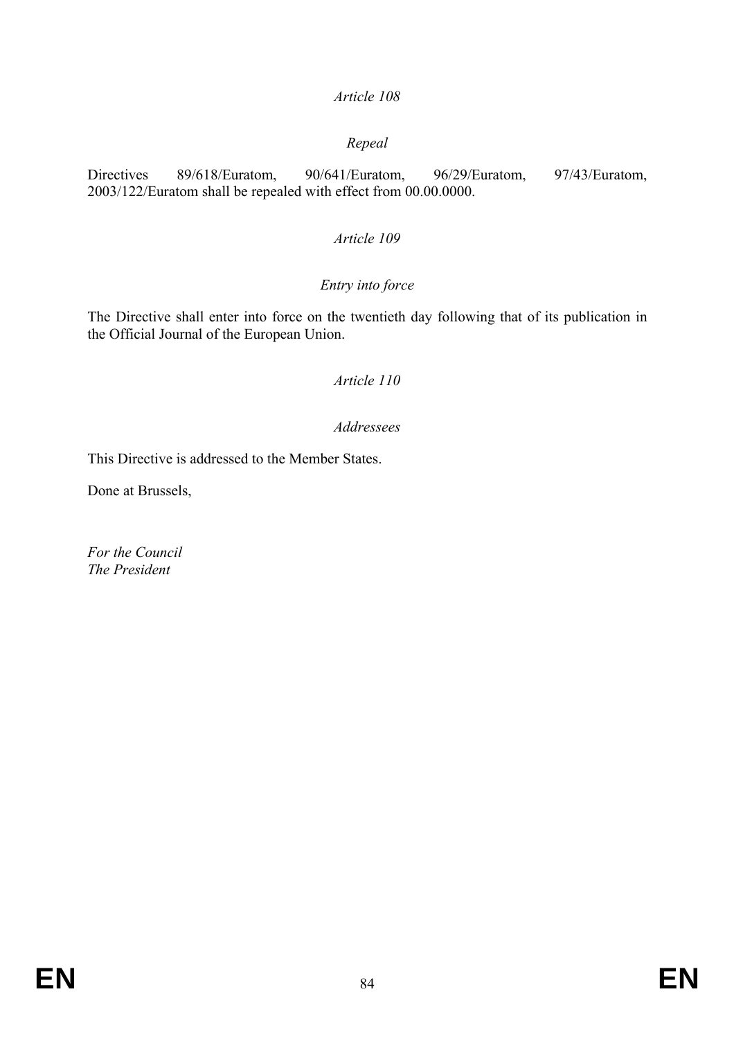# *Repeal*

Directives 89/618/Euratom, 90/641/Euratom, 96/29/Euratom, 97/43/Euratom, 2003/122/Euratom shall be repealed with effect from 00.00.0000.

#### *Article 109*

# *Entry into force*

The Directive shall enter into force on the twentieth day following that of its publication in the Official Journal of the European Union.

#### *Article 110*

#### *Addressees*

This Directive is addressed to the Member States.

Done at Brussels,

*For the Council The President*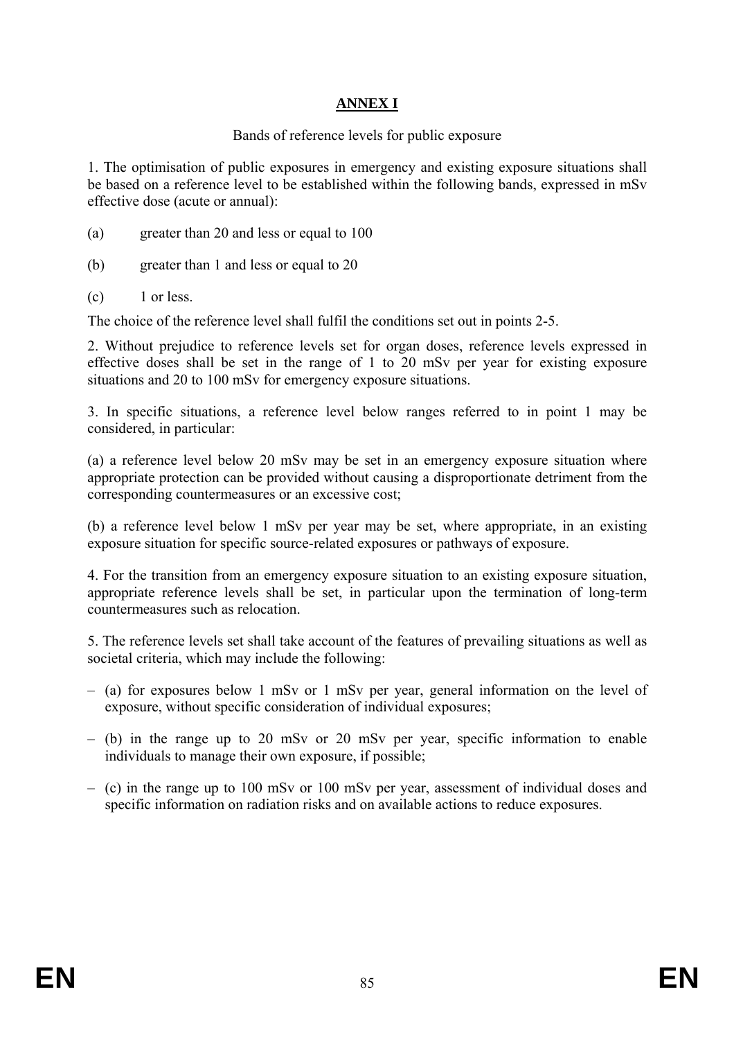# **ANNEX I**

#### Bands of reference levels for public exposure

1. The optimisation of public exposures in emergency and existing exposure situations shall be based on a reference level to be established within the following bands, expressed in mSv effective dose (acute or annual):

- (a) greater than 20 and less or equal to 100
- (b) greater than 1 and less or equal to 20
- $(c)$  1 or less.

The choice of the reference level shall fulfil the conditions set out in points 2-5.

2. Without prejudice to reference levels set for organ doses, reference levels expressed in effective doses shall be set in the range of 1 to 20 mSv per year for existing exposure situations and 20 to 100 mSv for emergency exposure situations.

3. In specific situations, a reference level below ranges referred to in point 1 may be considered, in particular:

(a) a reference level below 20 mSv may be set in an emergency exposure situation where appropriate protection can be provided without causing a disproportionate detriment from the corresponding countermeasures or an excessive cost;

(b) a reference level below 1 mSv per year may be set, where appropriate, in an existing exposure situation for specific source-related exposures or pathways of exposure.

4. For the transition from an emergency exposure situation to an existing exposure situation, appropriate reference levels shall be set, in particular upon the termination of long-term countermeasures such as relocation.

5. The reference levels set shall take account of the features of prevailing situations as well as societal criteria, which may include the following:

- (a) for exposures below 1 mSv or 1 mSv per year, general information on the level of exposure, without specific consideration of individual exposures;
- (b) in the range up to 20 mSv or 20 mSv per year, specific information to enable individuals to manage their own exposure, if possible;
- (c) in the range up to 100 mSv or 100 mSv per year, assessment of individual doses and specific information on radiation risks and on available actions to reduce exposures.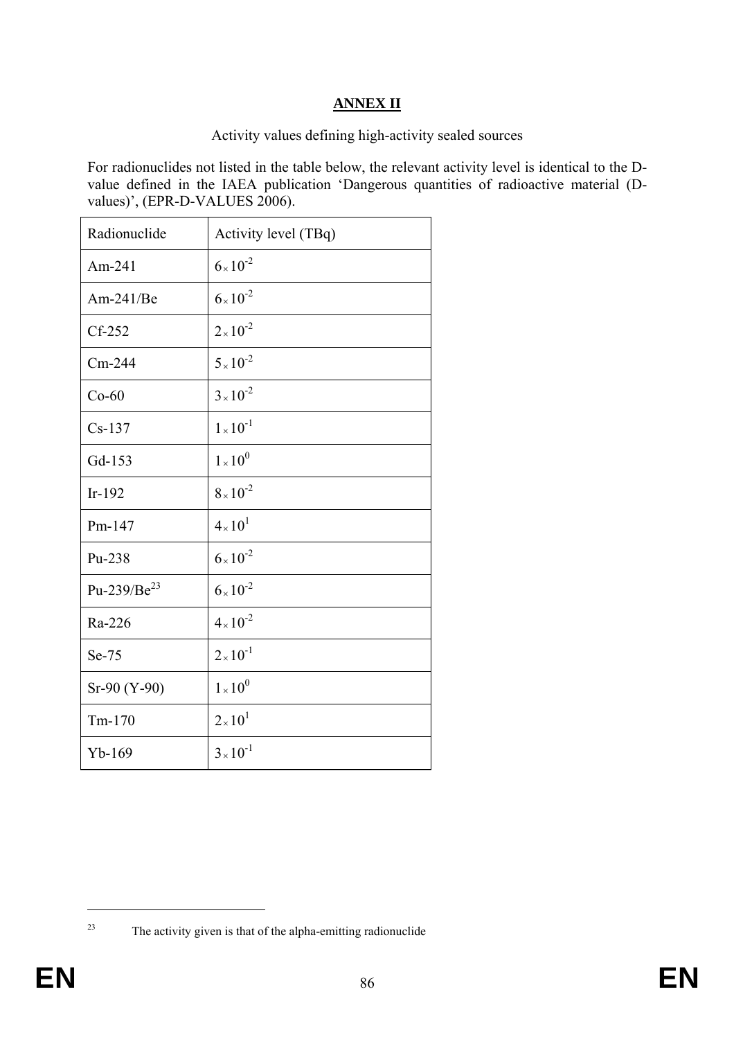# **ANNEX II**

# Activity values defining high-activity sealed sources

For radionuclides not listed in the table below, the relevant activity level is identical to the Dvalue defined in the IAEA publication 'Dangerous quantities of radioactive material (Dvalues)', (EPR-D-VALUES 2006).

| Radionuclide     | Activity level (TBq) |
|------------------|----------------------|
| Am-241           | $6 \times 10^{-2}$   |
| $Am-241/Be$      | $6 \times 10^{-2}$   |
| $Cf-252$         | $2 \times 10^{-2}$   |
| $Cm-244$         | $5\times10^{-2}$     |
| $Co-60$          | $3 \times 10^{-2}$   |
| $Cs-137$         | $1 \times 10^{-1}$   |
| Gd-153           | $1\times10^0$        |
| $Ir-192$         | $8 \times 10^{-2}$   |
| Pm-147           | $4\times10^{1}$      |
| Pu-238           | $6 \times 10^{-2}$   |
| $Pu-239/Be^{23}$ | $6 \times 10^{-2}$   |
| Ra-226           | $4\times10^{-2}$     |
| Se-75            | $2\times10^{-1}$     |
| Sr-90 (Y-90)     | $1\times10^{0}$      |
| $Tm-170$         | $2\times10^{1}$      |
| $Yb-169$         | $3 \times 10^{-1}$   |

 $\overline{a}$ 

<sup>&</sup>lt;sup>23</sup> The activity given is that of the alpha-emitting radionuclide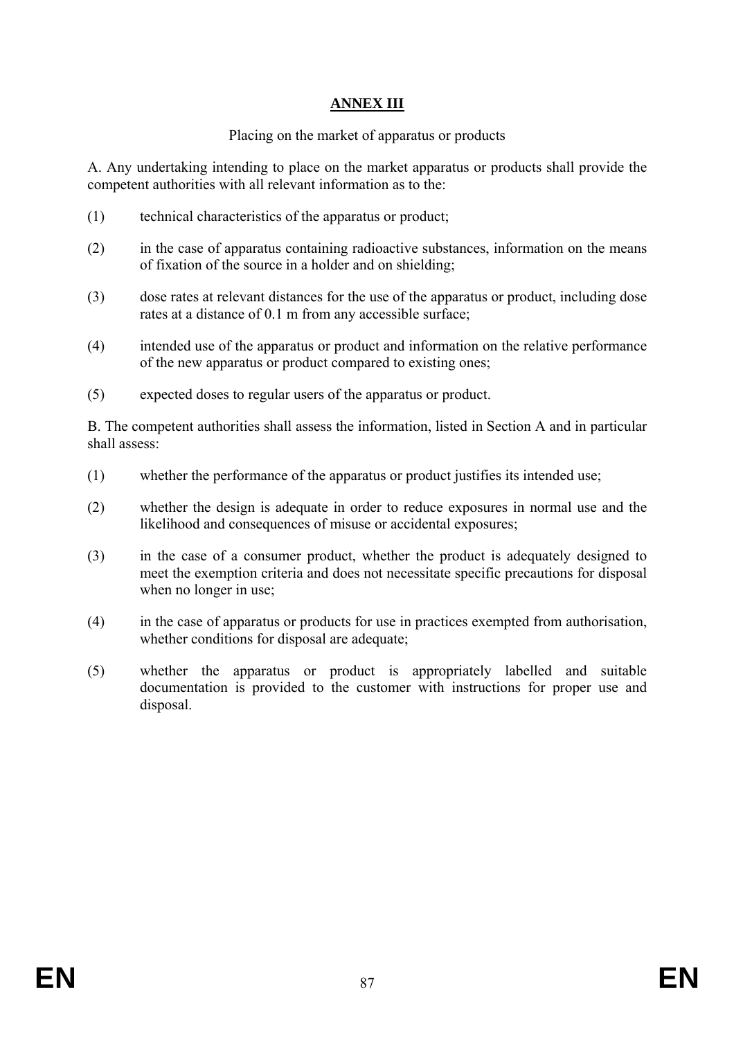# **ANNEX III**

# Placing on the market of apparatus or products

A. Any undertaking intending to place on the market apparatus or products shall provide the competent authorities with all relevant information as to the:

- (1) technical characteristics of the apparatus or product;
- (2) in the case of apparatus containing radioactive substances, information on the means of fixation of the source in a holder and on shielding;
- (3) dose rates at relevant distances for the use of the apparatus or product, including dose rates at a distance of 0.1 m from any accessible surface;
- (4) intended use of the apparatus or product and information on the relative performance of the new apparatus or product compared to existing ones;
- (5) expected doses to regular users of the apparatus or product.

B. The competent authorities shall assess the information, listed in Section A and in particular shall assess:

- (1) whether the performance of the apparatus or product justifies its intended use;
- (2) whether the design is adequate in order to reduce exposures in normal use and the likelihood and consequences of misuse or accidental exposures;
- (3) in the case of a consumer product, whether the product is adequately designed to meet the exemption criteria and does not necessitate specific precautions for disposal when no longer in use;
- (4) in the case of apparatus or products for use in practices exempted from authorisation, whether conditions for disposal are adequate;
- (5) whether the apparatus or product is appropriately labelled and suitable documentation is provided to the customer with instructions for proper use and disposal.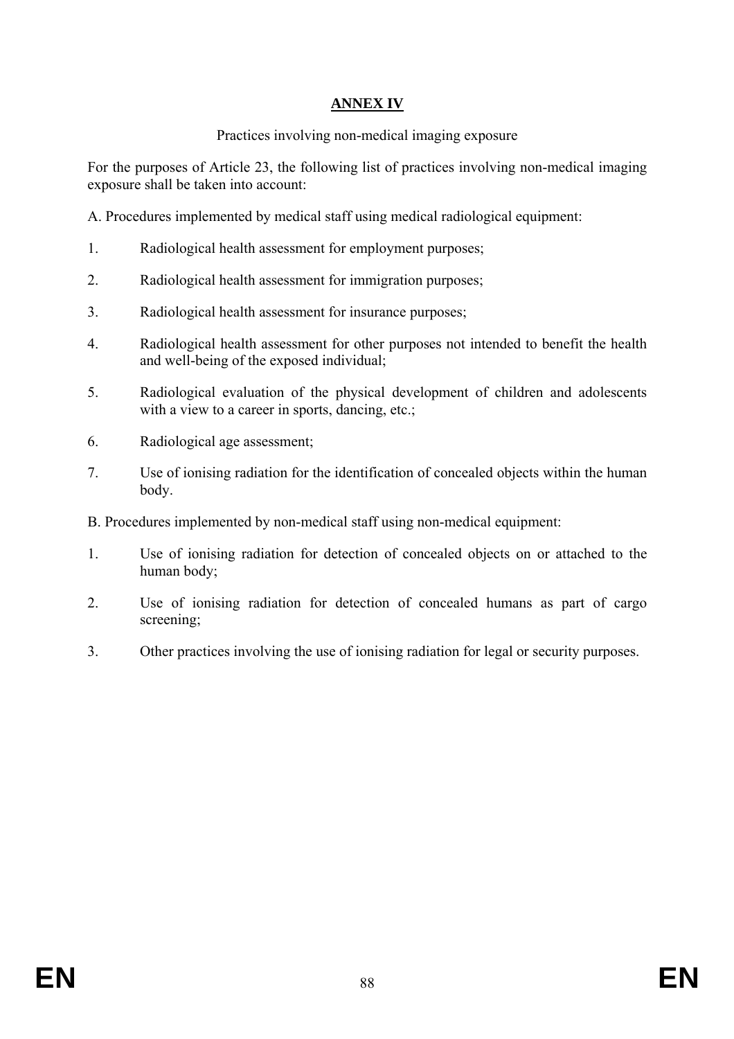# **ANNEX IV**

# Practices involving non-medical imaging exposure

For the purposes of Article 23, the following list of practices involving non-medical imaging exposure shall be taken into account:

A. Procedures implemented by medical staff using medical radiological equipment:

- 1. Radiological health assessment for employment purposes;
- 2. Radiological health assessment for immigration purposes;
- 3. Radiological health assessment for insurance purposes;
- 4. Radiological health assessment for other purposes not intended to benefit the health and well-being of the exposed individual;
- 5. Radiological evaluation of the physical development of children and adolescents with a view to a career in sports, dancing, etc.;
- 6. Radiological age assessment;
- 7. Use of ionising radiation for the identification of concealed objects within the human body.
- B. Procedures implemented by non-medical staff using non-medical equipment:
- 1. Use of ionising radiation for detection of concealed objects on or attached to the human body;
- 2. Use of ionising radiation for detection of concealed humans as part of cargo screening;
- 3. Other practices involving the use of ionising radiation for legal or security purposes.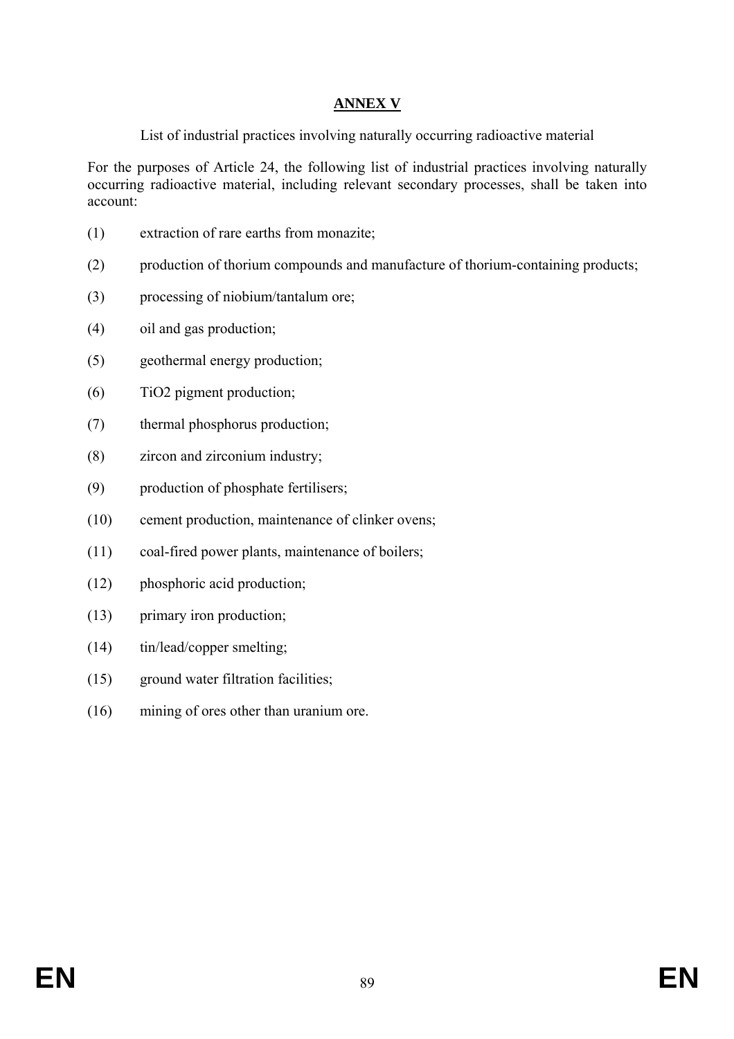# **ANNEX V**

List of industrial practices involving naturally occurring radioactive material

For the purposes of Article 24, the following list of industrial practices involving naturally occurring radioactive material, including relevant secondary processes, shall be taken into account:

- (1) extraction of rare earths from monazite;
- (2) production of thorium compounds and manufacture of thorium-containing products;
- (3) processing of niobium/tantalum ore;
- (4) oil and gas production;
- (5) geothermal energy production;
- (6) TiO2 pigment production;
- (7) thermal phosphorus production;
- (8) zircon and zirconium industry;
- (9) production of phosphate fertilisers;
- (10) cement production, maintenance of clinker ovens;
- (11) coal-fired power plants, maintenance of boilers;
- (12) phosphoric acid production;
- (13) primary iron production;
- (14) tin/lead/copper smelting;
- (15) ground water filtration facilities;
- (16) mining of ores other than uranium ore.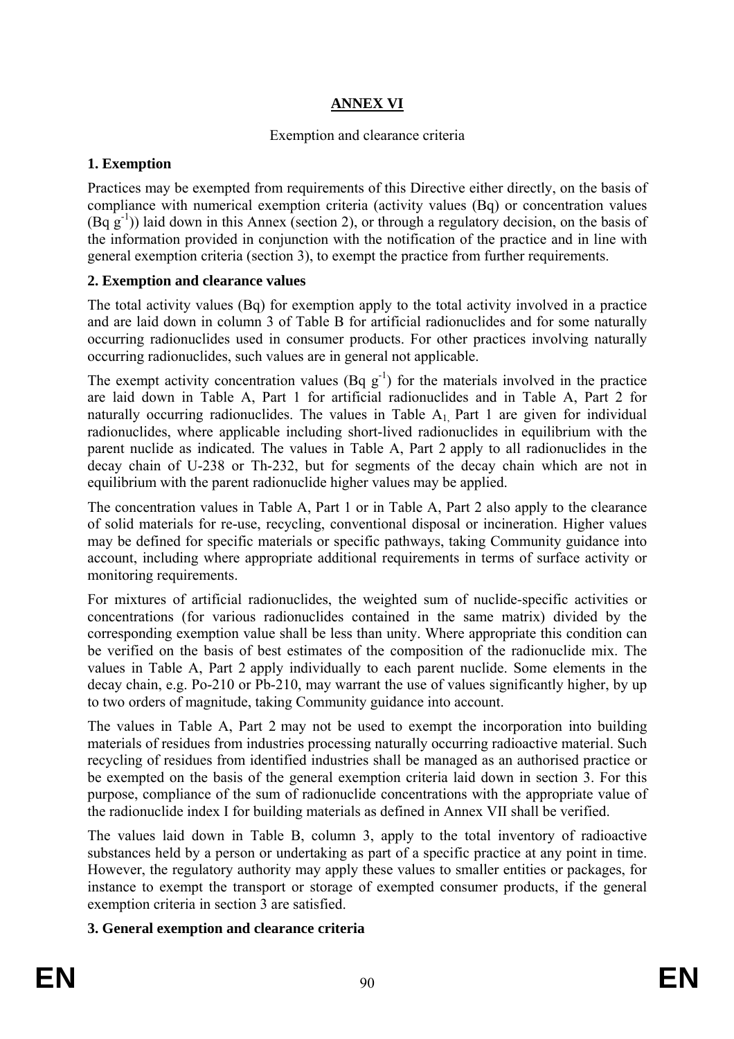# **ANNEX VI**

#### Exemption and clearance criteria

# **1. Exemption**

Practices may be exempted from requirements of this Directive either directly, on the basis of compliance with numerical exemption criteria (activity values (Bq) or concentration values  $(Bq g<sup>-1</sup>)$ ) laid down in this Annex (section 2), or through a regulatory decision, on the basis of the information provided in conjunction with the notification of the practice and in line with general exemption criteria (section 3), to exempt the practice from further requirements.

#### **2. Exemption and clearance values**

The total activity values (Bq) for exemption apply to the total activity involved in a practice and are laid down in column 3 of Table B for artificial radionuclides and for some naturally occurring radionuclides used in consumer products. For other practices involving naturally occurring radionuclides, such values are in general not applicable.

The exempt activity concentration values  $(Bq g^{-1})$  for the materials involved in the practice are laid down in Table A, Part 1 for artificial radionuclides and in Table A, Part 2 for naturally occurring radionuclides. The values in Table  $A_1$  Part 1 are given for individual radionuclides, where applicable including short-lived radionuclides in equilibrium with the parent nuclide as indicated. The values in Table A, Part 2 apply to all radionuclides in the decay chain of U-238 or Th-232, but for segments of the decay chain which are not in equilibrium with the parent radionuclide higher values may be applied.

The concentration values in Table A, Part 1 or in Table A, Part 2 also apply to the clearance of solid materials for re-use, recycling, conventional disposal or incineration. Higher values may be defined for specific materials or specific pathways, taking Community guidance into account, including where appropriate additional requirements in terms of surface activity or monitoring requirements.

For mixtures of artificial radionuclides, the weighted sum of nuclide-specific activities or concentrations (for various radionuclides contained in the same matrix) divided by the corresponding exemption value shall be less than unity. Where appropriate this condition can be verified on the basis of best estimates of the composition of the radionuclide mix. The values in Table A, Part 2 apply individually to each parent nuclide. Some elements in the decay chain, e.g. Po-210 or Pb-210, may warrant the use of values significantly higher, by up to two orders of magnitude, taking Community guidance into account.

The values in Table A, Part 2 may not be used to exempt the incorporation into building materials of residues from industries processing naturally occurring radioactive material. Such recycling of residues from identified industries shall be managed as an authorised practice or be exempted on the basis of the general exemption criteria laid down in section 3. For this purpose, compliance of the sum of radionuclide concentrations with the appropriate value of the radionuclide index I for building materials as defined in Annex VII shall be verified.

The values laid down in Table B, column 3, apply to the total inventory of radioactive substances held by a person or undertaking as part of a specific practice at any point in time. However, the regulatory authority may apply these values to smaller entities or packages, for instance to exempt the transport or storage of exempted consumer products, if the general exemption criteria in section 3 are satisfied.

# **3. General exemption and clearance criteria**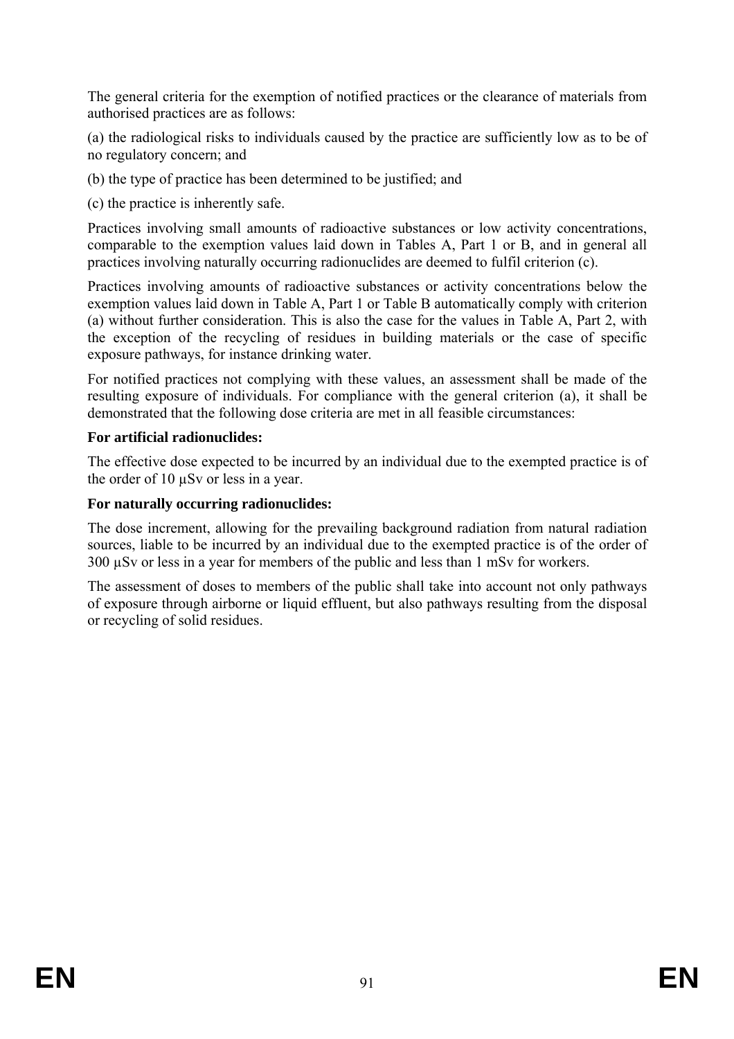The general criteria for the exemption of notified practices or the clearance of materials from authorised practices are as follows:

(a) the radiological risks to individuals caused by the practice are sufficiently low as to be of no regulatory concern; and

(b) the type of practice has been determined to be justified; and

(c) the practice is inherently safe.

Practices involving small amounts of radioactive substances or low activity concentrations, comparable to the exemption values laid down in Tables A, Part 1 or B, and in general all practices involving naturally occurring radionuclides are deemed to fulfil criterion (c).

Practices involving amounts of radioactive substances or activity concentrations below the exemption values laid down in Table A, Part 1 or Table B automatically comply with criterion (a) without further consideration. This is also the case for the values in Table A, Part 2, with the exception of the recycling of residues in building materials or the case of specific exposure pathways, for instance drinking water.

For notified practices not complying with these values, an assessment shall be made of the resulting exposure of individuals. For compliance with the general criterion (a), it shall be demonstrated that the following dose criteria are met in all feasible circumstances:

# **For artificial radionuclides:**

The effective dose expected to be incurred by an individual due to the exempted practice is of the order of 10 µSv or less in a year.

# **For naturally occurring radionuclides:**

The dose increment, allowing for the prevailing background radiation from natural radiation sources, liable to be incurred by an individual due to the exempted practice is of the order of 300 µSv or less in a year for members of the public and less than 1 mSv for workers.

The assessment of doses to members of the public shall take into account not only pathways of exposure through airborne or liquid effluent, but also pathways resulting from the disposal or recycling of solid residues.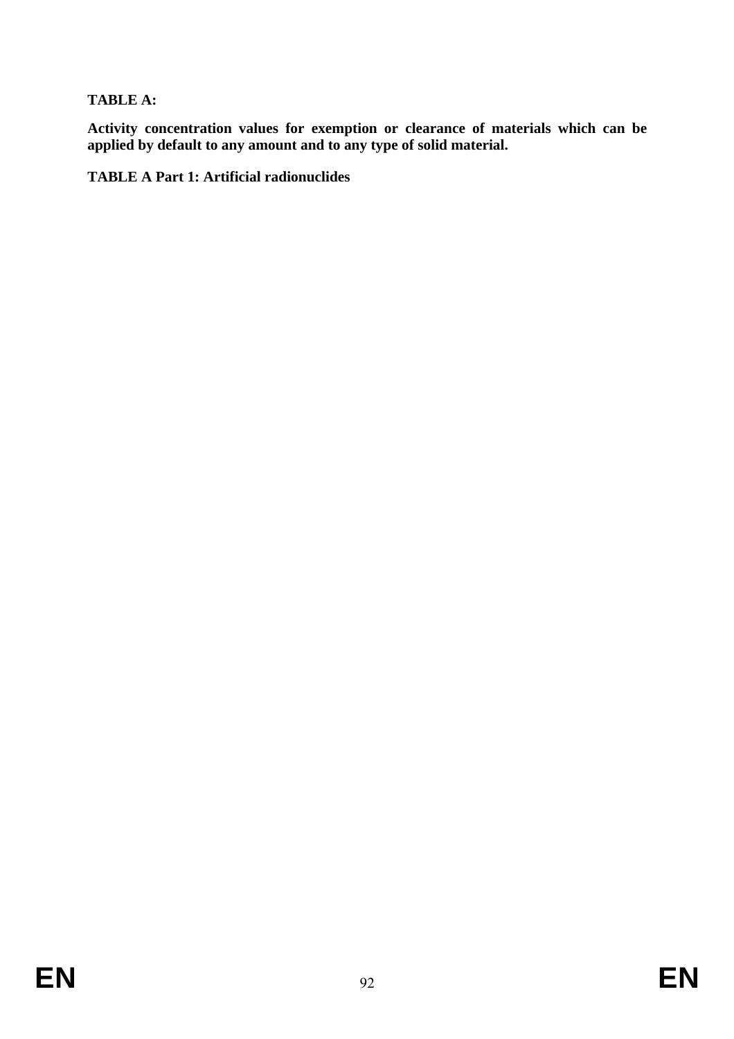# **TABLE A:**

**Activity concentration values for exemption or clearance of materials which can be applied by default to any amount and to any type of solid material.** 

**TABLE A Part 1: Artificial radionuclides**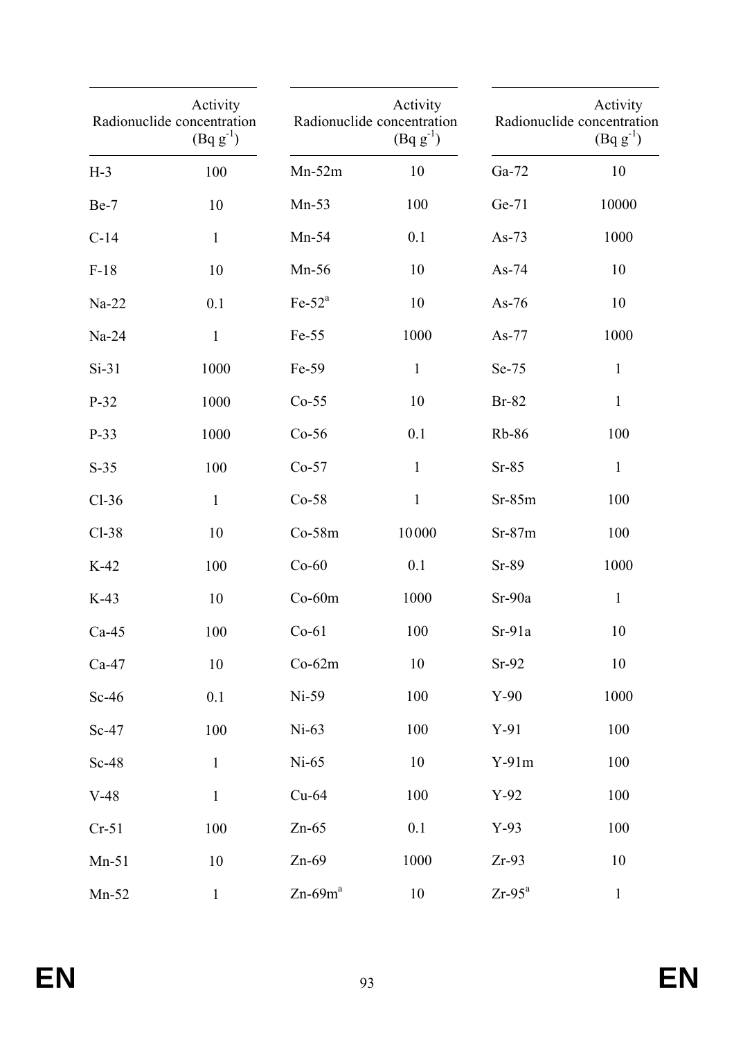| Activity<br>Radionuclide concentration<br>$(Bq g^{-1})$ |              |            | Activity<br>Radionuclide concentration<br>$(Bq g^{-1})$ |              | Activity<br>Radionuclide concentration<br>$(Bq g^{-1})$ |  |
|---------------------------------------------------------|--------------|------------|---------------------------------------------------------|--------------|---------------------------------------------------------|--|
| $H-3$                                                   | 100          | $Mn-52m$   | 10                                                      | Ga-72        | 10                                                      |  |
| $Be-7$                                                  | 10           | $Mn-53$    | 100                                                     | Ge-71        | 10000                                                   |  |
| $C-14$                                                  | $\mathbf{1}$ | $Mn-54$    | 0.1                                                     | $As-73$      | 1000                                                    |  |
| $F-18$                                                  | 10           | $Mn-56$    | 10                                                      | $As-74$      | 10                                                      |  |
| $Na-22$                                                 | 0.1          | $Fe-52a$   | 10                                                      | As- $76$     | 10                                                      |  |
| $Na-24$                                                 | $\mathbf{1}$ | Fe-55      | 1000                                                    | $As-77$      | 1000                                                    |  |
| $Si-31$                                                 | 1000         | Fe-59      | $\mathbf{1}$                                            | Se-75        | $\mathbf{1}$                                            |  |
| $P-32$                                                  | 1000         | $Co-55$    | 10                                                      | <b>Br-82</b> | $\mathbf{1}$                                            |  |
| $P-33$                                                  | 1000         | $Co-56$    | 0.1                                                     | <b>Rb-86</b> | 100                                                     |  |
| $S-35$                                                  | 100          | $Co-57$    | $\mathbf{1}$                                            | $Sr-85$      | $\mathbf{1}$                                            |  |
| $Cl-36$                                                 | $\mathbf{1}$ | $Co-58$    | $\,1$                                                   | $Sr-85m$     | 100                                                     |  |
| $Cl-38$                                                 | 10           | $Co-58m$   | 10000                                                   | $Sr-87m$     | 100                                                     |  |
| $K-42$                                                  | 100          | $Co-60$    | 0.1                                                     | $Sr-89$      | 1000                                                    |  |
| $K-43$                                                  | 10           | $Co-60m$   | 1000                                                    | $Sr-90a$     | $\mathbf{1}$                                            |  |
| $Ca-45$                                                 | 100          | $Co-61$    | 100                                                     | $Sr-91a$     | 10                                                      |  |
| $Ca-47$                                                 | $10\,$       | $Co-62m$   | 10                                                      | $Sr-92$      | $10\,$                                                  |  |
| $Sc-46$                                                 | 0.1          | $Ni-59$    | 100                                                     | $Y-90$       | 1000                                                    |  |
| $Sc-47$                                                 | 100          | $Ni-63$    | 100                                                     | $Y-91$       | 100                                                     |  |
| $Sc-48$                                                 | $\mathbf 1$  | $Ni-65$    | $10\,$                                                  | $Y-91m$      | 100                                                     |  |
| $V-48$                                                  | $\mathbf 1$  | $Cu-64$    | 100                                                     | $Y-92$       | 100                                                     |  |
| $Cr-51$                                                 | 100          | $Zn-65$    | 0.1                                                     | $Y-93$       | 100                                                     |  |
| $Mn-51$                                                 | $10\,$       | $Zn-69$    | 1000                                                    | $Zr-93$      | 10                                                      |  |
| $Mn-52$                                                 | $\mathbf{1}$ | $Zn-69m^a$ | $10\,$                                                  | $Zr-95^a$    | $\mathbf 1$                                             |  |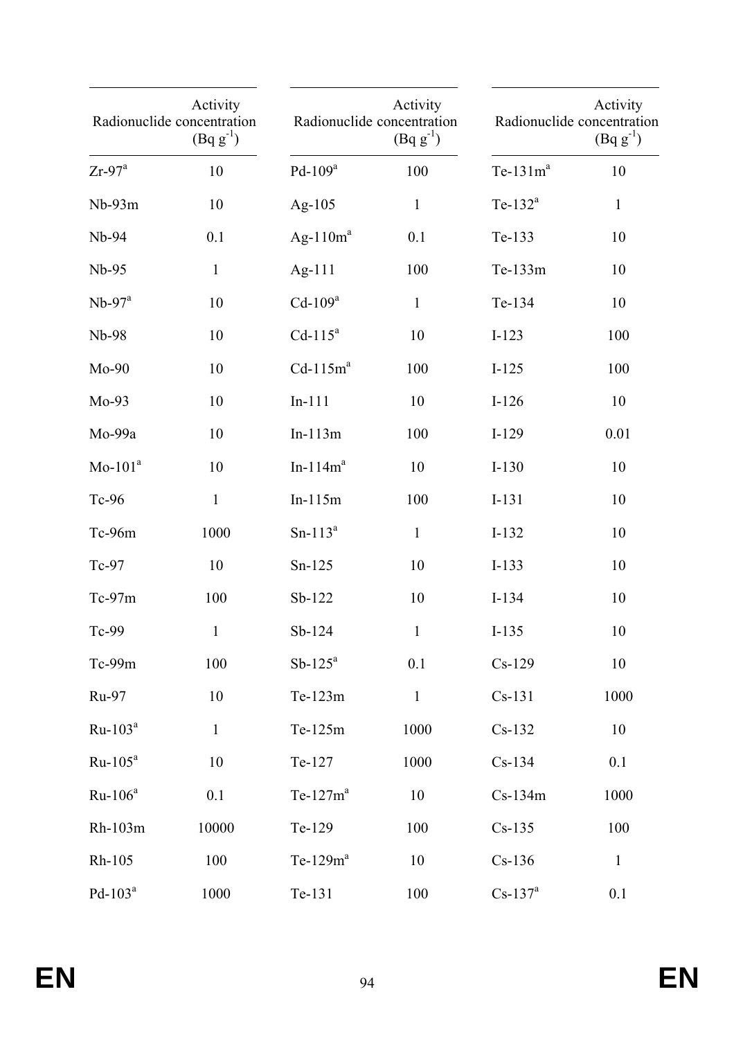|             | Activity<br>Radionuclide concentration<br>$(Bq g^{-1})$ |             | Activity<br>Radionuclide concentration<br>$(Bq g^{-1})$ |             | Activity<br>Radionuclide concentration<br>$(Bq g^{-1})$ |
|-------------|---------------------------------------------------------|-------------|---------------------------------------------------------|-------------|---------------------------------------------------------|
| $Zr-97^a$   | 10                                                      | $Pd-109^a$  | 100                                                     | $Te-131m^a$ | 10                                                      |
| Nb-93m      | 10                                                      | Ag-105      | $\mathbf{1}$                                            | Te- $132^a$ | $\mathbf{1}$                                            |
| Nb-94       | 0.1                                                     | Ag- $110ma$ | 0.1                                                     | Te-133      | 10                                                      |
| $Nb-95$     | $\mathbf{1}$                                            | Ag-111      | 100                                                     | Te-133m     | 10                                                      |
| $Nb-97a$    | 10                                                      | $Cd-109a$   | $\mathbf{1}$                                            | Te-134      | 10                                                      |
| Nb-98       | 10                                                      | $Cd-115^a$  | 10                                                      | $I-123$     | 100                                                     |
| $Mo-90$     | 10                                                      | $Cd-115ma$  | 100                                                     | $I-125$     | 100                                                     |
| $Mo-93$     | 10                                                      | $In-111$    | 10                                                      | $I-126$     | 10                                                      |
| Mo-99a      | 10                                                      | $In-113m$   | 100                                                     | $I-129$     | 0.01                                                    |
| $Mo-101a$   | 10                                                      | $In-114ma$  | 10                                                      | $I-130$     | 10                                                      |
| Tc-96       | $\mathbf{1}$                                            | $In-115m$   | 100                                                     | $I-131$     | 10                                                      |
| Tc-96m      | 1000                                                    | $Sn-113^a$  | $\mathbf{1}$                                            | $I-132$     | 10                                                      |
| Tc-97       | 10                                                      | $Sn-125$    | 10                                                      | $I-133$     | 10                                                      |
| $Tc-97m$    | 100                                                     | $Sb-122$    | 10                                                      | $I-134$     | 10                                                      |
| Tc-99       | $\mathbf{1}$                                            | $Sb-124$    | $\mathbf{1}$                                            | $I-135$     | 10                                                      |
| Tc-99m      | 100                                                     | $Sb-125^a$  | 0.1                                                     | $Cs-129$    | 10                                                      |
| Ru-97       | 10                                                      | Te-123m     | $\mathbf{1}$                                            | $Cs-131$    | 1000                                                    |
| $Ru-103^a$  | $\mathbf{1}$                                            | Te-125m     | 1000                                                    | $Cs-132$    | 10                                                      |
| $Ru-105^a$  | 10                                                      | Te-127      | 1000                                                    | $Cs-134$    | 0.1                                                     |
| $Ru-106^a$  | 0.1                                                     | Te- $127ma$ | 10                                                      | $Cs-134m$   | 1000                                                    |
| Rh-103m     | 10000                                                   | Te-129      | 100                                                     | $Cs-135$    | 100                                                     |
| Rh-105      | 100                                                     | Te- $129ma$ | 10                                                      | $Cs-136$    | $\mathbf{1}$                                            |
| Pd- $103^a$ | 1000                                                    | Te-131      | 100                                                     | $Cs-137a$   | 0.1                                                     |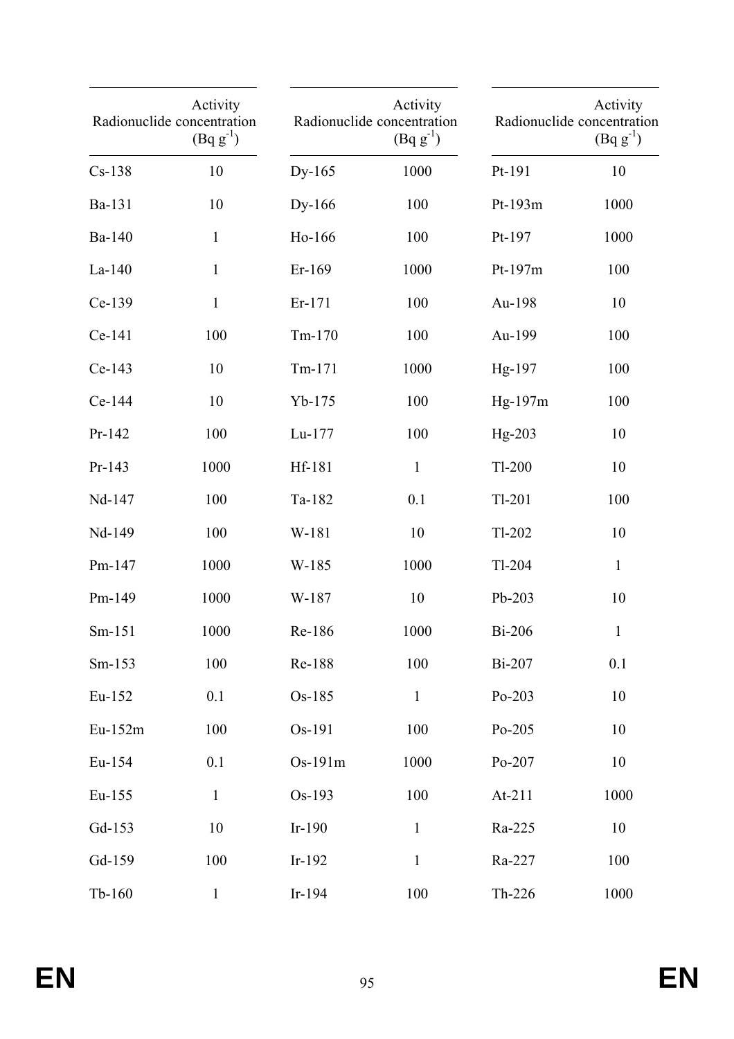|          | Activity<br>Radionuclide concentration<br>$(Bq g^{-1})$ |          | Activity<br>Radionuclide concentration<br>$(Bq g^{-1})$ |               | Activity<br>Radionuclide concentration<br>$(Bq g^{-1})$ |
|----------|---------------------------------------------------------|----------|---------------------------------------------------------|---------------|---------------------------------------------------------|
| $Cs-138$ | 10                                                      | $Dy-165$ | 1000                                                    | Pt-191        | 10                                                      |
| Ba-131   | 10                                                      | $Dy-166$ | 100                                                     | Pt-193m       | 1000                                                    |
| Ba-140   | $\mathbf{1}$                                            | Ho-166   | 100                                                     | Pt-197        | 1000                                                    |
| $La-140$ | $\mathbf{1}$                                            | Er-169   | 1000                                                    | Pt-197m       | 100                                                     |
| Ce-139   | $\mathbf{1}$                                            | Er-171   | 100                                                     | Au-198        | 10                                                      |
| Ce-141   | 100                                                     | $Tm-170$ | 100                                                     | Au-199        | 100                                                     |
| Ce-143   | 10                                                      | $Tm-171$ | 1000                                                    | Hg-197        | 100                                                     |
| Ce-144   | 10                                                      | Yb-175   | 100                                                     | Hg-197m       | 100                                                     |
| Pr-142   | 100                                                     | $Lu-177$ | 100                                                     | $Hg-203$      | 10                                                      |
| Pr-143   | 1000                                                    | Hf-181   | $\mathbf{1}$                                            | $Tl-200$      | 10                                                      |
| Nd-147   | 100                                                     | Ta-182   | 0.1                                                     | $Tl-201$      | 100                                                     |
| Nd-149   | 100                                                     | W-181    | 10                                                      | $Tl-202$      | 10                                                      |
| Pm-147   | 1000                                                    | W-185    | 1000                                                    | $Tl-204$      | $\mathbf{1}$                                            |
| Pm-149   | 1000                                                    | W-187    | 10                                                      | Pb-203        | 10                                                      |
| $Sm-151$ | 1000                                                    | Re-186   | 1000                                                    | <b>Bi-206</b> | 1                                                       |
| $Sm-153$ | 100                                                     | Re-188   | 100                                                     | <b>Bi-207</b> | 0.1                                                     |
| Eu-152   | 0.1                                                     | Os-185   | $\mathbf{1}$                                            | Po-203        | 10                                                      |
| Eu-152m  | 100                                                     | Os-191   | 100                                                     | Po-205        | 10                                                      |
| Eu-154   | 0.1                                                     | Os-191m  | 1000                                                    | Po-207        | 10                                                      |
| Eu-155   | $\mathbf{1}$                                            | Os-193   | 100                                                     | At- $211$     | 1000                                                    |
| Gd-153   | 10                                                      | $Ir-190$ | $\mathbf{1}$                                            | Ra-225        | 10                                                      |
| Gd-159   | 100                                                     | $Ir-192$ | $\mathbf{1}$                                            | Ra-227        | 100                                                     |
| Tb-160   | $\mathbf{1}$                                            | Ir-194   | 100                                                     | Th-226        | 1000                                                    |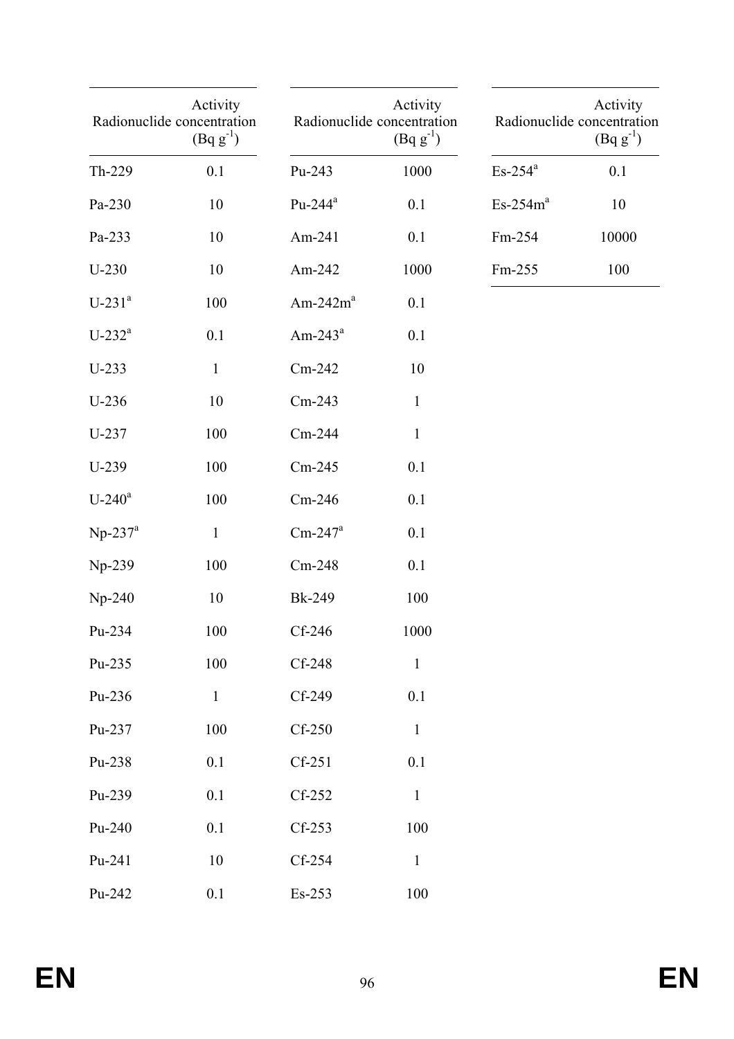| Activity<br>Radionuclide concentration<br>$(Bq g^{-1})$ |              |               | Activity<br>Radionuclide concentration<br>$(Bq g^{-1})$ |             | Activity<br>Radionuclide concentration<br>$(Bq g^{-1})$ |
|---------------------------------------------------------|--------------|---------------|---------------------------------------------------------|-------------|---------------------------------------------------------|
| Th-229                                                  | 0.1          | Pu-243        | 1000                                                    | $Es-254^a$  | 0.1                                                     |
| Pa-230                                                  | 10           | $Pu-244^a$    | 0.1                                                     | $Es-254m^a$ | 10                                                      |
| Pa-233                                                  | 10           | Am-241        | 0.1                                                     | Fm-254      | 10000                                                   |
| $U-230$                                                 | 10           | Am-242        | 1000                                                    | Fm-255      | 100                                                     |
| $U-231^a$                                               | 100          | Am- $242ma$   | 0.1                                                     |             |                                                         |
| $U-232^a$                                               | 0.1          | Am-243 $a$    | 0.1                                                     |             |                                                         |
| $U-233$                                                 | $\mathbf{1}$ | $Cm-242$      | 10                                                      |             |                                                         |
| $U-236$                                                 | 10           | $Cm-243$      | $\mathbf{1}$                                            |             |                                                         |
| U-237                                                   | 100          | $Cm-244$      | $\mathbf{1}$                                            |             |                                                         |
| U-239                                                   | 100          | $Cm-245$      | 0.1                                                     |             |                                                         |
| $U-240$ <sup>a</sup>                                    | 100          | $Cm-246$      | 0.1                                                     |             |                                                         |
| $Np-237a$                                               | $\mathbf 1$  | $Cm-247^a$    | 0.1                                                     |             |                                                         |
| Np-239                                                  | 100          | $Cm-248$      | 0.1                                                     |             |                                                         |
| $Np-240$                                                | 10           | <b>Bk-249</b> | 100                                                     |             |                                                         |
| Pu-234                                                  | 100          | Cf-246        | 1000                                                    |             |                                                         |
| Pu-235                                                  | 100          | Cf-248        | $\mathbf{1}$                                            |             |                                                         |
| Pu-236                                                  | $\mathbf{1}$ | Cf-249        | 0.1                                                     |             |                                                         |
| Pu-237                                                  | 100          | Cf-250        | $\mathbf{1}$                                            |             |                                                         |
| Pu-238                                                  | 0.1          | $Cf-251$      | $0.1\,$                                                 |             |                                                         |
| Pu-239                                                  | $0.1\,$      | Cf-252        | $\mathbf 1$                                             |             |                                                         |
| Pu-240                                                  | 0.1          | $Cf-253$      | 100                                                     |             |                                                         |
| Pu-241                                                  | 10           | Cf-254        | $\mathbf{1}$                                            |             |                                                         |
| Pu-242                                                  | 0.1          | Es-253        | 100                                                     |             |                                                         |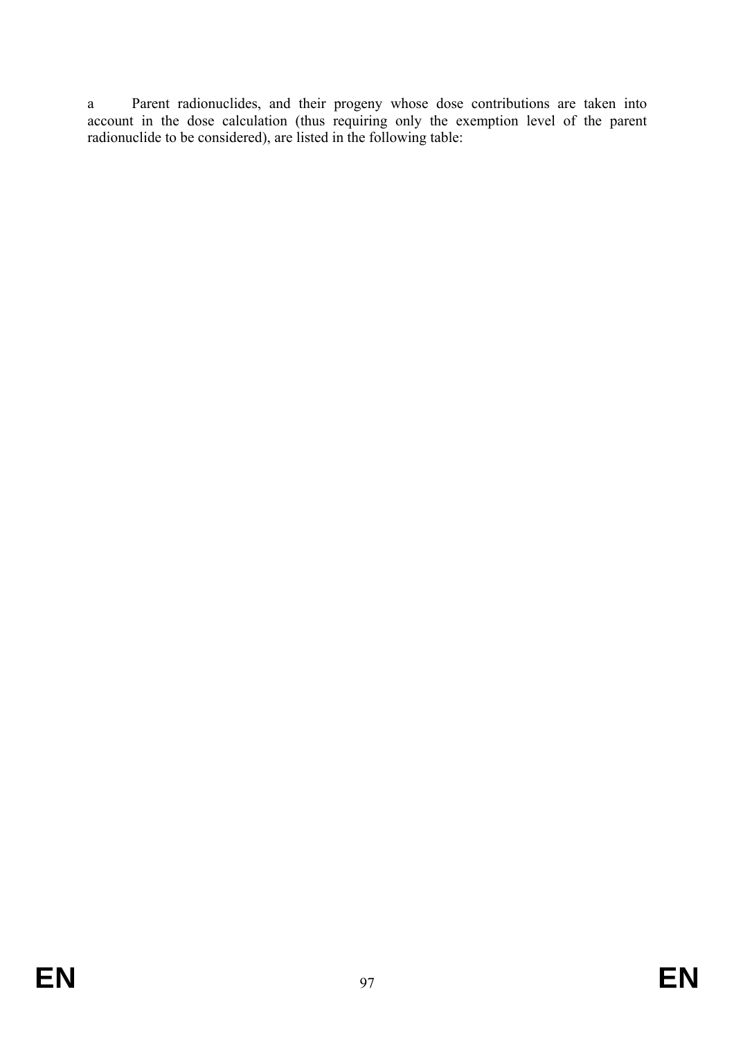a Parent radionuclides, and their progeny whose dose contributions are taken into account in the dose calculation (thus requiring only the exemption level of the parent radionuclide to be considered), are listed in the following table: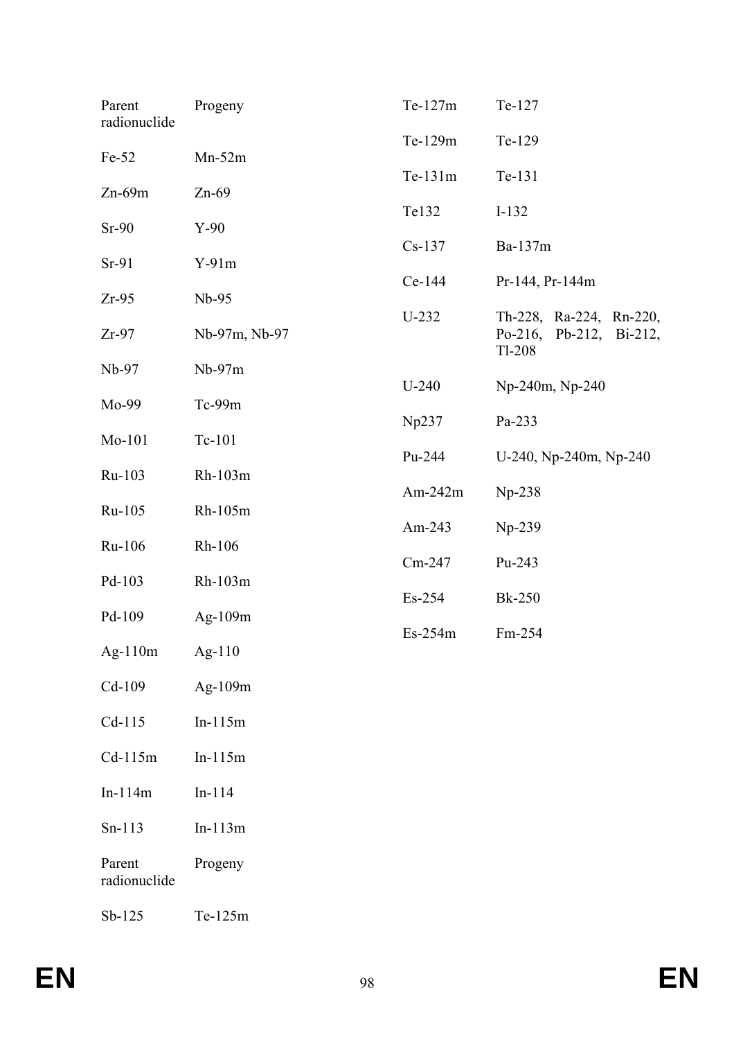| Parent<br>radionuclide | Progeny       | Te-127m    | Te-127                                                       |
|------------------------|---------------|------------|--------------------------------------------------------------|
| Fe-52                  | $Mn-52m$      | Te-129m    | Te-129                                                       |
|                        |               | Te-131m    | Te-131                                                       |
| $Zn-69m$               | $Zn-69$       | Te132      | $I-132$                                                      |
| $Sr-90$                | $Y-90$        | $Cs-137$   | Ba-137m                                                      |
| $Sr-91$                | $Y-91m$       | Ce-144     | Pr-144, Pr-144m                                              |
| $Zr-95$                | $Nb-95$       |            |                                                              |
| $Zr-97$                | Nb-97m, Nb-97 | $U-232$    | Th-228, Ra-224, Rn-220,<br>Po-216, Pb-212, Bi-212,<br>Tl-208 |
| $Nb-97$                | $Nb-97m$      | $U-240$    | Np-240m, Np-240                                              |
| Mo-99                  | Tc-99m        | Np237      | Pa-233                                                       |
| Mo-101                 | Tc-101        |            |                                                              |
| Ru-103                 | Rh-103m       | Pu-244     | U-240, Np-240m, Np-240                                       |
| Ru-105                 | Rh-105m       | Am- $242m$ | Np-238                                                       |
| Ru-106                 | Rh-106        | Am-243     | Np-239                                                       |
| Pd-103                 | Rh-103m       | $Cm-247$   | Pu-243                                                       |
|                        |               | $Es-254$   | <b>Bk-250</b>                                                |
| Pd-109                 | Ag-109m       | $Es-254m$  | $Fm-254$                                                     |
| Ag-110m                | Ag-110        |            |                                                              |
| Cd-109                 | Ag-109m       |            |                                                              |
| $Cd-115$               | $In-115m$     |            |                                                              |
| Cd-115m                | $In-115m$     |            |                                                              |
| $In-114m$              | $In-114$      |            |                                                              |
| $Sn-113$               | $In-113m$     |            |                                                              |
| Parent<br>radionuclide | Progeny       |            |                                                              |
| $Sb-125$               | Te-125m       |            |                                                              |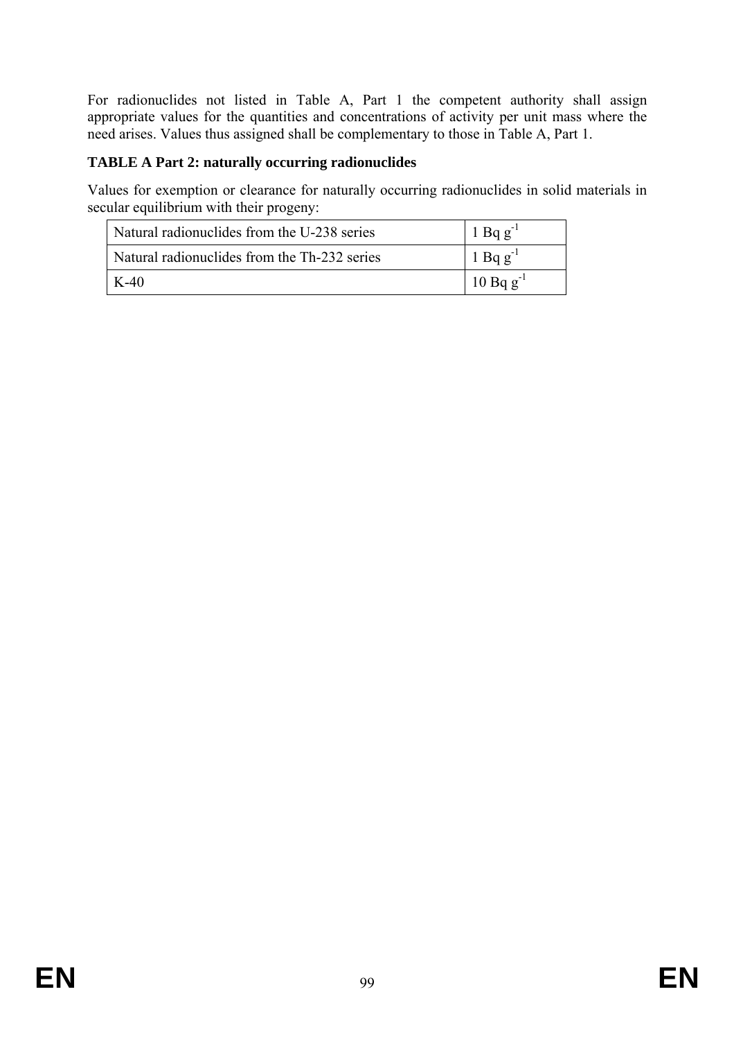For radionuclides not listed in Table A, Part 1 the competent authority shall assign appropriate values for the quantities and concentrations of activity per unit mass where the need arises. Values thus assigned shall be complementary to those in Table A, Part 1.

# **TABLE A Part 2: naturally occurring radionuclides**

Values for exemption or clearance for naturally occurring radionuclides in solid materials in secular equilibrium with their progeny:

| Natural radionuclides from the U-238 series  | $1$ Bq $g^{-1}$        |
|----------------------------------------------|------------------------|
| Natural radionuclides from the Th-232 series | $1$ Bq g <sup>-1</sup> |
| K-40                                         | $10 \text{ Bq g}^{-1}$ |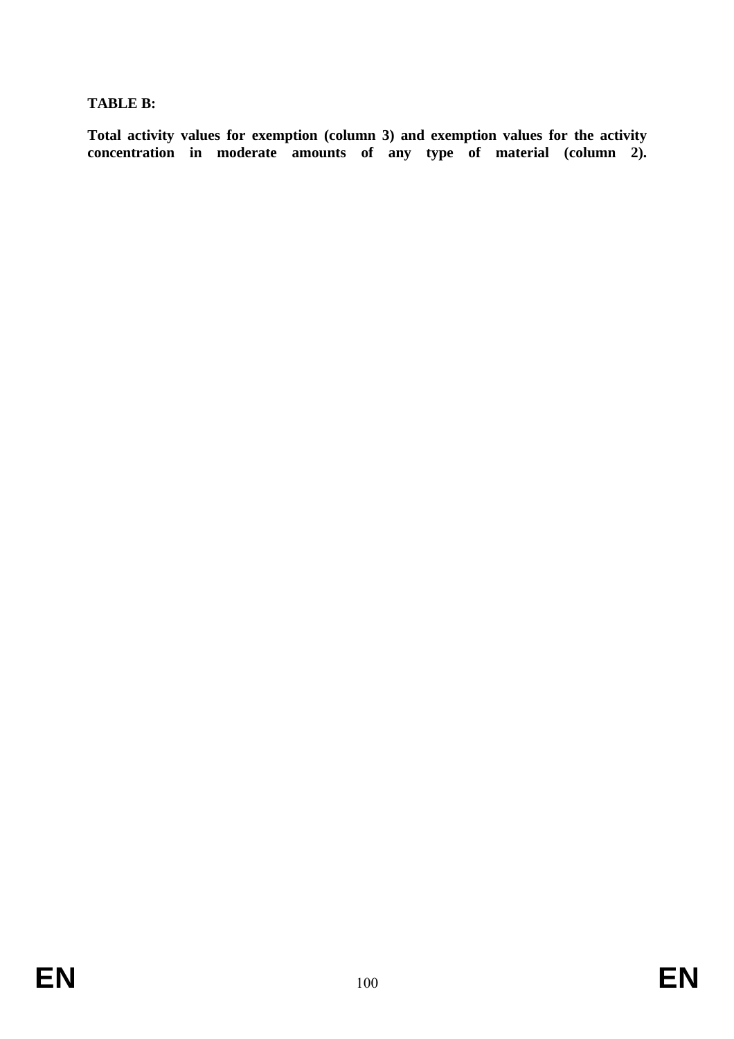#### **TABLE B:**

**Total activity values for exemption (column 3) and exemption values for the activity concentration in moderate amounts of any type of material (column 2).**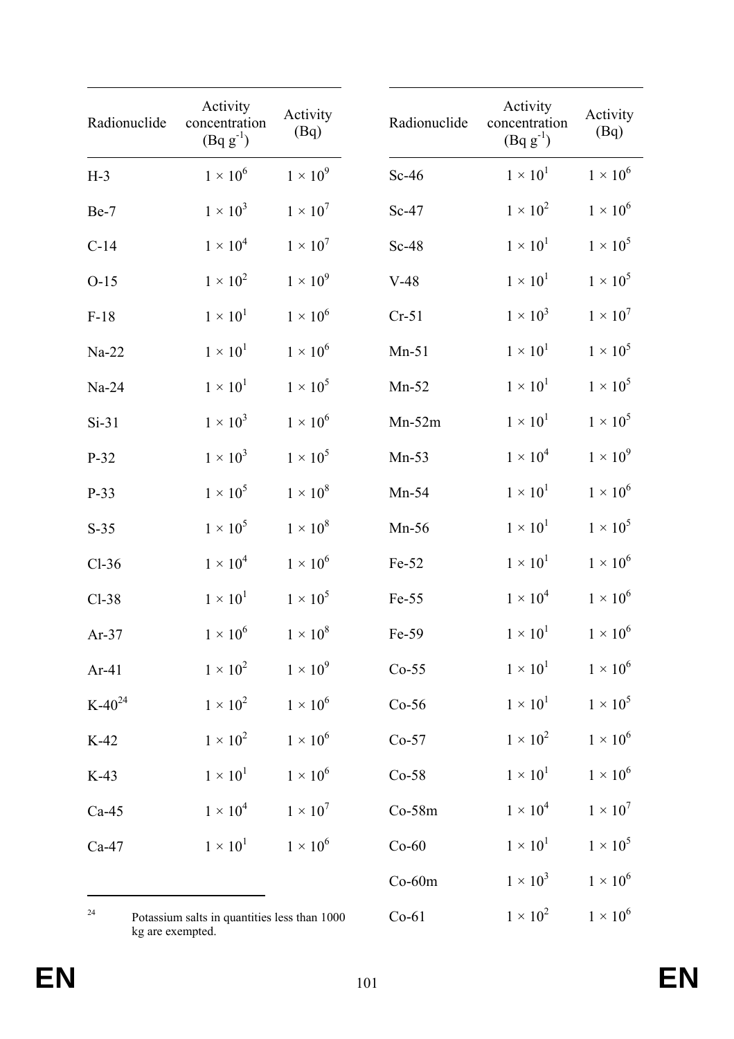| Radionuclide | Activity<br>concentration<br>$(Bq g^{-1})$ | Activity<br>(Bq) | Radionuclide | Activity<br>concentration<br>$(Bq g^{-1})$ | Activity<br>(Bq) |
|--------------|--------------------------------------------|------------------|--------------|--------------------------------------------|------------------|
| $H-3$        | $1 \times 10^6$                            | $1 \times 10^9$  | $Sc-46$      | $1 \times 10^1$                            | $1 \times 10^6$  |
| Be-7         | $1 \times 10^3$                            | $1 \times 10^7$  | Sc-47        | $1 \times 10^2$                            | $1 \times 10^6$  |
| $C-14$       | $1 \times 10^4$                            | $1 \times 10^7$  | $Sc-48$      | $1 \times 10^1$                            | $1 \times 10^5$  |
| $O-15$       | $1 \times 10^2$                            | $1 \times 10^9$  | $V-48$       | $1 \times 10^1$                            | $1 \times 10^5$  |
| $F-18$       | $1 \times 10^1$                            | $1 \times 10^6$  | $Cr-51$      | $1 \times 10^3$                            | $1 \times 10^7$  |
| $Na-22$      | $1 \times 10^{1}$                          | $1\times10^6$    | $Mn-51$      | $1 \times 10^1$                            | $1 \times 10^5$  |
| $Na-24$      | $1 \times 10^1$                            | $1 \times 10^5$  | $Mn-52$      | $1 \times 10^{1}$                          | $1 \times 10^5$  |
| $Si-31$      | $1 \times 10^3$                            | $1\times10^6$    | $Mn-52m$     | $1 \times 10^1$                            | $1 \times 10^5$  |
| $P-32$       | $1 \times 10^3$                            | $1 \times 10^5$  | $Mn-53$      | $1 \times 10^4$                            | $1 \times 10^9$  |
| $P-33$       | $1 \times 10^5$                            | $1 \times 10^8$  | $Mn-54$      | $1 \times 10^{1}$                          | $1 \times 10^6$  |
| $S-35$       | $1 \times 10^5$                            | $1 \times 10^8$  | $Mn-56$      | $1 \times 10^1$                            | $1\times10^5$    |
| $Cl-36$      | $1 \times 10^4$                            | $1 \times 10^6$  | Fe-52        | $1 \times 10^1$                            | $1 \times 10^6$  |
| $Cl-38$      | $1 \times 10^1$                            | $1 \times 10^5$  | Fe-55        | $1 \times 10^4$                            | $1 \times 10^6$  |
| Ar- $37$     | $1\times10^6$                              | $1 \times 10^8$  | Fe-59        | $1 \times 10^1$                            | $1 \times 10^6$  |
| $Ar-41$      | $1 \times 10^2$ $1 \times 10^9$            |                  | $Co-55$      | $1 \times 10^1$                            | $1 \times 10^6$  |
| $K-40^{24}$  | $1 \times 10^2$ $1 \times 10^6$            |                  | $Co-56$      | $1 \times 10^1$                            | $1 \times 10^5$  |
| $K-42$       | $1 \times 10^2$ $1 \times 10^6$            |                  | $Co-57$      | $1 \times 10^2$ $1 \times 10^6$            |                  |
| $K-43$       | $1 \times 10^1$ $1 \times 10^6$            |                  | $Co-58$      | $1 \times 10^1$                            | $1 \times 10^6$  |
| $Ca-45$      | $1 \times 10^4$ $1 \times 10^7$            |                  | $Co-58m$     | $1 \times 10^4$ $1 \times 10^7$            |                  |
| $Ca-47$      | $1 \times 10^1$ $1 \times 10^6$            |                  | $Co-60$      | $1 \times 10^1$ $1 \times 10^5$            |                  |
|              |                                            |                  | $Co-60m$     | $1 \times 10^3$                            | $1 \times 10^6$  |

 $^{24}$  Potassium salts in quantities less than 1000 kg are exempted.

Co-61  $1 \times 10^2$   $1 \times 10^6$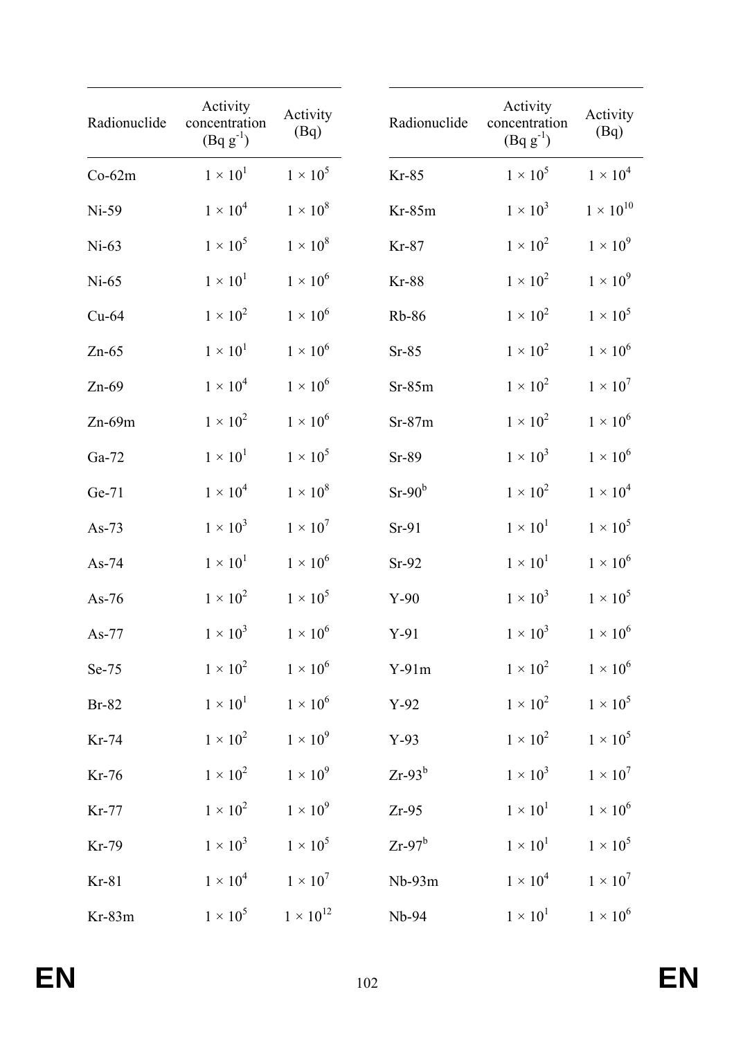| Radionuclide | Activity<br>concentration<br>$(Bq g^{-1})$ | Activity<br>(Bq)   | Radionuclide | Activity<br>concentration<br>$(Bq g^{-1})$ | Activity<br>(Bq)   |
|--------------|--------------------------------------------|--------------------|--------------|--------------------------------------------|--------------------|
| $Co-62m$     | $1 \times 10^{1}$                          | $1 \times 10^5$    | $Kr-85$      | $1 \times 10^5$                            | $1 \times 10^4$    |
| Ni-59        | $1 \times 10^4$                            | $1 \times 10^8$    | $Kr-85m$     | $1 \times 10^3$                            | $1 \times 10^{10}$ |
| $Ni-63$      | $1 \times 10^5$                            | $1 \times 10^8$    | $Kr-87$      | $1 \times 10^2$                            | $1 \times 10^9$    |
| $Ni-65$      | $1 \times 10^1$                            | $1 \times 10^6$    | <b>Kr-88</b> | $1 \times 10^2$                            | $1 \times 10^9$    |
| $Cu-64$      | $1 \times 10^2$                            | $1 \times 10^6$    | $Rb-86$      | $1 \times 10^2$                            | $1 \times 10^5$    |
| $Zn-65$      | $1 \times 10^1$                            | $1 \times 10^6$    | $Sr-85$      | $1 \times 10^2$                            | $1 \times 10^6$    |
| $Zn-69$      | $1 \times 10^4$                            | $1 \times 10^6$    | $Sr-85m$     | $1 \times 10^2$                            | $1 \times 10^7$    |
| $Zn-69m$     | $1 \times 10^2$                            | $1 \times 10^6$    | $Sr-87m$     | $1 \times 10^2$                            | $1 \times 10^6$    |
| Ga-72        | $1 \times 10^1$                            | $1 \times 10^5$    | $Sr-89$      | $1 \times 10^3$                            | $1 \times 10^6$    |
| $Ge-71$      | $1 \times 10^4$                            | $1 \times 10^8$    | $Sr-90^b$    | $1 \times 10^2$                            | $1 \times 10^4$    |
| As- $73$     | $1 \times 10^3$                            | $1 \times 10^7$    | $Sr-91$      | $1 \times 10^1$                            | $1 \times 10^5$    |
| As- $74$     | $1 \times 10^1$                            | $1 \times 10^6$    | $Sr-92$      | $1 \times 10^{1}$                          | $1 \times 10^6$    |
| As- $76$     | $1 \times 10^2$                            | $1 \times 10^5$    | $Y-90$       | $1 \times 10^3$                            | $1 \times 10^5$    |
| $As-77$      | $1 \times 10^3$                            | $1 \times 10^6$    | $Y-91$       | $1 \times 10^3$                            | $1 \times 10^6$    |
| Se-75        | $1 \times 10^2$                            | $1 \times 10^{6}$  | $Y-91m$      | $1 \times 10^2$                            | $1 \times 10^6$    |
| <b>Br-82</b> | $1 \times 10^{1}$                          | $1 \times 10^6$    | $Y-92$       | $1 \times 10^2$                            | $1 \times 10^5$    |
| Kr-74        | $1 \times 10^2$                            | $1 \times 10^9$    | $Y-93$       | $1 \times 10^2$                            | $1 \times 10^5$    |
| $Kr-76$      | $1 \times 10^2$                            | $1 \times 10^9$    | $Zr-93^b$    | $1 \times 10^3$                            | $1 \times 10^7$    |
| $Kr-77$      | $1 \times 10^2$                            | $1 \times 10^9$    | $Zr-95$      | $1 \times 10^1$                            | $1 \times 10^6$    |
| Kr-79        | $1 \times 10^3$                            | $1 \times 10^5$    | $Zr-97^b$    | $1 \times 10^1$                            | $1 \times 10^5$    |
| $Kr-81$      | $1 \times 10^4$                            | $1 \times 10^7$    | Nb-93m       | $1 \times 10^4$                            | $1 \times 10^7$    |
| $Kr-83m$     | $1 \times 10^5$                            | $1 \times 10^{12}$ | Nb-94        | $1 \times 10^1$                            | $1 \times 10^6$    |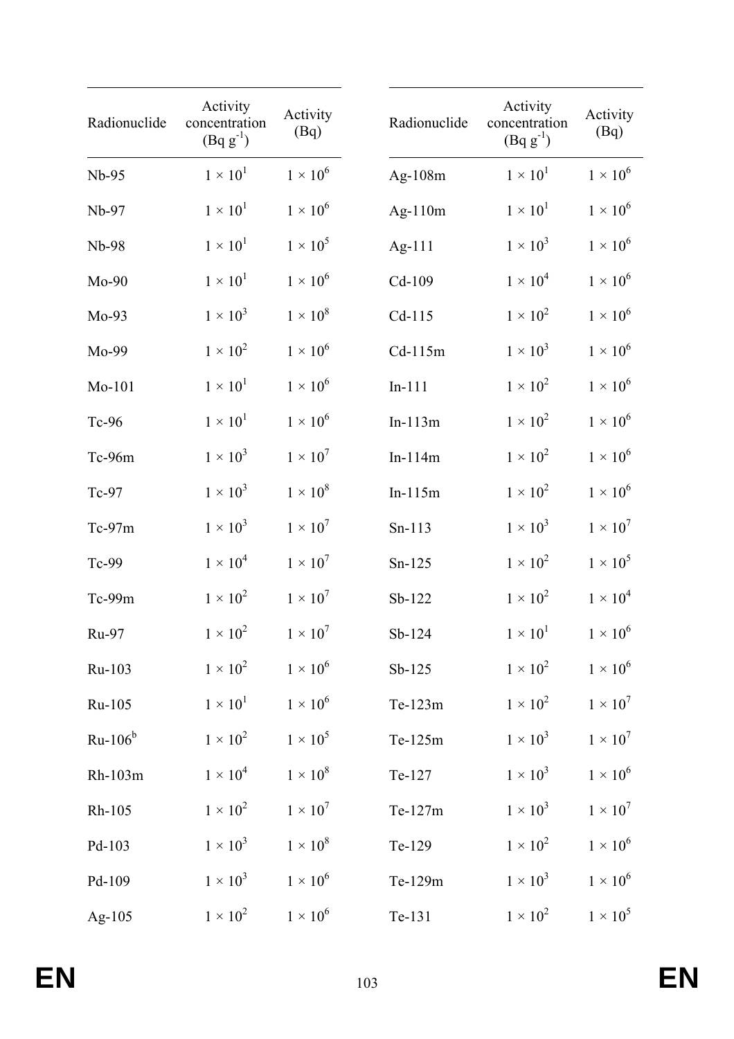| Radionuclide | Activity<br>concentration<br>$(Bq g^{-1})$ | Activity<br>(Bq) | Radionuclide | Activity<br>concentration<br>$(Bq g^{-1})$ | Activity<br>(Bq) |
|--------------|--------------------------------------------|------------------|--------------|--------------------------------------------|------------------|
| Nb-95        | $1 \times 10^1$                            | $1 \times 10^6$  | Ag-108m      | $1 \times 10^{1}$                          | $1 \times 10^6$  |
| Nb-97        | $1 \times 10^1$                            | $1 \times 10^6$  | Ag-110m      | $1 \times 10^{1}$                          | $1 \times 10^6$  |
| Nb-98        | $1 \times 10^1$                            | $1 \times 10^5$  | Ag-111       | $1 \times 10^3$                            | $1 \times 10^6$  |
| $Mo-90$      | $1 \times 10^1$                            | $1 \times 10^6$  | Cd-109       | $1 \times 10^4$                            | $1 \times 10^6$  |
| $Mo-93$      | $1 \times 10^3$                            | $1 \times 10^8$  | $Cd-115$     | $1 \times 10^2$                            | $1 \times 10^6$  |
| Mo-99        | $1 \times 10^2$                            | $1 \times 10^6$  | Cd-115m      | $1 \times 10^3$                            | $1 \times 10^6$  |
| Mo-101       | $1 \times 10^1$                            | $1 \times 10^6$  | $In-111$     | $1 \times 10^2$                            | $1 \times 10^6$  |
| Tc-96        | $1 \times 10^1$                            | $1 \times 10^6$  | $In-113m$    | $1 \times 10^2$                            | $1 \times 10^6$  |
| Tc-96m       | $1 \times 10^3$                            | $1 \times 10^7$  | $In-114m$    | $1 \times 10^2$                            | $1 \times 10^6$  |
| Tc-97        | $1 \times 10^3$                            | $1 \times 10^8$  | $In-115m$    | $1 \times 10^2$                            | $1 \times 10^6$  |
| $Tc-97m$     | $1 \times 10^3$                            | $1 \times 10^7$  | $Sn-113$     | $1 \times 10^3$                            | $1 \times 10^7$  |
| Tc-99        | $1 \times 10^4$                            | $1 \times 10^7$  | $Sn-125$     | $1 \times 10^2$                            | $1 \times 10^5$  |
| Tc-99m       | $1 \times 10^2$                            | $1 \times 10^7$  | Sb-122       | $1 \times 10^2$                            | $1 \times 10^4$  |
| Ru-97        | $1 \times 10^2$                            | $1 \times 10^7$  | Sb-124       | $1 \times 10^1$                            | $1 \times 10^6$  |
| Ru-103       | $1 \times 10^2$                            | $1 \times 10^6$  | $Sb-125$     | $1 \times 10^2$                            | $1 \times 10^6$  |
| Ru-105       | $1 \times 10^1$                            | $1 \times 10^6$  | Te-123m      | $1 \times 10^2$                            | $1 \times 10^7$  |
| $Ru-106b$    | $1 \times 10^2$                            | $1 \times 10^5$  | Te-125m      | $1 \times 10^3$                            | $1 \times 10^7$  |
| Rh-103m      | $1 \times 10^4$                            | $1 \times 10^8$  | Te-127       | $1 \times 10^3$                            | $1 \times 10^6$  |
| Rh-105       | $1 \times 10^2$                            | $1 \times 10^7$  | Te-127m      | $1 \times 10^3$                            | $1 \times 10^7$  |
| Pd-103       | $1 \times 10^3$                            | $1 \times 10^8$  | Te-129       | $1 \times 10^2$                            | $1 \times 10^6$  |
| Pd-109       | $1 \times 10^3$                            | $1 \times 10^6$  | Te-129m      | $1 \times 10^3$                            | $1 \times 10^6$  |
| Ag-105       | $1 \times 10^2$                            | $1 \times 10^6$  | Te-131       | $1 \times 10^2$                            | $1 \times 10^5$  |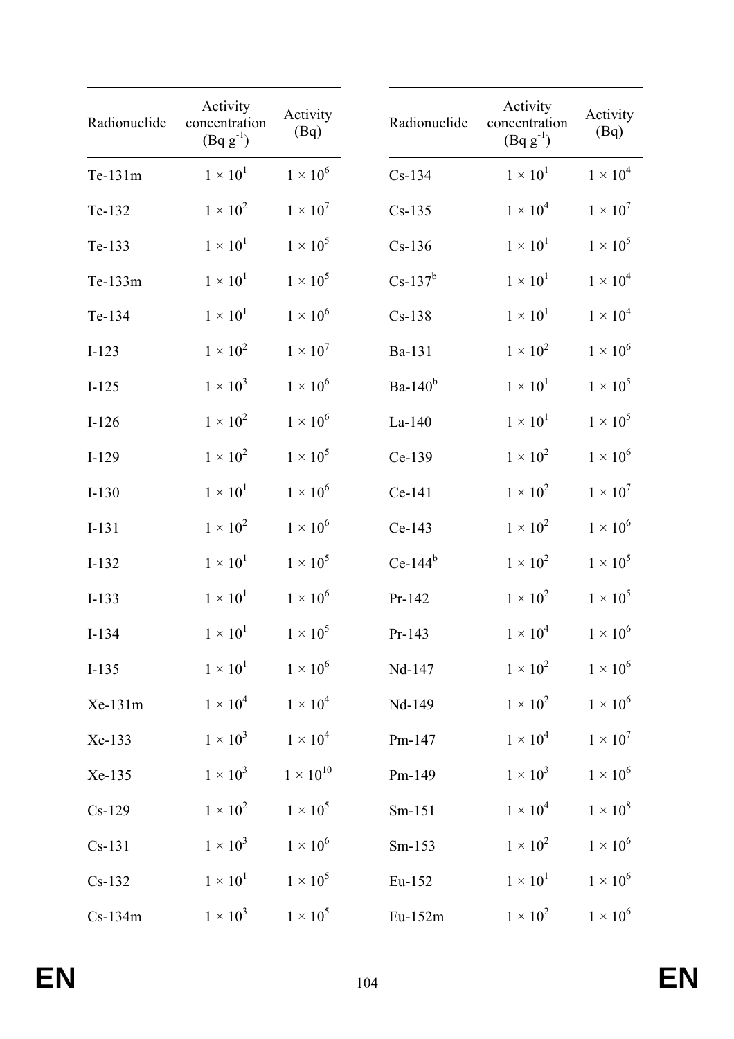| Radionuclide | Activity<br>concentration<br>$(Bq g^{-1})$ | Activity<br>(Bq)   | Radionuclide | Activity<br>concentration<br>$(Bq g^{-1})$ | Activity<br>(Bq) |
|--------------|--------------------------------------------|--------------------|--------------|--------------------------------------------|------------------|
| Te-131m      | $1 \times 10^1$                            | $1 \times 10^6$    | $Cs-134$     | $1 \times 10^1$                            | $1 \times 10^4$  |
| Te-132       | $1 \times 10^2$                            | $1 \times 10^7$    | $Cs-135$     | $1 \times 10^4$                            | $1 \times 10^7$  |
| Te-133       | $1 \times 10^{1}$                          | $1\times10^5$      | $Cs-136$     | $1 \times 10^1$                            | $1 \times 10^5$  |
| Te-133m      | $1 \times 10^1$                            | $1 \times 10^5$    | $Cs-137^b$   | $1 \times 10^1$                            | $1 \times 10^4$  |
| Te-134       | $1 \times 10^1$                            | $1\times10^6$      | $Cs-138$     | $1 \times 10^{1}$                          | $1 \times 10^4$  |
| $I-123$      | $1 \times 10^2$                            | $1 \times 10^7$    | Ba-131       | $1 \times 10^2$                            | $1 \times 10^6$  |
| $I-125$      | $1 \times 10^3$                            | $1 \times 10^6$    | $Ba-140b$    | $1 \times 10^1$                            | $1 \times 10^5$  |
| $I-126$      | $1\times10^2$                              | $1 \times 10^6$    | La-140       | $1 \times 10^1$                            | $1 \times 10^5$  |
| $I-129$      | $1 \times 10^2$                            | $1 \times 10^5$    | Ce-139       | $1 \times 10^2$                            | $1 \times 10^6$  |
| $I-130$      | $1 \times 10^1$                            | $1 \times 10^6$    | Ce-141       | $1 \times 10^2$                            | $1 \times 10^7$  |
| $I-131$      | $1 \times 10^2$                            | $1 \times 10^6$    | Ce-143       | $1 \times 10^2$                            | $1 \times 10^6$  |
| $I-132$      | $1 \times 10^1$                            | $1 \times 10^5$    | $Ce-144^b$   | $1 \times 10^2$                            | $1 \times 10^5$  |
| $I-133$      | $1 \times 10^1$                            | $1 \times 10^6$    | Pr-142       | $1 \times 10^2$                            | $1 \times 10^5$  |
| $I-134$      | $1 \times 10^1$                            | $1 \times 10^5$    | Pr-143       | $1 \times 10^4$                            | $1 \times 10^6$  |
| $I-135$      | $1 \times 10^1$                            | $1 \times 10^6$    | Nd-147       | $1 \times 10^2$                            | $1 \times 10^6$  |
| $Xe-131m$    | $1 \times 10^4$                            | $1 \times 10^4$    | Nd-149       | $1 \times 10^2$                            | $1 \times 10^6$  |
| Xe-133       | $1 \times 10^3$                            | $1 \times 10^4$    | Pm-147       | $1 \times 10^4$                            | $1 \times 10^7$  |
| Xe-135       | $1 \times 10^3$                            | $1 \times 10^{10}$ | Pm-149       | $1 \times 10^3$                            | $1 \times 10^6$  |
| $Cs-129$     | $1 \times 10^2$                            | $1 \times 10^5$    | $Sm-151$     | $1 \times 10^4$                            | $1 \times 10^8$  |
| $Cs-131$     | $1 \times 10^3$                            | $1 \times 10^6$    | $Sm-153$     | $1 \times 10^2$                            | $1 \times 10^6$  |
| $Cs-132$     | $1 \times 10^1$                            | $1 \times 10^5$    | Eu-152       | $1 \times 10^1$                            | $1 \times 10^6$  |
| $Cs-134m$    | $1 \times 10^3$                            | $1 \times 10^5$    | Eu-152m      | $1 \times 10^2$                            | $1 \times 10^6$  |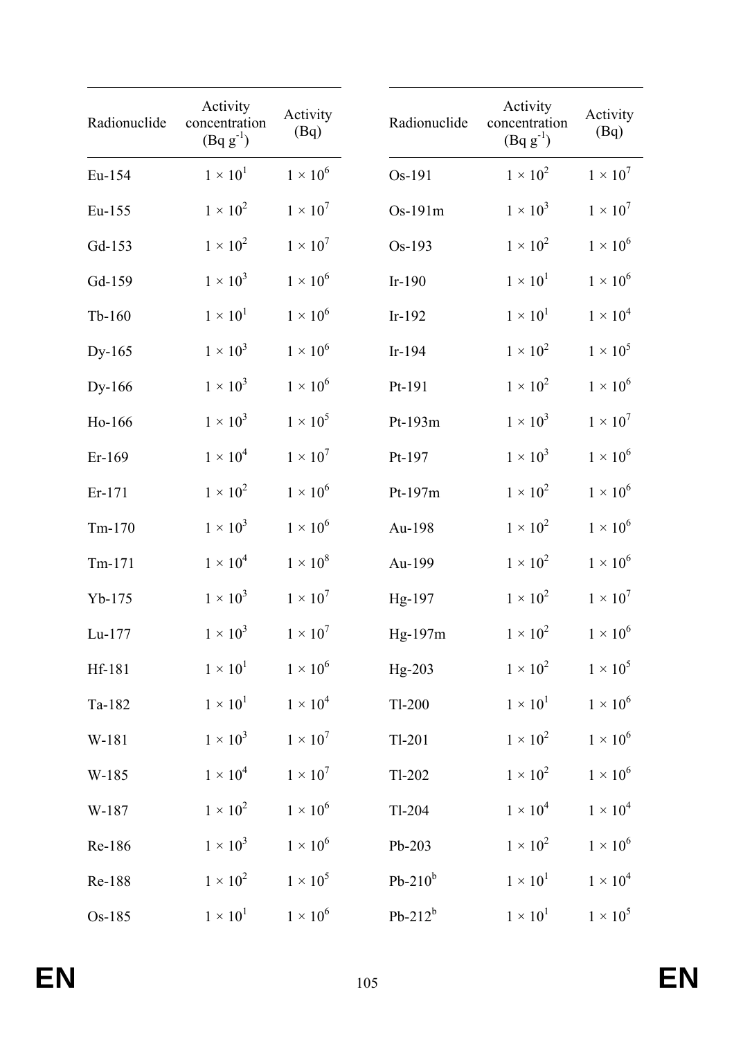| Radionuclide | Activity<br>concentration<br>$(Bq g^{-1})$ | Activity<br>(Bq) | Radionuclide | Activity<br>concentration<br>$(Bq g^{-1})$ | Activity<br>(Bq) |
|--------------|--------------------------------------------|------------------|--------------|--------------------------------------------|------------------|
| Eu-154       | $1 \times 10^1$                            | $1 \times 10^6$  | Os-191       | $1 \times 10^2$                            | $1 \times 10^7$  |
| Eu-155       | $1 \times 10^2$                            | $1 \times 10^7$  | Os-191m      | $1 \times 10^3$                            | $1 \times 10^7$  |
| Gd-153       | $1 \times 10^2$                            | $1 \times 10^7$  | Os-193       | $1 \times 10^2$                            | $1 \times 10^6$  |
| Gd-159       | $1 \times 10^3$                            | $1 \times 10^6$  | $Ir-190$     | $1 \times 10^1$                            | $1 \times 10^6$  |
| $Tb-160$     | $1 \times 10^1$                            | $1\times10^6$    | $Ir-192$     | $1 \times 10^{1}$                          | $1 \times 10^4$  |
| $Dy-165$     | $1 \times 10^3$                            | $1 \times 10^6$  | $Ir-194$     | $1 \times 10^2$                            | $1 \times 10^5$  |
| $Dy-166$     | $1 \times 10^3$                            | $1 \times 10^6$  | Pt-191       | $1 \times 10^2$                            | $1 \times 10^6$  |
| Ho-166       | $1\times10^3$                              | $1 \times 10^5$  | Pt-193m      | $1 \times 10^3$                            | $1 \times 10^7$  |
| Er-169       | $1 \times 10^4$                            | $1 \times 10^7$  | Pt-197       | $1 \times 10^3$                            | $1 \times 10^6$  |
| Er-171       | $1 \times 10^2$                            | $1 \times 10^6$  | Pt-197m      | $1 \times 10^2$                            | $1 \times 10^6$  |
| $Tm-170$     | $1 \times 10^3$                            | $1 \times 10^6$  | Au-198       | $1 \times 10^2$                            | $1 \times 10^6$  |
| $Tm-171$     | $1 \times 10^4$                            | $1 \times 10^8$  | Au-199       | $1 \times 10^2$                            | $1 \times 10^6$  |
| $Yb-175$     | $1 \times 10^3$                            | $1 \times 10^7$  | Hg-197       | $1 \times 10^2$                            | $1 \times 10^7$  |
| $Lu-177$     | $1 \times 10^3$                            | $1 \times 10^7$  | Hg-197m      | $1 \times 10^2$                            | $1 \times 10^6$  |
| Hf-181       | $1 \times 10^1$                            | $1 \times 10^6$  | Hg-203       | $1 \times 10^2$                            | $1 \times 10^5$  |
| Ta-182       | $1 \times 10^1$                            | $1 \times 10^4$  | $Tl-200$     | $1 \times 10^1$                            | $1 \times 10^6$  |
| W-181        | $1 \times 10^3$                            | $1 \times 10^7$  | $Tl-201$     | $1 \times 10^2$                            | $1 \times 10^6$  |
| W-185        | $1 \times 10^4$                            | $1 \times 10^7$  | $Tl-202$     | $1 \times 10^2$                            | $1 \times 10^6$  |
| W-187        | $1 \times 10^2$                            | $1 \times 10^6$  | $Tl-204$     | $1 \times 10^4$                            | $1 \times 10^4$  |
| Re-186       | $1 \times 10^3$                            | $1 \times 10^6$  | $Pb-203$     | $1 \times 10^2$                            | $1 \times 10^6$  |
| Re-188       | $1 \times 10^2$                            | $1 \times 10^5$  | $Pb-210^b$   | $1 \times 10^1$                            | $1 \times 10^4$  |
| Os-185       | $1 \times 10^1$                            | $1 \times 10^6$  | $Pb-212^b$   | $1 \times 10^1$                            | $1 \times 10^5$  |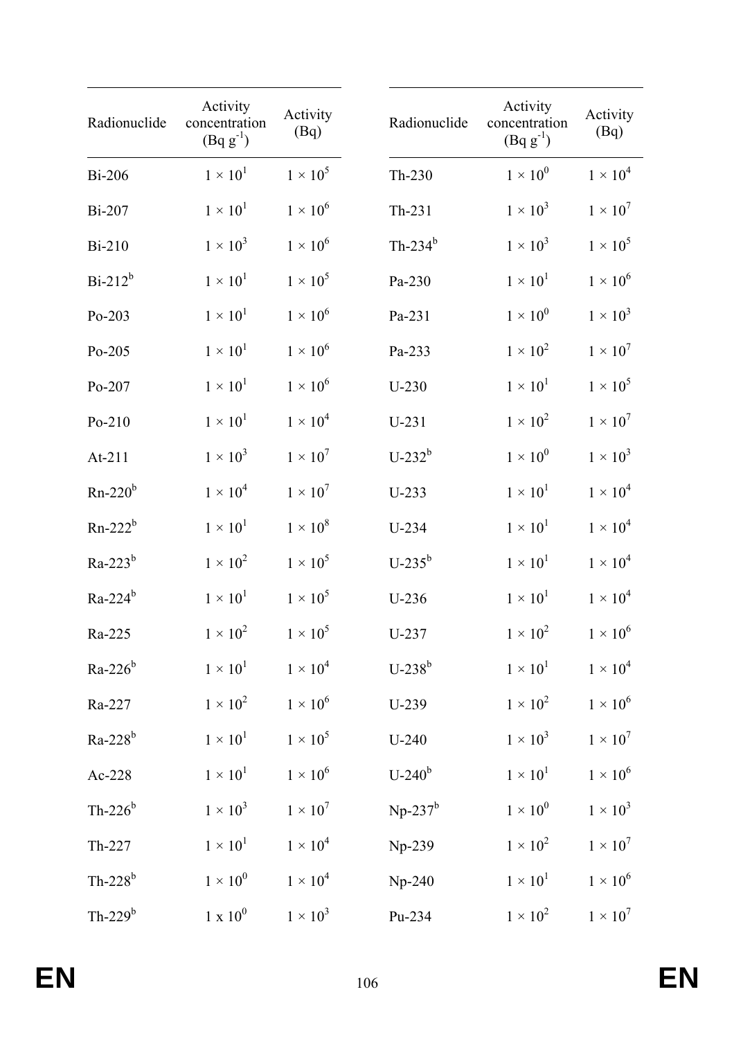| Radionuclide  | Activity<br>concentration<br>$(Bq g^{-1})$ | Activity<br>(Bq) | Radionuclide | Activity<br>concentration<br>$(Bq g^{-1})$ | Activity<br>(Bq) |
|---------------|--------------------------------------------|------------------|--------------|--------------------------------------------|------------------|
| <b>Bi-206</b> | $1 \times 10^1$                            | $1 \times 10^5$  | $Th-230$     | $1 \times 10^0$                            | $1 \times 10^4$  |
| <b>Bi-207</b> | $1 \times 10^{1}$                          | $1 \times 10^6$  | $Th-231$     | $1 \times 10^3$                            | $1 \times 10^7$  |
| <b>Bi-210</b> | $1 \times 10^3$                            | $1\times10^6$    | Th-234 $b$   | $1 \times 10^3$                            | $1 \times 10^5$  |
| $Bi-212^b$    | $1 \times 10^1$                            | $1 \times 10^5$  | Pa-230       | $1 \times 10^{1}$                          | $1 \times 10^6$  |
| Po-203        | $1 \times 10^1$                            | $1 \times 10^6$  | Pa-231       | $1 \times 10^0$                            | $1 \times 10^3$  |
| Po-205        | $1 \times 10^1$                            | $1 \times 10^6$  | Pa-233       | $1 \times 10^2$                            | $1 \times 10^7$  |
| Po-207        | $1 \times 10^1$                            | $1 \times 10^6$  | $U-230$      | $1 \times 10^{1}$                          | $1 \times 10^5$  |
| Po-210        | $1 \times 10^1$                            | $1 \times 10^4$  | $U-231$      | $1 \times 10^2$                            | $1 \times 10^7$  |
| At- $211$     | $1 \times 10^3$                            | $1 \times 10^7$  | $U-232^b$    | $1 \times 10^{0}$                          | $1 \times 10^3$  |
| $Rn-220b$     | $1 \times 10^4$                            | $1 \times 10^7$  | $U-233$      | $1 \times 10^{1}$                          | $1 \times 10^4$  |
| $Rn-222^b$    | $1 \times 10^1$                            | $1\times10^8$    | $U-234$      | $1 \times 10^{1}$                          | $1 \times 10^4$  |
| $Ra-223^b$    | $1 \times 10^2$                            | $1 \times 10^5$  | $U-235^b$    | $1 \times 10^{1}$                          | $1 \times 10^4$  |
| $Ra-224^b$    | $1 \times 10^1$                            | $1 \times 10^5$  | $U-236$      | $1 \times 10^1$                            | $1 \times 10^4$  |
| Ra-225        | $1 \times 10^2$                            | $1 \times 10^5$  | $U-237$      | $1 \times 10^2$                            | $1 \times 10^6$  |
| $Ra-226^b$    | $1 \times 10^1$                            | $1 \times 10^4$  | $U-238^b$    | $1 \times 10^1$                            | $1 \times 10^4$  |
| Ra-227        | $1 \times 10^2$                            | $1 \times 10^6$  | U-239        | $1 \times 10^2$                            | $1 \times 10^6$  |
| $Ra-228^b$    | $1 \times 10^1$                            | $1 \times 10^5$  | $U-240$      | $1 \times 10^3$                            | $1 \times 10^7$  |
| Ac-228        | $1 \times 10^1$                            | $1 \times 10^6$  | $U-240^b$    | $1 \times 10^1$                            | $1 \times 10^6$  |
| Th- $226^b$   | $1 \times 10^3$                            | $1 \times 10^7$  | $Np-237^b$   | $1 \times 10^{0}$                          | $1 \times 10^3$  |
| Th-227        | $1 \times 10^1$                            | $1 \times 10^4$  | Np-239       | $1 \times 10^2$                            | $1 \times 10^7$  |
| $Th-228^b$    | $1 \times 10^{0}$                          | $1 \times 10^4$  | Np-240       | $1 \times 10^1$                            | $1 \times 10^6$  |
| Th-229 $b$    | $1 \times 10^0$                            | $1 \times 10^3$  | Pu-234       | $1 \times 10^2$                            | $1 \times 10^7$  |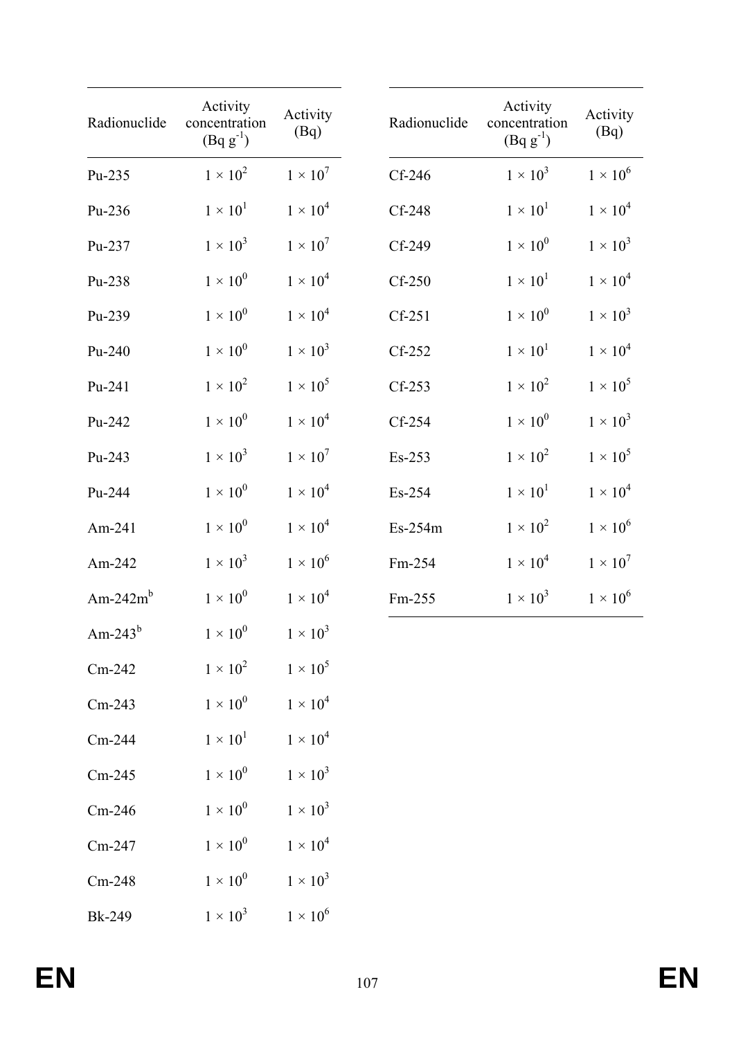| Radionuclide | Activity<br>concentration<br>$(Bq g^{-1})$ | Activity<br>(Bq) | Radionuclide | Activity<br>concentration<br>$(Bq g^{-1})$ | Activity<br>(Bq) |
|--------------|--------------------------------------------|------------------|--------------|--------------------------------------------|------------------|
| Pu-235       | $1 \times 10^2$                            | $1 \times 10^7$  | Cf-246       | $1 \times 10^3$                            | $1 \times 10^6$  |
| Pu-236       | $1 \times 10^1$                            | $1 \times 10^4$  | Cf-248       | $1 \times 10^1$                            | $1 \times 10^4$  |
| Pu-237       | $1 \times 10^3$                            | $1 \times 10^7$  | Cf-249       | $1 \times 10^{0}$                          | $1 \times 10^3$  |
| Pu-238       | $1\times10^{0}$                            | $1 \times 10^4$  | $Cf-250$     | $1 \times 10^1$                            | $1 \times 10^4$  |
| Pu-239       | $1 \times 10^{0}$                          | $1 \times 10^4$  | $Cf-251$     | $1 \times 10^0$                            | $1 \times 10^3$  |
| Pu-240       | $1 \times 10^{0}$                          | $1 \times 10^3$  | $Cf-252$     | $1 \times 10^1$                            | $1 \times 10^4$  |
| Pu-241       | $1 \times 10^2$                            | $1\times10^5$    | $Cf-253$     | $1 \times 10^2$                            | $1 \times 10^5$  |
| Pu-242       | $1\times10^{0}$                            | $1 \times 10^4$  | Cf-254       | $1 \times 10^0$                            | $1 \times 10^3$  |
| Pu-243       | $1 \times 10^3$                            | $1 \times 10^7$  | Es-253       | $1 \times 10^2$                            | $1 \times 10^5$  |
| Pu-244       | $1 \times 10^0$                            | $1 \times 10^4$  | Es-254       | $1 \times 10^1$                            | $1 \times 10^4$  |
| Am-241       | $1 \times 10^{0}$                          | $1 \times 10^4$  | Es-254m      | $1 \times 10^2$                            | $1 \times 10^6$  |
| Am-242       | $1 \times 10^3$                            | $1 \times 10^6$  | Fm-254       | $1 \times 10^4$                            | $1 \times 10^7$  |
| Am-242 $mb$  | $1 \times 10^{0}$                          | $1 \times 10^4$  | Fm-255       | $1 \times 10^3$                            | $1 \times 10^6$  |
| Am-243 $b$   | $1 \times 10^0$                            | $1 \times 10^3$  |              |                                            |                  |
| $Cm-242$     | $1 \times 10^2$                            | $1 \times 10^5$  |              |                                            |                  |
| $Cm-243$     | $1 \times 10^{0}$                          | $1 \times 10^4$  |              |                                            |                  |
| $Cm-244$     | $1 \times 10^1$                            | $1 \times 10^4$  |              |                                            |                  |
| $Cm-245$     | $1 \times 10^{0}$                          | $1 \times 10^3$  |              |                                            |                  |
| $Cm-246$     | $1 \times 10^{0}$                          | $1 \times 10^3$  |              |                                            |                  |
| $Cm-247$     | $1 \times 10^{0}$                          | $1 \times 10^4$  |              |                                            |                  |
| $Cm-248$     | $1 \times 10^0$                            | $1 \times 10^3$  |              |                                            |                  |
| Bk-249       | $1 \times 10^3$                            | $1 \times 10^6$  |              |                                            |                  |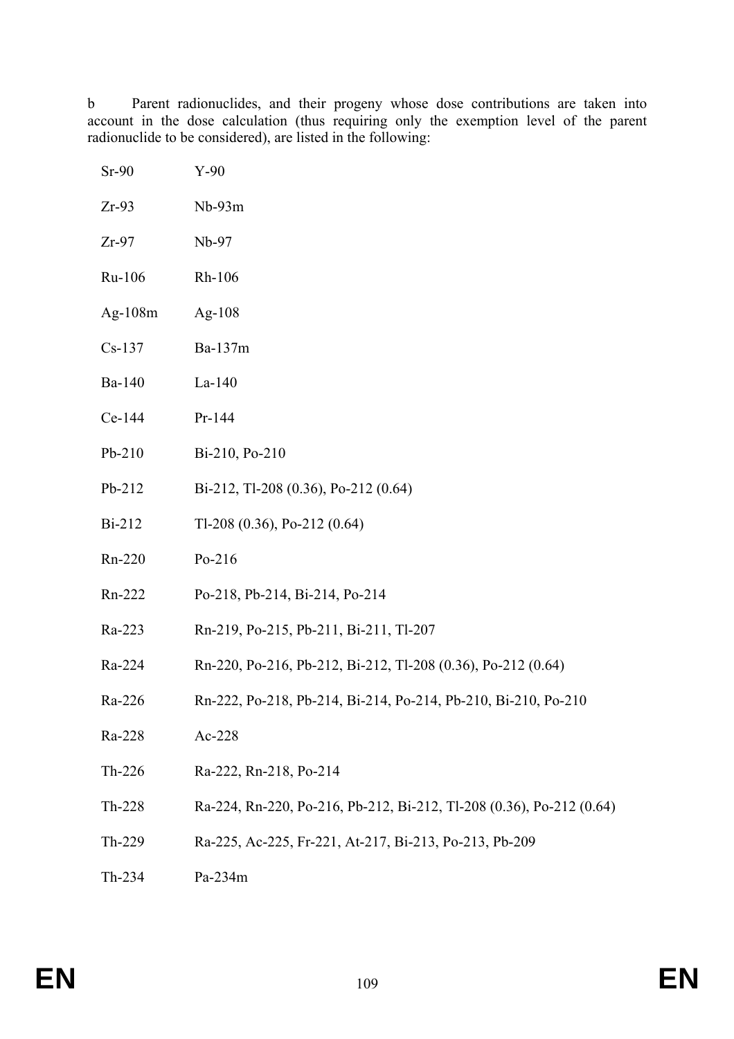b Parent radionuclides, and their progeny whose dose contributions are taken into account in the dose calculation (thus requiring only the exemption level of the parent radionuclide to be considered), are listed in the following:

| $Sr-90$  | $Y-90$                                                               |
|----------|----------------------------------------------------------------------|
| $Zr-93$  | $Nb-93m$                                                             |
| $Zr-97$  | $Nb-97$                                                              |
| Ru-106   | Rh-106                                                               |
| Ag-108m  | Ag- $108$                                                            |
| $Cs-137$ | Ba-137m                                                              |
| Ba-140   | $La-140$                                                             |
| Ce-144   | $Pr-144$                                                             |
| $Pb-210$ | Bi-210, Po-210                                                       |
| $Pb-212$ | Bi-212, Tl-208 (0.36), Po-212 (0.64)                                 |
| $Bi-212$ | Tl-208 $(0.36)$ , Po-212 $(0.64)$                                    |
| Rn-220   | Po-216                                                               |
| Rn-222   | Po-218, Pb-214, Bi-214, Po-214                                       |
| Ra-223   | Rn-219, Po-215, Pb-211, Bi-211, Tl-207                               |
| Ra-224   | Rn-220, Po-216, Pb-212, Bi-212, Tl-208 (0.36), Po-212 (0.64)         |
| Ra-226   | Rn-222, Po-218, Pb-214, Bi-214, Po-214, Pb-210, Bi-210, Po-210       |
| Ra-228   | $Ac-228$                                                             |
| $Th-226$ | Ra-222, Rn-218, Po-214                                               |
| $Th-228$ | Ra-224, Rn-220, Po-216, Pb-212, Bi-212, Tl-208 (0.36), Po-212 (0.64) |
| $Th-229$ | Ra-225, Ac-225, Fr-221, At-217, Bi-213, Po-213, Pb-209               |
| $Th-234$ | Pa-234m                                                              |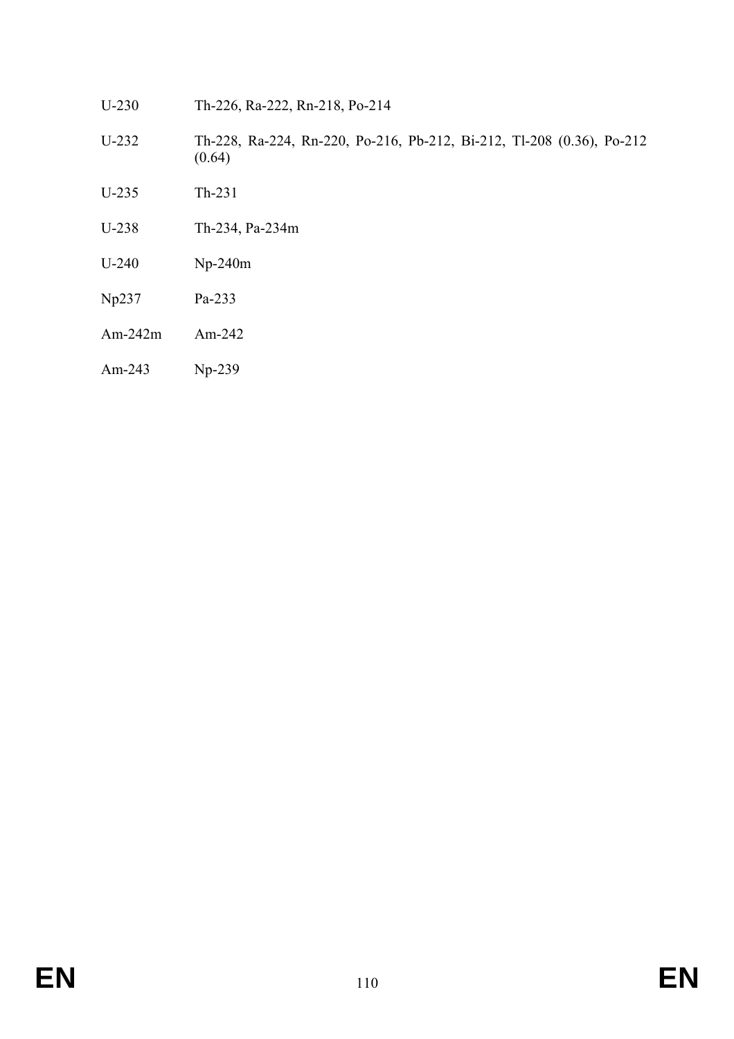- U-230 Th-226, Ra-222, Rn-218, Po-214
- U-232 Th-228, Ra-224, Rn-220, Po-216, Pb-212, Bi-212, Tl-208 (0.36), Po-212 (0.64)
- U-235 Th-231
- U-238 Th-234, Pa-234m
- U-240 Np-240m
- Np237 Pa-233
- Am-242m Am-242
- Am-243 Np-239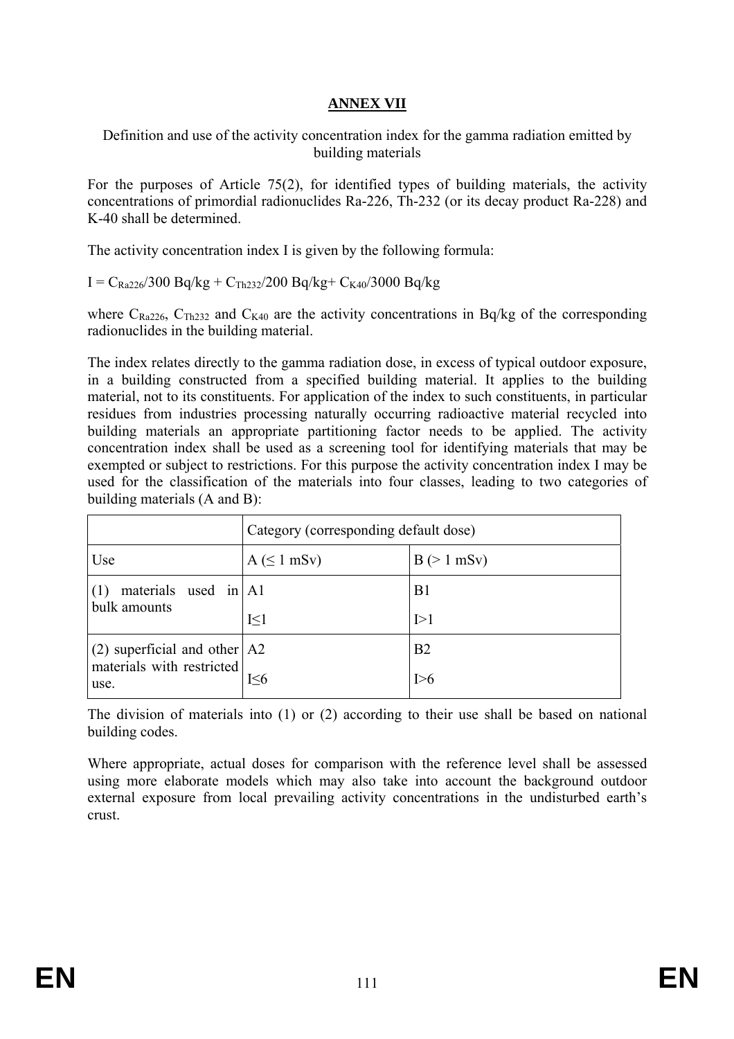## **ANNEX VII**

Definition and use of the activity concentration index for the gamma radiation emitted by building materials

For the purposes of Article 75(2), for identified types of building materials, the activity concentrations of primordial radionuclides Ra-226, Th-232 (or its decay product Ra-228) and K-40 shall be determined.

The activity concentration index I is given by the following formula:

 $I = C_{Ra226}/300 Bq/kg + C_{Th232}/200 Bq/kg + C_{K40}/3000 Bq/kg$ 

where  $C_{\text{Ra226}}$ ,  $C_{\text{Th232}}$  and  $C_{\text{K40}}$  are the activity concentrations in Bq/kg of the corresponding radionuclides in the building material.

The index relates directly to the gamma radiation dose, in excess of typical outdoor exposure, in a building constructed from a specified building material. It applies to the building material, not to its constituents. For application of the index to such constituents, in particular residues from industries processing naturally occurring radioactive material recycled into building materials an appropriate partitioning factor needs to be applied. The activity concentration index shall be used as a screening tool for identifying materials that may be exempted or subject to restrictions. For this purpose the activity concentration index I may be used for the classification of the materials into four classes, leading to two categories of building materials (A and B):

|                                   | Category (corresponding default dose) |                |
|-----------------------------------|---------------------------------------|----------------|
| Use                               | $A \leq 1$ mSv)                       | B (> 1 mSv)    |
| materials used in $ A1 $<br>(1)   |                                       | B1             |
| bulk amounts                      | I<1                                   | $\geq$         |
| (2) superficial and other $ A2 $  |                                       | B <sub>2</sub> |
| materials with restricted<br>use. | [<6                                   | I > 6          |

The division of materials into (1) or (2) according to their use shall be based on national building codes.

Where appropriate, actual doses for comparison with the reference level shall be assessed using more elaborate models which may also take into account the background outdoor external exposure from local prevailing activity concentrations in the undisturbed earth's crust.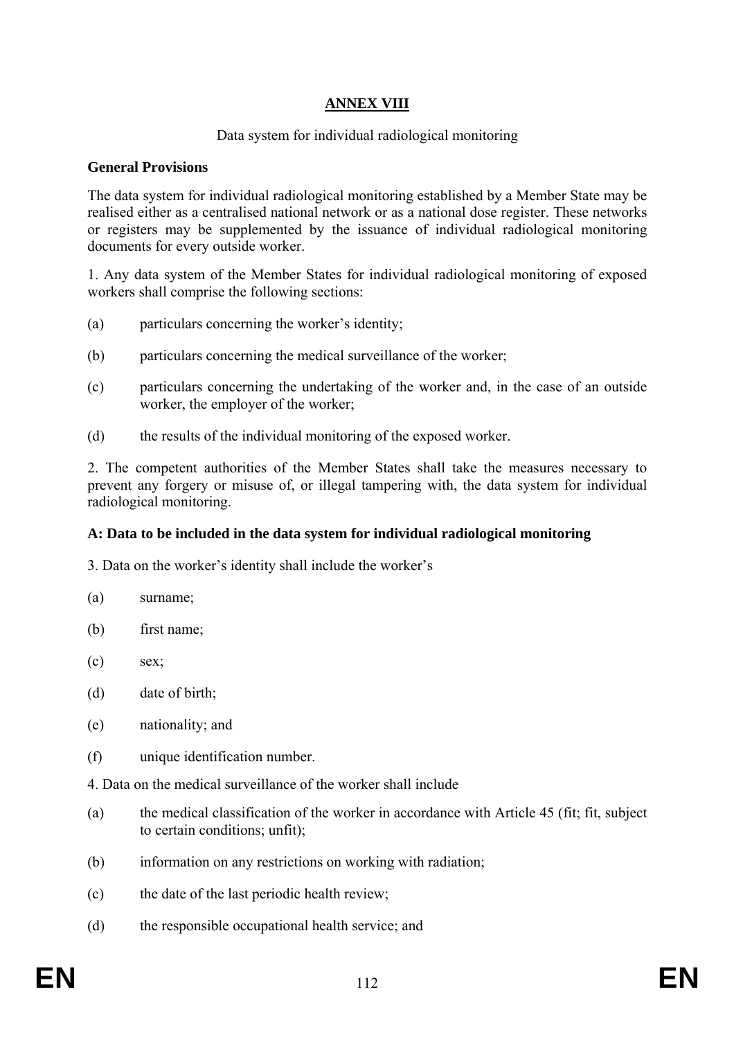# **ANNEX VIII**

### Data system for individual radiological monitoring

#### **General Provisions**

The data system for individual radiological monitoring established by a Member State may be realised either as a centralised national network or as a national dose register. These networks or registers may be supplemented by the issuance of individual radiological monitoring documents for every outside worker.

1. Any data system of the Member States for individual radiological monitoring of exposed workers shall comprise the following sections:

- (a) particulars concerning the worker's identity;
- (b) particulars concerning the medical surveillance of the worker;
- (c) particulars concerning the undertaking of the worker and, in the case of an outside worker, the employer of the worker;
- (d) the results of the individual monitoring of the exposed worker.

2. The competent authorities of the Member States shall take the measures necessary to prevent any forgery or misuse of, or illegal tampering with, the data system for individual radiological monitoring.

#### **A: Data to be included in the data system for individual radiological monitoring**

3. Data on the worker's identity shall include the worker's

- (a) surname;
- (b) first name;
- (c) sex;
- (d) date of birth;
- (e) nationality; and
- (f) unique identification number.

4. Data on the medical surveillance of the worker shall include

- (a) the medical classification of the worker in accordance with Article 45 (fit; fit, subject to certain conditions; unfit);
- (b) information on any restrictions on working with radiation;
- (c) the date of the last periodic health review;
- (d) the responsible occupational health service; and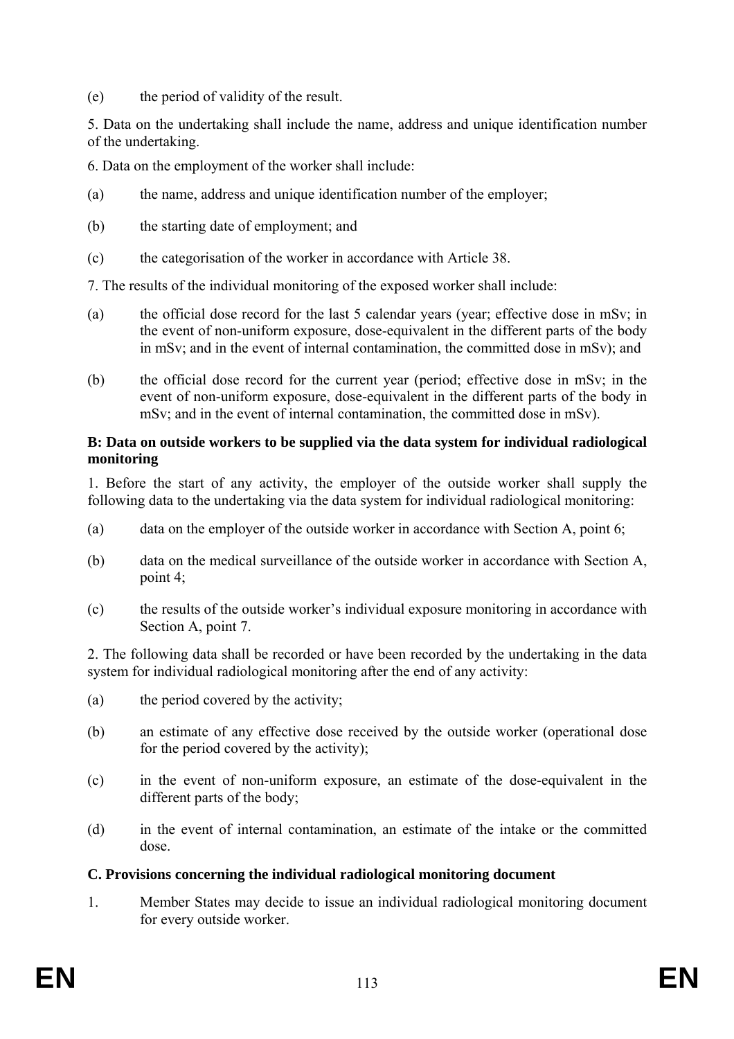(e) the period of validity of the result.

5. Data on the undertaking shall include the name, address and unique identification number of the undertaking.

6. Data on the employment of the worker shall include:

- (a) the name, address and unique identification number of the employer;
- (b) the starting date of employment; and
- (c) the categorisation of the worker in accordance with Article 38.

7. The results of the individual monitoring of the exposed worker shall include:

- (a) the official dose record for the last 5 calendar years (year; effective dose in mSv; in the event of non-uniform exposure, dose-equivalent in the different parts of the body in mSv; and in the event of internal contamination, the committed dose in mSv); and
- (b) the official dose record for the current year (period; effective dose in mSv; in the event of non-uniform exposure, dose-equivalent in the different parts of the body in mSv; and in the event of internal contamination, the committed dose in mSv).

#### **B: Data on outside workers to be supplied via the data system for individual radiological monitoring**

1. Before the start of any activity, the employer of the outside worker shall supply the following data to the undertaking via the data system for individual radiological monitoring:

- (a) data on the employer of the outside worker in accordance with Section A, point 6;
- (b) data on the medical surveillance of the outside worker in accordance with Section A, point 4;
- (c) the results of the outside worker's individual exposure monitoring in accordance with Section A, point 7.

2. The following data shall be recorded or have been recorded by the undertaking in the data system for individual radiological monitoring after the end of any activity:

- (a) the period covered by the activity;
- (b) an estimate of any effective dose received by the outside worker (operational dose for the period covered by the activity);
- (c) in the event of non-uniform exposure, an estimate of the dose-equivalent in the different parts of the body;
- (d) in the event of internal contamination, an estimate of the intake or the committed dose.

## **C. Provisions concerning the individual radiological monitoring document**

1. Member States may decide to issue an individual radiological monitoring document for every outside worker.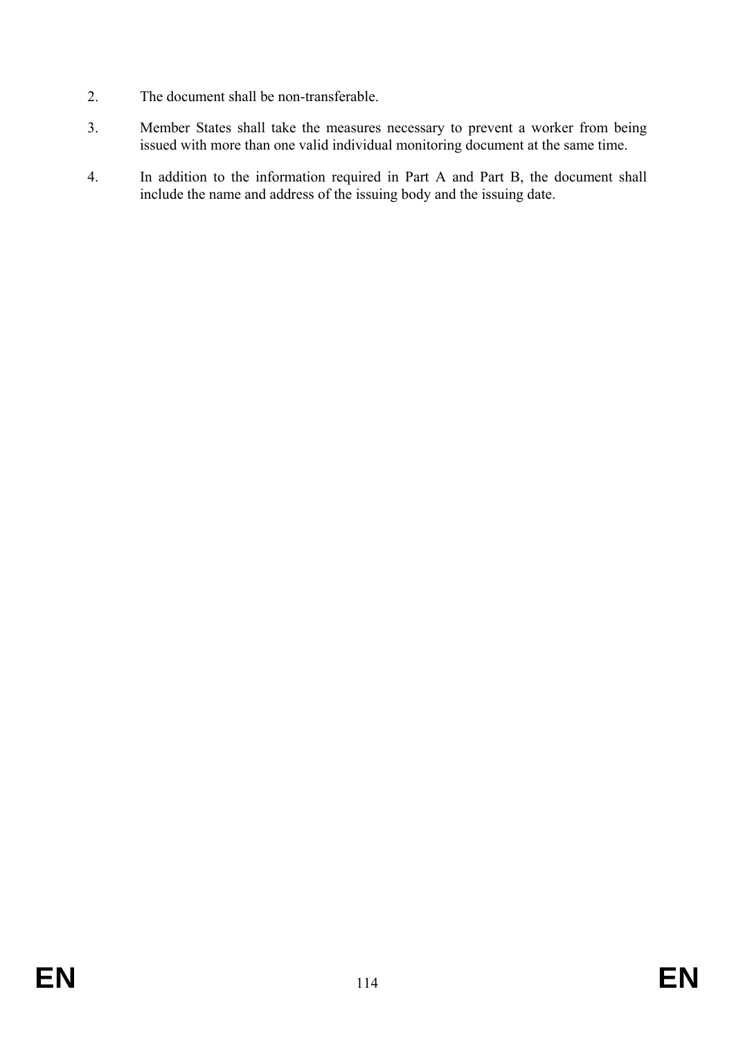- 2. The document shall be non-transferable.
- 3. Member States shall take the measures necessary to prevent a worker from being issued with more than one valid individual monitoring document at the same time.
- 4. In addition to the information required in Part A and Part B, the document shall include the name and address of the issuing body and the issuing date.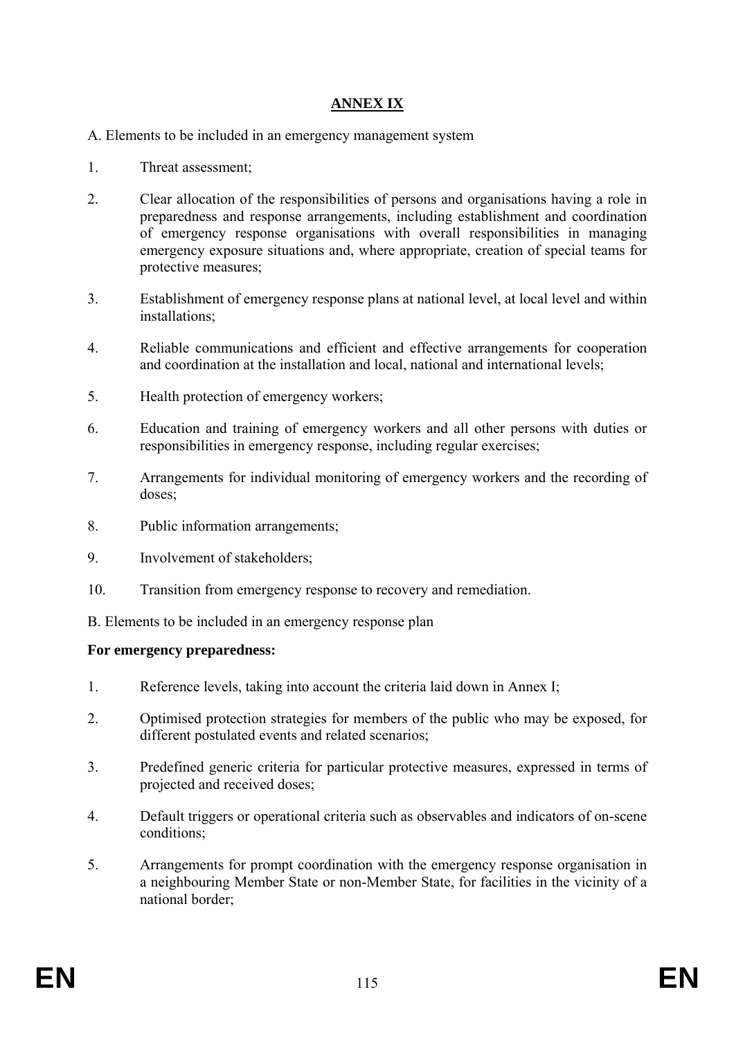## **ANNEX IX**

- A. Elements to be included in an emergency management system
- 1. Threat assessment;
- 2. Clear allocation of the responsibilities of persons and organisations having a role in preparedness and response arrangements, including establishment and coordination of emergency response organisations with overall responsibilities in managing emergency exposure situations and, where appropriate, creation of special teams for protective measures;
- 3. Establishment of emergency response plans at national level, at local level and within installations;
- 4. Reliable communications and efficient and effective arrangements for cooperation and coordination at the installation and local, national and international levels;
- 5. Health protection of emergency workers;
- 6. Education and training of emergency workers and all other persons with duties or responsibilities in emergency response, including regular exercises;
- 7. Arrangements for individual monitoring of emergency workers and the recording of doses;
- 8. Public information arrangements;
- 9. Involvement of stakeholders;
- 10. Transition from emergency response to recovery and remediation.
- B. Elements to be included in an emergency response plan

#### **For emergency preparedness:**

- 1. Reference levels, taking into account the criteria laid down in Annex I;
- 2. Optimised protection strategies for members of the public who may be exposed, for different postulated events and related scenarios;
- 3. Predefined generic criteria for particular protective measures, expressed in terms of projected and received doses;
- 4. Default triggers or operational criteria such as observables and indicators of on-scene conditions;
- 5. Arrangements for prompt coordination with the emergency response organisation in a neighbouring Member State or non-Member State, for facilities in the vicinity of a national border;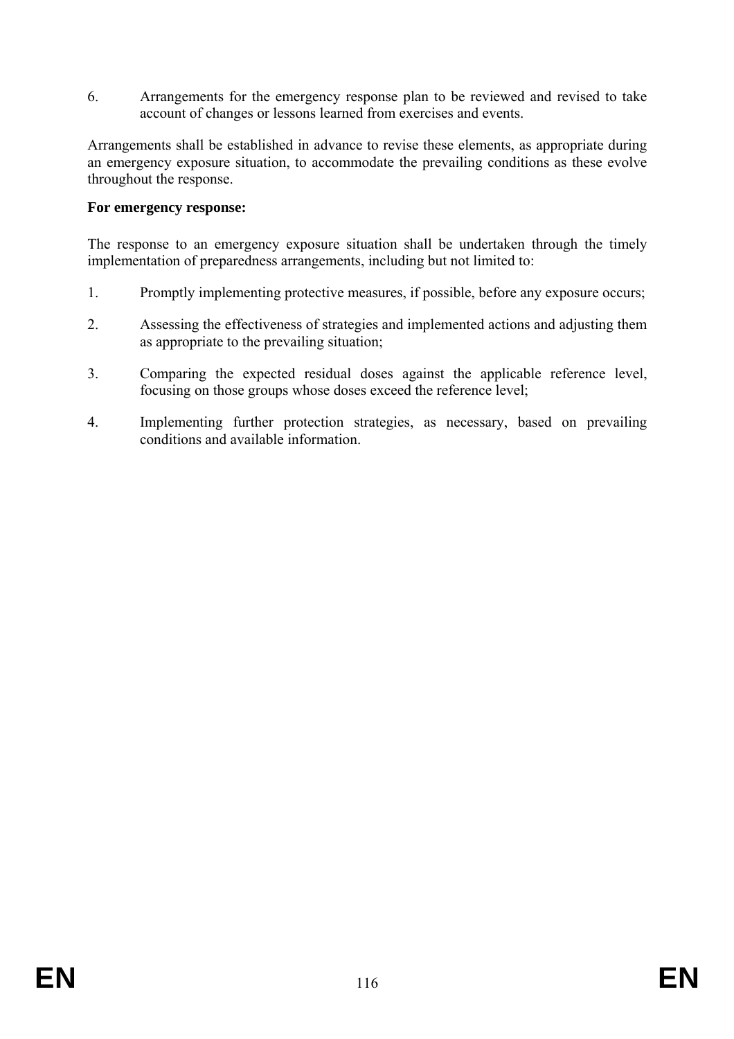6. Arrangements for the emergency response plan to be reviewed and revised to take account of changes or lessons learned from exercises and events.

Arrangements shall be established in advance to revise these elements, as appropriate during an emergency exposure situation, to accommodate the prevailing conditions as these evolve throughout the response.

#### **For emergency response:**

The response to an emergency exposure situation shall be undertaken through the timely implementation of preparedness arrangements, including but not limited to:

- 1. Promptly implementing protective measures, if possible, before any exposure occurs;
- 2. Assessing the effectiveness of strategies and implemented actions and adjusting them as appropriate to the prevailing situation;
- 3. Comparing the expected residual doses against the applicable reference level, focusing on those groups whose doses exceed the reference level;
- 4. Implementing further protection strategies, as necessary, based on prevailing conditions and available information.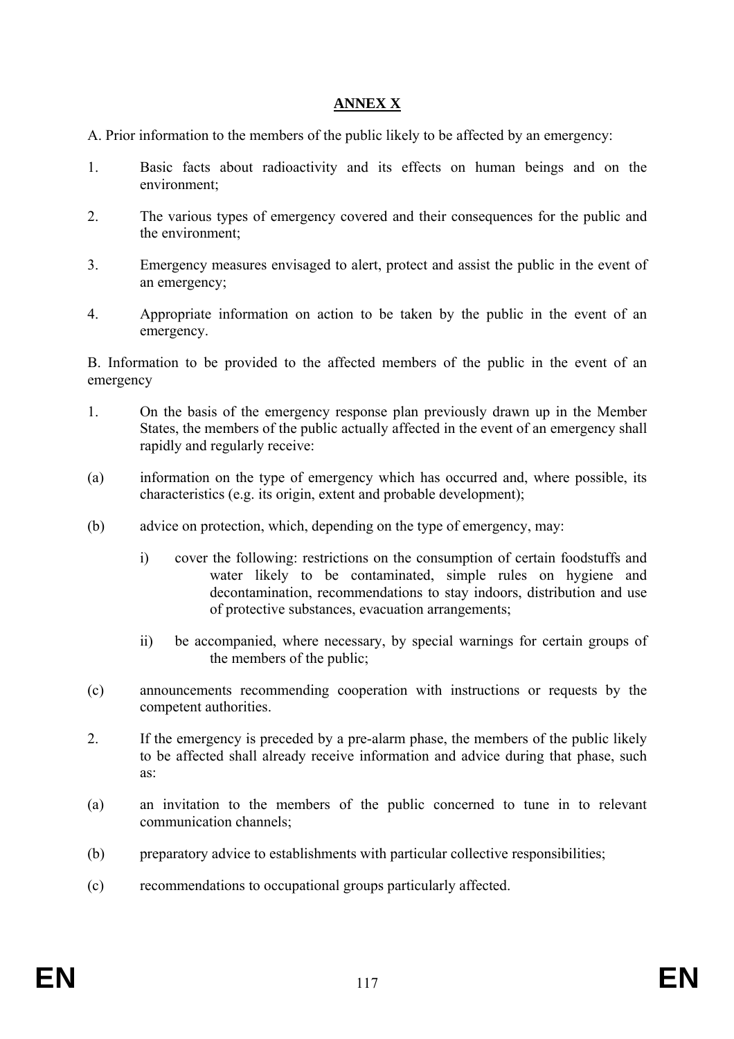## **ANNEX X**

- A. Prior information to the members of the public likely to be affected by an emergency:
- 1. Basic facts about radioactivity and its effects on human beings and on the environment;
- 2. The various types of emergency covered and their consequences for the public and the environment;
- 3. Emergency measures envisaged to alert, protect and assist the public in the event of an emergency;
- 4. Appropriate information on action to be taken by the public in the event of an emergency.

B. Information to be provided to the affected members of the public in the event of an emergency

- 1. On the basis of the emergency response plan previously drawn up in the Member States, the members of the public actually affected in the event of an emergency shall rapidly and regularly receive:
- (a) information on the type of emergency which has occurred and, where possible, its characteristics (e.g. its origin, extent and probable development);
- (b) advice on protection, which, depending on the type of emergency, may:
	- i) cover the following: restrictions on the consumption of certain foodstuffs and water likely to be contaminated, simple rules on hygiene and decontamination, recommendations to stay indoors, distribution and use of protective substances, evacuation arrangements;
	- ii) be accompanied, where necessary, by special warnings for certain groups of the members of the public;
- (c) announcements recommending cooperation with instructions or requests by the competent authorities.
- 2. If the emergency is preceded by a pre-alarm phase, the members of the public likely to be affected shall already receive information and advice during that phase, such as:
- (a) an invitation to the members of the public concerned to tune in to relevant communication channels;
- (b) preparatory advice to establishments with particular collective responsibilities;
- (c) recommendations to occupational groups particularly affected.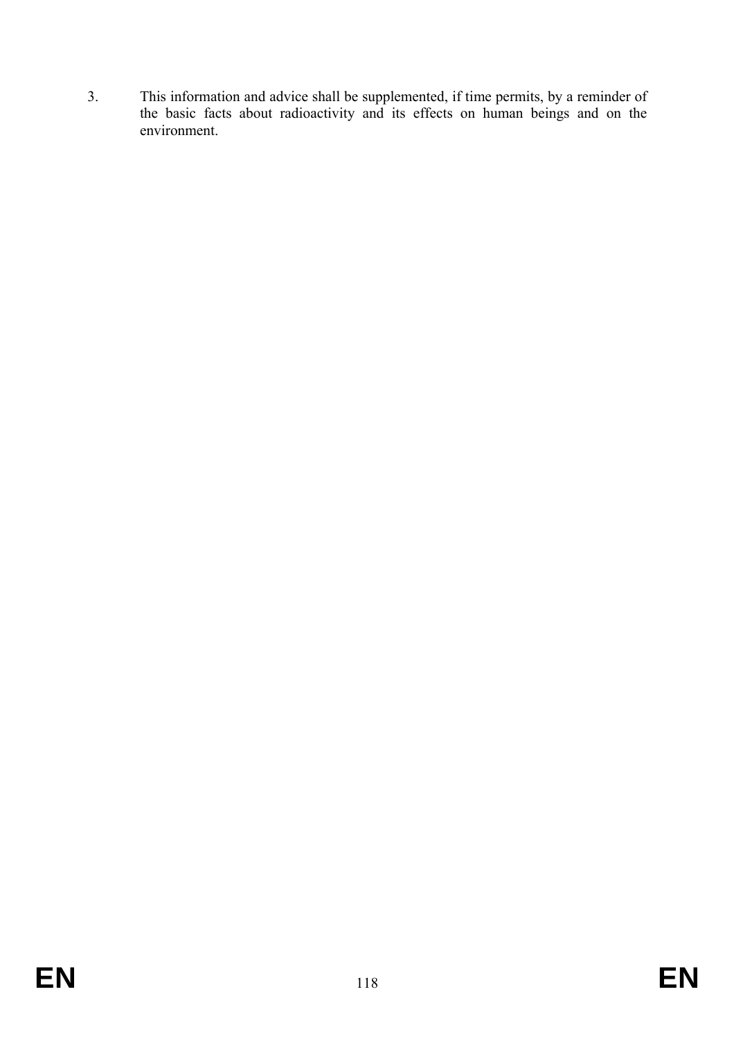3. This information and advice shall be supplemented, if time permits, by a reminder of the basic facts about radioactivity and its effects on human beings and on the environment.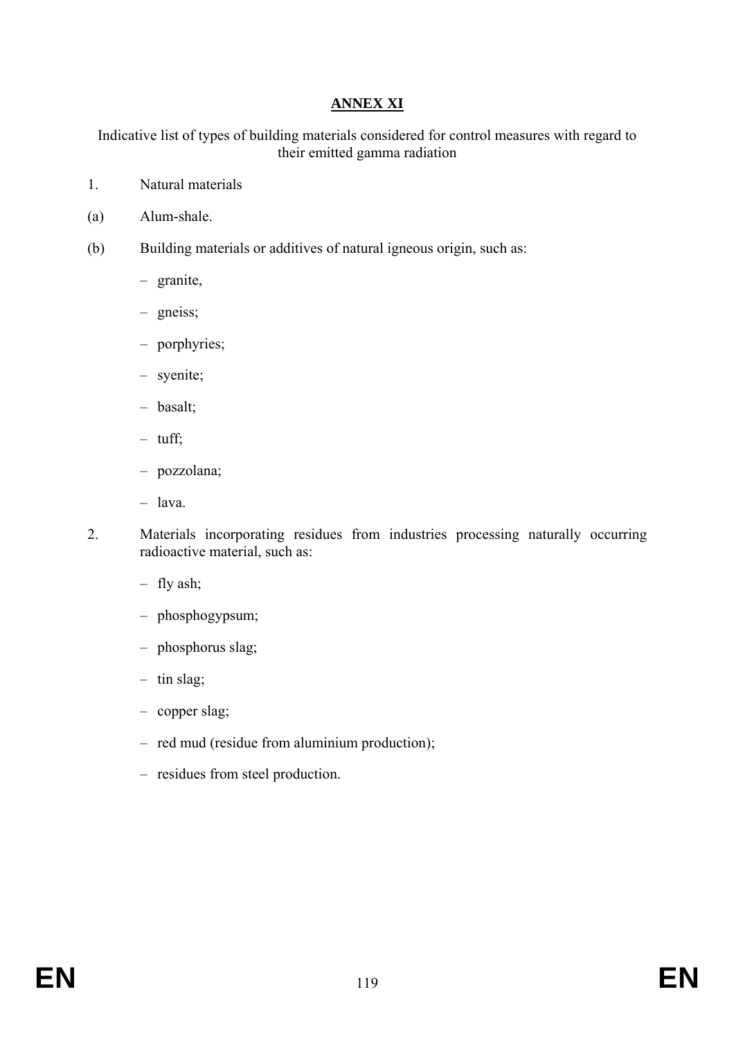## **ANNEX XI**

Indicative list of types of building materials considered for control measures with regard to their emitted gamma radiation

- 1. Natural materials
- (a) Alum-shale.
- (b) Building materials or additives of natural igneous origin, such as:
	- granite,
	- gneiss;
	- porphyries;
	- syenite;
	- basalt;
	- tuff;
	- pozzolana;
	- lava.
- 2. Materials incorporating residues from industries processing naturally occurring radioactive material, such as:
	- fly ash;
	- phosphogypsum;
	- phosphorus slag;
	- tin slag;
	- copper slag;
	- red mud (residue from aluminium production);
	- residues from steel production.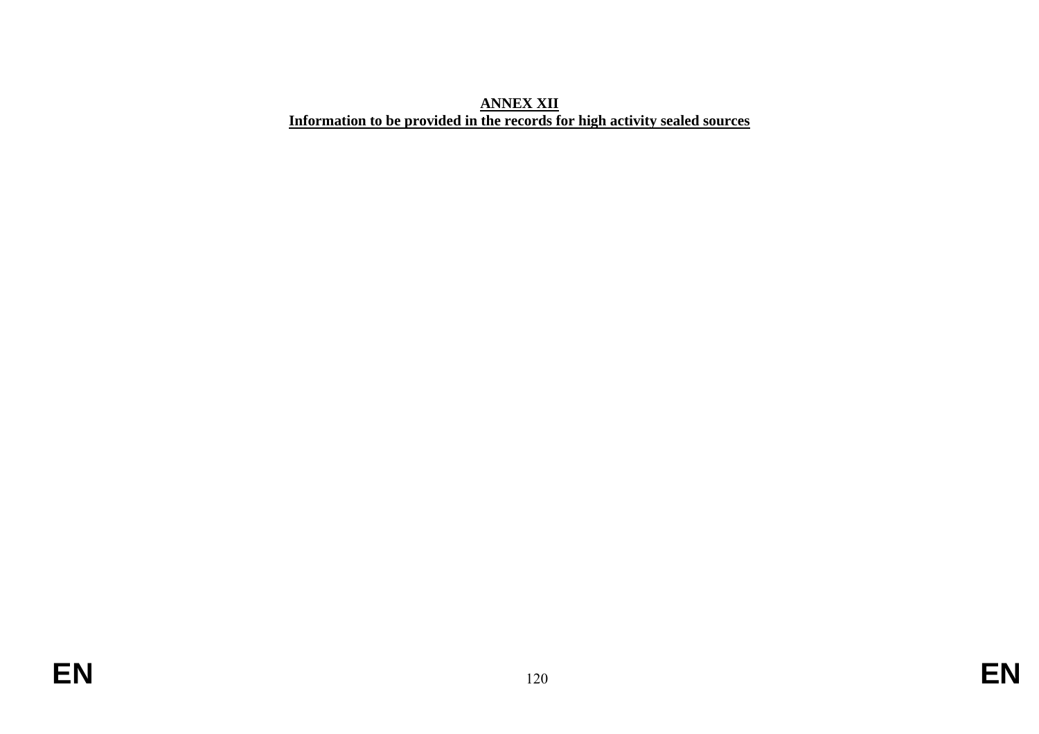**ANNEX XII Information to be provided in the records for high activity sealed sources**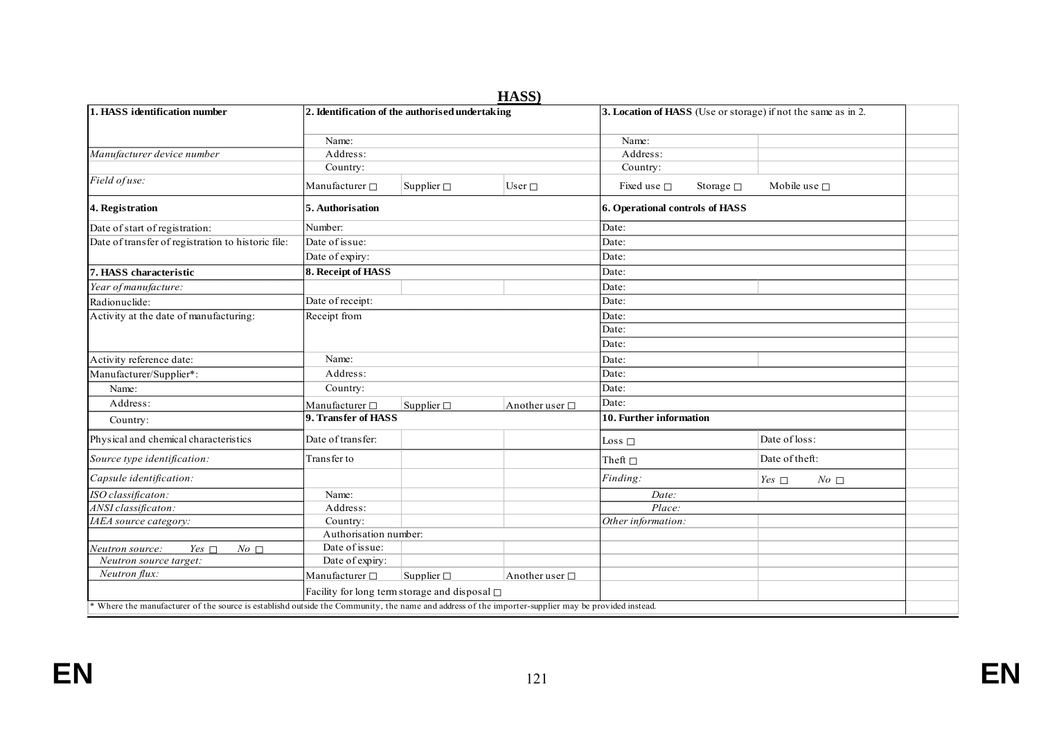#### **HASS)** Name:*Manufacturer device number* **Address:** Address: Address: Address: Address: Address: Address: Address: Address: Address: Address: Address: Address: Address: Address: Address: Address: Address: Address: Address: Address: Ad Country: *Field of use:* Manufacturer □ Supplier  $\Box$  User  $\Box$ **4. Registration** Date of start of registration: **7. HASS characteristic***Year of manufacture:* Date: Radionuclide:Activity reference date: Name: Name: Name: Date: Date: Date: Manufacturer/Supplier\*: Name:Аddress:Manufacturer □  $\vert$ Supplier  $\Box$  Another user  $\Box$ Country: Physical and chemical characteristics Date of transfer:  $\log$  Date of transfer:  $\log$  Date of transfer: Date of loss: *Source type identification:* Transfer to Theft □ Date of theft: *Capsule identification: Finding: Yes □ No □ISO classificaton:* Name: *Date: ANSI classificaton:* Address: *IAEA source category:* Country: *Other information: Neutron source: Yes □ No □* Date of issue: *Neutron source target:* Date of expiry: *Neutron flux:* Manufacturer □  $\vert$ Supplier  $\vert$   $\vert$  Another user  $\vert$ Activity at the date of manufacturing: Receipt from \* Where the manufacturer of the source is establishd outside the Community, the name and address of the importer-supplier may be provided instead. *Place:*Date of transfer of registration to historic file: **8. Receipt of HASS** Date of receipt: **1. HASS identification number**Number:Name: **10. Further information**Facility for long term storage and disposal  $\Box$ Date: Date: Date:Address:Country: Authorisation number: **9. Transfer of HASS**Fixed use □ Storage □ Mobile use □ **2. Identification of the authorised undertaking 3. Location of HASS** (Use or storage) if not the same as in 2. **5. Authorisation 6. Operational controls of HASS** Date of issue:Date of expiry: Name:Address: Country: Date:Date:Date:Date:Date: Date:Date: Date: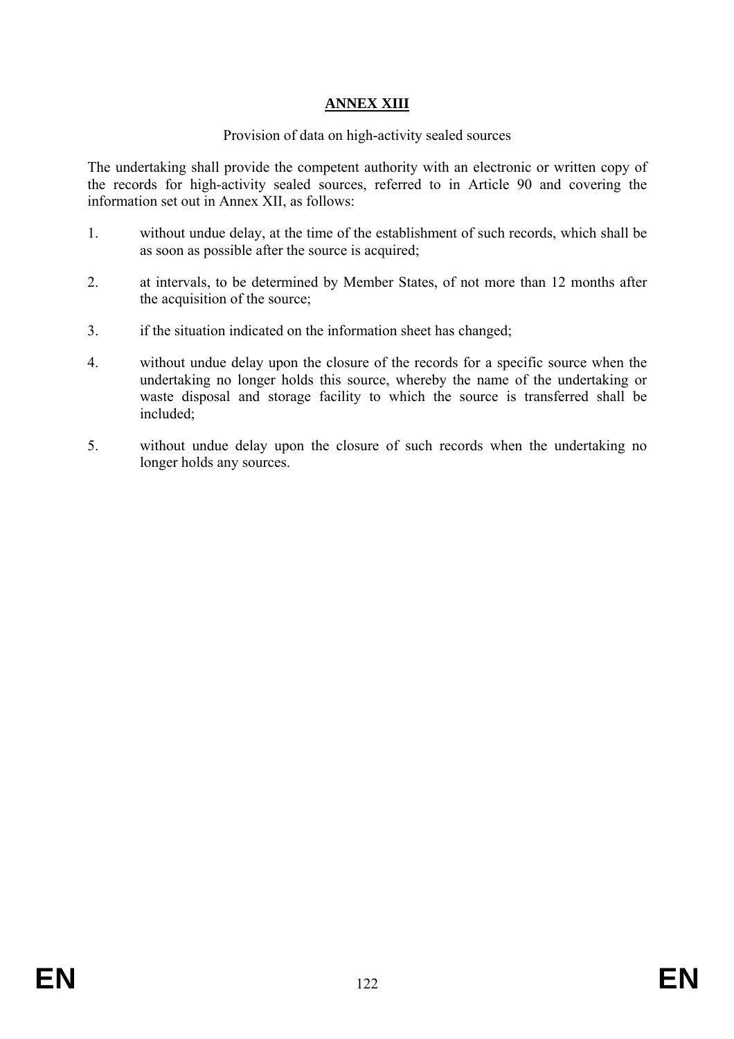# **ANNEX XIII**

## Provision of data on high-activity sealed sources

The undertaking shall provide the competent authority with an electronic or written copy of the records for high-activity sealed sources, referred to in Article 90 and covering the information set out in Annex XII, as follows:

- 1. without undue delay, at the time of the establishment of such records, which shall be as soon as possible after the source is acquired;
- 2. at intervals, to be determined by Member States, of not more than 12 months after the acquisition of the source;
- 3. if the situation indicated on the information sheet has changed;
- 4. without undue delay upon the closure of the records for a specific source when the undertaking no longer holds this source, whereby the name of the undertaking or waste disposal and storage facility to which the source is transferred shall be included;
- 5. without undue delay upon the closure of such records when the undertaking no longer holds any sources.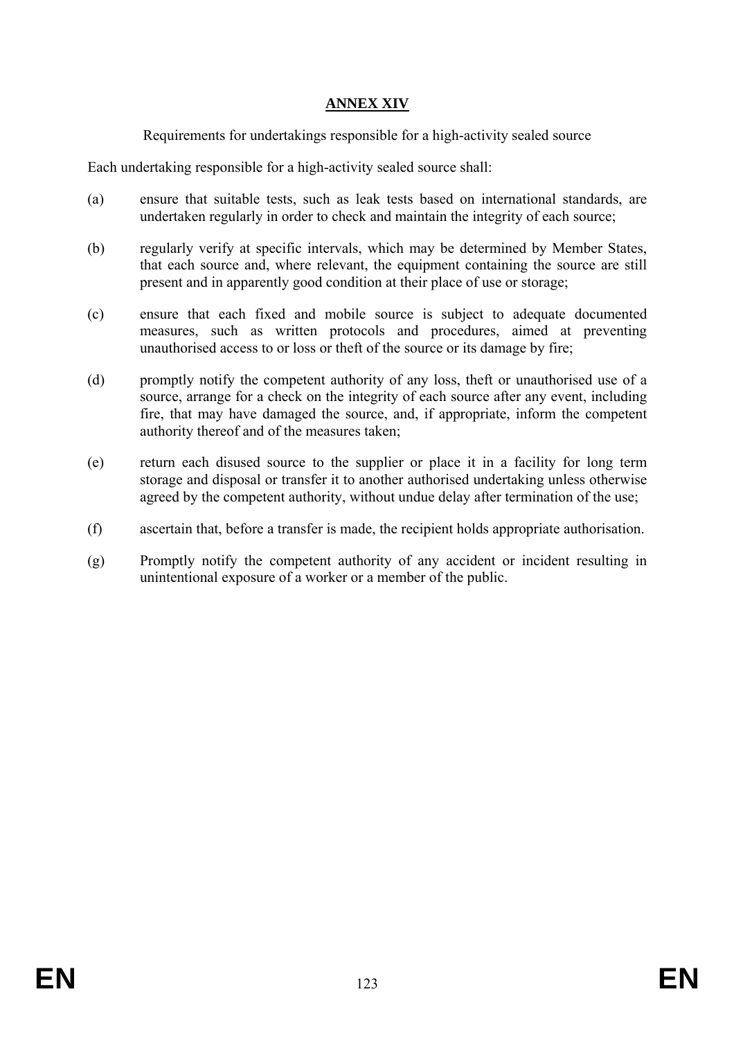# **ANNEX XIV**

Requirements for undertakings responsible for a high-activity sealed source

Each undertaking responsible for a high-activity sealed source shall:

- (a) ensure that suitable tests, such as leak tests based on international standards, are undertaken regularly in order to check and maintain the integrity of each source;
- (b) regularly verify at specific intervals, which may be determined by Member States, that each source and, where relevant, the equipment containing the source are still present and in apparently good condition at their place of use or storage;
- (c) ensure that each fixed and mobile source is subject to adequate documented measures, such as written protocols and procedures, aimed at preventing unauthorised access to or loss or theft of the source or its damage by fire;
- (d) promptly notify the competent authority of any loss, theft or unauthorised use of a source, arrange for a check on the integrity of each source after any event, including fire, that may have damaged the source, and, if appropriate, inform the competent authority thereof and of the measures taken;
- (e) return each disused source to the supplier or place it in a facility for long term storage and disposal or transfer it to another authorised undertaking unless otherwise agreed by the competent authority, without undue delay after termination of the use;
- (f) ascertain that, before a transfer is made, the recipient holds appropriate authorisation.
- (g) Promptly notify the competent authority of any accident or incident resulting in unintentional exposure of a worker or a member of the public.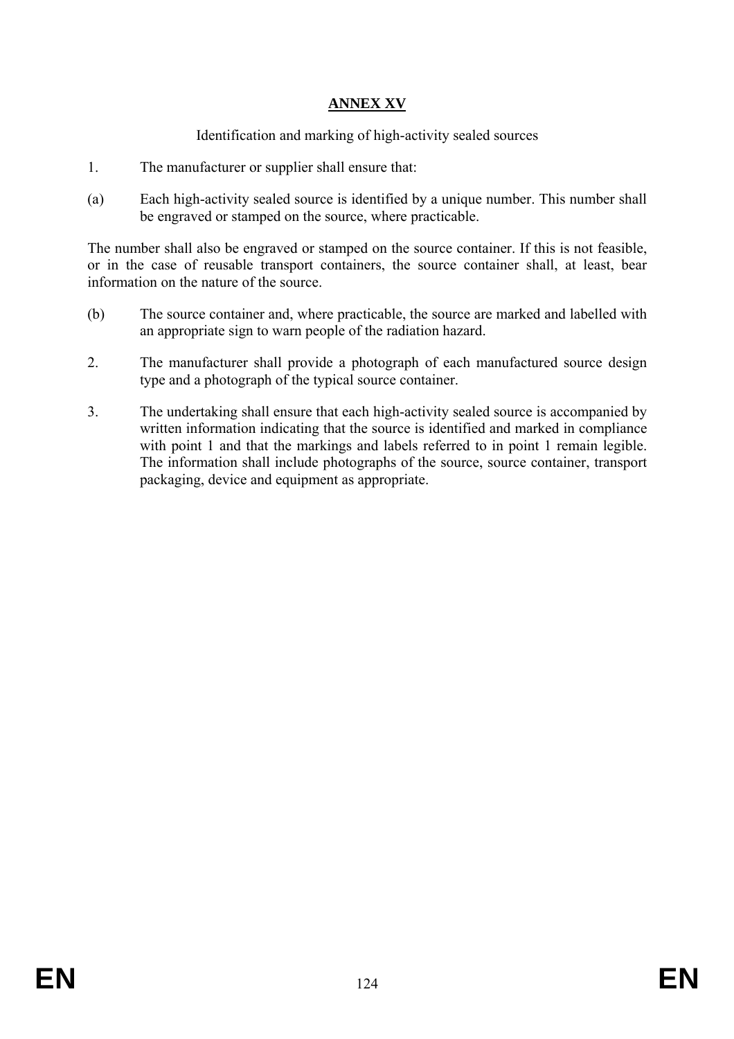# **ANNEX XV**

Identification and marking of high-activity sealed sources

- 1. The manufacturer or supplier shall ensure that:
- (a) Each high-activity sealed source is identified by a unique number. This number shall be engraved or stamped on the source, where practicable.

The number shall also be engraved or stamped on the source container. If this is not feasible, or in the case of reusable transport containers, the source container shall, at least, bear information on the nature of the source.

- (b) The source container and, where practicable, the source are marked and labelled with an appropriate sign to warn people of the radiation hazard.
- 2. The manufacturer shall provide a photograph of each manufactured source design type and a photograph of the typical source container.
- 3. The undertaking shall ensure that each high-activity sealed source is accompanied by written information indicating that the source is identified and marked in compliance with point 1 and that the markings and labels referred to in point 1 remain legible. The information shall include photographs of the source, source container, transport packaging, device and equipment as appropriate.